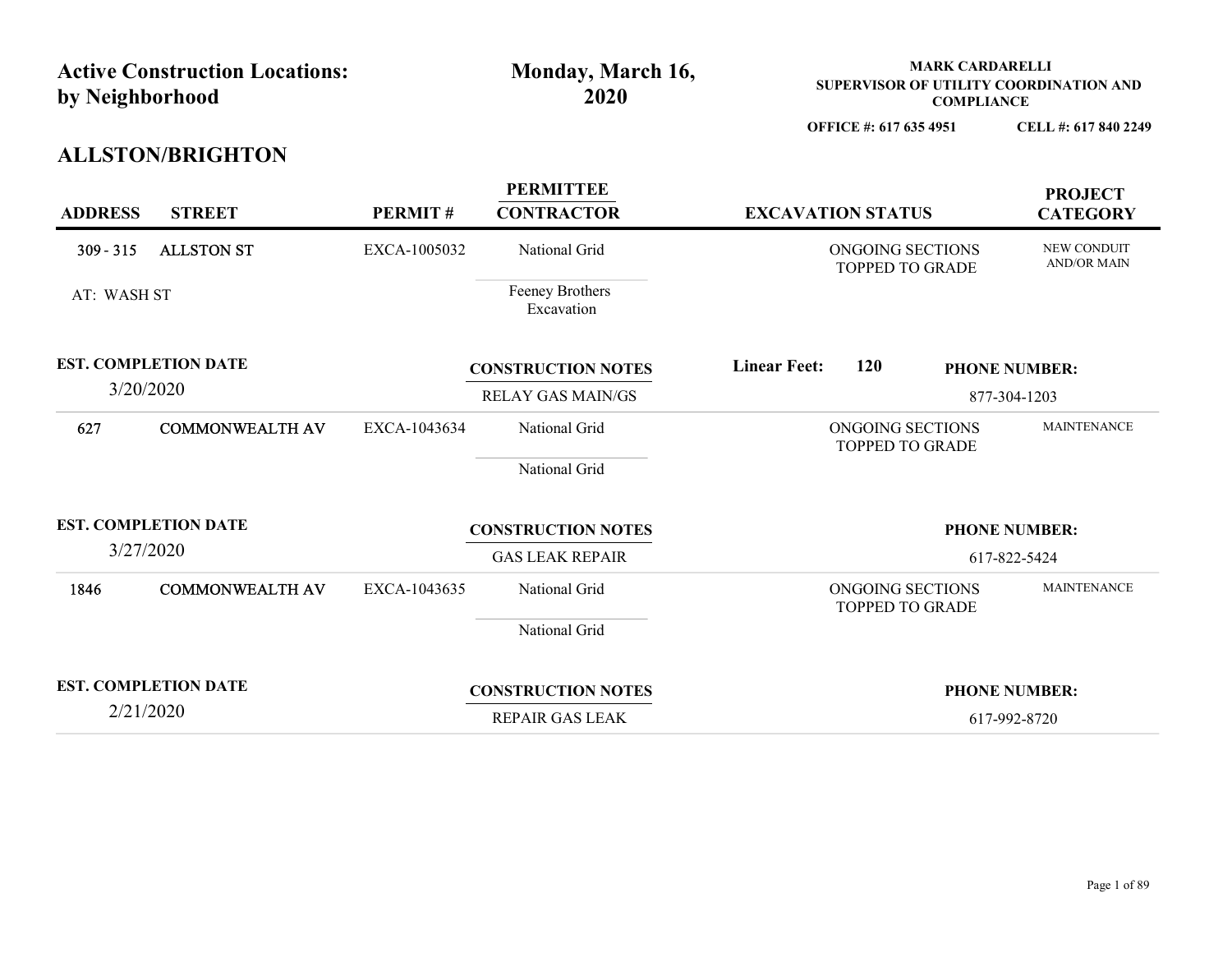|                            | <b>Active Construction Locations:</b><br>by Neighborhood |              | Monday, March 16,<br>2020                             |                     |                                            | <b>MARK CARDARELLI</b><br><b>COMPLIANCE</b> | SUPERVISOR OF UTILITY COORDINATION AND |  |  |
|----------------------------|----------------------------------------------------------|--------------|-------------------------------------------------------|---------------------|--------------------------------------------|---------------------------------------------|----------------------------------------|--|--|
|                            |                                                          |              |                                                       |                     | OFFICE #: 617 635 4951                     |                                             | CELL #: 617 840 2249                   |  |  |
| <b>ADDRESS</b>             | <b>ALLSTON/BRIGHTON</b><br><b>STREET</b>                 | PERMIT#      | <b>PERMITTEE</b><br><b>CONTRACTOR</b>                 |                     | <b>EXCAVATION STATUS</b>                   |                                             | <b>PROJECT</b><br><b>CATEGORY</b>      |  |  |
| $309 - 315$<br>AT: WASH ST | <b>ALLSTON ST</b>                                        | EXCA-1005032 | National Grid<br>Feeney Brothers<br>Excavation        |                     | ONGOING SECTIONS<br>TOPPED TO GRADE        |                                             | NEW CONDUIT<br><b>AND/OR MAIN</b>      |  |  |
| 3/20/2020                  | <b>EST. COMPLETION DATE</b>                              |              | <b>CONSTRUCTION NOTES</b><br><b>RELAY GAS MAIN/GS</b> | <b>Linear Feet:</b> | 120                                        |                                             | <b>PHONE NUMBER:</b><br>877-304-1203   |  |  |
| 627                        | <b>COMMONWEALTH AV</b>                                   | EXCA-1043634 | National Grid<br>National Grid                        |                     | ONGOING SECTIONS<br><b>TOPPED TO GRADE</b> |                                             | <b>MAINTENANCE</b>                     |  |  |
| 3/27/2020                  | <b>EST. COMPLETION DATE</b>                              |              | <b>CONSTRUCTION NOTES</b><br><b>GAS LEAK REPAIR</b>   |                     |                                            |                                             | <b>PHONE NUMBER:</b><br>617-822-5424   |  |  |
| 1846                       | <b>COMMONWEALTH AV</b>                                   | EXCA-1043635 | National Grid<br>National Grid                        |                     | ONGOING SECTIONS<br><b>TOPPED TO GRADE</b> |                                             | <b>MAINTENANCE</b>                     |  |  |
|                            | <b>EST. COMPLETION DATE</b><br>2/21/2020                 |              | <b>CONSTRUCTION NOTES</b><br>REPAIR GAS LEAK          |                     |                                            |                                             | <b>PHONE NUMBER:</b><br>617-992-8720   |  |  |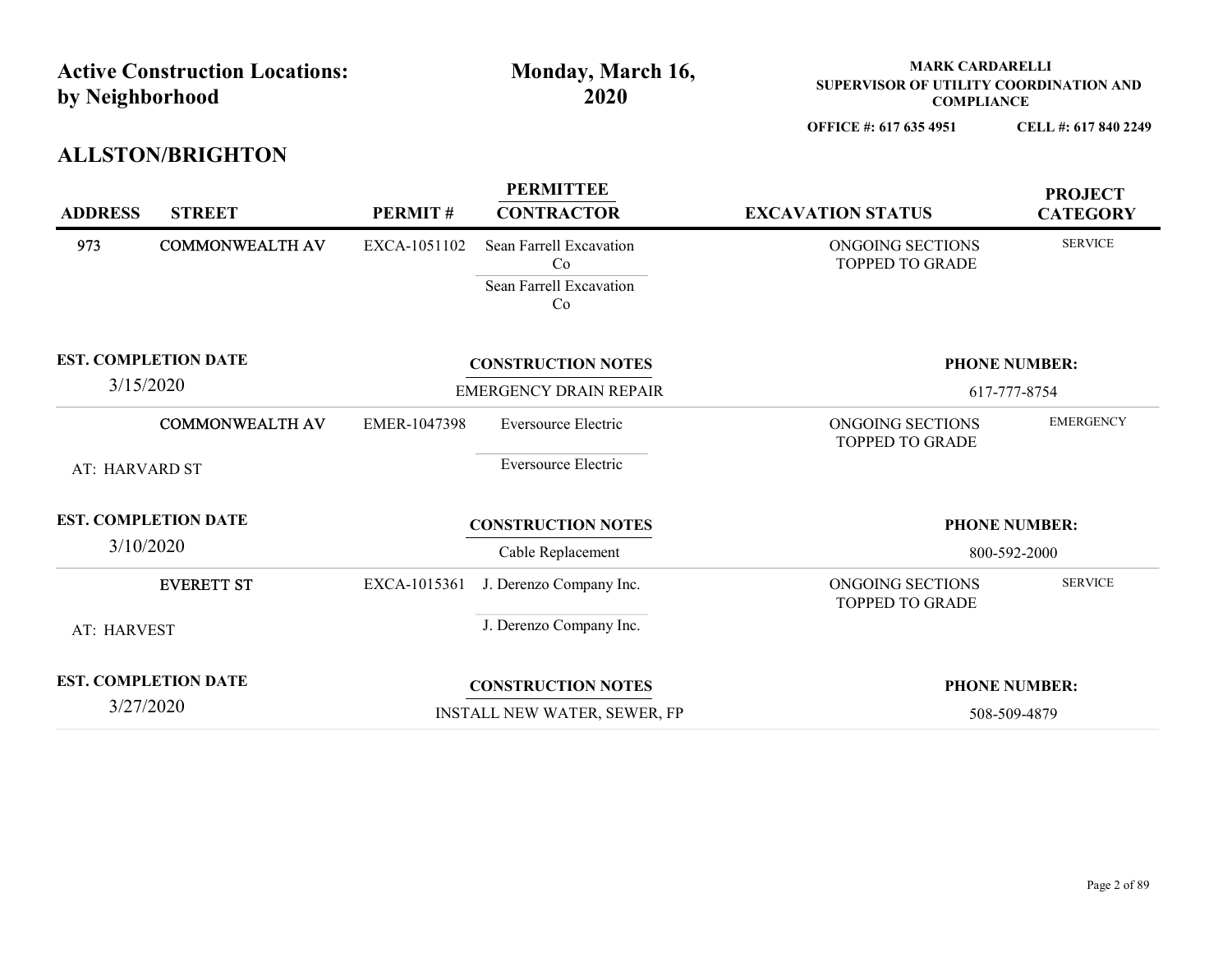| by Neighborhood | <b>Active Construction Locations:</b> |                               | Monday, March 16,<br>2020             | <b>MARK CARDARELLI</b><br>SUPERVISOR OF UTILITY COORDINATION AND<br><b>COMPLIANCE</b> |                                   |  |  |  |
|-----------------|---------------------------------------|-------------------------------|---------------------------------------|---------------------------------------------------------------------------------------|-----------------------------------|--|--|--|
|                 |                                       |                               |                                       | OFFICE #: 617 635 4951                                                                | CELL #: 617 840 2249              |  |  |  |
|                 | <b>ALLSTON/BRIGHTON</b>               |                               |                                       |                                                                                       |                                   |  |  |  |
| <b>ADDRESS</b>  | <b>STREET</b>                         | PERMIT#                       | <b>PERMITTEE</b><br><b>CONTRACTOR</b> | <b>EXCAVATION STATUS</b>                                                              | <b>PROJECT</b><br><b>CATEGORY</b> |  |  |  |
| 973             | <b>COMMONWEALTH AV</b>                | EXCA-1051102                  | Sean Farrell Excavation<br>Co         | ONGOING SECTIONS<br>TOPPED TO GRADE                                                   | <b>SERVICE</b>                    |  |  |  |
|                 |                                       | Sean Farrell Excavation<br>Co |                                       |                                                                                       |                                   |  |  |  |
|                 | <b>EST. COMPLETION DATE</b>           |                               | <b>CONSTRUCTION NOTES</b>             |                                                                                       | <b>PHONE NUMBER:</b>              |  |  |  |
|                 | 3/15/2020                             |                               | <b>EMERGENCY DRAIN REPAIR</b>         | 617-777-8754                                                                          |                                   |  |  |  |
|                 | <b>COMMONWEALTH AV</b>                |                               | EMER-1047398 Eversource Electric      | ONGOING SECTIONS<br><b>TOPPED TO GRADE</b>                                            | <b>EMERGENCY</b>                  |  |  |  |
| AT: HARVARD ST  |                                       |                               | Eversource Electric                   |                                                                                       |                                   |  |  |  |
|                 | <b>EST. COMPLETION DATE</b>           |                               | <b>CONSTRUCTION NOTES</b>             |                                                                                       | <b>PHONE NUMBER:</b>              |  |  |  |
|                 | 3/10/2020                             |                               | Cable Replacement                     |                                                                                       | 800-592-2000                      |  |  |  |
|                 |                                       | EXCA-1015361                  | J. Derenzo Company Inc.               | ONGOING SECTIONS                                                                      | <b>SERVICE</b>                    |  |  |  |
|                 | <b>EVERETT ST</b>                     |                               |                                       | TOPPED TO GRADE                                                                       |                                   |  |  |  |
| AT: HARVEST     |                                       |                               | J. Derenzo Company Inc.               |                                                                                       |                                   |  |  |  |
|                 | <b>EST. COMPLETION DATE</b>           |                               | <b>CONSTRUCTION NOTES</b>             |                                                                                       | <b>PHONE NUMBER:</b>              |  |  |  |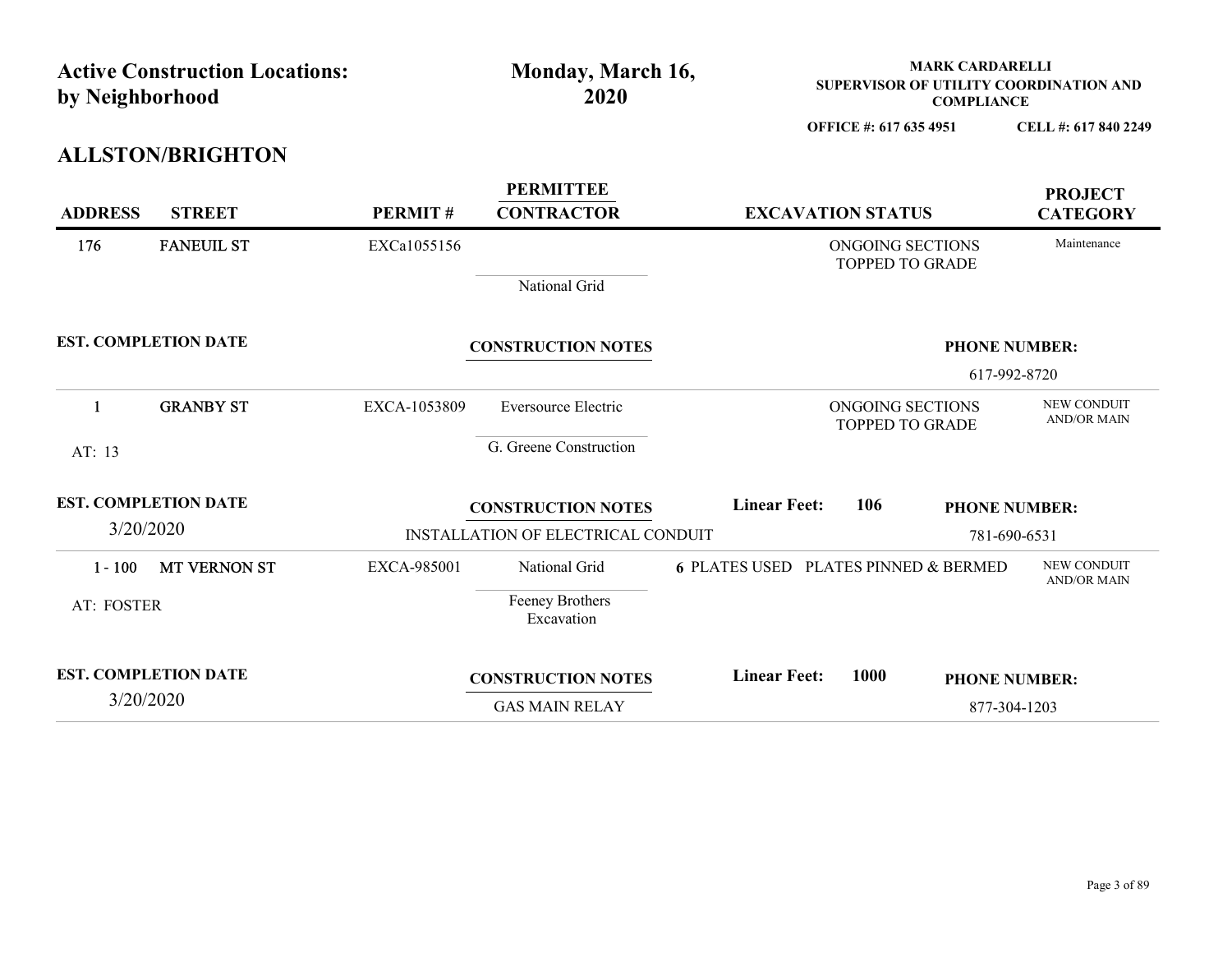|                             | <b>Active Construction Locations:</b> |              | Monday, March 16,                  |                                                 |                                            | <b>MARK CARDARELLI</b> | SUPERVISOR OF UTILITY COORDINATION AND |
|-----------------------------|---------------------------------------|--------------|------------------------------------|-------------------------------------------------|--------------------------------------------|------------------------|----------------------------------------|
| by Neighborhood             |                                       |              | 2020                               |                                                 | OFFICE #: 617 635 4951                     | <b>COMPLIANCE</b>      | CELL #: 617 840 2249                   |
|                             | <b>ALLSTON/BRIGHTON</b>               |              |                                    |                                                 |                                            |                        |                                        |
|                             |                                       |              | <b>PERMITTEE</b>                   |                                                 |                                            |                        | <b>PROJECT</b>                         |
| <b>ADDRESS</b>              | <b>STREET</b>                         | PERMIT#      | <b>CONTRACTOR</b>                  |                                                 | <b>EXCAVATION STATUS</b>                   |                        | <b>CATEGORY</b>                        |
| 176                         | <b>FANEUIL ST</b>                     | EXCa1055156  |                                    |                                                 | ONGOING SECTIONS<br><b>TOPPED TO GRADE</b> |                        | Maintenance                            |
|                             |                                       |              | National Grid                      |                                                 |                                            |                        |                                        |
| <b>EST. COMPLETION DATE</b> |                                       |              |                                    |                                                 |                                            |                        |                                        |
|                             |                                       |              | <b>CONSTRUCTION NOTES</b>          |                                                 |                                            |                        | <b>PHONE NUMBER:</b><br>617-992-8720   |
| $\mathbf 1$                 | <b>GRANBY ST</b>                      | EXCA-1053809 | Eversource Electric                |                                                 | ONGOING SECTIONS                           |                        | NEW CONDUIT                            |
|                             |                                       |              |                                    |                                                 | TOPPED TO GRADE                            |                        | <b>AND/OR MAIN</b>                     |
| AT: 13                      |                                       |              | G. Greene Construction             |                                                 |                                            |                        |                                        |
| <b>EST. COMPLETION DATE</b> |                                       |              | <b>CONSTRUCTION NOTES</b>          | <b>Linear Feet:</b>                             | 106                                        |                        | <b>PHONE NUMBER:</b>                   |
| 3/20/2020                   |                                       |              | INSTALLATION OF ELECTRICAL CONDUIT |                                                 |                                            |                        | 781-690-6531                           |
| $1 - 100$                   | <b>MT VERNON ST</b>                   | EXCA-985001  | National Grid                      | <b>6 PLATES USED PLATES PINNED &amp; BERMED</b> |                                            |                        | NEW CONDUIT<br>AND/OR MAIN             |
| AT: FOSTER                  |                                       |              | Feeney Brothers<br>Excavation      |                                                 |                                            |                        |                                        |
| <b>EST. COMPLETION DATE</b> |                                       |              | <b>CONSTRUCTION NOTES</b>          | <b>Linear Feet:</b>                             | 1000                                       |                        | <b>PHONE NUMBER:</b>                   |
|                             | 3/20/2020                             |              | <b>GAS MAIN RELAY</b>              |                                                 |                                            |                        | 877-304-1203                           |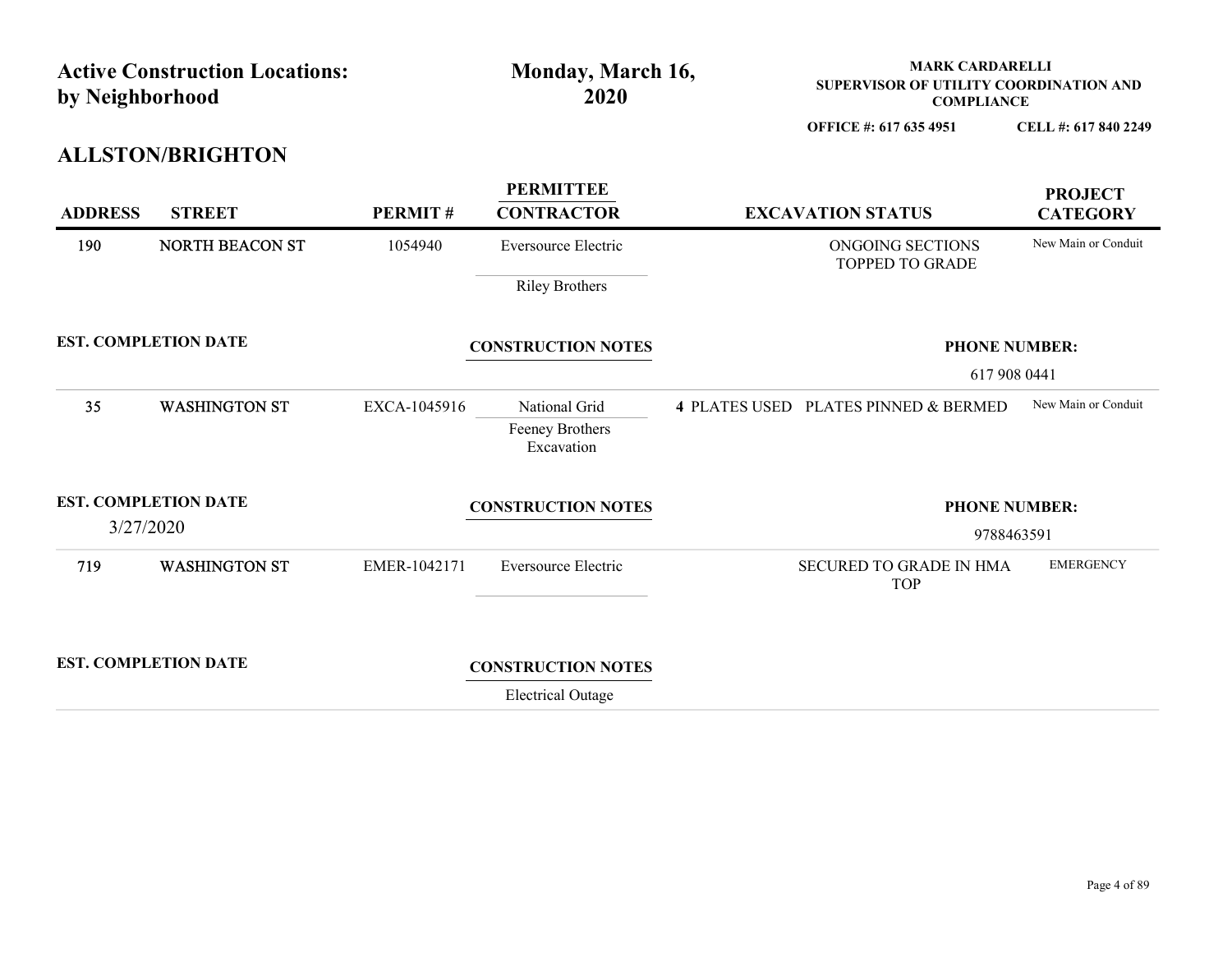| <b>Active Construction Locations:</b><br>by Neighborhood |                             |                           | Monday, March 16,<br>2020                             | <b>MARK CARDARELLI</b><br>SUPERVISOR OF UTILITY COORDINATION AND<br><b>COMPLIANCE</b> |                                     |
|----------------------------------------------------------|-----------------------------|---------------------------|-------------------------------------------------------|---------------------------------------------------------------------------------------|-------------------------------------|
|                                                          |                             |                           |                                                       | OFFICE #: 617 635 4951                                                                | CELL #: 617 840 2249                |
|                                                          | <b>ALLSTON/BRIGHTON</b>     |                           |                                                       |                                                                                       |                                     |
| <b>ADDRESS</b>                                           | <b>STREET</b>               | PERMIT#                   | <b>PERMITTEE</b><br><b>CONTRACTOR</b>                 | <b>EXCAVATION STATUS</b>                                                              | <b>PROJECT</b><br><b>CATEGORY</b>   |
| 190                                                      | <b>NORTH BEACON ST</b>      | 1054940                   | Eversource Electric                                   | ONGOING SECTIONS<br>TOPPED TO GRADE                                                   | New Main or Conduit                 |
|                                                          |                             |                           | <b>Riley Brothers</b>                                 |                                                                                       |                                     |
| <b>EST. COMPLETION DATE</b>                              |                             | <b>CONSTRUCTION NOTES</b> |                                                       | <b>PHONE NUMBER:</b>                                                                  |                                     |
| 35                                                       | <b>WASHINGTON ST</b>        | EXCA-1045916              | National Grid<br>Feeney Brothers<br>Excavation        | 4 PLATES USED PLATES PINNED & BERMED                                                  | 617 908 0441<br>New Main or Conduit |
| <b>EST. COMPLETION DATE</b><br>3/27/2020                 |                             |                           | <b>CONSTRUCTION NOTES</b>                             |                                                                                       | <b>PHONE NUMBER:</b><br>9788463591  |
| 719                                                      | <b>WASHINGTON ST</b>        | EMER-1042171              | Eversource Electric                                   | SECURED TO GRADE IN HMA<br><b>TOP</b>                                                 | <b>EMERGENCY</b>                    |
|                                                          | <b>EST. COMPLETION DATE</b> |                           | <b>CONSTRUCTION NOTES</b><br><b>Electrical Outage</b> |                                                                                       |                                     |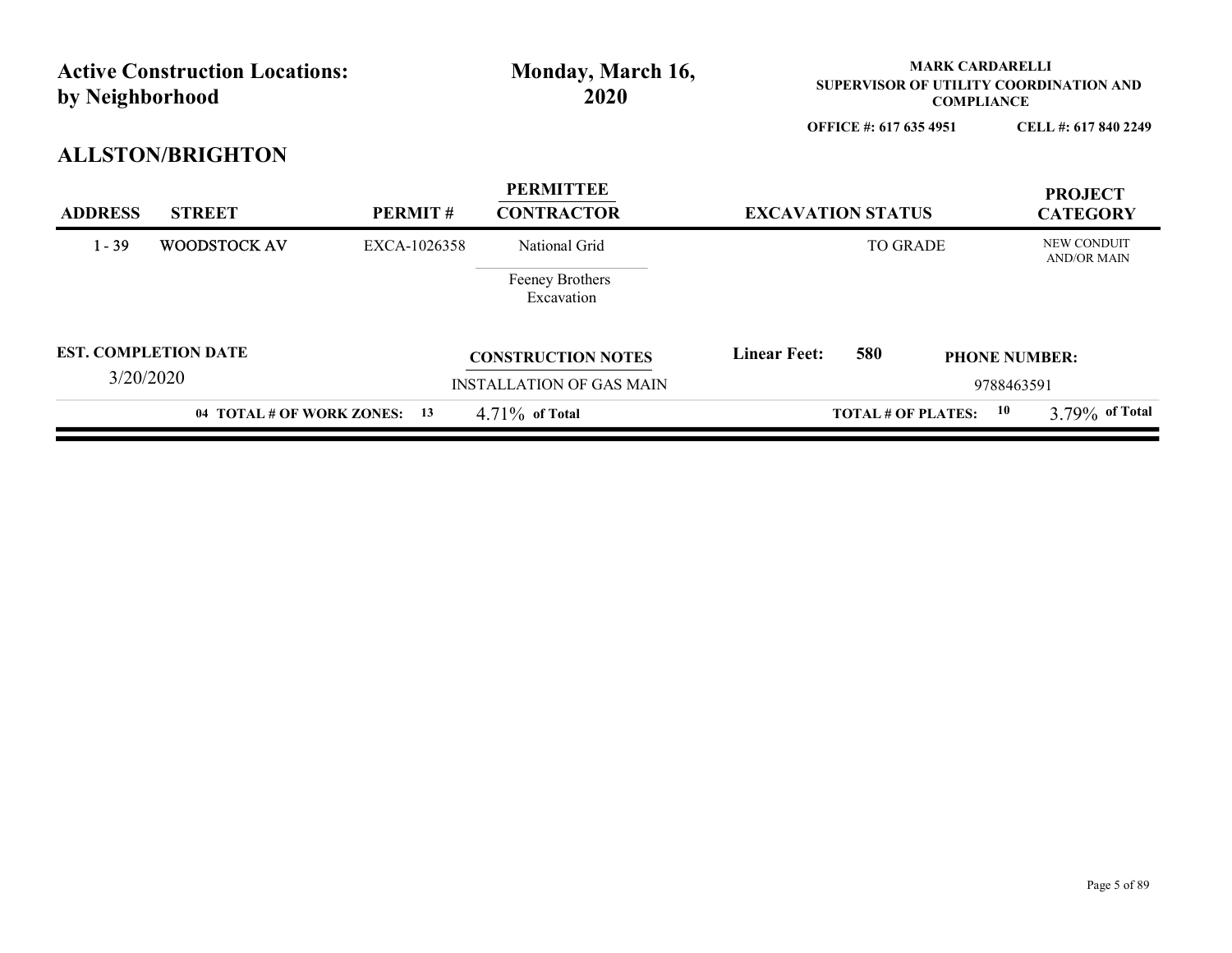|                                                          |                                 |                                       |                          |                        | <b>MARK CARDARELLI</b> |                                                             |  |  |
|----------------------------------------------------------|---------------------------------|---------------------------------------|--------------------------|------------------------|------------------------|-------------------------------------------------------------|--|--|
| <b>Active Construction Locations:</b><br>by Neighborhood |                                 | Monday, March 16,<br>2020             |                          |                        |                        | SUPERVISOR OF UTILITY COORDINATION AND<br><b>COMPLIANCE</b> |  |  |
|                                                          |                                 |                                       |                          | OFFICE #: 617 635 4951 |                        | CELL #: 617 840 2249                                        |  |  |
| <b>ALLSTON/BRIGHTON</b>                                  |                                 |                                       |                          |                        |                        |                                                             |  |  |
| <b>ADDRESS</b><br><b>STREET</b>                          | <b>PERMIT#</b>                  | <b>PERMITTEE</b><br><b>CONTRACTOR</b> | <b>EXCAVATION STATUS</b> |                        |                        | <b>PROJECT</b><br><b>CATEGORY</b>                           |  |  |
| WOODSTOCK AV<br>$1 - 39$                                 | EXCA-1026358                    | National Grid                         |                          | TO GRADE               |                        | NEW CONDUIT<br><b>AND/OR MAIN</b>                           |  |  |
|                                                          |                                 | Feeney Brothers<br>Excavation         |                          |                        |                        |                                                             |  |  |
| <b>EST. COMPLETION DATE</b>                              |                                 | <b>CONSTRUCTION NOTES</b>             | <b>Linear Feet:</b>      | 580                    | <b>PHONE NUMBER:</b>   |                                                             |  |  |
|                                                          | <b>INSTALLATION OF GAS MAIN</b> |                                       |                          |                        |                        | 9788463591                                                  |  |  |
| 3/20/2020                                                |                                 |                                       |                          |                        |                        |                                                             |  |  |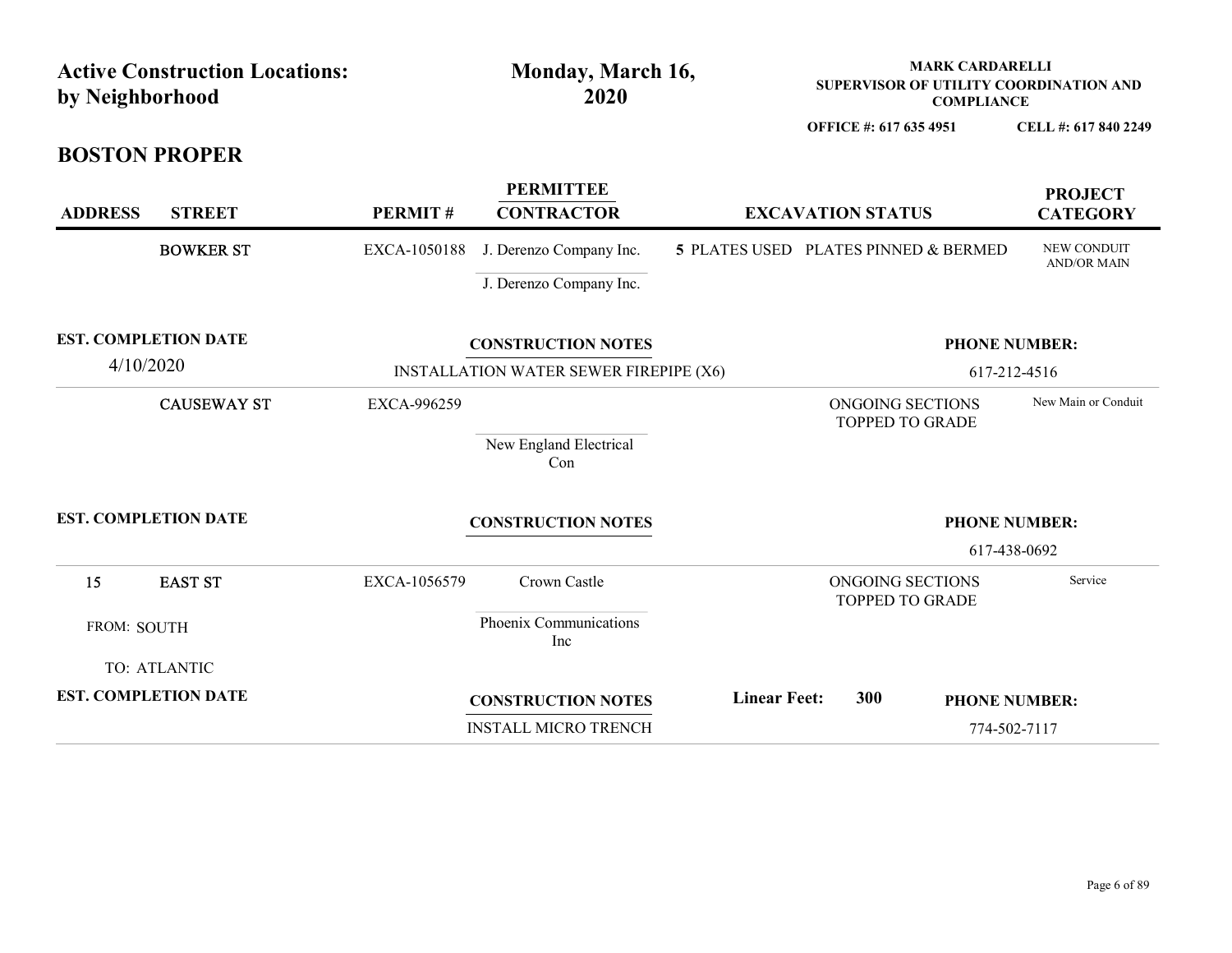| <b>Active Construction Locations:</b><br>by Neighborhood |                             |              | Monday, March 16,<br>2020                          |  | SUPERVISOR OF UTILITY COORDINATION AND<br><b>COMPLIANCE</b> | <b>MARK CARDARELLI</b>            |
|----------------------------------------------------------|-----------------------------|--------------|----------------------------------------------------|--|-------------------------------------------------------------|-----------------------------------|
|                                                          |                             |              |                                                    |  | OFFICE #: 617 635 4951                                      | CELL #: 617 840 2249              |
| <b>BOSTON PROPER</b>                                     |                             |              |                                                    |  |                                                             |                                   |
| <b>ADDRESS</b>                                           | <b>STREET</b>               | PERMIT#      | <b>PERMITTEE</b><br><b>CONTRACTOR</b>              |  | <b>EXCAVATION STATUS</b>                                    | <b>PROJECT</b><br><b>CATEGORY</b> |
|                                                          | <b>BOWKER ST</b>            | EXCA-1050188 | J. Derenzo Company Inc.<br>J. Derenzo Company Inc. |  | 5 PLATES USED PLATES PINNED & BERMED                        | NEW CONDUIT<br><b>AND/OR MAIN</b> |
|                                                          | <b>EST. COMPLETION DATE</b> |              | <b>CONSTRUCTION NOTES</b>                          |  |                                                             | <b>PHONE NUMBER:</b>              |
| 4/10/2020                                                |                             |              | <b>INSTALLATION WATER SEWER FIREPIPE (X6)</b>      |  |                                                             | 617-212-4516                      |
|                                                          | <b>CAUSEWAY ST</b>          | EXCA-996259  | New England Electrical<br>Con                      |  | ONGOING SECTIONS<br>TOPPED TO GRADE                         | New Main or Conduit               |
| <b>EST. COMPLETION DATE</b>                              |                             |              | <b>CONSTRUCTION NOTES</b>                          |  |                                                             | <b>PHONE NUMBER:</b>              |
| 15<br><b>EAST ST</b>                                     |                             | EXCA-1056579 | Crown Castle                                       |  | ONGOING SECTIONS                                            | 617-438-0692<br>Service           |
| FROM: SOUTH                                              |                             |              | Phoenix Communications<br>Inc                      |  | TOPPED TO GRADE                                             |                                   |
| TO: ATLANTIC                                             |                             |              |                                                    |  |                                                             |                                   |
| <b>EST. COMPLETION DATE</b>                              |                             |              | <b>CONSTRUCTION NOTES</b>                          |  | <b>Linear Feet:</b><br>300                                  | <b>PHONE NUMBER:</b>              |
|                                                          |                             |              | <b>INSTALL MICRO TRENCH</b>                        |  |                                                             | 774-502-7117                      |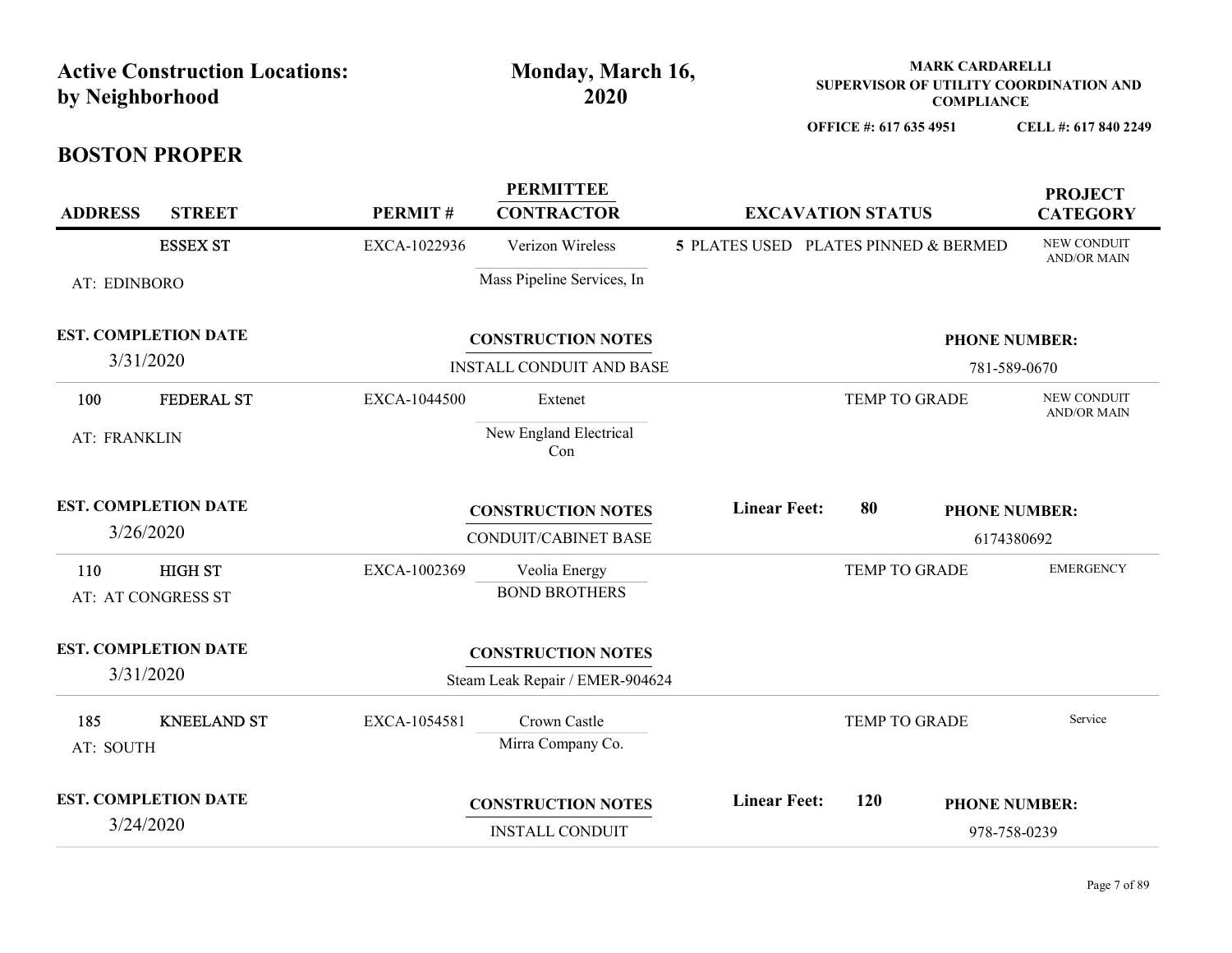| <b>Active Construction Locations:</b><br>by Neighborhood |                                          |              | Monday, March 16,                                            | <b>MARK CARDARELLI</b><br>SUPERVISOR OF UTILITY COORDINATION AND<br><b>COMPLIANCE</b><br>OFFICE #: 617 635 4951 |  |                          |                                      |                                   |
|----------------------------------------------------------|------------------------------------------|--------------|--------------------------------------------------------------|-----------------------------------------------------------------------------------------------------------------|--|--------------------------|--------------------------------------|-----------------------------------|
|                                                          | <b>BOSTON PROPER</b>                     |              |                                                              |                                                                                                                 |  |                          |                                      | CELL #: 617 840 2249              |
| <b>ADDRESS</b>                                           | <b>STREET</b>                            | PERMIT#      | <b>PERMITTEE</b><br><b>CONTRACTOR</b>                        |                                                                                                                 |  | <b>EXCAVATION STATUS</b> |                                      | <b>PROJECT</b><br><b>CATEGORY</b> |
|                                                          | <b>ESSEX ST</b>                          | EXCA-1022936 | Verizon Wireless                                             | 5 PLATES USED PLATES PINNED & BERMED                                                                            |  |                          |                                      | NEW CONDUIT<br><b>AND/OR MAIN</b> |
|                                                          | AT: EDINBORO                             |              | Mass Pipeline Services, In                                   |                                                                                                                 |  |                          |                                      |                                   |
|                                                          | <b>EST. COMPLETION DATE</b><br>3/31/2020 |              | <b>CONSTRUCTION NOTES</b>                                    |                                                                                                                 |  |                          | <b>PHONE NUMBER:</b>                 |                                   |
| 100                                                      | <b>FEDERAL ST</b>                        | EXCA-1044500 | INSTALL CONDUIT AND BASE<br>Extenet                          |                                                                                                                 |  | TEMP TO GRADE            |                                      | 781-589-0670<br>NEW CONDUIT       |
|                                                          | AT: FRANKLIN                             |              | New England Electrical<br>Con                                |                                                                                                                 |  |                          |                                      | <b>AND/OR MAIN</b>                |
|                                                          | <b>EST. COMPLETION DATE</b><br>3/26/2020 |              | <b>CONSTRUCTION NOTES</b><br>CONDUIT/CABINET BASE            | <b>Linear Feet:</b>                                                                                             |  | 80                       | <b>PHONE NUMBER:</b>                 | 6174380692                        |
| 110                                                      | <b>HIGH ST</b><br>AT: AT CONGRESS ST     | EXCA-1002369 | Veolia Energy<br><b>BOND BROTHERS</b>                        |                                                                                                                 |  | TEMP TO GRADE            |                                      | <b>EMERGENCY</b>                  |
|                                                          | <b>EST. COMPLETION DATE</b><br>3/31/2020 |              | <b>CONSTRUCTION NOTES</b><br>Steam Leak Repair / EMER-904624 |                                                                                                                 |  |                          |                                      |                                   |
| 185<br>AT: SOUTH                                         | <b>KNEELAND ST</b>                       | EXCA-1054581 | Crown Castle<br>Mirra Company Co.                            |                                                                                                                 |  | TEMP TO GRADE            |                                      | Service                           |
|                                                          | <b>EST. COMPLETION DATE</b><br>3/24/2020 |              | <b>CONSTRUCTION NOTES</b>                                    | <b>Linear Feet:</b>                                                                                             |  | 120                      | <b>PHONE NUMBER:</b><br>978-758-0239 |                                   |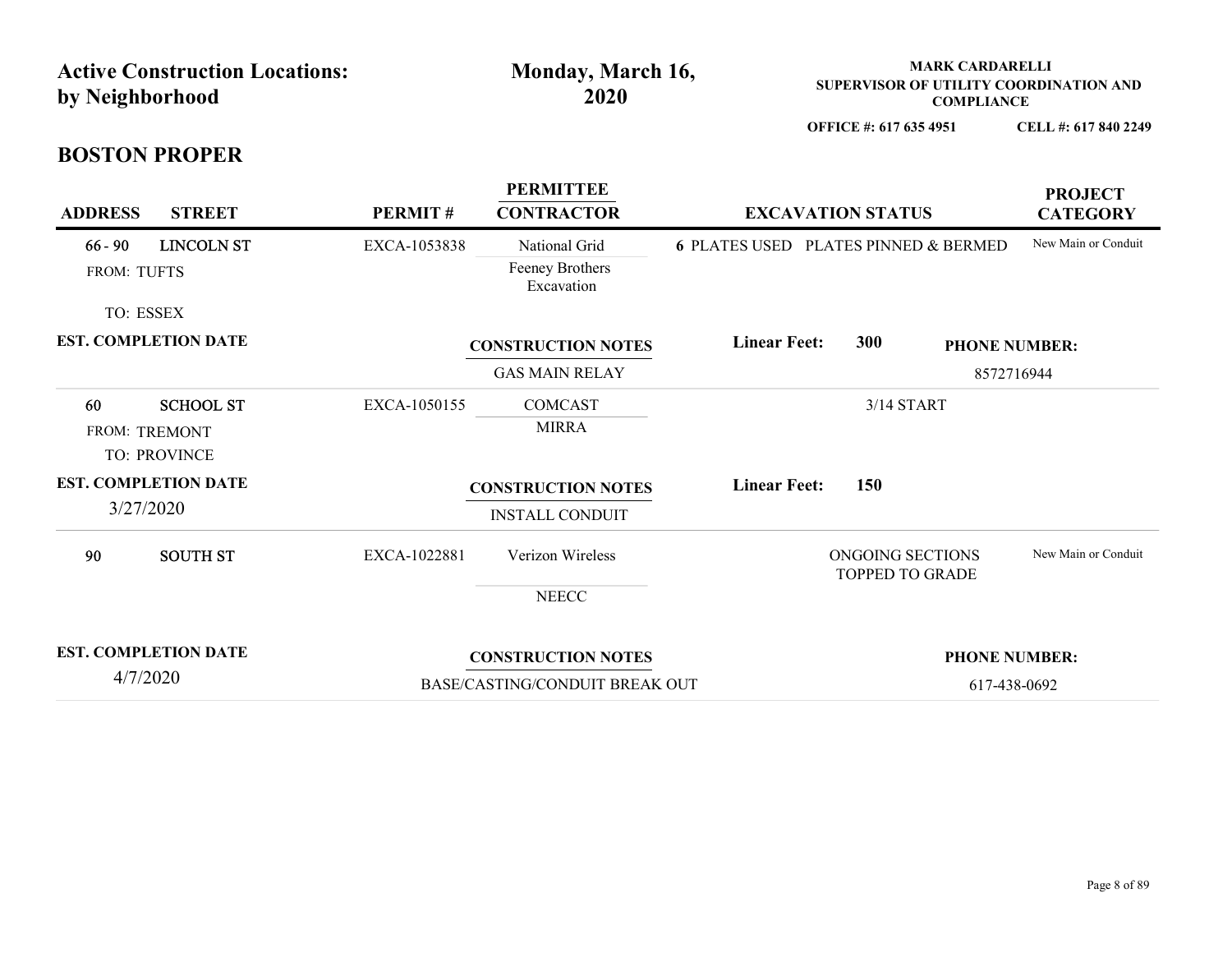| by Neighborhood                      | <b>Active Construction Locations:</b> |              | Monday, March 16,<br>2020             |                                                 |                                     | <b>MARK CARDARELLI</b><br><b>COMPLIANCE</b> | SUPERVISOR OF UTILITY COORDINATION AND |
|--------------------------------------|---------------------------------------|--------------|---------------------------------------|-------------------------------------------------|-------------------------------------|---------------------------------------------|----------------------------------------|
|                                      |                                       |              |                                       |                                                 | OFFICE #: 617 635 4951              |                                             | CELL #: 617 840 2249                   |
| <b>BOSTON PROPER</b>                 |                                       |              |                                       |                                                 |                                     |                                             |                                        |
| <b>ADDRESS</b>                       | <b>STREET</b>                         | PERMIT#      | <b>PERMITTEE</b><br><b>CONTRACTOR</b> |                                                 | <b>EXCAVATION STATUS</b>            |                                             | <b>PROJECT</b><br><b>CATEGORY</b>      |
| $66 - 90$                            | <b>LINCOLN ST</b>                     | EXCA-1053838 | National Grid                         | <b>6 PLATES USED PLATES PINNED &amp; BERMED</b> |                                     |                                             | New Main or Conduit                    |
| FROM: TUFTS                          |                                       |              | Feeney Brothers<br>Excavation         |                                                 |                                     |                                             |                                        |
| TO: ESSEX                            |                                       |              |                                       |                                                 |                                     |                                             |                                        |
| <b>EST. COMPLETION DATE</b>          |                                       |              | <b>CONSTRUCTION NOTES</b>             | <b>Linear Feet:</b>                             | 300                                 | <b>PHONE NUMBER:</b>                        |                                        |
|                                      |                                       |              | <b>GAS MAIN RELAY</b>                 |                                                 |                                     | 8572716944                                  |                                        |
| 60                                   | <b>SCHOOL ST</b>                      | EXCA-1050155 | <b>COMCAST</b>                        |                                                 | 3/14 START                          |                                             |                                        |
| FROM: TREMONT<br><b>TO: PROVINCE</b> |                                       |              | <b>MIRRA</b>                          |                                                 |                                     |                                             |                                        |
| <b>EST. COMPLETION DATE</b>          |                                       |              | <b>CONSTRUCTION NOTES</b>             | <b>Linear Feet:</b>                             | 150                                 |                                             |                                        |
| 3/27/2020                            |                                       |              | <b>INSTALL CONDUIT</b>                |                                                 |                                     |                                             |                                        |
| 90                                   | <b>SOUTH ST</b>                       | EXCA-1022881 | Verizon Wireless                      |                                                 | ONGOING SECTIONS<br>TOPPED TO GRADE |                                             | New Main or Conduit                    |
|                                      |                                       |              | $\rm NEECC$                           |                                                 |                                     |                                             |                                        |
|                                      |                                       |              | <b>CONSTRUCTION NOTES</b>             |                                                 |                                     | <b>PHONE NUMBER:</b>                        |                                        |
| <b>EST. COMPLETION DATE</b>          | 4/7/2020                              |              |                                       |                                                 |                                     |                                             | 617-438-0692                           |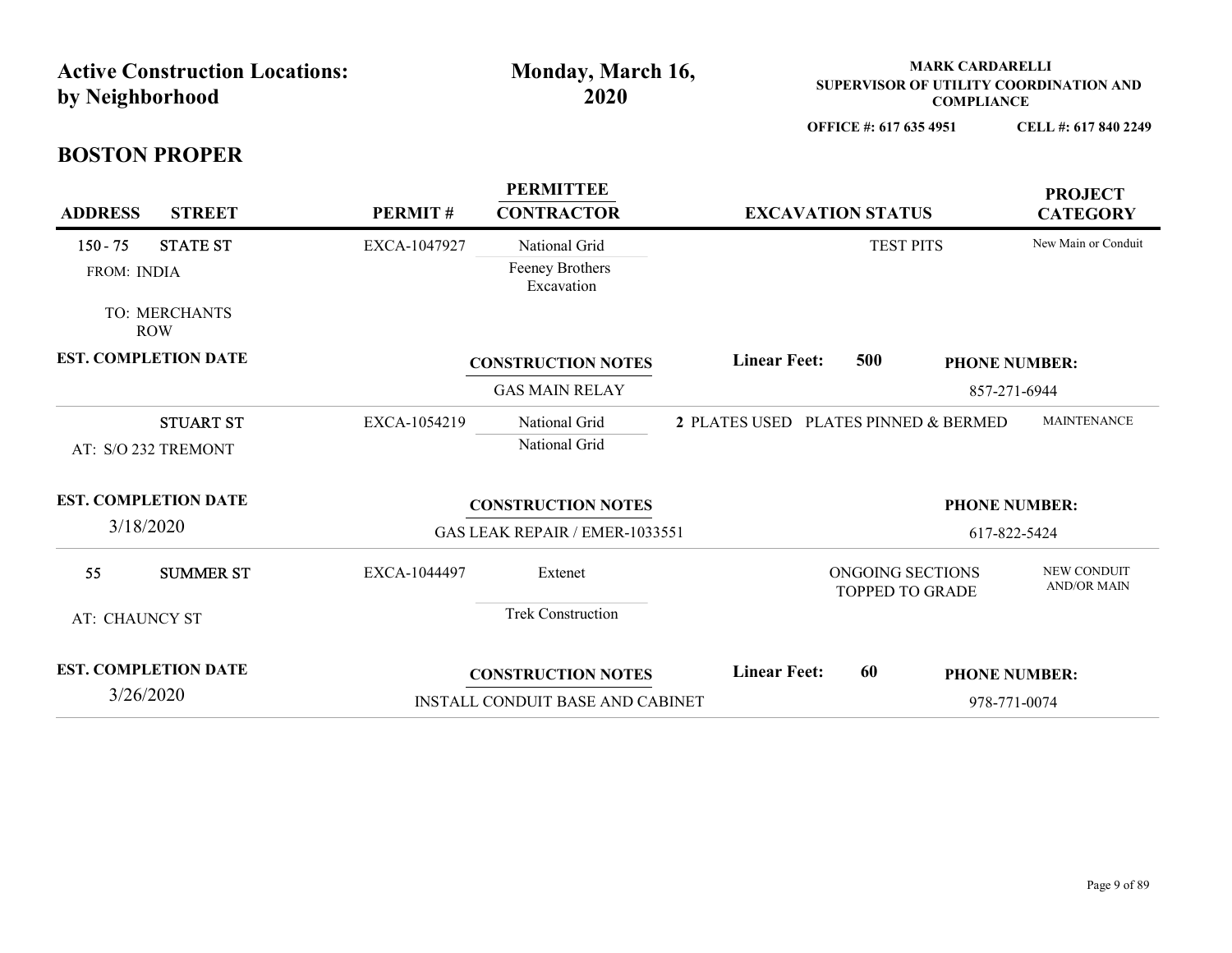| <b>Active Construction Locations:</b><br>by Neighborhood |              | Monday, March 16,<br>2020                      |                                      |                                     | <b>MARK CARDARELLI</b><br><b>COMPLIANCE</b> | SUPERVISOR OF UTILITY COORDINATION AND |
|----------------------------------------------------------|--------------|------------------------------------------------|--------------------------------------|-------------------------------------|---------------------------------------------|----------------------------------------|
|                                                          |              |                                                |                                      | OFFICE #: 617 635 4951              |                                             | CELL #: 617 840 2249                   |
| <b>BOSTON PROPER</b>                                     |              |                                                |                                      |                                     |                                             |                                        |
| <b>ADDRESS</b><br><b>STREET</b>                          | PERMIT#      | <b>PERMITTEE</b><br><b>CONTRACTOR</b>          |                                      | <b>EXCAVATION STATUS</b>            |                                             | <b>PROJECT</b><br><b>CATEGORY</b>      |
| $150 - 75$<br><b>STATE ST</b><br><b>FROM: INDIA</b>      | EXCA-1047927 | National Grid<br>Feeney Brothers<br>Excavation |                                      | <b>TEST PITS</b>                    |                                             | New Main or Conduit                    |
| TO: MERCHANTS<br><b>ROW</b>                              |              |                                                |                                      |                                     |                                             |                                        |
| <b>EST. COMPLETION DATE</b>                              |              | <b>CONSTRUCTION NOTES</b>                      | <b>Linear Feet:</b>                  | 500                                 |                                             | <b>PHONE NUMBER:</b>                   |
|                                                          |              | <b>GAS MAIN RELAY</b>                          |                                      |                                     |                                             | 857-271-6944                           |
| <b>STUART ST</b><br>AT: S/O 232 TREMONT                  | EXCA-1054219 | National Grid<br>National Grid                 | 2 PLATES USED PLATES PINNED & BERMED |                                     |                                             | <b>MAINTENANCE</b>                     |
| <b>EST. COMPLETION DATE</b>                              |              | <b>CONSTRUCTION NOTES</b>                      |                                      |                                     |                                             | <b>PHONE NUMBER:</b>                   |
| 3/18/2020                                                |              | GAS LEAK REPAIR / EMER-1033551                 |                                      |                                     |                                             | 617-822-5424                           |
| <b>SUMMER ST</b><br>55                                   | EXCA-1044497 | Extenet                                        |                                      | ONGOING SECTIONS<br>TOPPED TO GRADE |                                             | NEW CONDUIT<br>AND/OR MAIN             |
| AT: CHAUNCY ST                                           |              | Trek Construction                              |                                      |                                     |                                             |                                        |
|                                                          |              |                                                |                                      |                                     |                                             |                                        |
| <b>EST. COMPLETION DATE</b>                              |              | <b>CONSTRUCTION NOTES</b>                      | <b>Linear Feet:</b>                  | 60                                  |                                             | <b>PHONE NUMBER:</b>                   |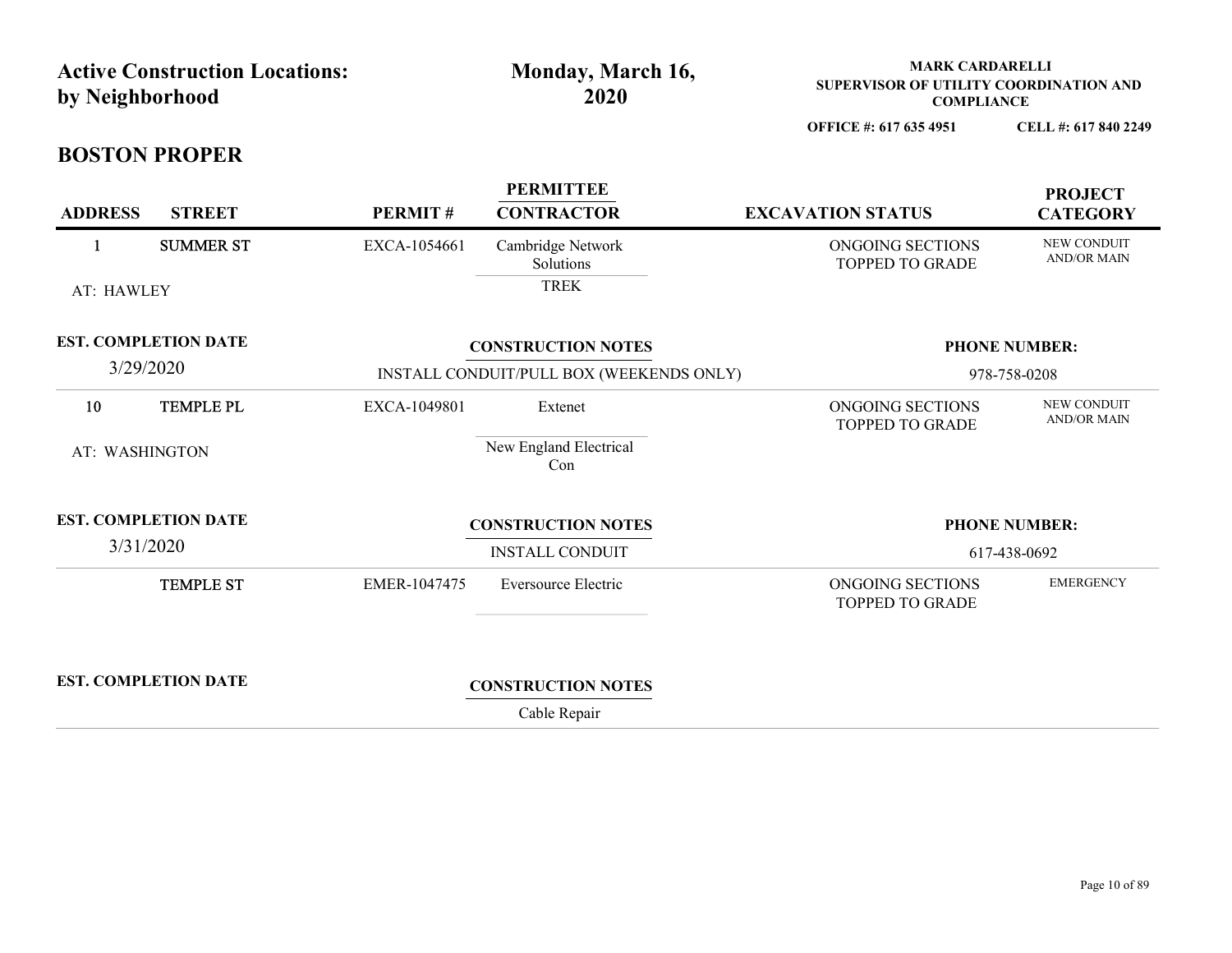| <b>Active Construction Locations:</b><br>by Neighborhood |                           | Monday, March 16,<br>2020                | <b>MARK CARDARELLI</b><br>SUPERVISOR OF UTILITY COORDINATION AND<br><b>COMPLIANCE</b> |                                   |  |
|----------------------------------------------------------|---------------------------|------------------------------------------|---------------------------------------------------------------------------------------|-----------------------------------|--|
|                                                          |                           |                                          | OFFICE #: 617 635 4951                                                                | CELL #: 617 840 2249              |  |
| <b>BOSTON PROPER</b>                                     |                           |                                          |                                                                                       |                                   |  |
| <b>STREET</b><br><b>ADDRESS</b>                          | PERMIT#                   | <b>PERMITTEE</b><br><b>CONTRACTOR</b>    | <b>EXCAVATION STATUS</b>                                                              | <b>PROJECT</b><br><b>CATEGORY</b> |  |
| <b>SUMMER ST</b><br>1                                    | EXCA-1054661              | Cambridge Network<br>Solutions           | ONGOING SECTIONS<br>TOPPED TO GRADE                                                   | NEW CONDUIT<br><b>AND/OR MAIN</b> |  |
| AT: HAWLEY                                               |                           | <b>TREK</b>                              |                                                                                       |                                   |  |
| <b>EST. COMPLETION DATE</b>                              | <b>CONSTRUCTION NOTES</b> |                                          | <b>PHONE NUMBER:</b>                                                                  |                                   |  |
| 3/29/2020                                                |                           | INSTALL CONDUIT/PULL BOX (WEEKENDS ONLY) | 978-758-0208                                                                          |                                   |  |
| <b>TEMPLE PL</b><br>10                                   | EXCA-1049801              | Extenet                                  | ONGOING SECTIONS<br>TOPPED TO GRADE                                                   | NEW CONDUIT<br><b>AND/OR MAIN</b> |  |
| AT: WASHINGTON                                           |                           | New England Electrical<br>Con            |                                                                                       |                                   |  |
| <b>EST. COMPLETION DATE</b>                              |                           | <b>CONSTRUCTION NOTES</b>                |                                                                                       | <b>PHONE NUMBER:</b>              |  |
| 3/31/2020                                                |                           | <b>INSTALL CONDUIT</b>                   |                                                                                       | 617-438-0692                      |  |
| TEMPLE ST                                                | EMER-1047475              | Eversource Electric                      | ONGOING SECTIONS<br><b>TOPPED TO GRADE</b>                                            | <b>EMERGENCY</b>                  |  |
|                                                          |                           |                                          |                                                                                       |                                   |  |
| <b>EST. COMPLETION DATE</b>                              |                           | <b>CONSTRUCTION NOTES</b>                |                                                                                       |                                   |  |
|                                                          |                           | $\sim$<br>11 <sub>m</sub>                |                                                                                       |                                   |  |

Cable Repair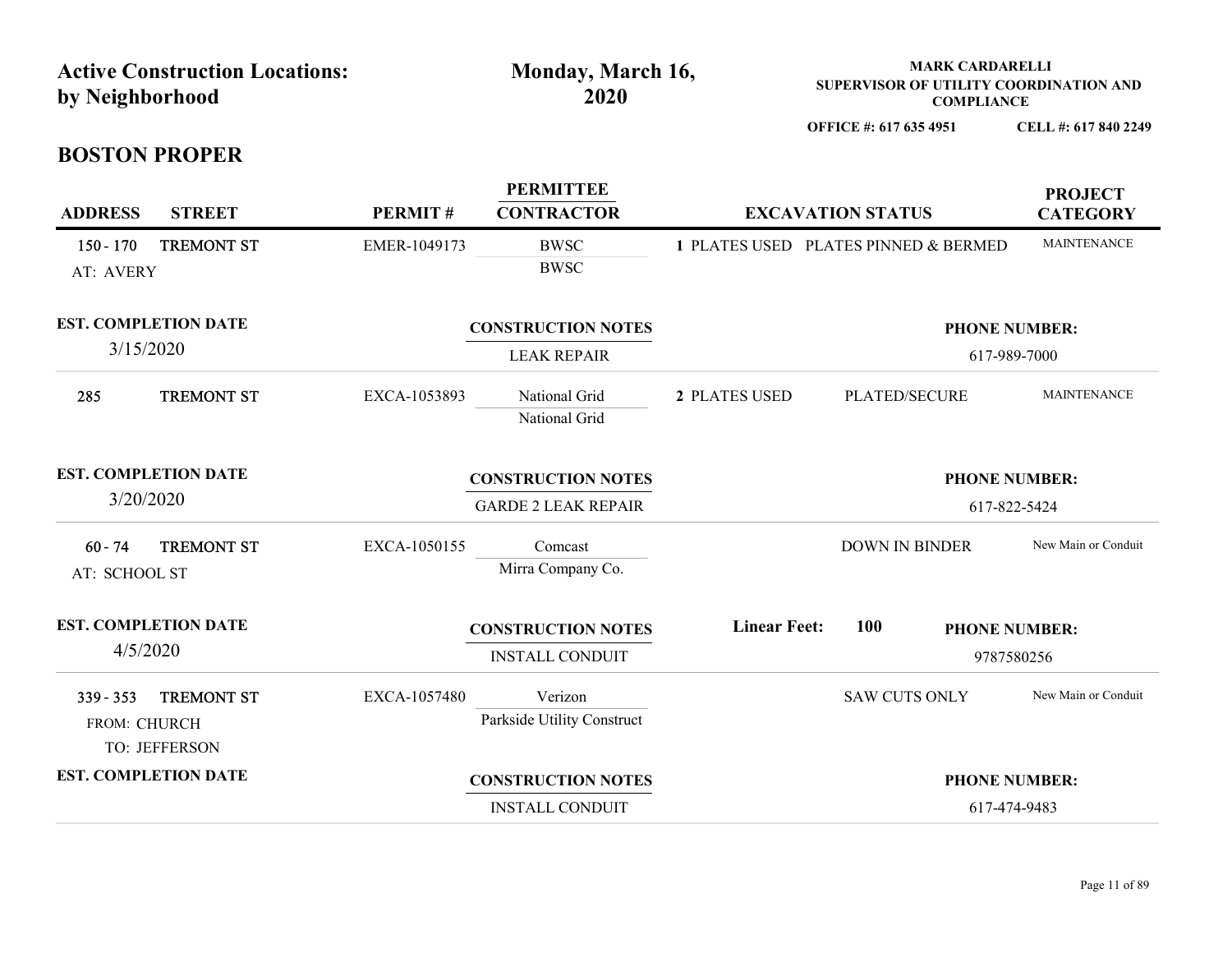| <b>Active Construction Locations:</b><br>by Neighborhood          |              | Monday, March 16,<br>2020                               |                                      |                          | <b>MARK CARDARELLI</b><br><b>COMPLIANCE</b> | SUPERVISOR OF UTILITY COORDINATION AND |
|-------------------------------------------------------------------|--------------|---------------------------------------------------------|--------------------------------------|--------------------------|---------------------------------------------|----------------------------------------|
|                                                                   |              |                                                         |                                      | OFFICE #: 617 635 4951   |                                             | CELL #: 617 840 2249                   |
| <b>BOSTON PROPER</b>                                              |              |                                                         |                                      |                          |                                             |                                        |
| <b>ADDRESS</b><br><b>STREET</b>                                   | PERMIT#      | <b>PERMITTEE</b><br><b>CONTRACTOR</b>                   |                                      | <b>EXCAVATION STATUS</b> |                                             | <b>PROJECT</b><br><b>CATEGORY</b>      |
| <b>TREMONT ST</b><br>$150 - 170$<br>AT: AVERY                     | EMER-1049173 | <b>BWSC</b><br><b>BWSC</b>                              | 1 PLATES USED PLATES PINNED & BERMED |                          |                                             | <b>MAINTENANCE</b>                     |
| <b>EST. COMPLETION DATE</b><br>3/15/2020                          |              | <b>CONSTRUCTION NOTES</b><br><b>LEAK REPAIR</b>         |                                      |                          |                                             | <b>PHONE NUMBER:</b><br>617-989-7000   |
| <b>TREMONT ST</b><br>285                                          | EXCA-1053893 | National Grid<br>National Grid                          | 2 PLATES USED                        | <b>PLATED/SECURE</b>     |                                             | <b>MAINTENANCE</b>                     |
| <b>EST. COMPLETION DATE</b><br>3/20/2020                          |              | <b>CONSTRUCTION NOTES</b><br><b>GARDE 2 LEAK REPAIR</b> |                                      |                          |                                             | <b>PHONE NUMBER:</b><br>617-822-5424   |
| <b>TREMONT ST</b><br>$60 - 74$<br>AT: SCHOOL ST                   | EXCA-1050155 | Comcast<br>Mirra Company Co.                            |                                      | <b>DOWN IN BINDER</b>    |                                             | New Main or Conduit                    |
| <b>EST. COMPLETION DATE</b>                                       |              | <b>CONSTRUCTION NOTES</b>                               | <b>Linear Feet:</b>                  | <b>100</b>               |                                             | <b>PHONE NUMBER:</b>                   |
| 4/5/2020                                                          |              | <b>INSTALL CONDUIT</b>                                  |                                      |                          |                                             | 9787580256                             |
| <b>TREMONT ST</b><br>$339 - 353$<br>FROM: CHURCH<br>TO: JEFFERSON | EXCA-1057480 | Verizon<br>Parkside Utility Construct                   |                                      | <b>SAW CUTS ONLY</b>     |                                             | New Main or Conduit                    |
| <b>EST. COMPLETION DATE</b>                                       |              | <b>CONSTRUCTION NOTES</b>                               |                                      |                          |                                             | <b>PHONE NUMBER:</b>                   |
|                                                                   |              | <b>INSTALL CONDUIT</b>                                  |                                      |                          |                                             | 617-474-9483                           |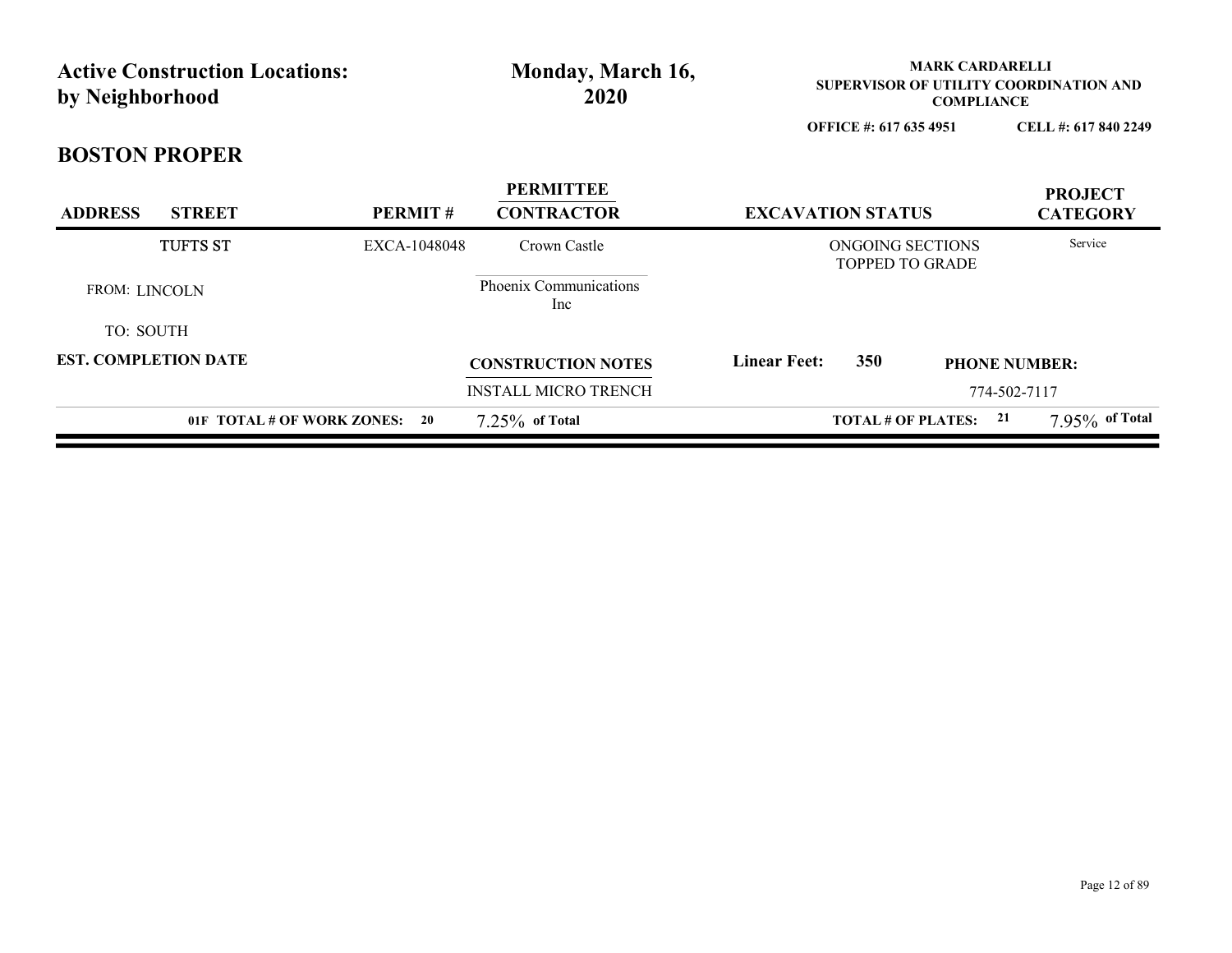| <b>Active Construction Locations:</b><br>by Neighborhood |                               |                | Monday, March 16,<br>2020             | <b>MARK CARDARELLI</b><br>SUPERVISOR OF UTILITY COORDINATION AND<br><b>COMPLIANCE</b> |                      |                                   |
|----------------------------------------------------------|-------------------------------|----------------|---------------------------------------|---------------------------------------------------------------------------------------|----------------------|-----------------------------------|
|                                                          |                               |                |                                       | OFFICE #: 617 635 4951                                                                |                      | CELL #: 617 840 2249              |
| <b>BOSTON PROPER</b>                                     |                               |                |                                       |                                                                                       |                      |                                   |
| <b>ADDRESS</b>                                           | <b>STREET</b>                 | <b>PERMIT#</b> | <b>PERMITTEE</b><br><b>CONTRACTOR</b> | <b>EXCAVATION STATUS</b>                                                              |                      | <b>PROJECT</b><br><b>CATEGORY</b> |
|                                                          | <b>TUFTS ST</b>               | EXCA-1048048   | Crown Castle                          | ONGOING SECTIONS<br><b>TOPPED TO GRADE</b>                                            |                      | Service                           |
| FROM: LINCOLN                                            |                               |                | Phoenix Communications<br>Inc         |                                                                                       |                      |                                   |
| TO: SOUTH                                                |                               |                |                                       |                                                                                       |                      |                                   |
| <b>EST. COMPLETION DATE</b>                              |                               |                | <b>CONSTRUCTION NOTES</b>             | <b>Linear Feet:</b><br>350                                                            | <b>PHONE NUMBER:</b> |                                   |
|                                                          |                               |                | <b>INSTALL MICRO TRENCH</b>           |                                                                                       | 774-502-7117         |                                   |
|                                                          | 01F TOTAL # OF WORK ZONES: 20 |                | $7.25\%$ of Total                     | <b>TOTAL # OF PLATES:</b>                                                             | 21                   | 7.95% of Total                    |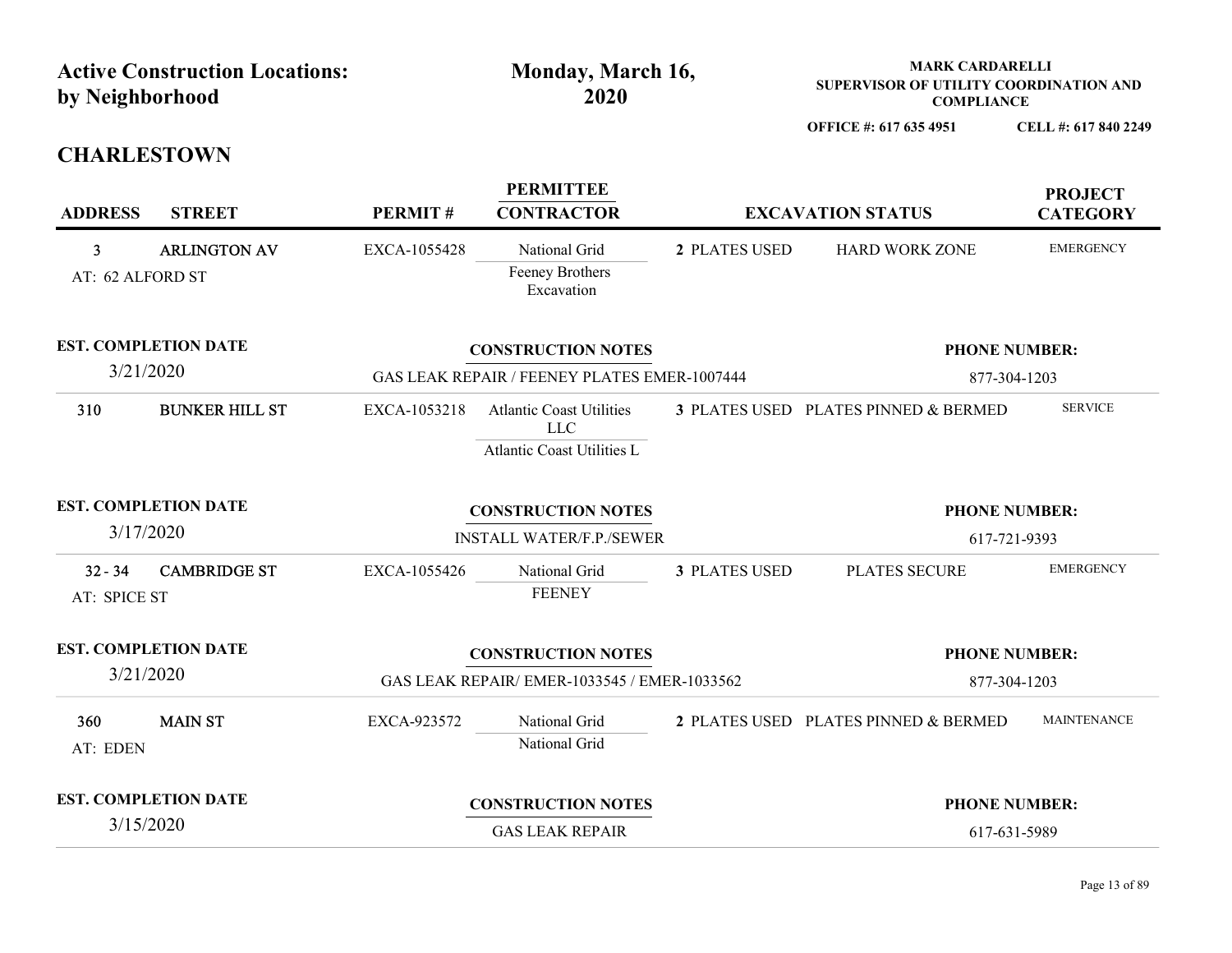|                           | <b>Active Construction Locations:</b><br>by Neighborhood |              | Monday, March 16,<br>2020                                                    |               | <b>MARK CARDARELLI</b><br>SUPERVISOR OF UTILITY COORDINATION AND<br><b>COMPLIANCE</b> | CELL #: 617 840 2249                 |  |
|---------------------------|----------------------------------------------------------|--------------|------------------------------------------------------------------------------|---------------|---------------------------------------------------------------------------------------|--------------------------------------|--|
|                           | <b>CHARLESTOWN</b>                                       |              |                                                                              |               | OFFICE #: 617 635 4951                                                                |                                      |  |
| <b>ADDRESS</b>            | <b>STREET</b>                                            | PERMIT#      | <b>PERMITTEE</b><br><b>CONTRACTOR</b>                                        |               | <b>EXCAVATION STATUS</b>                                                              | <b>PROJECT</b><br><b>CATEGORY</b>    |  |
| 3<br>AT: 62 ALFORD ST     | <b>ARLINGTON AV</b>                                      | EXCA-1055428 | National Grid<br>Feeney Brothers<br>Excavation                               | 2 PLATES USED | HARD WORK ZONE                                                                        | <b>EMERGENCY</b>                     |  |
|                           | <b>EST. COMPLETION DATE</b><br>3/21/2020                 |              | <b>CONSTRUCTION NOTES</b><br>GAS LEAK REPAIR / FEENEY PLATES EMER-1007444    |               | <b>PHONE NUMBER:</b><br>877-304-1203                                                  |                                      |  |
| 310                       | <b>BUNKER HILL ST</b>                                    | EXCA-1053218 | <b>Atlantic Coast Utilities</b><br>${\rm LLC}$<br>Atlantic Coast Utilities L |               | 3 PLATES USED PLATES PINNED & BERMED                                                  | <b>SERVICE</b>                       |  |
|                           | <b>EST. COMPLETION DATE</b><br>3/17/2020                 |              | <b>CONSTRUCTION NOTES</b><br><b>INSTALL WATER/F.P./SEWER</b>                 |               |                                                                                       | <b>PHONE NUMBER:</b><br>617-721-9393 |  |
| $32 - 34$<br>AT: SPICE ST | <b>CAMBRIDGE ST</b>                                      | EXCA-1055426 | National Grid<br><b>FEENEY</b>                                               | 3 PLATES USED | PLATES SECURE                                                                         | <b>EMERGENCY</b>                     |  |
|                           | <b>EST. COMPLETION DATE</b><br>3/21/2020                 |              | <b>CONSTRUCTION NOTES</b><br>GAS LEAK REPAIR/EMER-1033545 / EMER-1033562     |               |                                                                                       | <b>PHONE NUMBER:</b><br>877-304-1203 |  |
| 360<br>AT: EDEN           | <b>MAIN ST</b>                                           | EXCA-923572  | National Grid<br>National Grid                                               |               | 2 PLATES USED PLATES PINNED & BERMED                                                  | <b>MAINTENANCE</b>                   |  |
|                           | <b>EST. COMPLETION DATE</b><br>3/15/2020                 |              | <b>CONSTRUCTION NOTES</b><br><b>GAS LEAK REPAIR</b>                          |               |                                                                                       | <b>PHONE NUMBER:</b><br>617-631-5989 |  |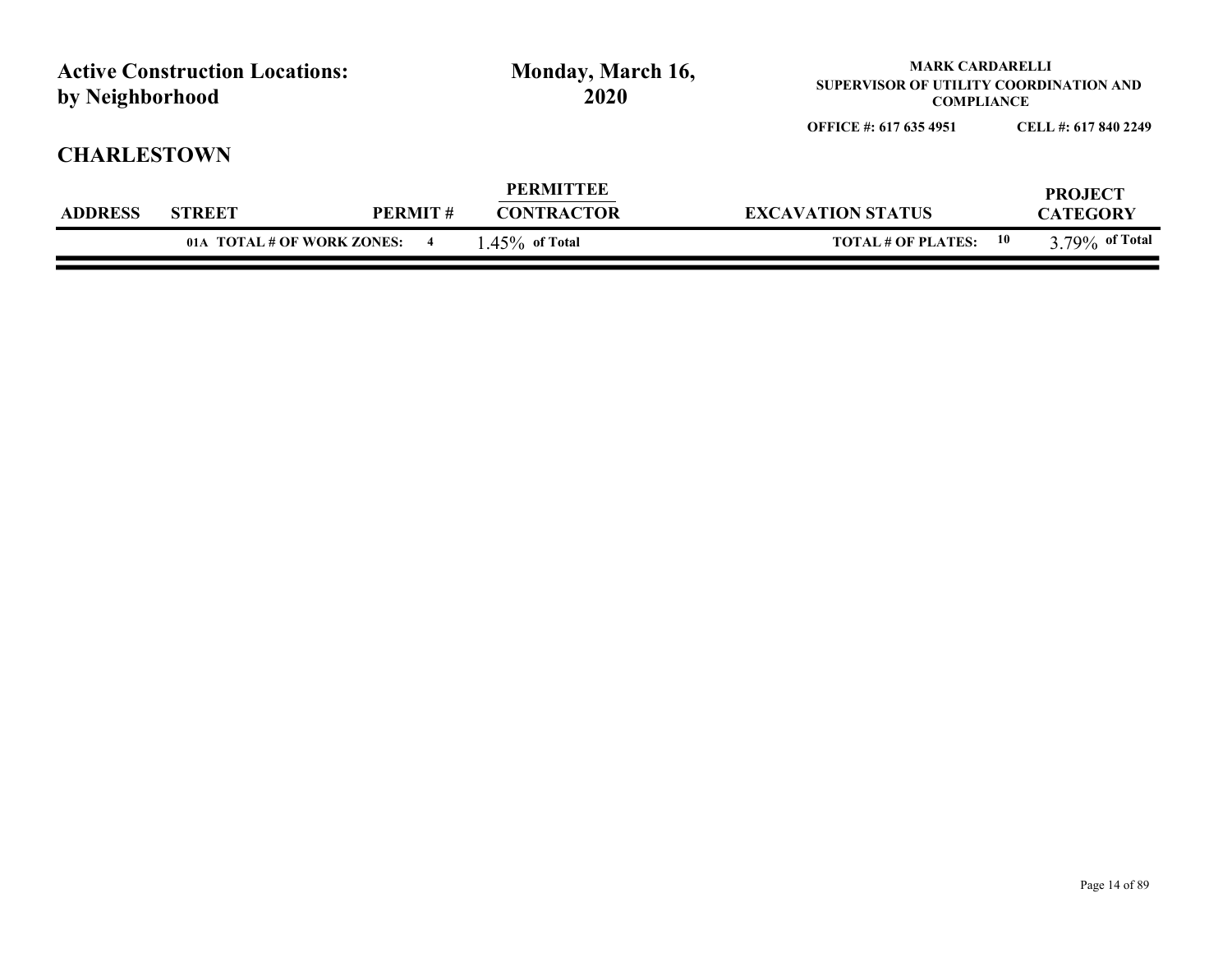|                                      | <b>Active Construction Locations:</b> |         | Monday, March 16,<br>2020             | <b>MARK CARDARELLI</b><br>SUPERVISOR OF UTILITY COORDINATION AND<br><b>COMPLIANCE</b> |                                   |  |
|--------------------------------------|---------------------------------------|---------|---------------------------------------|---------------------------------------------------------------------------------------|-----------------------------------|--|
| by Neighborhood                      |                                       |         |                                       | OFFICE #: 617 635 4951                                                                | CELL #: 617 840 2249              |  |
|                                      |                                       |         |                                       |                                                                                       |                                   |  |
| <b>CHARLESTOWN</b><br><b>ADDRESS</b> | <b>STREET</b>                         | PERMIT# | <b>PERMITTEE</b><br><b>CONTRACTOR</b> | <b>EXCAVATION STATUS</b>                                                              | <b>PROJECT</b><br><b>CATEGORY</b> |  |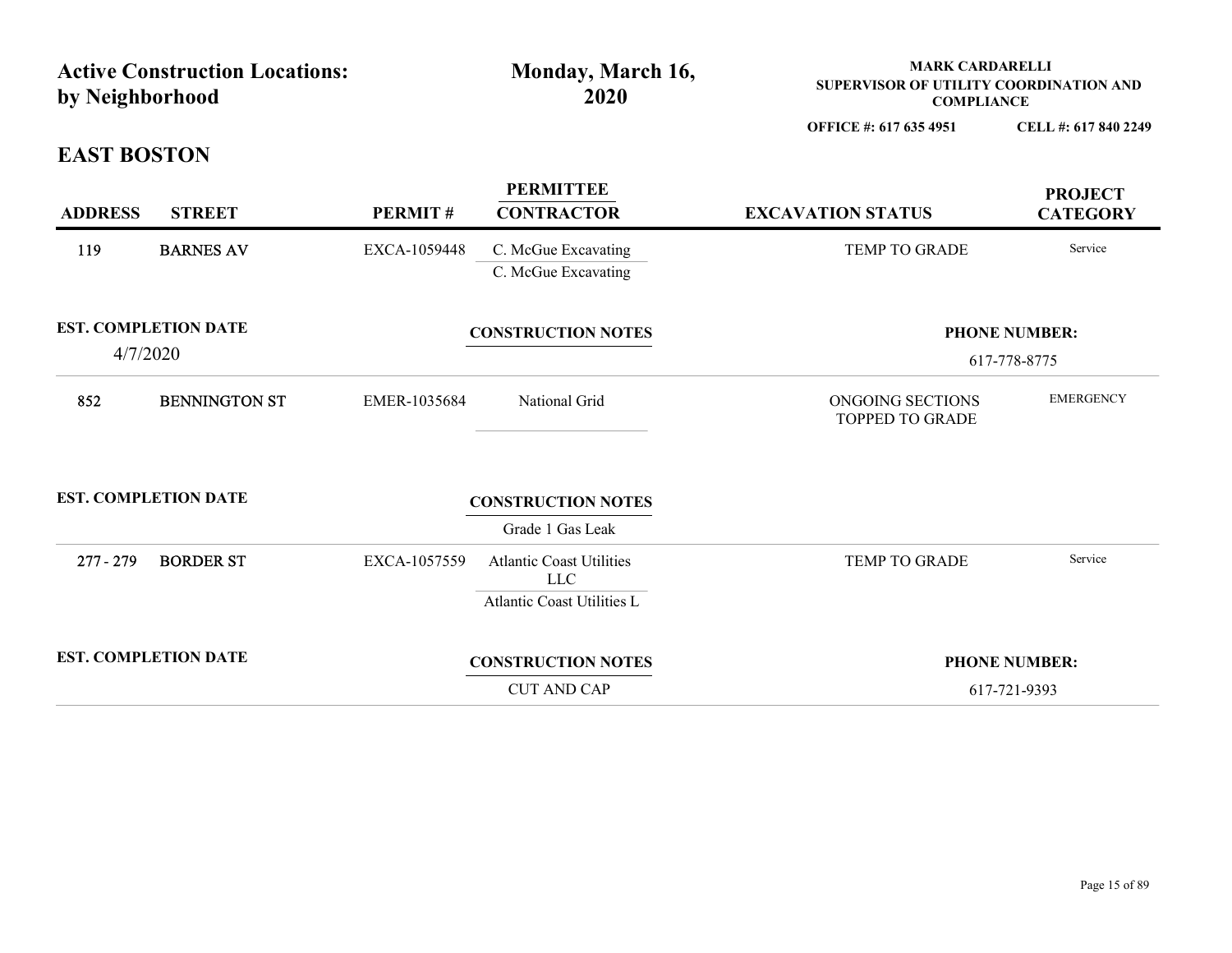| by Neighborhood             | <b>Active Construction Locations:</b>   |              | Monday, March 16,<br>2020                                            | <b>MARK CARDARELLI</b><br>SUPERVISOR OF UTILITY COORDINATION AND<br><b>COMPLIANCE</b> |                                   |
|-----------------------------|-----------------------------------------|--------------|----------------------------------------------------------------------|---------------------------------------------------------------------------------------|-----------------------------------|
|                             |                                         |              |                                                                      | OFFICE #: 617 635 4951                                                                | CELL #: 617 840 2249              |
| <b>EAST BOSTON</b>          |                                         |              |                                                                      |                                                                                       |                                   |
| <b>ADDRESS</b>              | <b>STREET</b>                           | PERMIT#      | <b>PERMITTEE</b><br><b>CONTRACTOR</b>                                | <b>EXCAVATION STATUS</b>                                                              | <b>PROJECT</b><br><b>CATEGORY</b> |
| 119                         | <b>BARNES AV</b>                        | EXCA-1059448 | C. McGue Excavating<br>C. McGue Excavating                           | TEMP TO GRADE                                                                         | Service                           |
|                             | <b>EST. COMPLETION DATE</b><br>4/7/2020 |              | <b>CONSTRUCTION NOTES</b>                                            |                                                                                       | <b>PHONE NUMBER:</b>              |
|                             |                                         |              |                                                                      |                                                                                       | 617-778-8775                      |
| 852                         | <b>BENNINGTON ST</b>                    | EMER-1035684 | National Grid                                                        | ONGOING SECTIONS<br>TOPPED TO GRADE                                                   | <b>EMERGENCY</b>                  |
|                             | <b>EST. COMPLETION DATE</b>             |              | <b>CONSTRUCTION NOTES</b>                                            |                                                                                       |                                   |
|                             |                                         |              | Grade 1 Gas Leak                                                     |                                                                                       |                                   |
| 277 - 279                   | <b>BORDER ST</b>                        | EXCA-1057559 | <b>Atlantic Coast Utilities</b><br>LLC<br>Atlantic Coast Utilities L | TEMP TO GRADE                                                                         | Service                           |
|                             |                                         |              |                                                                      |                                                                                       |                                   |
|                             |                                         |              | <b>CONSTRUCTION NOTES</b>                                            |                                                                                       | <b>PHONE NUMBER:</b>              |
| <b>EST. COMPLETION DATE</b> |                                         |              |                                                                      |                                                                                       |                                   |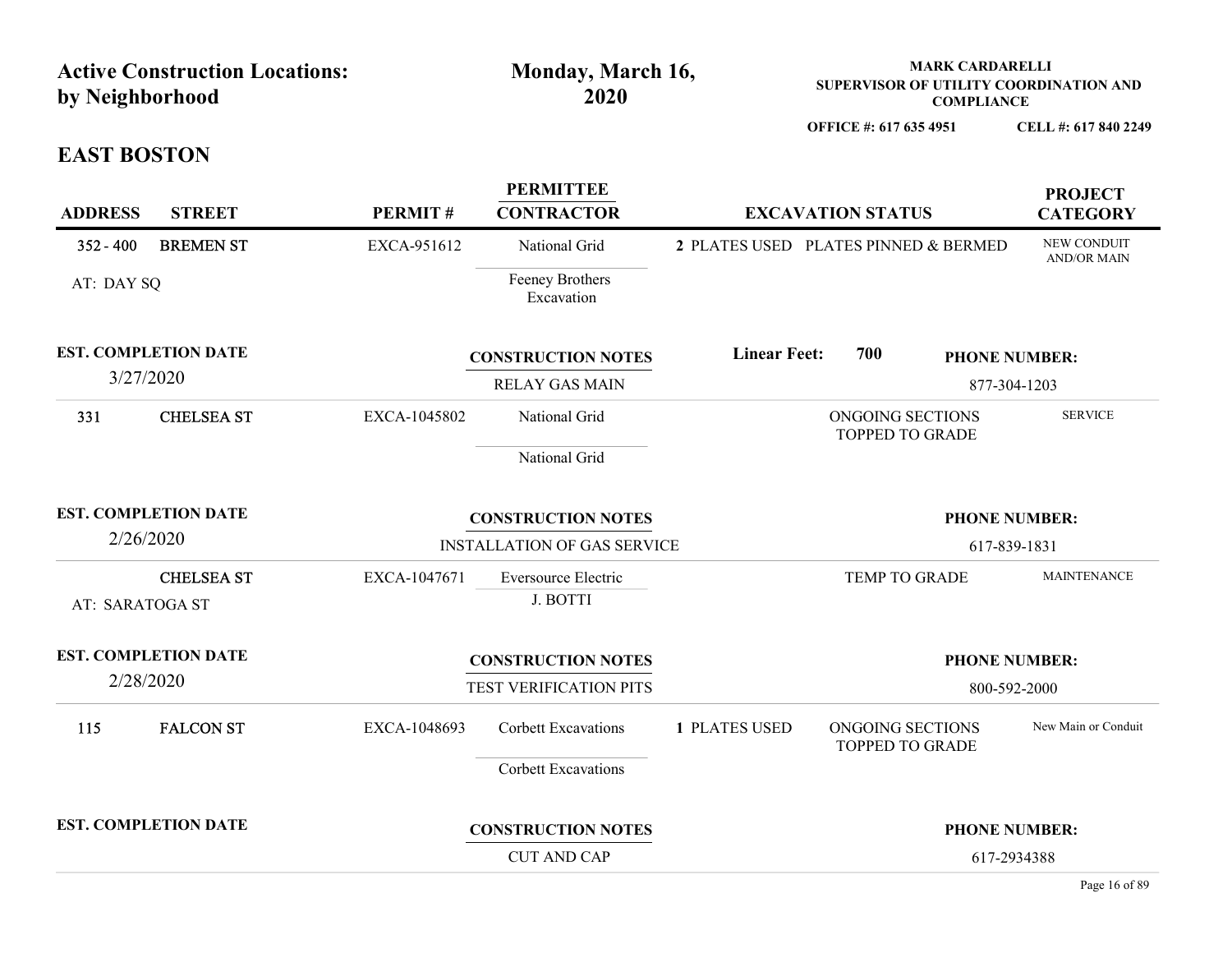|                             | <b>Active Construction Locations:</b> |              | Monday, March 16,<br>2020             |                                      |                                            | <b>MARK CARDARELLI</b> | SUPERVISOR OF UTILITY COORDINATION AND |
|-----------------------------|---------------------------------------|--------------|---------------------------------------|--------------------------------------|--------------------------------------------|------------------------|----------------------------------------|
| by Neighborhood             |                                       |              |                                       |                                      | OFFICE #: 617 635 4951                     | <b>COMPLIANCE</b>      | CELL #: 617 840 2249                   |
| <b>EAST BOSTON</b>          |                                       |              |                                       |                                      |                                            |                        |                                        |
| <b>ADDRESS</b>              | <b>STREET</b>                         | PERMIT#      | <b>PERMITTEE</b><br><b>CONTRACTOR</b> |                                      | <b>EXCAVATION STATUS</b>                   |                        | <b>PROJECT</b><br><b>CATEGORY</b>      |
| $352 - 400$                 | <b>BREMEN ST</b>                      | EXCA-951612  | National Grid                         | 2 PLATES USED PLATES PINNED & BERMED |                                            |                        | NEW CONDUIT<br><b>AND/OR MAIN</b>      |
| AT: DAY SQ                  |                                       |              | Feeney Brothers<br>Excavation         |                                      |                                            |                        |                                        |
| <b>EST. COMPLETION DATE</b> |                                       |              | <b>CONSTRUCTION NOTES</b>             | <b>Linear Feet:</b>                  | 700                                        |                        | <b>PHONE NUMBER:</b>                   |
| 3/27/2020                   |                                       |              | <b>RELAY GAS MAIN</b>                 |                                      |                                            |                        | 877-304-1203                           |
| 331                         | <b>CHELSEA ST</b>                     | EXCA-1045802 | National Grid                         |                                      | ONGOING SECTIONS<br><b>TOPPED TO GRADE</b> |                        | <b>SERVICE</b>                         |
|                             |                                       |              | National Grid                         |                                      |                                            |                        |                                        |
| <b>EST. COMPLETION DATE</b> |                                       |              | <b>CONSTRUCTION NOTES</b>             |                                      |                                            |                        | <b>PHONE NUMBER:</b>                   |
| 2/26/2020                   |                                       |              | <b>INSTALLATION OF GAS SERVICE</b>    |                                      |                                            |                        | 617-839-1831                           |
| AT: SARATOGA ST             | <b>CHELSEA ST</b>                     | EXCA-1047671 | Eversource Electric<br>J. BOTTI       |                                      | TEMP TO GRADE                              |                        | <b>MAINTENANCE</b>                     |
| <b>EST. COMPLETION DATE</b> |                                       |              | <b>CONSTRUCTION NOTES</b>             |                                      |                                            |                        | <b>PHONE NUMBER:</b>                   |
| 2/28/2020                   |                                       |              | TEST VERIFICATION PITS                |                                      |                                            |                        | 800-592-2000                           |
| 115                         | <b>FALCON ST</b>                      | EXCA-1048693 | Corbett Excavations                   | 1 PLATES USED                        | ONGOING SECTIONS<br>TOPPED TO GRADE        |                        | New Main or Conduit                    |
|                             |                                       |              | Corbett Excavations                   |                                      |                                            |                        |                                        |
|                             |                                       |              |                                       |                                      |                                            |                        |                                        |
| <b>EST. COMPLETION DATE</b> |                                       |              | <b>CONSTRUCTION NOTES</b>             |                                      |                                            |                        | <b>PHONE NUMBER:</b>                   |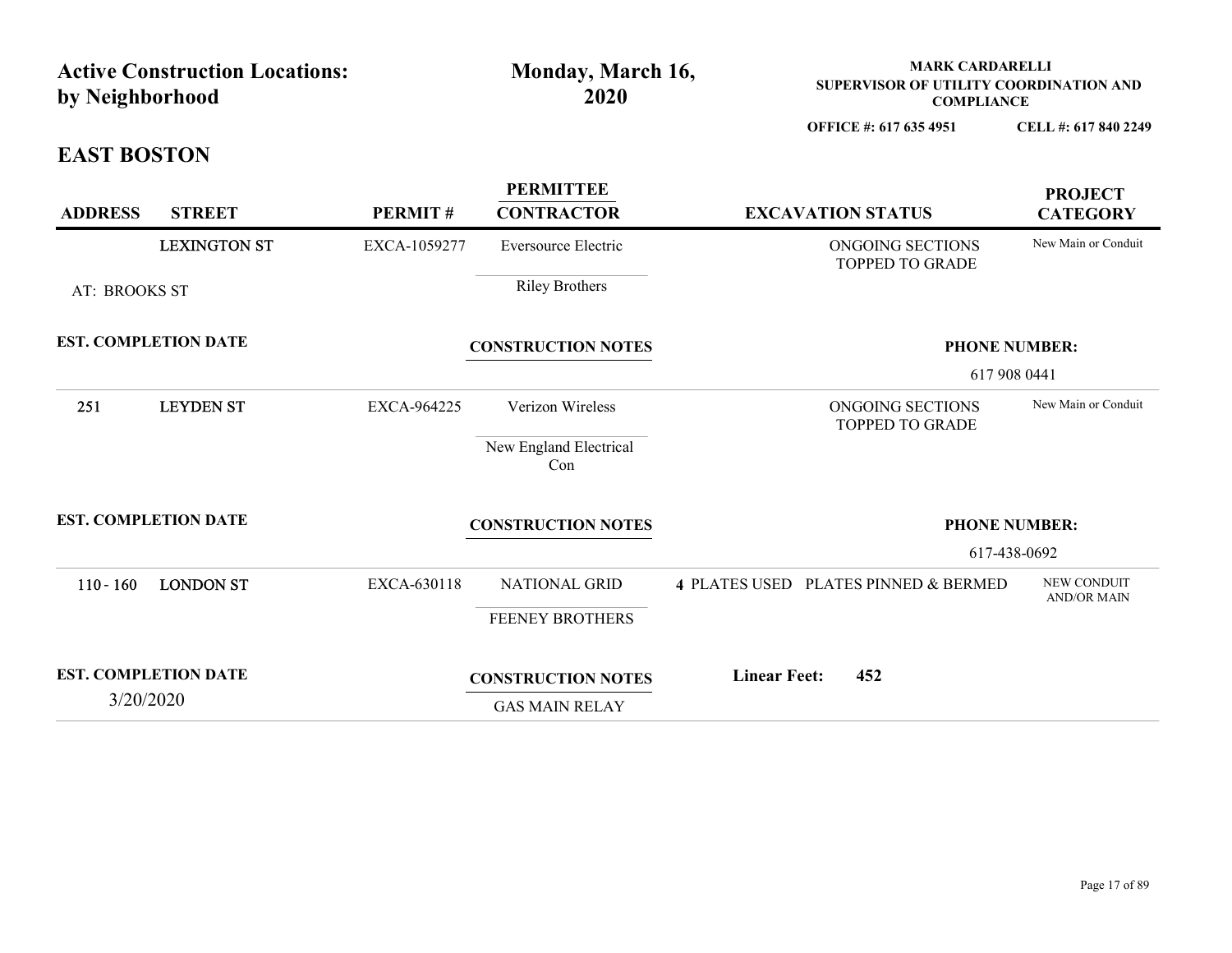| <b>Active Construction Locations:</b> |                                          |              | Monday, March 16,                                  | <b>MARK CARDARELLI</b><br>SUPERVISOR OF UTILITY COORDINATION AND |                                   |  |
|---------------------------------------|------------------------------------------|--------------|----------------------------------------------------|------------------------------------------------------------------|-----------------------------------|--|
| by Neighborhood                       |                                          |              | 2020                                               | <b>COMPLIANCE</b>                                                |                                   |  |
| <b>EAST BOSTON</b>                    |                                          |              |                                                    | OFFICE #: 617 635 4951                                           | CELL #: 617 840 2249              |  |
| <b>ADDRESS</b>                        | <b>STREET</b>                            | PERMIT#      | <b>PERMITTEE</b><br><b>CONTRACTOR</b>              | <b>EXCAVATION STATUS</b>                                         | <b>PROJECT</b><br><b>CATEGORY</b> |  |
|                                       | <b>LEXINGTON ST</b>                      | EXCA-1059277 | Eversource Electric                                | ONGOING SECTIONS                                                 | New Main or Conduit               |  |
| AT: BROOKS ST                         |                                          |              | <b>Riley Brothers</b>                              | TOPPED TO GRADE                                                  |                                   |  |
|                                       | <b>EST. COMPLETION DATE</b>              |              | <b>CONSTRUCTION NOTES</b>                          |                                                                  | <b>PHONE NUMBER:</b>              |  |
|                                       |                                          |              |                                                    |                                                                  | 617 908 0441                      |  |
| 251                                   | <b>LEYDEN ST</b>                         | EXCA-964225  | Verizon Wireless<br>New England Electrical<br>Con  | ONGOING SECTIONS<br><b>TOPPED TO GRADE</b>                       | New Main or Conduit               |  |
|                                       | <b>EST. COMPLETION DATE</b>              |              | <b>CONSTRUCTION NOTES</b>                          |                                                                  | <b>PHONE NUMBER:</b>              |  |
|                                       |                                          |              |                                                    |                                                                  | 617-438-0692                      |  |
|                                       | 110 - 160 LONDON ST                      | EXCA-630118  | NATIONAL GRID                                      | 4 PLATES USED PLATES PINNED & BERMED                             | NEW CONDUIT<br><b>AND/OR MAIN</b> |  |
|                                       |                                          |              | FEENEY BROTHERS                                    |                                                                  |                                   |  |
|                                       | <b>EST. COMPLETION DATE</b><br>3/20/2020 |              | <b>CONSTRUCTION NOTES</b><br><b>GAS MAIN RELAY</b> | <b>Linear Feet:</b><br>452                                       |                                   |  |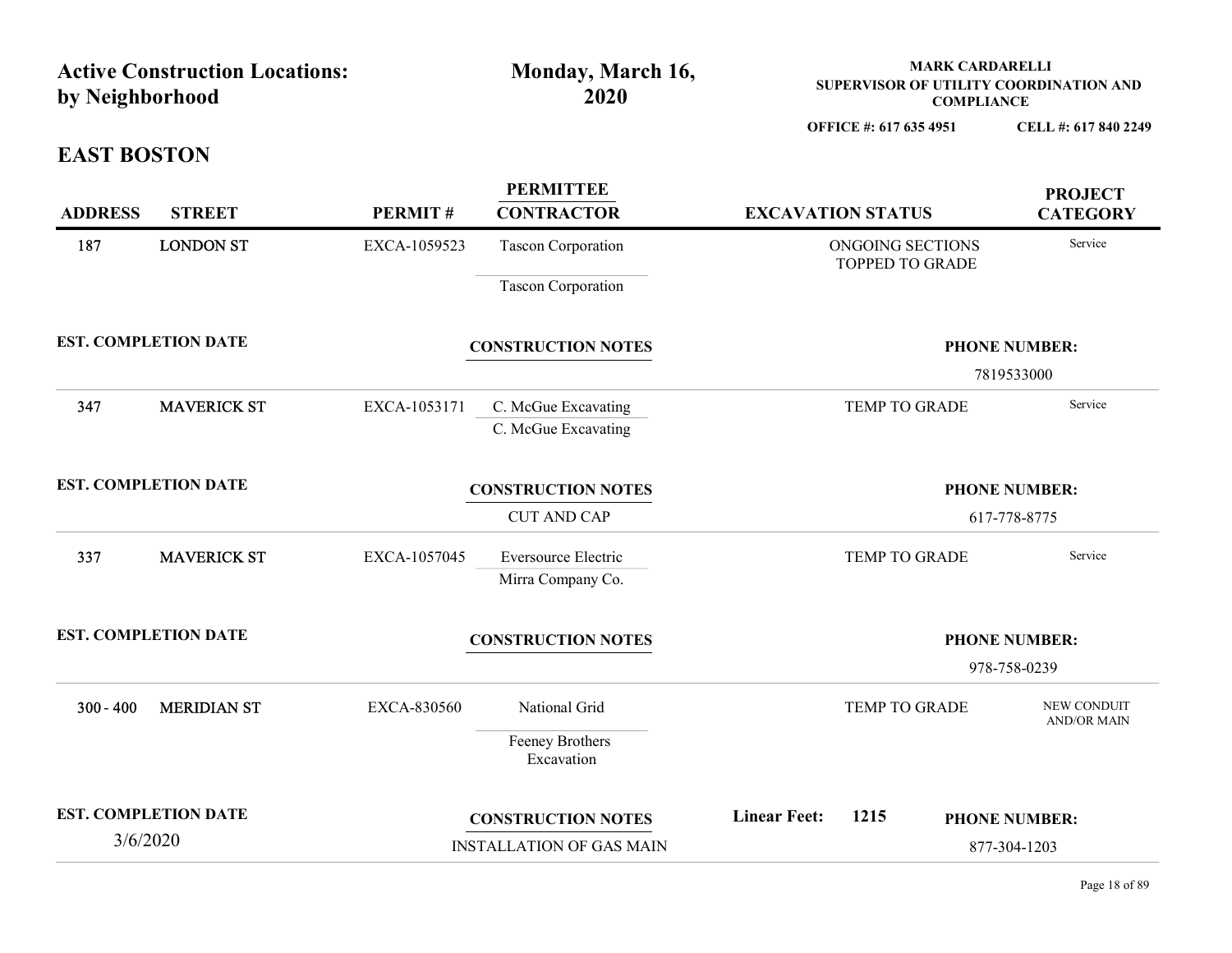| <b>Active Construction Locations:</b><br>by Neighborhood |                                         | Monday, March 16,<br>2020 |                                                              | <b>MARK CARDARELLI</b><br>SUPERVISOR OF UTILITY COORDINATION AND<br><b>COMPLIANCE</b><br>OFFICE #: 617 635 4951<br>CELL #: 617 840 2249 |                                      |  |
|----------------------------------------------------------|-----------------------------------------|---------------------------|--------------------------------------------------------------|-----------------------------------------------------------------------------------------------------------------------------------------|--------------------------------------|--|
| <b>EAST BOSTON</b>                                       |                                         |                           |                                                              |                                                                                                                                         |                                      |  |
| <b>ADDRESS</b>                                           | <b>STREET</b>                           | PERMIT#                   | <b>PERMITTEE</b><br><b>CONTRACTOR</b>                        | <b>EXCAVATION STATUS</b>                                                                                                                | <b>PROJECT</b><br><b>CATEGORY</b>    |  |
| 187                                                      | <b>LONDON ST</b>                        | EXCA-1059523              | Tascon Corporation<br>Tascon Corporation                     | ONGOING SECTIONS<br>TOPPED TO GRADE                                                                                                     | Service                              |  |
|                                                          | <b>EST. COMPLETION DATE</b>             |                           | <b>CONSTRUCTION NOTES</b>                                    |                                                                                                                                         | <b>PHONE NUMBER:</b><br>7819533000   |  |
| 347                                                      | <b>MAVERICK ST</b>                      | EXCA-1053171              | C. McGue Excavating<br>C. McGue Excavating                   | TEMP TO GRADE                                                                                                                           | Service                              |  |
|                                                          | <b>EST. COMPLETION DATE</b>             |                           | <b>CONSTRUCTION NOTES</b><br><b>CUT AND CAP</b>              |                                                                                                                                         | <b>PHONE NUMBER:</b><br>617-778-8775 |  |
| 337                                                      | <b>MAVERICK ST</b>                      | EXCA-1057045              | Eversource Electric<br>Mirra Company Co.                     | TEMP TO GRADE                                                                                                                           | Service                              |  |
|                                                          | <b>EST. COMPLETION DATE</b>             |                           | <b>CONSTRUCTION NOTES</b>                                    |                                                                                                                                         | <b>PHONE NUMBER:</b><br>978-758-0239 |  |
| $300 - 400$                                              | <b>MERIDIAN ST</b>                      | EXCA-830560               | National Grid<br>Feeney Brothers<br>Excavation               | TEMP TO GRADE                                                                                                                           | NEW CONDUIT<br><b>AND/OR MAIN</b>    |  |
|                                                          | <b>EST. COMPLETION DATE</b><br>3/6/2020 |                           | <b>CONSTRUCTION NOTES</b><br><b>INSTALLATION OF GAS MAIN</b> | <b>Linear Feet:</b><br>1215                                                                                                             | <b>PHONE NUMBER:</b><br>877-304-1203 |  |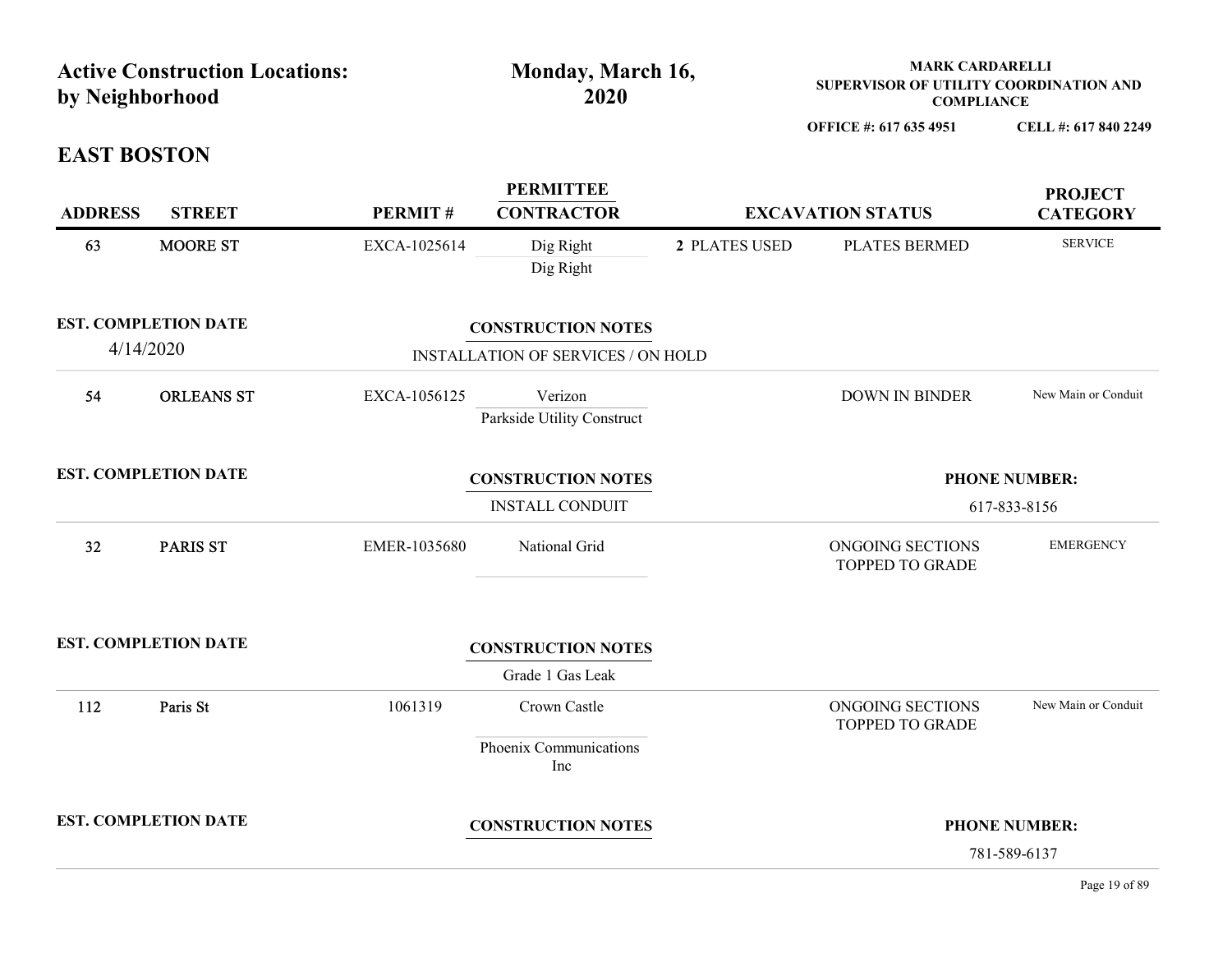| <b>Active Construction Locations:</b><br>by Neighborhood |                             |              | Monday, March 16,<br>2020                                       |               | <b>MARK CARDARELLI</b><br>SUPERVISOR OF UTILITY COORDINATION AND<br><b>COMPLIANCE</b> |                                      |  |
|----------------------------------------------------------|-----------------------------|--------------|-----------------------------------------------------------------|---------------|---------------------------------------------------------------------------------------|--------------------------------------|--|
| <b>EAST BOSTON</b>                                       |                             |              |                                                                 |               | OFFICE #: 617 635 4951                                                                | CELL #: 617 840 2249                 |  |
| <b>ADDRESS</b>                                           | <b>STREET</b>               | PERMIT#      | <b>PERMITTEE</b><br><b>CONTRACTOR</b>                           |               | <b>EXCAVATION STATUS</b>                                                              | <b>PROJECT</b><br><b>CATEGORY</b>    |  |
| 63                                                       | <b>MOORE ST</b>             | EXCA-1025614 | Dig Right<br>Dig Right                                          | 2 PLATES USED | PLATES BERMED                                                                         | <b>SERVICE</b>                       |  |
| 4/14/2020                                                | <b>EST. COMPLETION DATE</b> |              | <b>CONSTRUCTION NOTES</b><br>INSTALLATION OF SERVICES / ON HOLD |               |                                                                                       |                                      |  |
| 54                                                       | ORLEANS ST                  | EXCA-1056125 | Verizon<br>Parkside Utility Construct                           |               | <b>DOWN IN BINDER</b>                                                                 | New Main or Conduit                  |  |
|                                                          | <b>EST. COMPLETION DATE</b> |              | <b>CONSTRUCTION NOTES</b><br><b>INSTALL CONDUIT</b>             |               |                                                                                       | <b>PHONE NUMBER:</b><br>617-833-8156 |  |
| 32                                                       | <b>PARIS ST</b>             | EMER-1035680 | National Grid                                                   |               | ONGOING SECTIONS<br>TOPPED TO GRADE                                                   | <b>EMERGENCY</b>                     |  |
|                                                          | <b>EST. COMPLETION DATE</b> |              | <b>CONSTRUCTION NOTES</b><br>Grade 1 Gas Leak                   |               |                                                                                       |                                      |  |
| 112                                                      | Paris St                    | 1061319      | Crown Castle<br>Phoenix Communications<br>Inc                   |               | ONGOING SECTIONS<br>TOPPED TO GRADE                                                   | New Main or Conduit                  |  |
|                                                          | <b>EST. COMPLETION DATE</b> |              | <b>CONSTRUCTION NOTES</b>                                       |               |                                                                                       | <b>PHONE NUMBER:</b><br>781-589-6137 |  |
|                                                          |                             |              |                                                                 |               |                                                                                       | Page 19 of 89                        |  |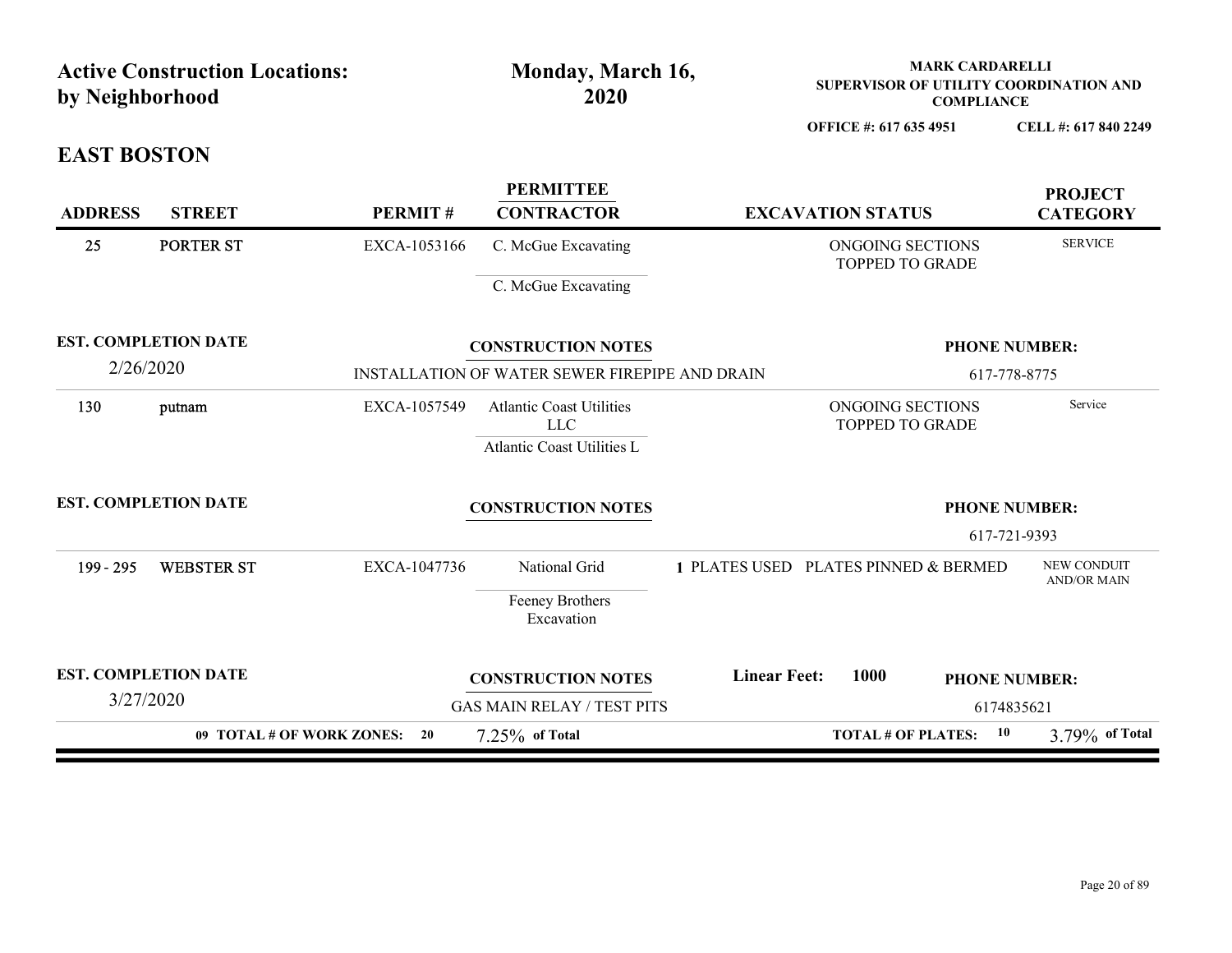| <b>Active Construction Locations:</b><br>by Neighborhood |                   | Monday, March 16,<br>2020 |                                                                             |                                   | <b>MARK CARDARELLI</b><br>SUPERVISOR OF UTILITY COORDINATION AND<br><b>COMPLIANCE</b> |                                   |  |
|----------------------------------------------------------|-------------------|---------------------------|-----------------------------------------------------------------------------|-----------------------------------|---------------------------------------------------------------------------------------|-----------------------------------|--|
|                                                          |                   |                           |                                                                             |                                   | OFFICE #: 617 635 4951                                                                | CELL #: 617 840 2249              |  |
| <b>EAST BOSTON</b>                                       |                   |                           |                                                                             |                                   |                                                                                       |                                   |  |
| <b>ADDRESS</b>                                           | <b>STREET</b>     | PERMIT#                   | <b>PERMITTEE</b><br><b>CONTRACTOR</b>                                       |                                   | <b>EXCAVATION STATUS</b>                                                              | <b>PROJECT</b><br><b>CATEGORY</b> |  |
| 25                                                       | <b>PORTER ST</b>  | EXCA-1053166              | C. McGue Excavating<br>C. McGue Excavating                                  |                                   | ONGOING SECTIONS<br>TOPPED TO GRADE                                                   | <b>SERVICE</b>                    |  |
| <b>EST. COMPLETION DATE</b><br>2/26/2020                 |                   |                           | <b>CONSTRUCTION NOTES</b>                                                   |                                   |                                                                                       | <b>PHONE NUMBER:</b>              |  |
|                                                          |                   |                           | INSTALLATION OF WATER SEWER FIREPIPE AND DRAIN                              |                                   |                                                                                       | 617-778-8775                      |  |
| 130<br>putnam                                            |                   | EXCA-1057549              | <b>Atlantic Coast Utilities</b><br><b>LLC</b><br>Atlantic Coast Utilities L |                                   | ONGOING SECTIONS<br>TOPPED TO GRADE                                                   | Service                           |  |
| <b>EST. COMPLETION DATE</b>                              |                   |                           | <b>CONSTRUCTION NOTES</b>                                                   |                                   |                                                                                       | <b>PHONE NUMBER:</b>              |  |
|                                                          |                   |                           |                                                                             |                                   |                                                                                       | 617-721-9393                      |  |
| 199 - 295                                                | <b>WEBSTER ST</b> | EXCA-1047736              | National Grid<br>Feeney Brothers<br>Excavation                              |                                   | 1 PLATES USED PLATES PINNED & BERMED                                                  | NEW CONDUIT<br>AND/OR MAIN        |  |
| <b>EST. COMPLETION DATE</b>                              |                   |                           | <b>CONSTRUCTION NOTES</b>                                                   | <b>Linear Feet:</b>               | 1000                                                                                  | <b>PHONE NUMBER:</b>              |  |
| 3/27/2020                                                |                   |                           |                                                                             |                                   |                                                                                       | 6174835621                        |  |
|                                                          |                   |                           |                                                                             | <b>GAS MAIN RELAY / TEST PITS</b> |                                                                                       |                                   |  |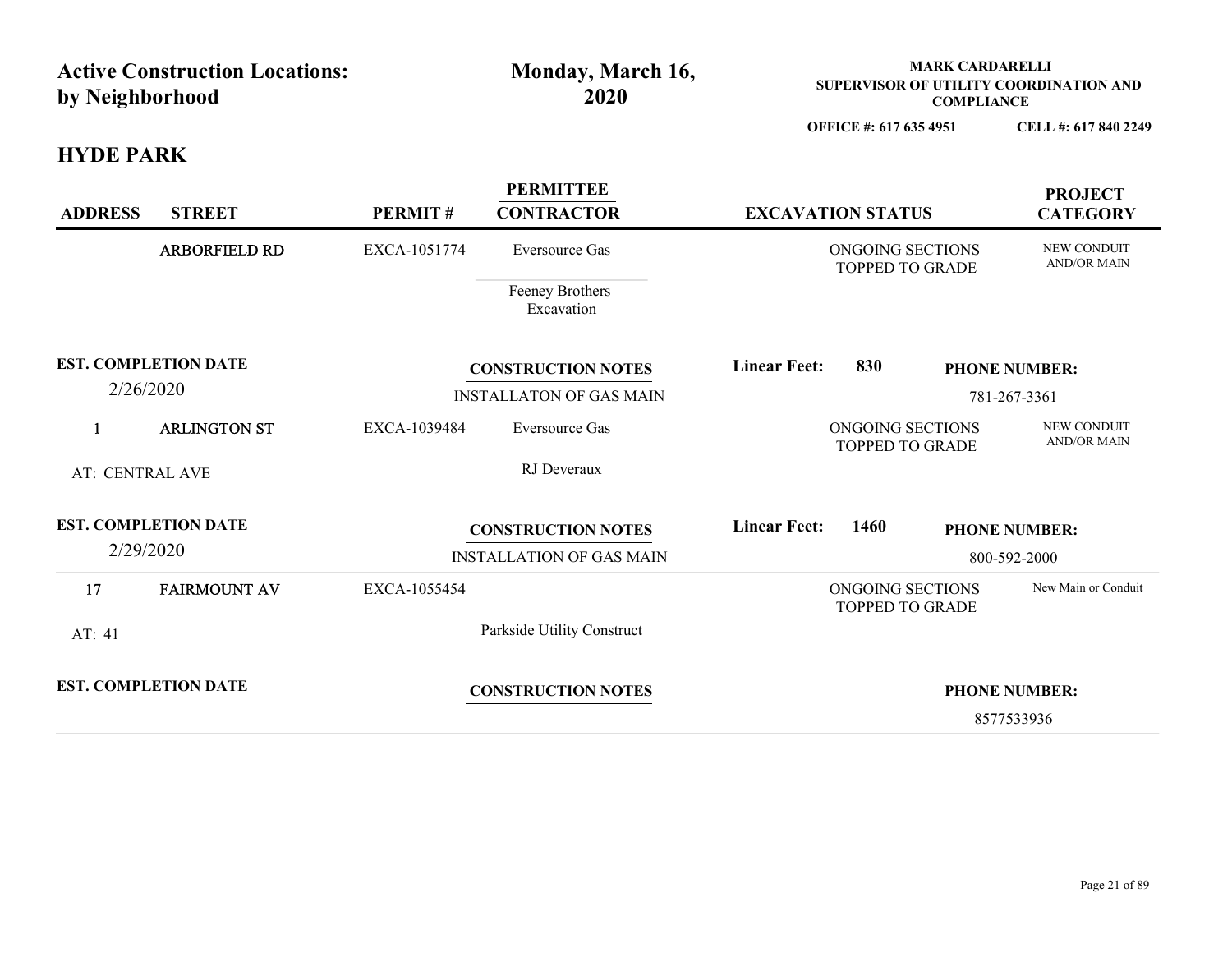| by Neighborhood                          | <b>Active Construction Locations:</b> |              | Monday, March 16,<br>2020             |                     |                                            | <b>MARK CARDARELLI</b><br><b>COMPLIANCE</b> | SUPERVISOR OF UTILITY COORDINATION AND |
|------------------------------------------|---------------------------------------|--------------|---------------------------------------|---------------------|--------------------------------------------|---------------------------------------------|----------------------------------------|
|                                          |                                       |              |                                       |                     | OFFICE #: 617 635 4951                     |                                             | CELL #: 617 840 2249                   |
| <b>HYDE PARK</b>                         |                                       |              |                                       |                     |                                            |                                             |                                        |
| <b>ADDRESS</b>                           | <b>STREET</b>                         | PERMIT#      | <b>PERMITTEE</b><br><b>CONTRACTOR</b> |                     | <b>EXCAVATION STATUS</b>                   |                                             | <b>PROJECT</b><br><b>CATEGORY</b>      |
|                                          | <b>ARBORFIELD RD</b>                  |              | Eversource Gas                        |                     | ONGOING SECTIONS<br>TOPPED TO GRADE        |                                             | NEW CONDUIT<br><b>AND/OR MAIN</b>      |
|                                          |                                       |              | Feeney Brothers<br>Excavation         |                     |                                            |                                             |                                        |
| <b>EST. COMPLETION DATE</b><br>2/26/2020 |                                       |              | <b>CONSTRUCTION NOTES</b>             | <b>Linear Feet:</b> | 830                                        |                                             | <b>PHONE NUMBER:</b>                   |
|                                          |                                       |              | <b>INSTALLATON OF GAS MAIN</b>        |                     |                                            |                                             | 781-267-3361                           |
| $\mathbf{1}$                             | <b>ARLINGTON ST</b>                   | EXCA-1039484 | Eversource Gas                        |                     | ONGOING SECTIONS<br>TOPPED TO GRADE        |                                             | NEW CONDUIT<br>AND/OR MAIN             |
| AT: CENTRAL AVE                          |                                       |              | RJ Deveraux                           |                     |                                            |                                             |                                        |
| <b>EST. COMPLETION DATE</b>              |                                       |              | <b>CONSTRUCTION NOTES</b>             | <b>Linear Feet:</b> | 1460                                       |                                             | <b>PHONE NUMBER:</b>                   |
| 2/29/2020                                |                                       |              | <b>INSTALLATION OF GAS MAIN</b>       |                     |                                            |                                             | 800-592-2000                           |
| 17                                       | <b>FAIRMOUNT AV</b>                   | EXCA-1055454 |                                       |                     | ONGOING SECTIONS<br><b>TOPPED TO GRADE</b> |                                             | New Main or Conduit                    |
| AT: 41                                   |                                       |              | Parkside Utility Construct            |                     |                                            |                                             |                                        |
| <b>EST. COMPLETION DATE</b>              |                                       |              | <b>CONSTRUCTION NOTES</b>             |                     |                                            |                                             | <b>PHONE NUMBER:</b>                   |
|                                          |                                       |              |                                       |                     |                                            |                                             | 8577533936                             |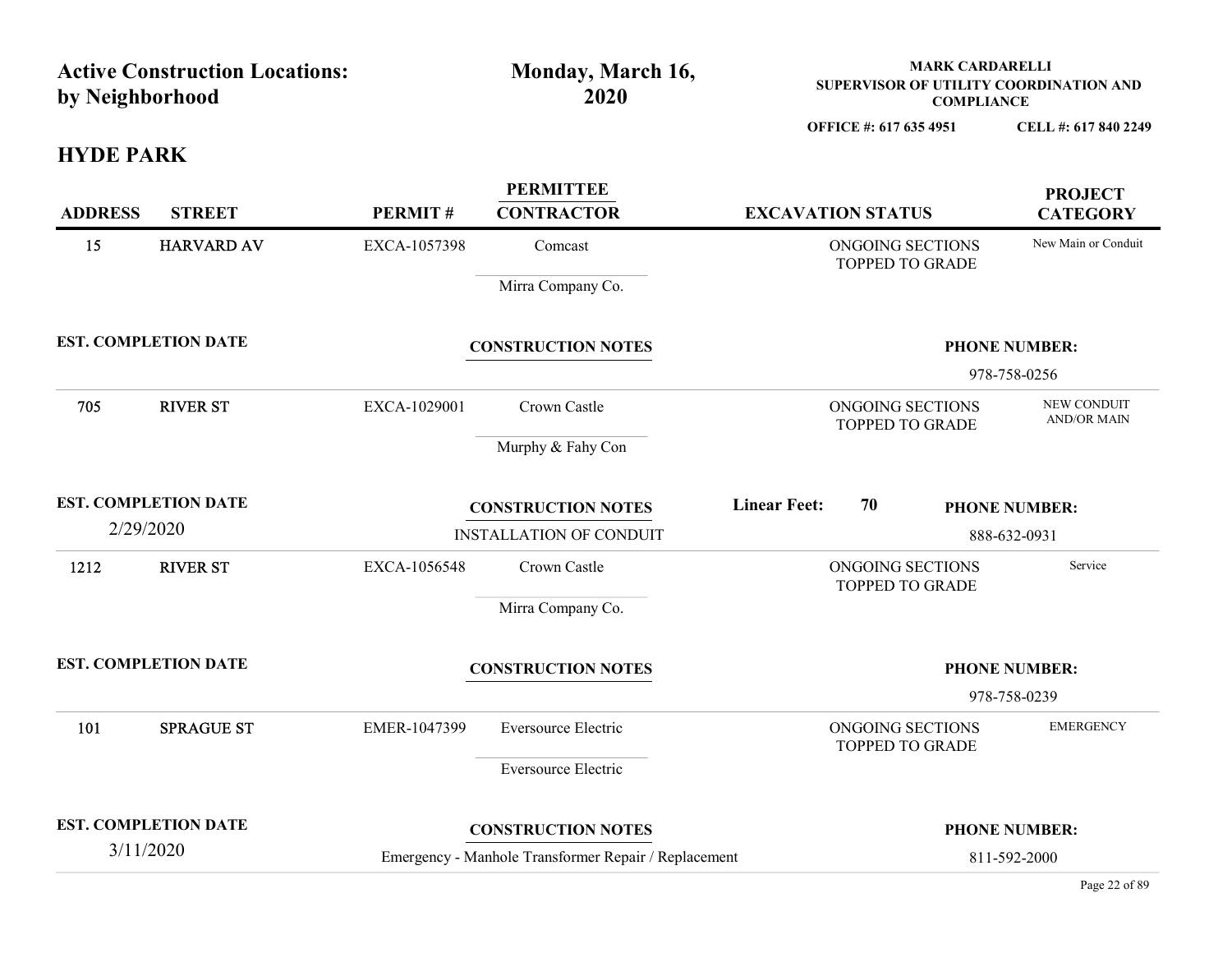|                             | <b>Active Construction Locations:</b><br>by Neighborhood |                           | Monday, March 16,<br>2020                                   |                     | <b>MARK CARDARELLI</b><br>SUPERVISOR OF UTILITY COORDINATION AND |                                      |                                   |  |
|-----------------------------|----------------------------------------------------------|---------------------------|-------------------------------------------------------------|---------------------|------------------------------------------------------------------|--------------------------------------|-----------------------------------|--|
|                             |                                                          |                           |                                                             |                     | OFFICE #: 617 635 4951                                           | <b>COMPLIANCE</b>                    | CELL #: 617 840 2249              |  |
| <b>HYDE PARK</b>            |                                                          |                           |                                                             |                     |                                                                  |                                      |                                   |  |
| <b>ADDRESS</b>              | <b>STREET</b>                                            | PERMIT#                   | <b>PERMITTEE</b><br><b>CONTRACTOR</b>                       |                     | <b>EXCAVATION STATUS</b>                                         |                                      | <b>PROJECT</b><br><b>CATEGORY</b> |  |
| 15                          | <b>HARVARD AV</b>                                        | EXCA-1057398              | Comcast                                                     |                     | ONGOING SECTIONS<br>TOPPED TO GRADE                              |                                      | New Main or Conduit               |  |
|                             |                                                          |                           | Mirra Company Co.                                           |                     |                                                                  |                                      |                                   |  |
|                             | <b>EST. COMPLETION DATE</b>                              | <b>CONSTRUCTION NOTES</b> |                                                             |                     | <b>PHONE NUMBER:</b><br>978-758-0256                             |                                      |                                   |  |
| 705                         | <b>RIVER ST</b>                                          | EXCA-1029001              | Crown Castle<br>Murphy & Fahy Con                           |                     | ONGOING SECTIONS<br><b>TOPPED TO GRADE</b>                       |                                      | NEW CONDUIT<br><b>AND/OR MAIN</b> |  |
| 2/29/2020                   | <b>EST. COMPLETION DATE</b>                              |                           | <b>CONSTRUCTION NOTES</b><br><b>INSTALLATION OF CONDUIT</b> | <b>Linear Feet:</b> | 70                                                               | <b>PHONE NUMBER:</b><br>888-632-0931 |                                   |  |
| 1212                        | <b>RIVER ST</b>                                          | EXCA-1056548              | Crown Castle<br>Mirra Company Co.                           |                     | ONGOING SECTIONS<br>TOPPED TO GRADE                              |                                      | Service                           |  |
|                             | <b>EST. COMPLETION DATE</b>                              |                           | <b>CONSTRUCTION NOTES</b>                                   |                     |                                                                  | <b>PHONE NUMBER:</b><br>978-758-0239 |                                   |  |
| 101                         | <b>SPRAGUE ST</b>                                        | EMER-1047399              | Eversource Electric                                         |                     | ONGOING SECTIONS<br>TOPPED TO GRADE                              |                                      | <b>EMERGENCY</b>                  |  |
|                             |                                                          |                           | Eversource Electric                                         |                     |                                                                  |                                      |                                   |  |
| <b>EST. COMPLETION DATE</b> |                                                          |                           | <b>CONSTRUCTION NOTES</b>                                   |                     |                                                                  | <b>PHONE NUMBER:</b>                 |                                   |  |
| 3/11/2020                   |                                                          |                           | Emergency - Manhole Transformer Repair / Replacement        |                     |                                                                  | 811-592-2000                         |                                   |  |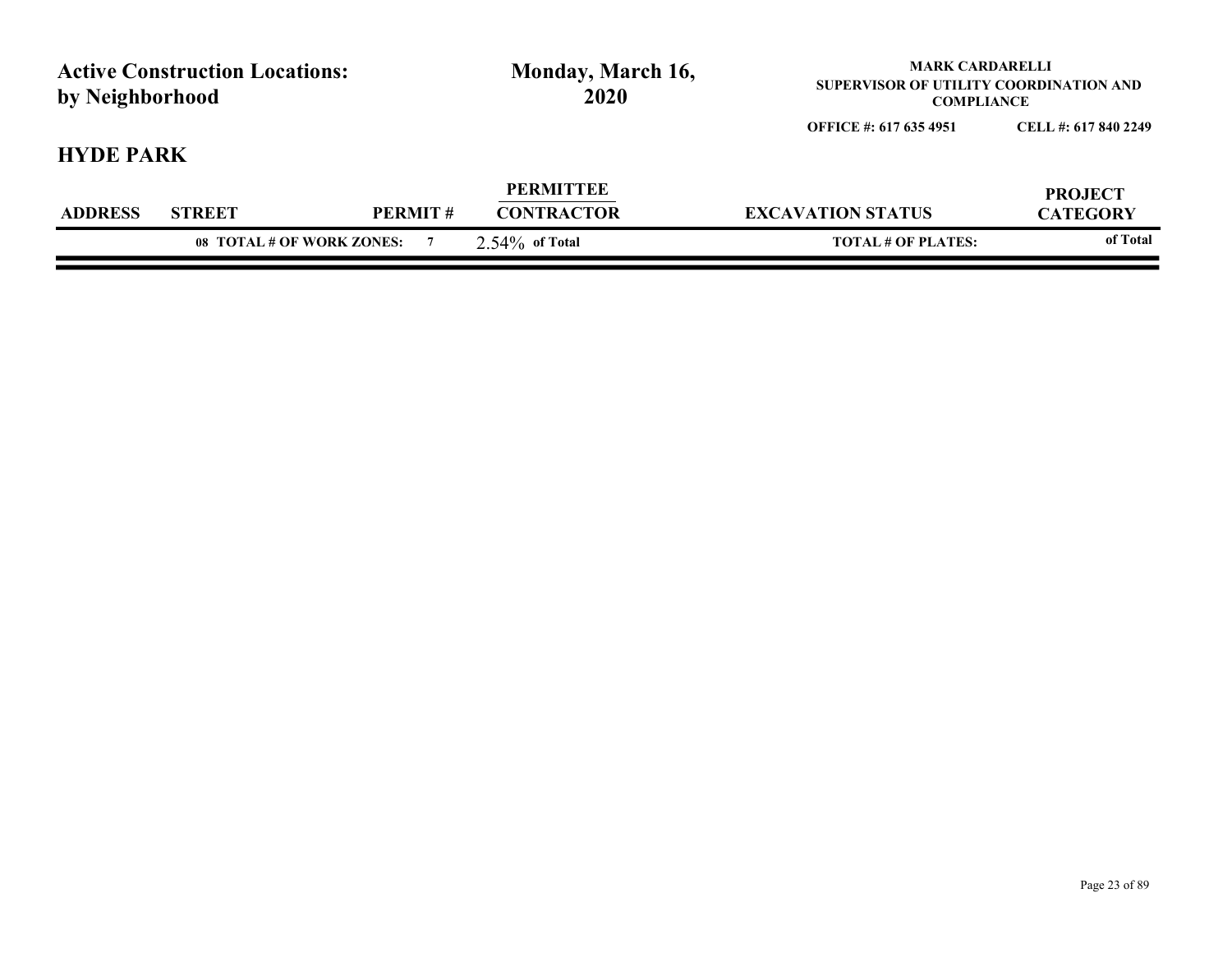| by Neighborhood<br>2020<br><b>COMPLIANCE</b> |
|----------------------------------------------|
|                                              |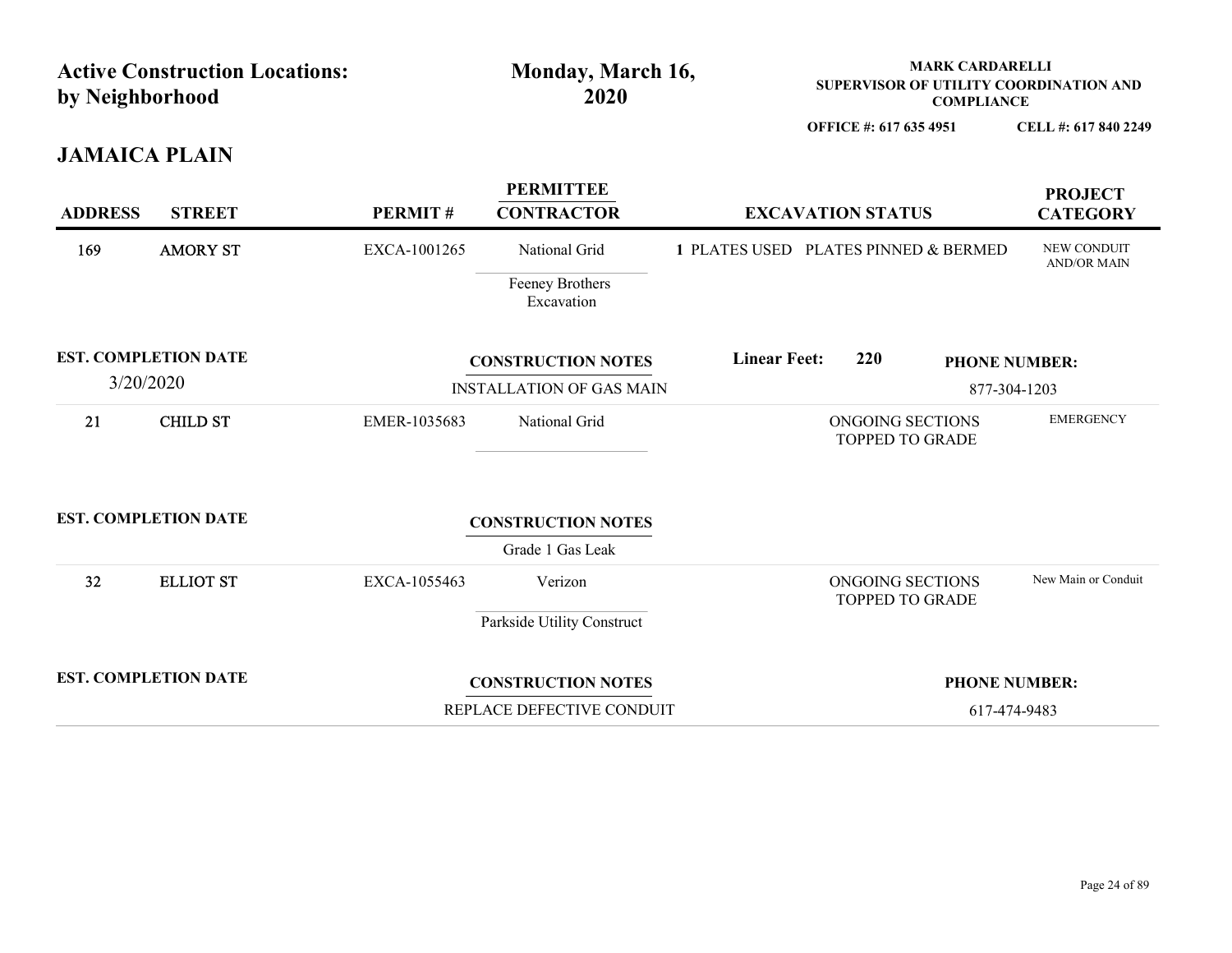| by Neighborhood             | <b>Active Construction Locations:</b> |                                 | Monday, March 16,<br>2020             |                                      |                                            | <b>MARK CARDARELLI</b><br><b>COMPLIANCE</b> | SUPERVISOR OF UTILITY COORDINATION AND |  |
|-----------------------------|---------------------------------------|---------------------------------|---------------------------------------|--------------------------------------|--------------------------------------------|---------------------------------------------|----------------------------------------|--|
|                             |                                       |                                 |                                       |                                      | OFFICE #: 617 635 4951                     |                                             | CELL #: 617 840 2249                   |  |
| <b>JAMAICA PLAIN</b>        |                                       |                                 |                                       |                                      |                                            |                                             |                                        |  |
| <b>ADDRESS</b>              | <b>STREET</b>                         | PERMIT#                         | <b>PERMITTEE</b><br><b>CONTRACTOR</b> |                                      | <b>EXCAVATION STATUS</b>                   |                                             |                                        |  |
| 169                         | <b>AMORY ST</b>                       | EXCA-1001265                    | National Grid                         | 1 PLATES USED PLATES PINNED & BERMED |                                            |                                             | NEW CONDUIT<br><b>AND/OR MAIN</b>      |  |
|                             |                                       |                                 | Feeney Brothers<br>Excavation         |                                      |                                            |                                             |                                        |  |
| <b>EST. COMPLETION DATE</b> |                                       |                                 | <b>CONSTRUCTION NOTES</b>             | <b>Linear Feet:</b>                  | 220                                        |                                             | <b>PHONE NUMBER:</b>                   |  |
| 3/20/2020                   |                                       | <b>INSTALLATION OF GAS MAIN</b> |                                       |                                      |                                            |                                             | 877-304-1203                           |  |
| 21                          | <b>CHILD ST</b>                       | EMER-1035683                    | National Grid                         |                                      | ONGOING SECTIONS<br><b>TOPPED TO GRADE</b> |                                             | <b>EMERGENCY</b>                       |  |
| <b>EST. COMPLETION DATE</b> |                                       |                                 | <b>CONSTRUCTION NOTES</b>             |                                      |                                            |                                             |                                        |  |
|                             |                                       |                                 | Grade 1 Gas Leak                      |                                      |                                            |                                             |                                        |  |
| 32                          | <b>ELLIOT ST</b>                      | EXCA-1055463                    | Verizon                               |                                      | ONGOING SECTIONS<br>TOPPED TO GRADE        |                                             | New Main or Conduit                    |  |
|                             |                                       |                                 | Parkside Utility Construct            |                                      |                                            |                                             |                                        |  |
|                             | <b>EST. COMPLETION DATE</b>           |                                 | <b>CONSTRUCTION NOTES</b>             |                                      |                                            |                                             | <b>PHONE NUMBER:</b>                   |  |
|                             |                                       |                                 |                                       |                                      |                                            |                                             |                                        |  |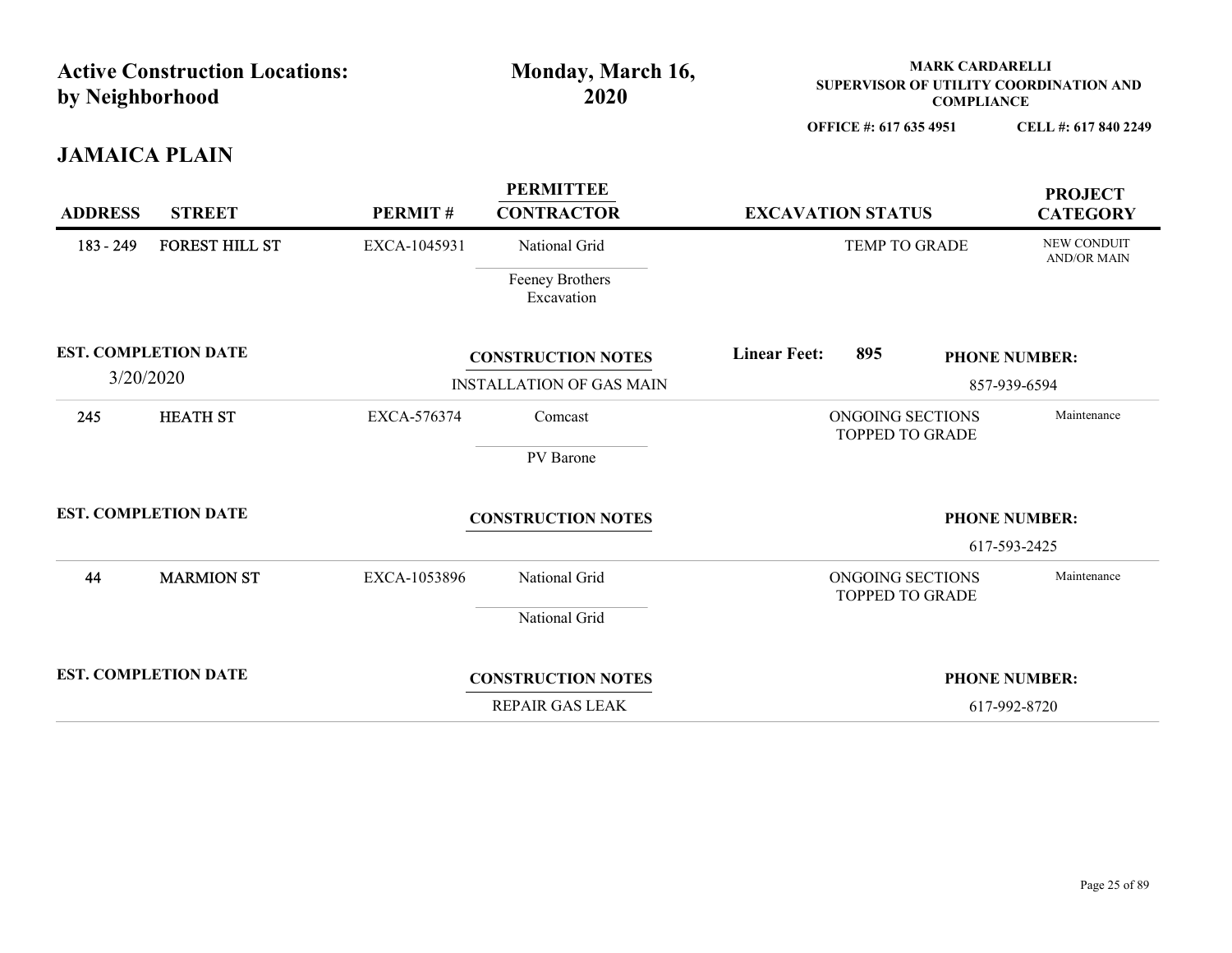| <b>Active Construction Locations:</b> |                             |                           | Monday, March 16,                     |                     |                                     | <b>MARK CARDARELLI</b> |                                        |  |
|---------------------------------------|-----------------------------|---------------------------|---------------------------------------|---------------------|-------------------------------------|------------------------|----------------------------------------|--|
| by Neighborhood                       |                             |                           | 2020                                  |                     |                                     | <b>COMPLIANCE</b>      | SUPERVISOR OF UTILITY COORDINATION AND |  |
|                                       |                             |                           |                                       |                     | OFFICE #: 617 635 4951              |                        | CELL #: 617 840 2249                   |  |
| <b>JAMAICA PLAIN</b>                  |                             |                           |                                       |                     |                                     |                        |                                        |  |
| <b>ADDRESS</b>                        | <b>STREET</b>               | PERMIT#                   | <b>PERMITTEE</b><br><b>CONTRACTOR</b> |                     | <b>EXCAVATION STATUS</b>            |                        | <b>PROJECT</b><br><b>CATEGORY</b>      |  |
| $183 - 249$                           | FOREST HILL ST              | EXCA-1045931              | National Grid                         |                     | TEMP TO GRADE                       |                        | NEW CONDUIT<br><b>AND/OR MAIN</b>      |  |
|                                       |                             |                           | Feeney Brothers<br>Excavation         |                     |                                     |                        |                                        |  |
|                                       | <b>EST. COMPLETION DATE</b> | <b>CONSTRUCTION NOTES</b> |                                       | <b>Linear Feet:</b> | 895                                 |                        | <b>PHONE NUMBER:</b>                   |  |
|                                       | 3/20/2020                   |                           | <b>INSTALLATION OF GAS MAIN</b>       |                     |                                     |                        | 857-939-6594                           |  |
| 245                                   | <b>HEATH ST</b>             | EXCA-576374               | Comcast                               |                     | ONGOING SECTIONS<br>TOPPED TO GRADE |                        | Maintenance                            |  |
|                                       |                             |                           | PV Barone                             |                     |                                     |                        |                                        |  |
|                                       | <b>EST. COMPLETION DATE</b> |                           | <b>CONSTRUCTION NOTES</b>             |                     |                                     |                        | <b>PHONE NUMBER:</b>                   |  |
|                                       |                             |                           |                                       |                     |                                     |                        | 617-593-2425                           |  |
| 44                                    | <b>MARMION ST</b>           | EXCA-1053896              | National Grid                         |                     | ONGOING SECTIONS<br>TOPPED TO GRADE |                        | Maintenance                            |  |
|                                       |                             |                           | National Grid                         |                     |                                     |                        |                                        |  |
|                                       |                             |                           |                                       |                     |                                     |                        |                                        |  |
|                                       | <b>EST. COMPLETION DATE</b> |                           | <b>CONSTRUCTION NOTES</b>             |                     |                                     |                        | <b>PHONE NUMBER:</b>                   |  |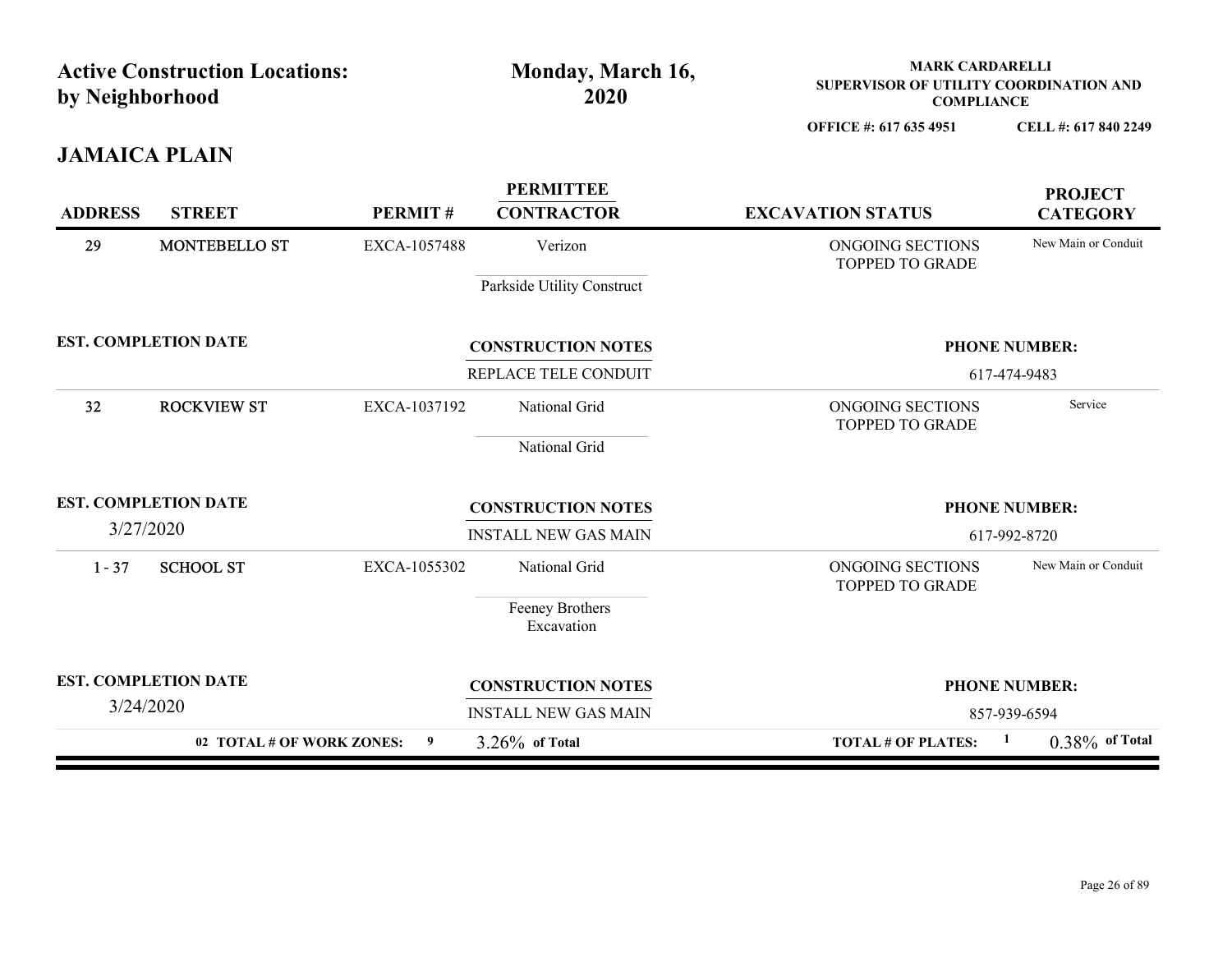|                                          | <b>Active Construction Locations:</b> |                                                   | Monday, March 16,                                                             | <b>MARK CARDARELLI</b><br>SUPERVISOR OF UTILITY COORDINATION AND |                                      |
|------------------------------------------|---------------------------------------|---------------------------------------------------|-------------------------------------------------------------------------------|------------------------------------------------------------------|--------------------------------------|
| by Neighborhood                          |                                       |                                                   | 2020                                                                          | <b>COMPLIANCE</b>                                                |                                      |
| <b>JAMAICA PLAIN</b>                     |                                       |                                                   |                                                                               | OFFICE #: 617 635 4951                                           | CELL #: 617 840 2249                 |
| <b>ADDRESS</b>                           | <b>STREET</b>                         | PERMIT#                                           | <b>PERMITTEE</b><br><b>CONTRACTOR</b>                                         | <b>EXCAVATION STATUS</b>                                         | <b>PROJECT</b><br><b>CATEGORY</b>    |
| 29                                       | MONTEBELLO ST                         | EXCA-1057488                                      | Verizon<br>Parkside Utility Construct                                         | ONGOING SECTIONS<br>TOPPED TO GRADE                              | New Main or Conduit                  |
| <b>EST. COMPLETION DATE</b>              |                                       | <b>CONSTRUCTION NOTES</b><br>REPLACE TELE CONDUIT |                                                                               | <b>PHONE NUMBER:</b>                                             |                                      |
|                                          |                                       |                                                   |                                                                               |                                                                  | 617-474-9483<br>Service              |
| 32                                       | <b>ROCKVIEW ST</b>                    | EXCA-1037192                                      | National Grid<br>National Grid                                                | ONGOING SECTIONS<br><b>TOPPED TO GRADE</b>                       |                                      |
| <b>EST. COMPLETION DATE</b><br>3/27/2020 |                                       |                                                   | <b>CONSTRUCTION NOTES</b>                                                     |                                                                  | <b>PHONE NUMBER:</b>                 |
| $1 - 37$                                 | <b>SCHOOL ST</b>                      | EXCA-1055302                                      | <b>INSTALL NEW GAS MAIN</b><br>National Grid<br>Feeney Brothers<br>Excavation | ONGOING SECTIONS<br>TOPPED TO GRADE                              | 617-992-8720<br>New Main or Conduit  |
| <b>EST. COMPLETION DATE</b><br>3/24/2020 |                                       |                                                   | <b>CONSTRUCTION NOTES</b><br><b>INSTALL NEW GAS MAIN</b>                      |                                                                  | <b>PHONE NUMBER:</b><br>857-939-6594 |
|                                          | 02 TOTAL # OF WORK ZONES:             | $\overline{9}$                                    | $3.26\%$ of Total                                                             | <b>TOTAL # OF PLATES:</b>                                        | $0.38\%$ of Total<br>$\mathbf{1}$    |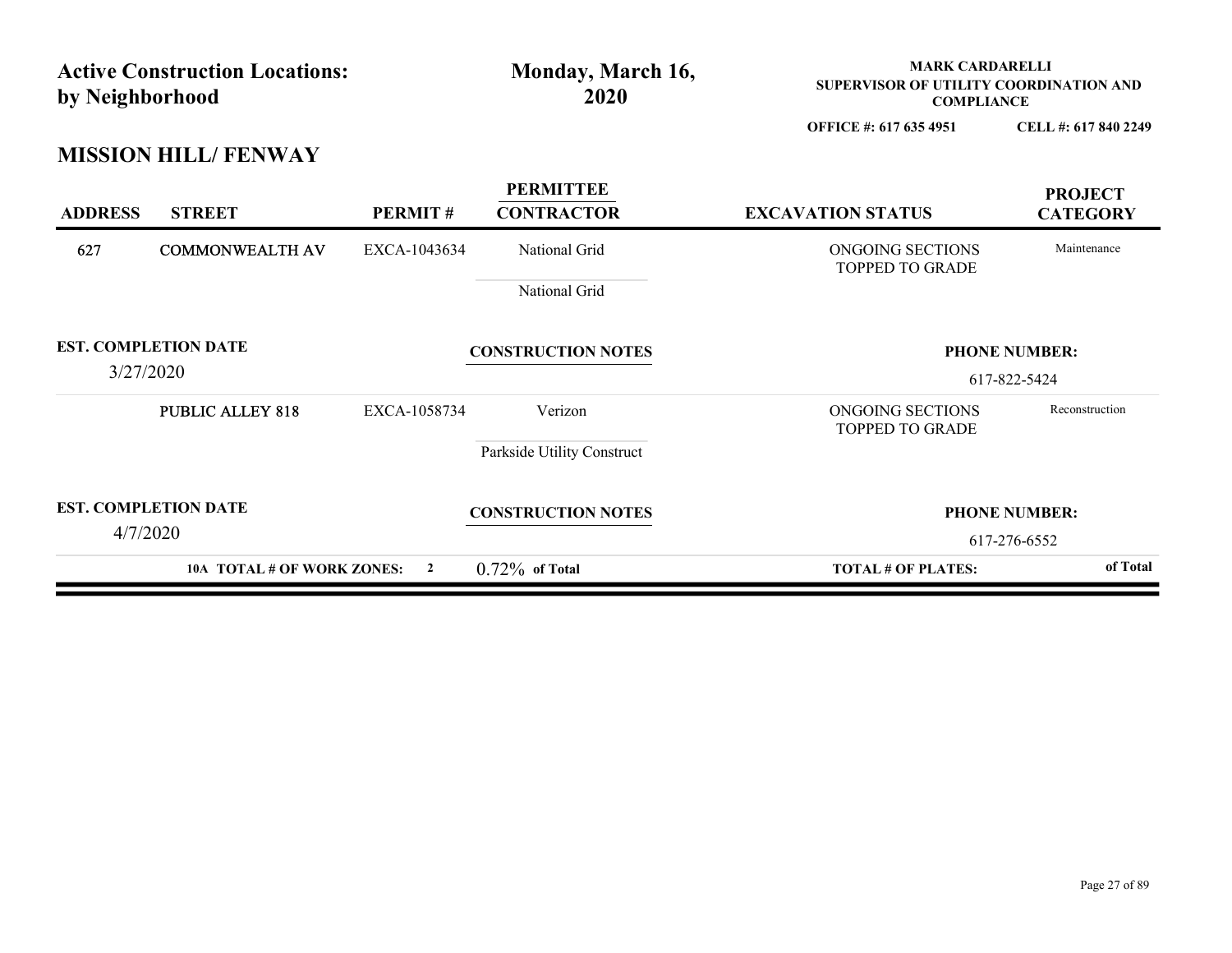| by Neighborhood             | <b>Active Construction Locations:</b> |              | Monday, March 16,<br>2020             | <b>MARK CARDARELLI</b><br>SUPERVISOR OF UTILITY COORDINATION AND<br><b>COMPLIANCE</b> |                                   |
|-----------------------------|---------------------------------------|--------------|---------------------------------------|---------------------------------------------------------------------------------------|-----------------------------------|
|                             |                                       |              |                                       | OFFICE #: 617 635 4951                                                                | CELL #: 617 840 2249              |
|                             | <b>MISSION HILL/ FENWAY</b>           |              |                                       |                                                                                       |                                   |
| <b>ADDRESS</b>              | <b>STREET</b>                         | PERMIT#      | <b>PERMITTEE</b><br><b>CONTRACTOR</b> | <b>EXCAVATION STATUS</b>                                                              | <b>PROJECT</b><br><b>CATEGORY</b> |
| 627                         | <b>COMMONWEALTH AV</b>                | EXCA-1043634 | National Grid                         | ONGOING SECTIONS<br>TOPPED TO GRADE                                                   | Maintenance                       |
|                             |                                       |              | National Grid                         |                                                                                       |                                   |
| <b>EST. COMPLETION DATE</b> |                                       |              | <b>CONSTRUCTION NOTES</b>             |                                                                                       | <b>PHONE NUMBER:</b>              |
| 3/27/2020                   |                                       |              |                                       |                                                                                       | 617-822-5424                      |
|                             | <b>PUBLIC ALLEY 818</b>               | EXCA-1058734 | Verizon                               | ONGOING SECTIONS<br>TOPPED TO GRADE                                                   | Reconstruction                    |
|                             |                                       |              | Parkside Utility Construct            |                                                                                       |                                   |
| <b>EST. COMPLETION DATE</b> |                                       |              | <b>CONSTRUCTION NOTES</b>             |                                                                                       | <b>PHONE NUMBER:</b>              |
| 4/7/2020                    |                                       |              |                                       |                                                                                       | 617-276-6552                      |
|                             | 10A TOTAL # OF WORK ZONES: 2          |              | $0.72\%$ of Total                     | <b>TOTAL # OF PLATES:</b>                                                             | of Total                          |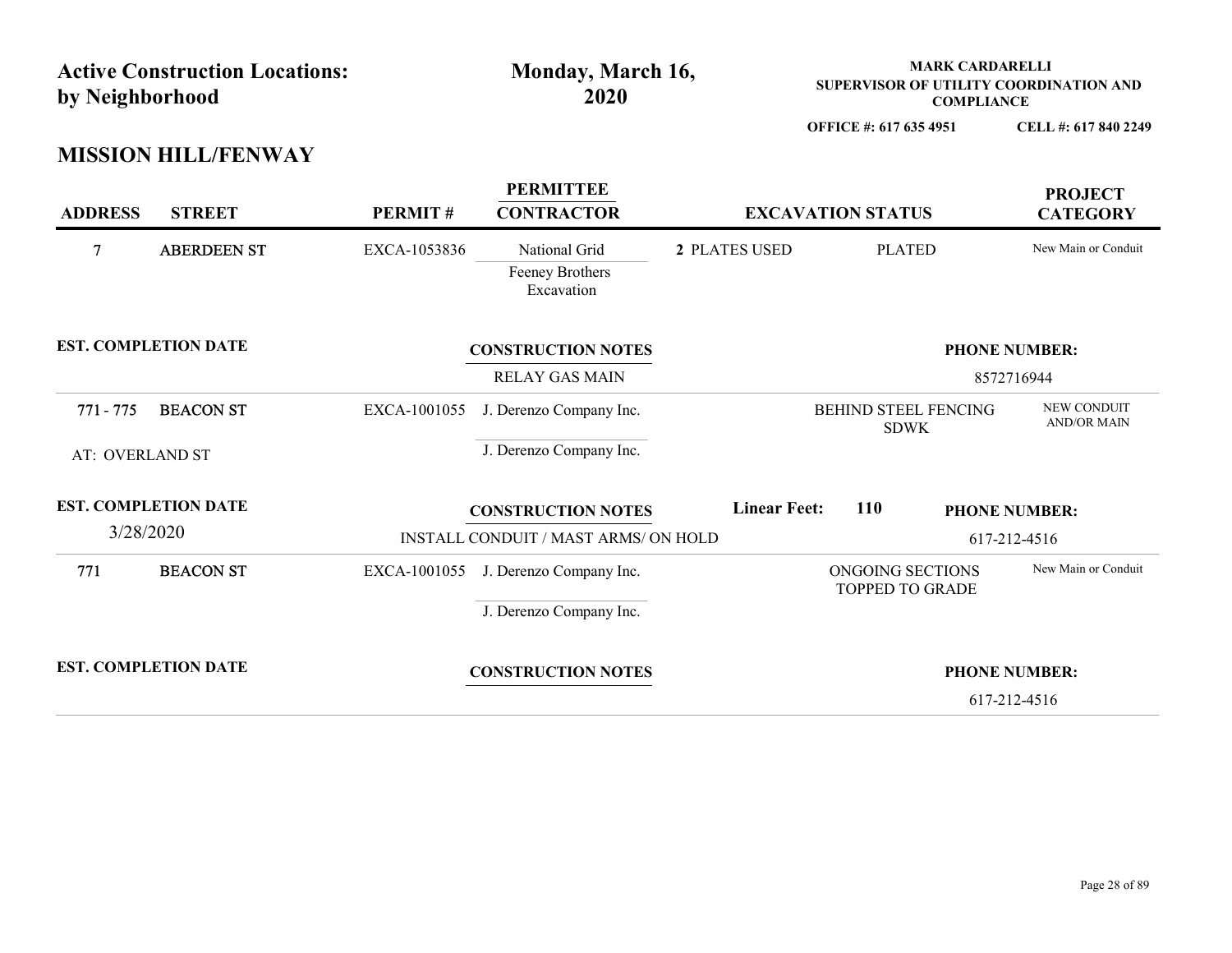| by Neighborhood             | <b>Active Construction Locations:</b> |                       | Monday, March 16,<br>2020                      |                     |                                               | <b>MARK CARDARELLI</b><br><b>COMPLIANCE</b> | SUPERVISOR OF UTILITY COORDINATION AND |
|-----------------------------|---------------------------------------|-----------------------|------------------------------------------------|---------------------|-----------------------------------------------|---------------------------------------------|----------------------------------------|
|                             |                                       |                       |                                                |                     | OFFICE #: 617 635 4951                        |                                             | CELL #: 617 840 2249                   |
|                             | <b>MISSION HILL/FENWAY</b>            |                       |                                                |                     |                                               |                                             |                                        |
| <b>ADDRESS</b>              | <b>STREET</b>                         | PERMIT#               | <b>PERMITTEE</b><br><b>CONTRACTOR</b>          |                     | <b>EXCAVATION STATUS</b>                      |                                             | <b>PROJECT</b><br><b>CATEGORY</b>      |
| $\overline{7}$              | ABERDEEN ST                           | EXCA-1053836          | National Grid<br>Feeney Brothers<br>Excavation | 2 PLATES USED       | <b>PLATED</b>                                 |                                             | New Main or Conduit                    |
| <b>EST. COMPLETION DATE</b> |                                       |                       | <b>CONSTRUCTION NOTES</b>                      |                     |                                               |                                             | <b>PHONE NUMBER:</b>                   |
|                             |                                       | <b>RELAY GAS MAIN</b> |                                                |                     | 8572716944                                    |                                             |                                        |
| 771 - 775                   | <b>BEACON ST</b>                      | EXCA-1001055          | J. Derenzo Company Inc.                        |                     | BEHIND STEEL FENCING<br>$\operatorname{SDWK}$ |                                             | NEW CONDUIT<br>AND/OR MAIN             |
| AT: OVERLAND ST             |                                       |                       | J. Derenzo Company Inc.                        |                     |                                               |                                             |                                        |
| <b>EST. COMPLETION DATE</b> |                                       |                       | <b>CONSTRUCTION NOTES</b>                      | <b>Linear Feet:</b> | <b>110</b>                                    |                                             | <b>PHONE NUMBER:</b>                   |
| 3/28/2020                   |                                       |                       | INSTALL CONDUIT / MAST ARMS/ ON HOLD           |                     |                                               |                                             | 617-212-4516                           |
| 771                         | <b>BEACON ST</b>                      |                       | EXCA-1001055 J. Derenzo Company Inc.           |                     | ONGOING SECTIONS<br>TOPPED TO GRADE           |                                             | New Main or Conduit                    |
|                             |                                       |                       | J. Derenzo Company Inc.                        |                     |                                               |                                             |                                        |
| <b>EST. COMPLETION DATE</b> |                                       |                       | <b>CONSTRUCTION NOTES</b>                      |                     |                                               |                                             | <b>PHONE NUMBER:</b>                   |
|                             |                                       |                       |                                                |                     |                                               |                                             | 617-212-4516                           |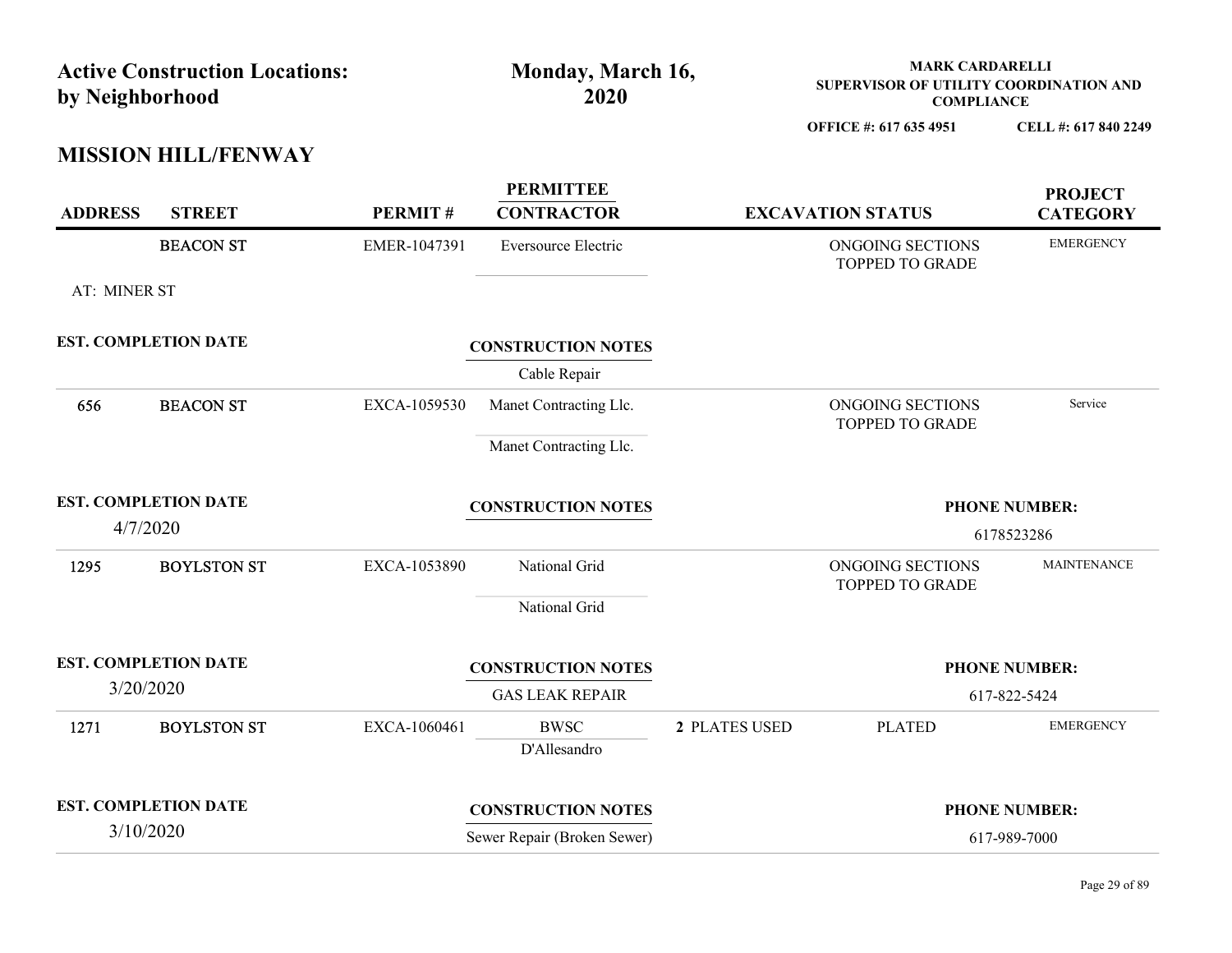| by Neighborhood | <b>Active Construction Locations:</b>    |              | Monday, March 16,<br>2020                                |               | <b>MARK CARDARELLI</b><br>SUPERVISOR OF UTILITY COORDINATION AND<br><b>COMPLIANCE</b> |                                      |
|-----------------|------------------------------------------|--------------|----------------------------------------------------------|---------------|---------------------------------------------------------------------------------------|--------------------------------------|
|                 | <b>MISSION HILL/FENWAY</b>               |              |                                                          |               | OFFICE #: 617 635 4951                                                                | CELL #: 617 840 2249                 |
| <b>ADDRESS</b>  | <b>STREET</b>                            | PERMIT#      | <b>PERMITTEE</b><br><b>CONTRACTOR</b>                    |               | <b>EXCAVATION STATUS</b>                                                              | <b>PROJECT</b><br><b>CATEGORY</b>    |
|                 | <b>BEACON ST</b>                         | EMER-1047391 | Eversource Electric                                      |               | ONGOING SECTIONS<br>TOPPED TO GRADE                                                   | <b>EMERGENCY</b>                     |
| AT: MINER ST    |                                          |              |                                                          |               |                                                                                       |                                      |
|                 | <b>EST. COMPLETION DATE</b>              |              | <b>CONSTRUCTION NOTES</b><br>Cable Repair                |               |                                                                                       |                                      |
| 656             | <b>BEACON ST</b>                         | EXCA-1059530 | Manet Contracting Llc.<br>Manet Contracting Llc.         |               | ONGOING SECTIONS<br>TOPPED TO GRADE                                                   | Service                              |
|                 | <b>EST. COMPLETION DATE</b><br>4/7/2020  |              | <b>CONSTRUCTION NOTES</b>                                |               |                                                                                       | <b>PHONE NUMBER:</b><br>6178523286   |
| 1295            | <b>BOYLSTON ST</b>                       | EXCA-1053890 | National Grid<br>National Grid                           |               | ONGOING SECTIONS<br><b>TOPPED TO GRADE</b>                                            | <b>MAINTENANCE</b>                   |
|                 | <b>EST. COMPLETION DATE</b><br>3/20/2020 |              | <b>CONSTRUCTION NOTES</b><br><b>GAS LEAK REPAIR</b>      |               |                                                                                       | <b>PHONE NUMBER:</b><br>617-822-5424 |
| 1271            | <b>BOYLSTON ST</b>                       | EXCA-1060461 | <b>BWSC</b><br>D'Allesandro                              | 2 PLATES USED | <b>PLATED</b>                                                                         | <b>EMERGENCY</b>                     |
|                 | <b>EST. COMPLETION DATE</b><br>3/10/2020 |              | <b>CONSTRUCTION NOTES</b><br>Sewer Repair (Broken Sewer) |               |                                                                                       | <b>PHONE NUMBER:</b><br>617-989-7000 |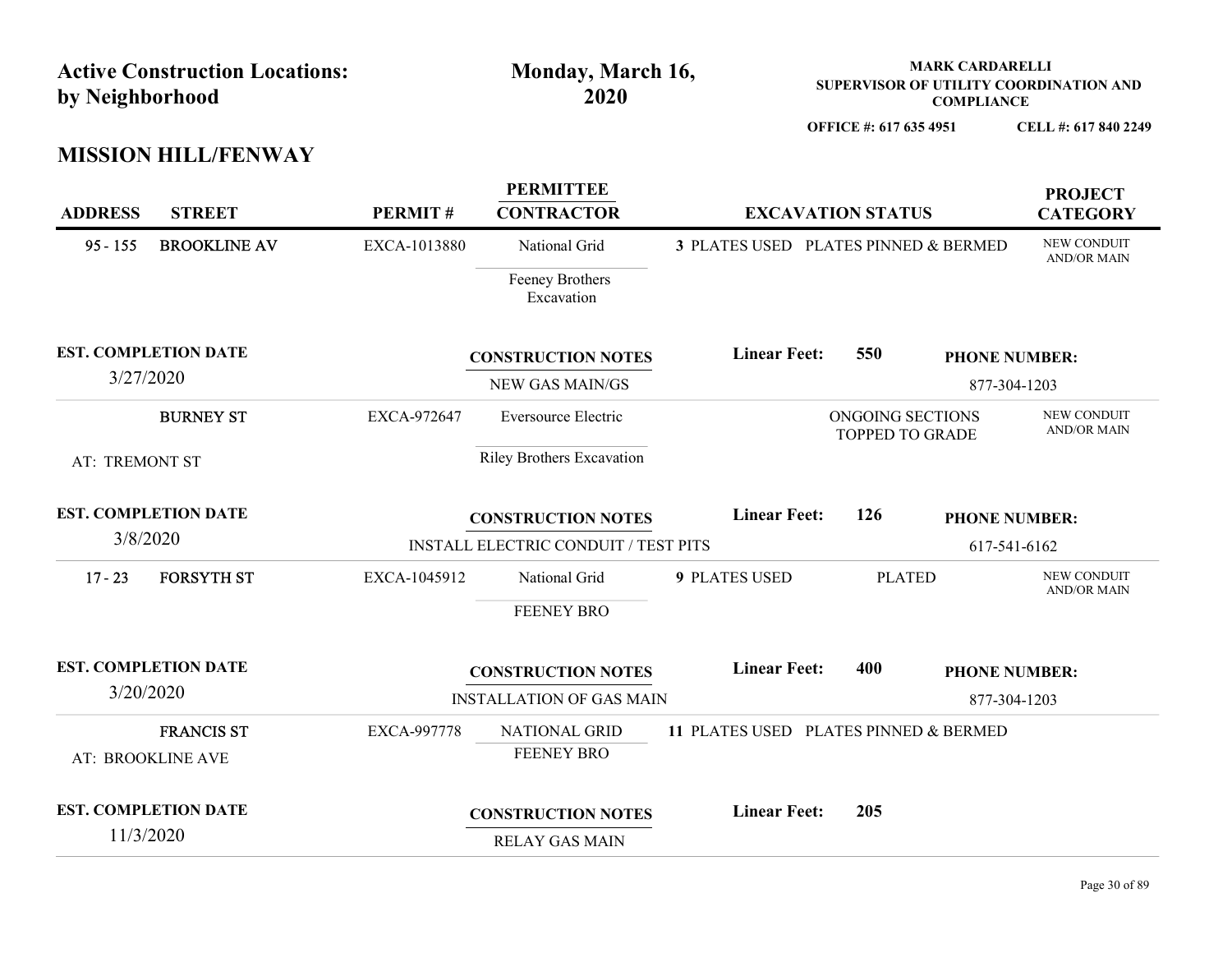| by Neighborhood | <b>Active Construction Locations:</b>    |              | Monday, March 16,<br>2020                                                |                      |                                            | <b>MARK CARDARELLI</b><br><b>COMPLIANCE</b> | SUPERVISOR OF UTILITY COORDINATION AND |
|-----------------|------------------------------------------|--------------|--------------------------------------------------------------------------|----------------------|--------------------------------------------|---------------------------------------------|----------------------------------------|
|                 | <b>MISSION HILL/FENWAY</b>               |              |                                                                          |                      | OFFICE #: 617 635 4951                     |                                             | CELL #: 617 840 2249                   |
| <b>ADDRESS</b>  | <b>STREET</b>                            | PERMIT#      | <b>PERMITTEE</b><br><b>CONTRACTOR</b>                                    |                      | <b>EXCAVATION STATUS</b>                   |                                             | <b>PROJECT</b><br><b>CATEGORY</b>      |
| $95 - 155$      | <b>BROOKLINE AV</b>                      | EXCA-1013880 | National Grid<br>Feeney Brothers<br>Excavation                           |                      | 3 PLATES USED PLATES PINNED & BERMED       |                                             | NEW CONDUIT<br><b>AND/OR MAIN</b>      |
| 3/27/2020       | <b>EST. COMPLETION DATE</b>              |              | <b>CONSTRUCTION NOTES</b><br>NEW GAS MAIN/GS                             | <b>Linear Feet:</b>  | 550                                        |                                             | <b>PHONE NUMBER:</b><br>877-304-1203   |
|                 | <b>BURNEY ST</b>                         | EXCA-972647  | Eversource Electric                                                      |                      | ONGOING SECTIONS<br><b>TOPPED TO GRADE</b> |                                             | NEW CONDUIT<br>AND/OR MAIN             |
| AT: TREMONT ST  |                                          |              | Riley Brothers Excavation                                                |                      |                                            |                                             |                                        |
|                 | <b>EST. COMPLETION DATE</b><br>3/8/2020  |              | <b>CONSTRUCTION NOTES</b><br><b>INSTALL ELECTRIC CONDUIT / TEST PITS</b> | <b>Linear Feet:</b>  | 126                                        |                                             | <b>PHONE NUMBER:</b><br>617-541-6162   |
| $17 - 23$       | <b>FORSYTH ST</b>                        | EXCA-1045912 | National Grid<br>FEENEY BRO                                              | <b>9 PLATES USED</b> | <b>PLATED</b>                              |                                             | NEW CONDUIT<br>AND/OR MAIN             |
|                 | <b>EST. COMPLETION DATE</b><br>3/20/2020 |              | <b>CONSTRUCTION NOTES</b><br><b>INSTALLATION OF GAS MAIN</b>             | <b>Linear Feet:</b>  | 400                                        |                                             | <b>PHONE NUMBER:</b><br>877-304-1203   |
|                 | <b>FRANCIS ST</b><br>AT: BROOKLINE AVE   | EXCA-997778  | NATIONAL GRID<br>FEENEY BRO                                              |                      | 11 PLATES USED PLATES PINNED & BERMED      |                                             |                                        |
|                 | <b>EST. COMPLETION DATE</b><br>11/3/2020 |              | <b>CONSTRUCTION NOTES</b><br>RELAY GAS MAIN                              | <b>Linear Feet:</b>  | 205                                        |                                             |                                        |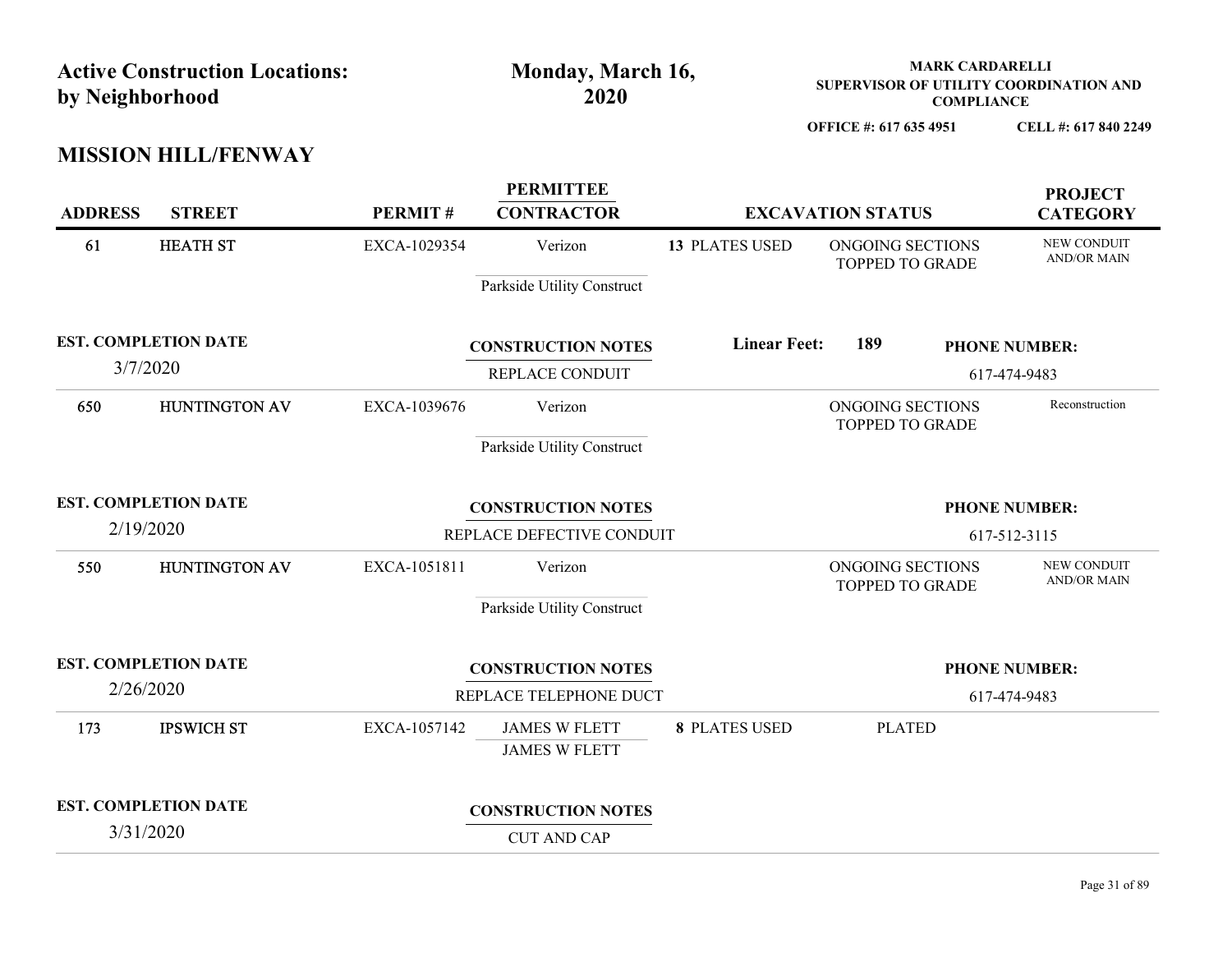| by Neighborhood | <b>Active Construction Locations:</b>    |              | Monday, March 16,<br>2020                              |                       |                                     | <b>MARK CARDARELLI</b><br><b>COMPLIANCE</b> | SUPERVISOR OF UTILITY COORDINATION AND |
|-----------------|------------------------------------------|--------------|--------------------------------------------------------|-----------------------|-------------------------------------|---------------------------------------------|----------------------------------------|
|                 | <b>MISSION HILL/FENWAY</b>               |              |                                                        |                       | OFFICE #: 617 635 4951              |                                             | CELL #: 617 840 2249                   |
| <b>ADDRESS</b>  | <b>STREET</b>                            | PERMIT#      | <b>PERMITTEE</b><br><b>CONTRACTOR</b>                  |                       | <b>EXCAVATION STATUS</b>            |                                             | <b>PROJECT</b><br><b>CATEGORY</b>      |
| 61              | <b>HEATH ST</b>                          | EXCA-1029354 | Verizon<br>Parkside Utility Construct                  | <b>13 PLATES USED</b> | ONGOING SECTIONS<br>TOPPED TO GRADE |                                             | NEW CONDUIT<br>AND/OR MAIN             |
| 3/7/2020        | <b>EST. COMPLETION DATE</b>              |              | <b>CONSTRUCTION NOTES</b><br>REPLACE CONDUIT           | <b>Linear Feet:</b>   | 189                                 |                                             | <b>PHONE NUMBER:</b><br>617-474-9483   |
| 650             | HUNTINGTON AV                            | EXCA-1039676 | Verizon<br>Parkside Utility Construct                  |                       | ONGOING SECTIONS<br>TOPPED TO GRADE |                                             | Reconstruction                         |
| 2/19/2020       | <b>EST. COMPLETION DATE</b>              |              | <b>CONSTRUCTION NOTES</b><br>REPLACE DEFECTIVE CONDUIT |                       |                                     |                                             | <b>PHONE NUMBER:</b><br>617-512-3115   |
| 550             | HUNTINGTON AV                            | EXCA-1051811 | Verizon<br>Parkside Utility Construct                  |                       | ONGOING SECTIONS<br>TOPPED TO GRADE |                                             | NEW CONDUIT<br>AND/OR MAIN             |
| 2/26/2020       | <b>EST. COMPLETION DATE</b>              |              | <b>CONSTRUCTION NOTES</b><br>REPLACE TELEPHONE DUCT    |                       |                                     |                                             | <b>PHONE NUMBER:</b><br>617-474-9483   |
| 173             | <b>IPSWICH ST</b>                        | EXCA-1057142 | <b>JAMES W FLETT</b><br><b>JAMES W FLETT</b>           | <b>8 PLATES USED</b>  | <b>PLATED</b>                       |                                             |                                        |
|                 | <b>EST. COMPLETION DATE</b><br>3/31/2020 |              | <b>CONSTRUCTION NOTES</b><br><b>CUT AND CAP</b>        |                       |                                     |                                             |                                        |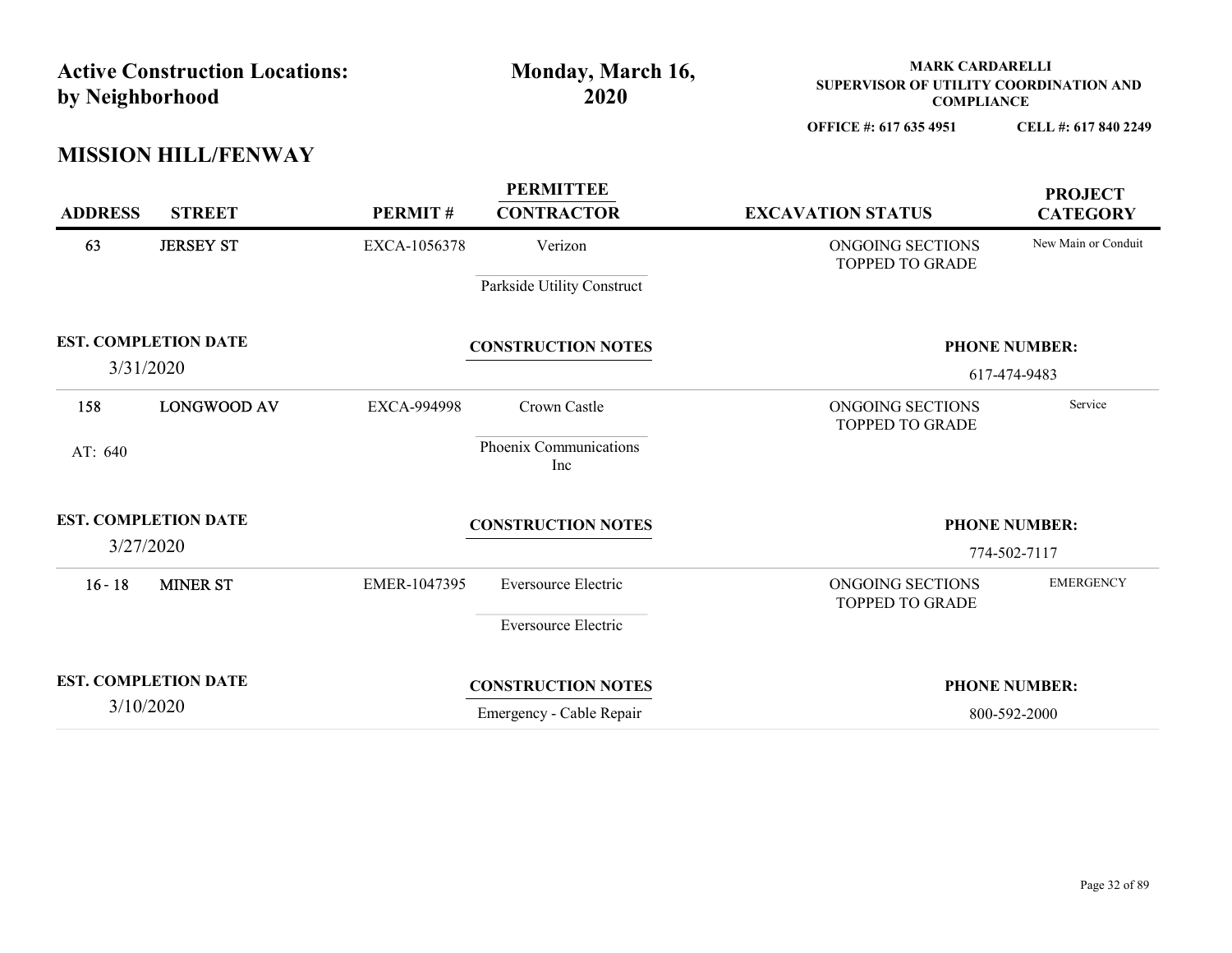| <b>Active Construction Locations:</b><br>by Neighborhood |                    | Monday, March 16,<br>2020             | <b>MARK CARDARELLI</b><br>SUPERVISOR OF UTILITY COORDINATION AND<br><b>COMPLIANCE</b> |                                   |
|----------------------------------------------------------|--------------------|---------------------------------------|---------------------------------------------------------------------------------------|-----------------------------------|
|                                                          |                    |                                       | OFFICE #: 617 635 4951                                                                | CELL #: 617 840 2249              |
| <b>MISSION HILL/FENWAY</b>                               |                    |                                       |                                                                                       |                                   |
| <b>ADDRESS</b><br><b>STREET</b>                          | PERMIT#            | <b>PERMITTEE</b><br><b>CONTRACTOR</b> | <b>EXCAVATION STATUS</b>                                                              | <b>PROJECT</b><br><b>CATEGORY</b> |
| 63<br><b>JERSEY ST</b>                                   | EXCA-1056378       | Verizon                               | ONGOING SECTIONS<br>TOPPED TO GRADE                                                   | New Main or Conduit               |
|                                                          |                    | Parkside Utility Construct            |                                                                                       |                                   |
| <b>EST. COMPLETION DATE</b>                              |                    | <b>CONSTRUCTION NOTES</b>             |                                                                                       | <b>PHONE NUMBER:</b>              |
| 3/31/2020                                                |                    |                                       |                                                                                       | 617-474-9483                      |
| <b>LONGWOOD AV</b><br>158                                | <b>EXCA-994998</b> | Crown Castle                          | ONGOING SECTIONS<br><b>TOPPED TO GRADE</b>                                            | Service                           |
| AT: 640                                                  |                    | Phoenix Communications<br>Inc         |                                                                                       |                                   |
| <b>EST. COMPLETION DATE</b>                              |                    | <b>CONSTRUCTION NOTES</b>             |                                                                                       | <b>PHONE NUMBER:</b>              |
| 3/27/2020                                                |                    |                                       |                                                                                       | 774-502-7117                      |
| <b>MINER ST</b><br>$16 - 18$                             | EMER-1047395       | Eversource Electric                   | ONGOING SECTIONS<br><b>TOPPED TO GRADE</b>                                            | <b>EMERGENCY</b>                  |
|                                                          |                    | Eversource Electric                   |                                                                                       |                                   |
| <b>EST. COMPLETION DATE</b>                              |                    |                                       |                                                                                       |                                   |
| 3/10/2020                                                |                    | <b>CONSTRUCTION NOTES</b>             |                                                                                       | <b>PHONE NUMBER:</b>              |
|                                                          |                    | Emergency - Cable Repair              |                                                                                       | 800-592-2000                      |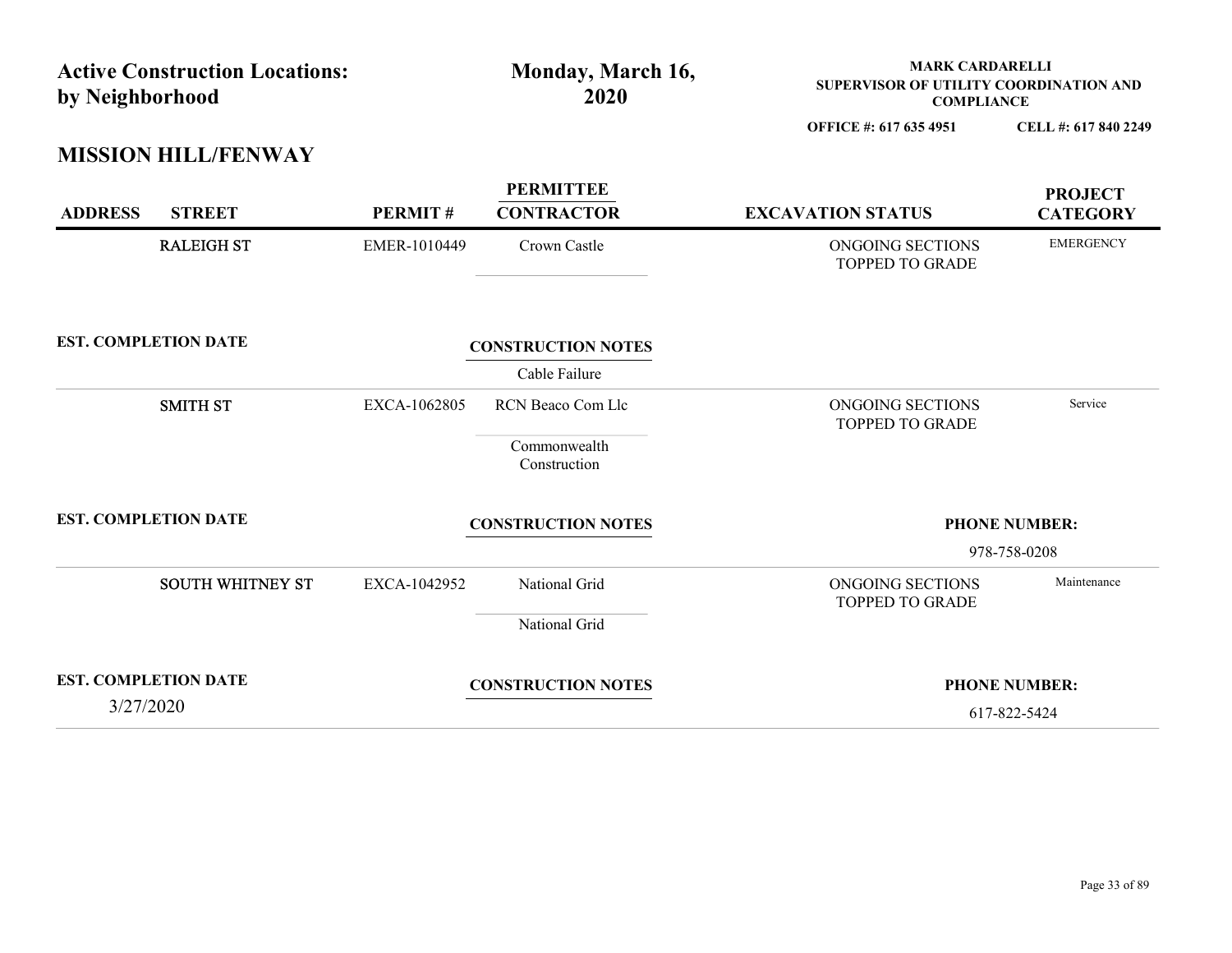| <b>Active Construction Locations:</b> |              | Monday, March 16,            | <b>MARK CARDARELLI</b>                                      |                      |
|---------------------------------------|--------------|------------------------------|-------------------------------------------------------------|----------------------|
| by Neighborhood                       |              | 2020                         | SUPERVISOR OF UTILITY COORDINATION AND<br><b>COMPLIANCE</b> |                      |
|                                       |              |                              | OFFICE #: 617 635 4951                                      | CELL #: 617 840 2249 |
| <b>MISSION HILL/FENWAY</b>            |              |                              |                                                             |                      |
|                                       |              | <b>PERMITTEE</b>             |                                                             | <b>PROJECT</b>       |
| <b>ADDRESS</b><br><b>STREET</b>       | PERMIT#      | <b>CONTRACTOR</b>            | <b>EXCAVATION STATUS</b>                                    | <b>CATEGORY</b>      |
| <b>RALEIGH ST</b>                     | EMER-1010449 | Crown Castle                 | ONGOING SECTIONS<br>TOPPED TO GRADE                         | <b>EMERGENCY</b>     |
| <b>EST. COMPLETION DATE</b>           |              | <b>CONSTRUCTION NOTES</b>    |                                                             |                      |
|                                       |              | Cable Failure                |                                                             |                      |
| <b>SMITH ST</b>                       | EXCA-1062805 | RCN Beaco Com Llc            | ONGOING SECTIONS<br>TOPPED TO GRADE                         | Service              |
|                                       |              | Commonwealth<br>Construction |                                                             |                      |
| <b>EST. COMPLETION DATE</b>           |              | <b>CONSTRUCTION NOTES</b>    |                                                             | <b>PHONE NUMBER:</b> |
|                                       |              |                              |                                                             | 978-758-0208         |
| <b>SOUTH WHITNEY ST</b>               | EXCA-1042952 | National Grid                | ONGOING SECTIONS<br><b>TOPPED TO GRADE</b>                  | Maintenance          |
|                                       |              | National Grid                |                                                             |                      |
| <b>EST. COMPLETION DATE</b>           |              | <b>CONSTRUCTION NOTES</b>    |                                                             | <b>PHONE NUMBER:</b> |
| 3/27/2020                             |              |                              |                                                             | 617-822-5424         |
|                                       |              |                              |                                                             |                      |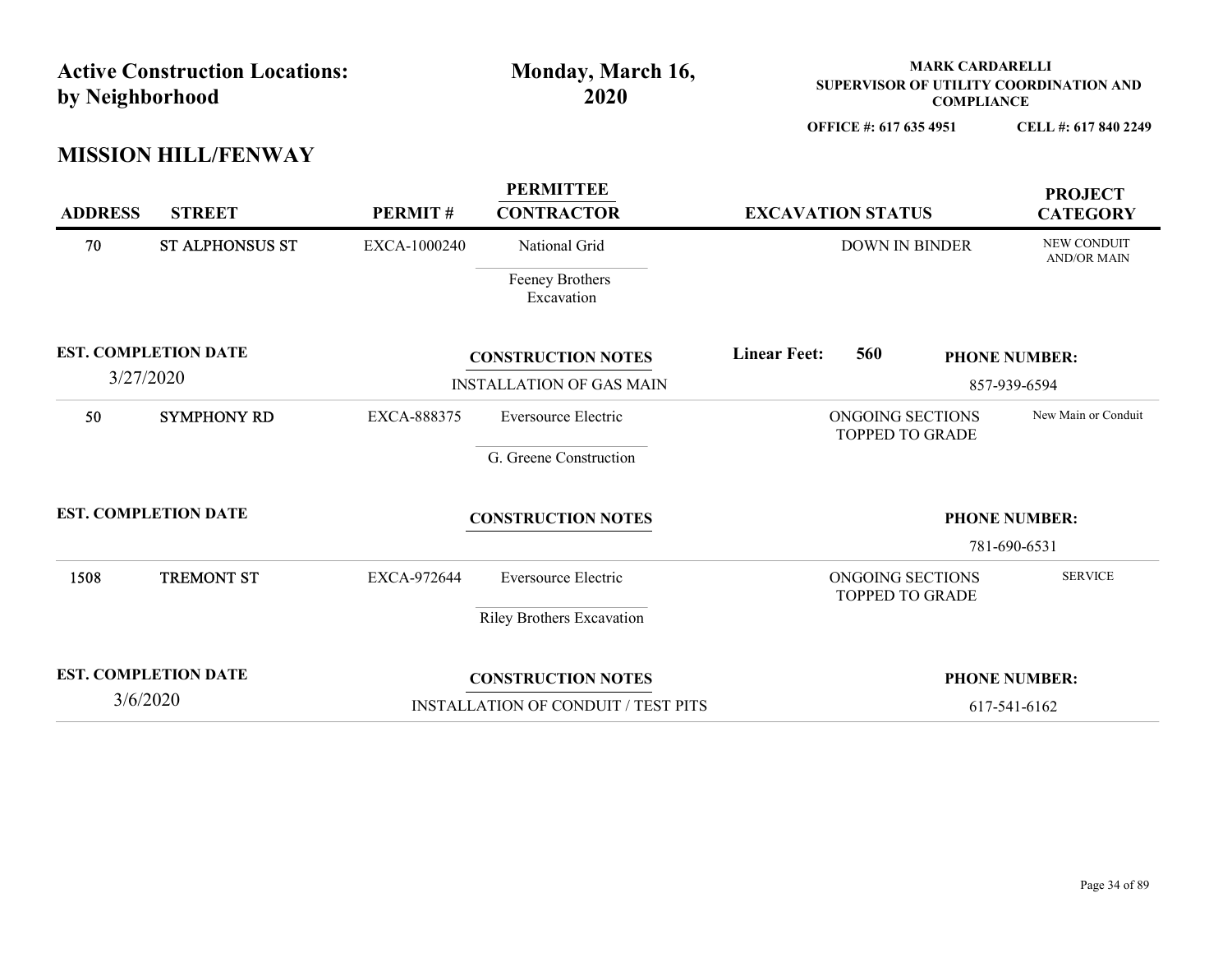| by Neighborhood             | <b>Active Construction Locations:</b> |              | Monday, March 16,<br>2020             |                          |                                     | <b>MARK CARDARELLI</b><br><b>COMPLIANCE</b> | SUPERVISOR OF UTILITY COORDINATION AND |
|-----------------------------|---------------------------------------|--------------|---------------------------------------|--------------------------|-------------------------------------|---------------------------------------------|----------------------------------------|
|                             |                                       |              |                                       |                          | OFFICE #: 617 635 4951              |                                             | CELL #: 617 840 2249                   |
|                             | <b>MISSION HILL/FENWAY</b>            |              |                                       |                          |                                     |                                             |                                        |
| <b>ADDRESS</b>              | <b>STREET</b>                         | PERMIT#      | <b>PERMITTEE</b><br><b>CONTRACTOR</b> | <b>EXCAVATION STATUS</b> |                                     |                                             | <b>PROJECT</b><br><b>CATEGORY</b>      |
| 70                          | <b>ST ALPHONSUS ST</b>                | EXCA-1000240 | National Grid                         |                          | DOWN IN BINDER                      |                                             | NEW CONDUIT<br><b>AND/OR MAIN</b>      |
|                             |                                       |              | Feeney Brothers<br>Excavation         |                          |                                     |                                             |                                        |
| <b>EST. COMPLETION DATE</b> |                                       |              | <b>CONSTRUCTION NOTES</b>             | <b>Linear Feet:</b>      | 560                                 |                                             | <b>PHONE NUMBER:</b>                   |
| 3/27/2020                   |                                       |              | <b>INSTALLATION OF GAS MAIN</b>       |                          | 857-939-6594                        |                                             |                                        |
| 50                          | <b>SYMPHONY RD</b>                    | EXCA-888375  | Eversource Electric                   |                          | ONGOING SECTIONS<br>TOPPED TO GRADE |                                             | New Main or Conduit                    |
|                             |                                       |              | G. Greene Construction                |                          |                                     |                                             |                                        |
| <b>EST. COMPLETION DATE</b> |                                       |              | <b>CONSTRUCTION NOTES</b>             |                          |                                     |                                             | <b>PHONE NUMBER:</b>                   |
|                             |                                       |              |                                       |                          |                                     |                                             | 781-690-6531                           |
| 1508                        | <b>TREMONT ST</b>                     | EXCA-972644  | Eversource Electric                   |                          | ONGOING SECTIONS<br>TOPPED TO GRADE |                                             | <b>SERVICE</b>                         |
|                             |                                       |              | Riley Brothers Excavation             |                          |                                     |                                             |                                        |
|                             | <b>EST. COMPLETION DATE</b>           |              | <b>CONSTRUCTION NOTES</b>             |                          |                                     |                                             | <b>PHONE NUMBER:</b>                   |
|                             |                                       |              |                                       |                          |                                     |                                             |                                        |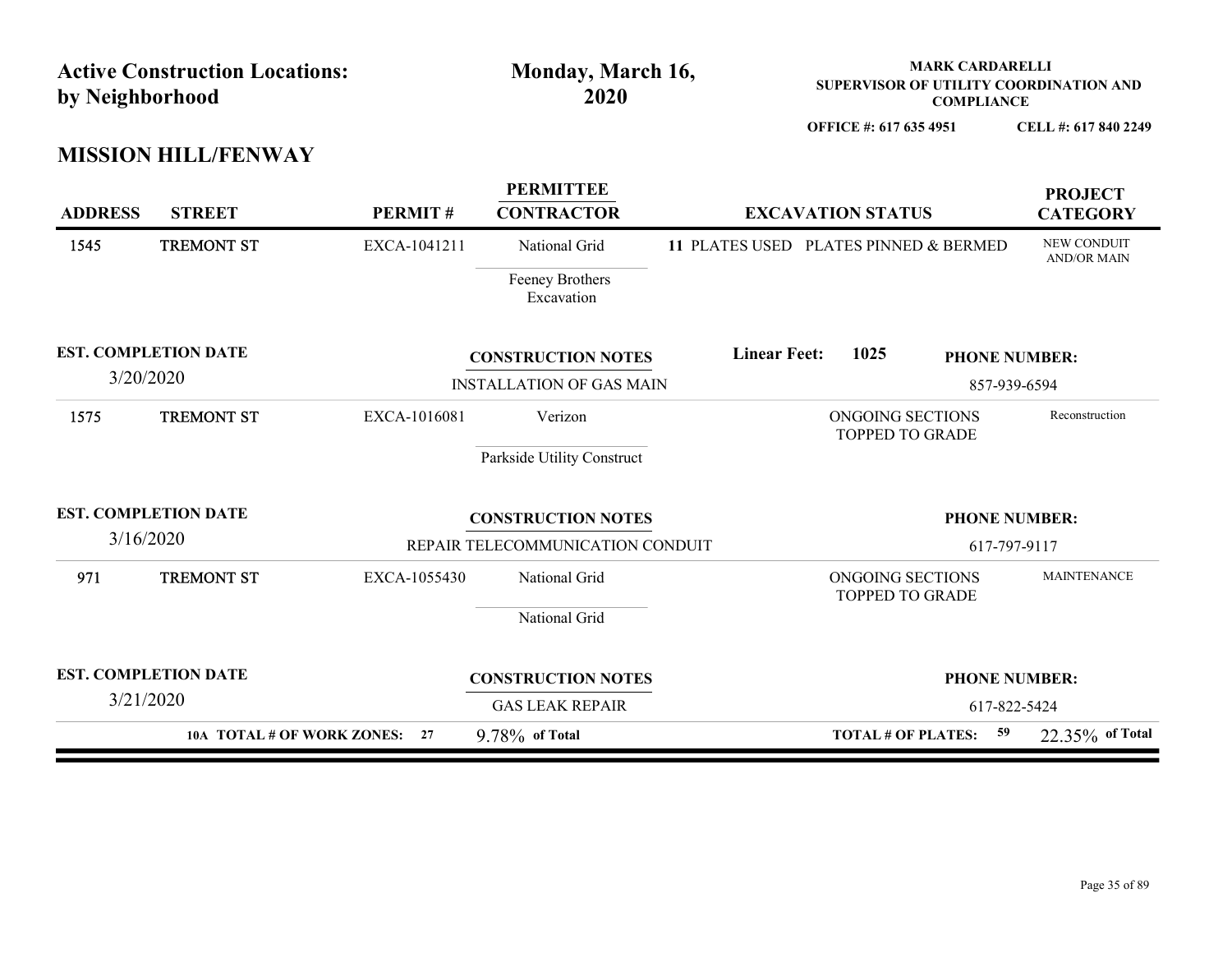| <b>Active Construction Locations:</b>    |                               |              | Monday, March 16,                                             |                                       |                                     | <b>MARK CARDARELLI</b>               | SUPERVISOR OF UTILITY COORDINATION AND |
|------------------------------------------|-------------------------------|--------------|---------------------------------------------------------------|---------------------------------------|-------------------------------------|--------------------------------------|----------------------------------------|
| by Neighborhood                          |                               |              | 2020                                                          |                                       | OFFICE #: 617 635 4951              | <b>COMPLIANCE</b>                    | CELL #: 617 840 2249                   |
| <b>MISSION HILL/FENWAY</b>               |                               |              |                                                               |                                       |                                     |                                      |                                        |
| <b>ADDRESS</b><br><b>STREET</b>          |                               | PERMIT#      | <b>PERMITTEE</b><br><b>CONTRACTOR</b>                         |                                       | <b>EXCAVATION STATUS</b>            |                                      | <b>PROJECT</b><br><b>CATEGORY</b>      |
| <b>TREMONT ST</b><br>1545                |                               | EXCA-1041211 | National Grid<br>Feeney Brothers<br>Excavation                | 11 PLATES USED PLATES PINNED & BERMED |                                     |                                      | NEW CONDUIT<br><b>AND/OR MAIN</b>      |
| <b>EST. COMPLETION DATE</b><br>3/20/2020 |                               |              | <b>CONSTRUCTION NOTES</b><br><b>INSTALLATION OF GAS MAIN</b>  | <b>Linear Feet:</b>                   | 1025                                | <b>PHONE NUMBER:</b><br>857-939-6594 |                                        |
| <b>TREMONT ST</b><br>1575                |                               | EXCA-1016081 | Verizon<br>Parkside Utility Construct                         |                                       | ONGOING SECTIONS<br>TOPPED TO GRADE |                                      | Reconstruction                         |
| <b>EST. COMPLETION DATE</b><br>3/16/2020 |                               |              | <b>CONSTRUCTION NOTES</b><br>REPAIR TELECOMMUNICATION CONDUIT |                                       |                                     | <b>PHONE NUMBER:</b><br>617-797-9117 |                                        |
| TREMONT ST<br>971                        |                               | EXCA-1055430 | National Grid<br>National Grid                                |                                       | ONGOING SECTIONS<br>TOPPED TO GRADE |                                      | <b>MAINTENANCE</b>                     |
| <b>EST. COMPLETION DATE</b>              |                               |              | <b>CONSTRUCTION NOTES</b>                                     |                                       |                                     | <b>PHONE NUMBER:</b>                 |                                        |
| 3/21/2020                                |                               |              | <b>GAS LEAK REPAIR</b>                                        |                                       |                                     | 617-822-5424                         |                                        |
|                                          | 10A TOTAL # OF WORK ZONES: 27 |              | $9.78\%$ of Total                                             |                                       | TOTAL # OF PLATES: 59               |                                      | $22.35\%$ of Total                     |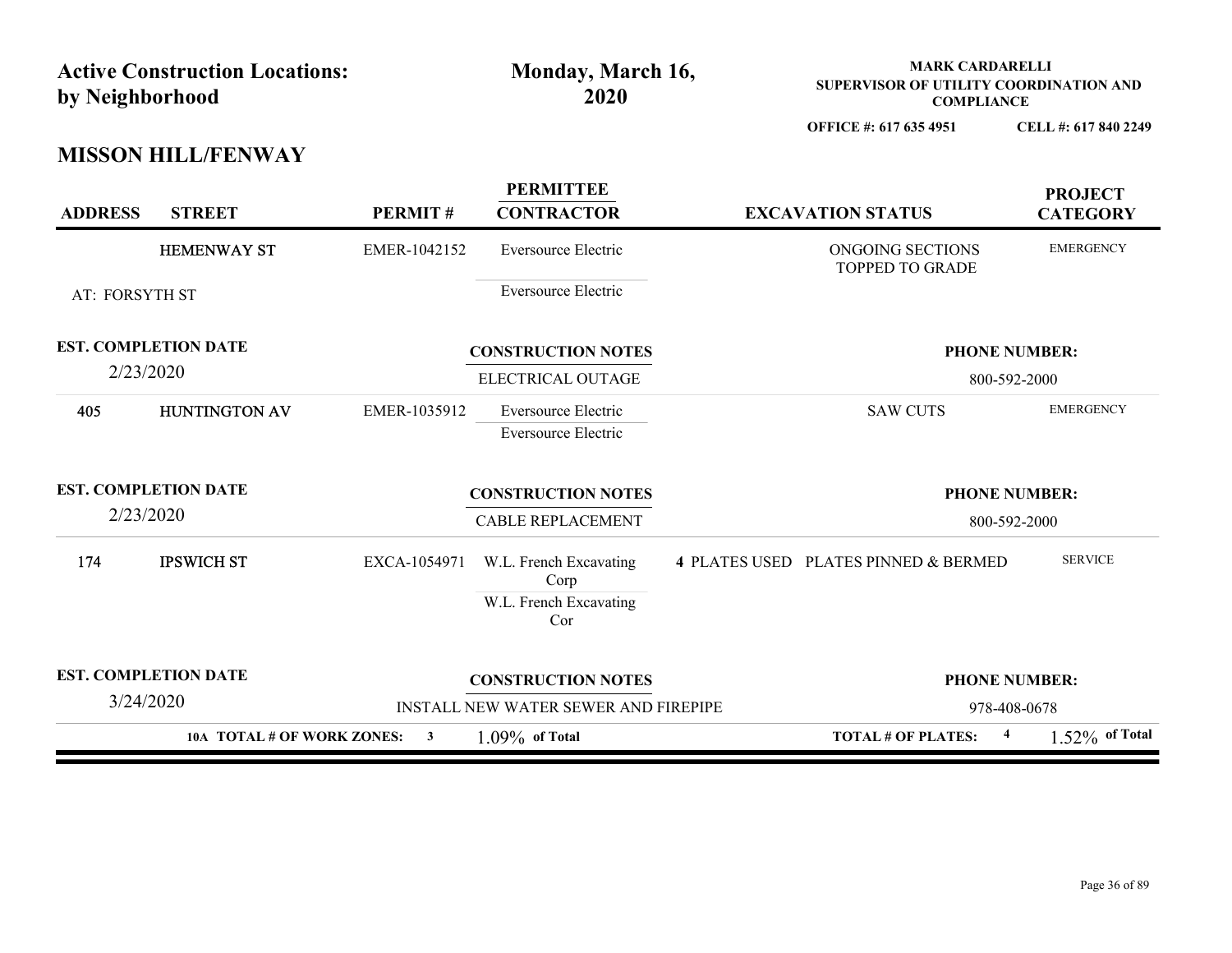| by Neighborhood             | <b>Active Construction Locations:</b> |              | Monday, March 16,<br>2020                                       | <b>MARK CARDARELLI</b><br>SUPERVISOR OF UTILITY COORDINATION AND<br><b>COMPLIANCE</b> |                                     |  |
|-----------------------------|---------------------------------------|--------------|-----------------------------------------------------------------|---------------------------------------------------------------------------------------|-------------------------------------|--|
|                             |                                       |              |                                                                 | OFFICE #: 617 635 4951                                                                | CELL #: 617 840 2249                |  |
|                             | <b>MISSON HILL/FENWAY</b>             |              |                                                                 |                                                                                       |                                     |  |
| <b>ADDRESS</b>              | <b>STREET</b>                         | PERMIT#      | <b>PERMITTEE</b><br><b>CONTRACTOR</b>                           | <b>EXCAVATION STATUS</b>                                                              | <b>PROJECT</b><br><b>CATEGORY</b>   |  |
|                             | <b>HEMENWAY ST</b>                    | EMER-1042152 | Eversource Electric                                             | ONGOING SECTIONS<br>TOPPED TO GRADE                                                   | <b>EMERGENCY</b>                    |  |
| AT: FORSYTH ST              |                                       |              | Eversource Electric                                             |                                                                                       |                                     |  |
| <b>EST. COMPLETION DATE</b> |                                       |              | <b>CONSTRUCTION NOTES</b>                                       |                                                                                       | <b>PHONE NUMBER:</b>                |  |
| 2/23/2020                   |                                       |              | ELECTRICAL OUTAGE                                               |                                                                                       | 800-592-2000                        |  |
| 405                         | <b>HUNTINGTON AV</b>                  | EMER-1035912 | Eversource Electric<br>Eversource Electric                      | <b>SAW CUTS</b>                                                                       | <b>EMERGENCY</b>                    |  |
| <b>EST. COMPLETION DATE</b> |                                       |              | <b>CONSTRUCTION NOTES</b>                                       |                                                                                       | <b>PHONE NUMBER:</b>                |  |
| 2/23/2020                   |                                       |              | CABLE REPLACEMENT                                               | 800-592-2000                                                                          |                                     |  |
| 174                         | <b>IPSWICH ST</b>                     | EXCA-1054971 | W.L. French Excavating<br>Corp<br>W.L. French Excavating<br>Cor | 4 PLATES USED PLATES PINNED & BERMED                                                  | <b>SERVICE</b>                      |  |
| <b>EST. COMPLETION DATE</b> |                                       |              | <b>CONSTRUCTION NOTES</b>                                       |                                                                                       | <b>PHONE NUMBER:</b>                |  |
| 3/24/2020                   |                                       |              | INSTALL NEW WATER SEWER AND FIREPIPE                            |                                                                                       | 978-408-0678                        |  |
|                             | 10A TOTAL # OF WORK ZONES: 3          |              | $1.09\%$ of Total                                               | <b>TOTAL # OF PLATES:</b>                                                             | $1.52\%$ of Total<br>$\overline{4}$ |  |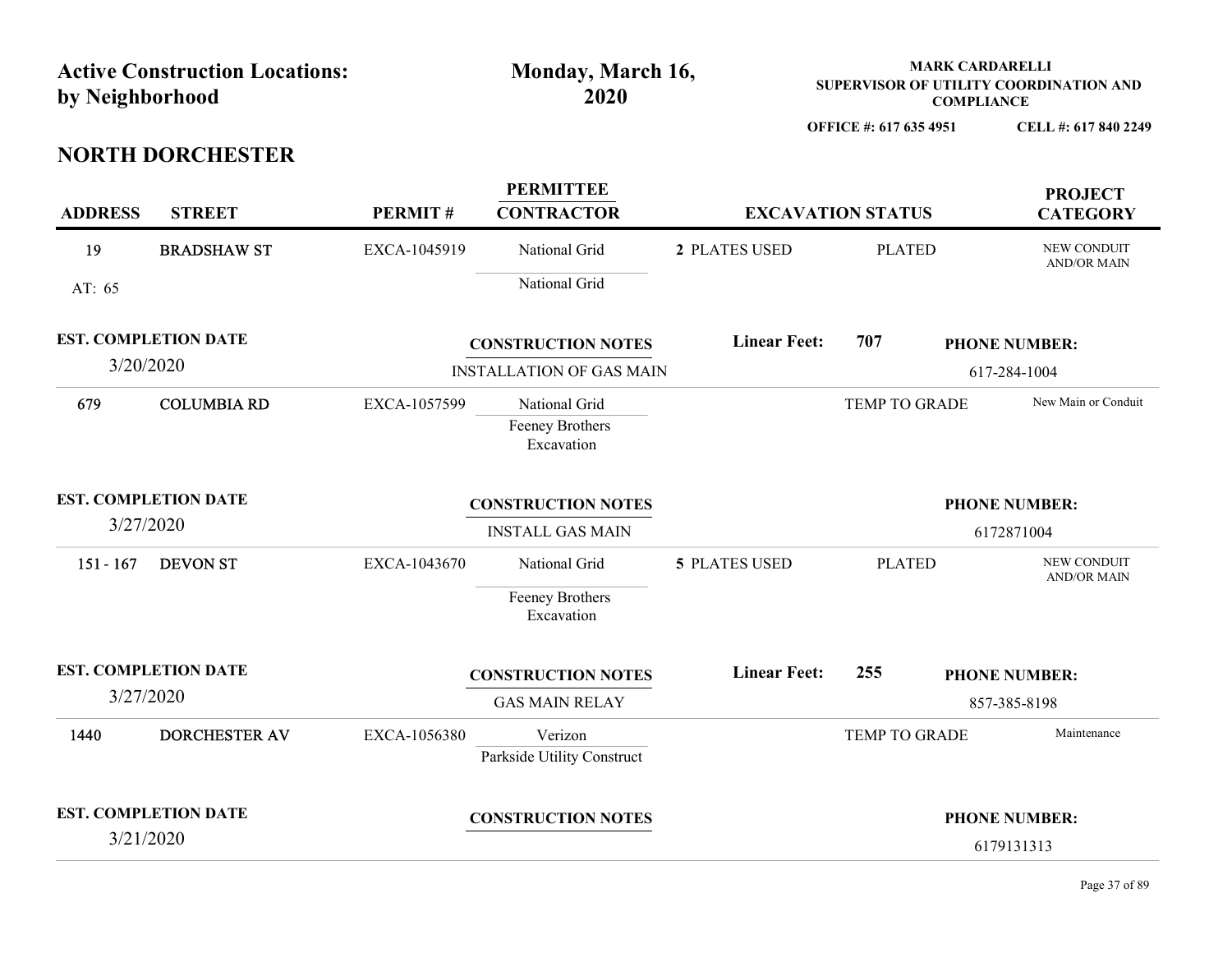| <b>Active Construction Locations:</b><br>by Neighborhood |                                          |              | Monday, March 16,<br>2020                                    |                      | <b>MARK CARDARELLI</b><br>SUPERVISOR OF UTILITY COORDINATION AND<br><b>COMPLIANCE</b> |  |                                      |  |
|----------------------------------------------------------|------------------------------------------|--------------|--------------------------------------------------------------|----------------------|---------------------------------------------------------------------------------------|--|--------------------------------------|--|
|                                                          |                                          |              |                                                              |                      | OFFICE #: 617 635 4951                                                                |  | CELL #: 617 840 2249                 |  |
|                                                          | <b>NORTH DORCHESTER</b>                  |              |                                                              |                      |                                                                                       |  |                                      |  |
| <b>ADDRESS</b>                                           | <b>STREET</b>                            | PERMIT#      | <b>PERMITTEE</b><br><b>CONTRACTOR</b>                        |                      | <b>EXCAVATION STATUS</b>                                                              |  | <b>PROJECT</b><br><b>CATEGORY</b>    |  |
| 19                                                       | <b>BRADSHAW ST</b>                       | EXCA-1045919 | National Grid                                                | 2 PLATES USED        | <b>PLATED</b>                                                                         |  | NEW CONDUIT<br><b>AND/OR MAIN</b>    |  |
| AT: 65                                                   |                                          |              | National Grid                                                |                      |                                                                                       |  |                                      |  |
|                                                          | <b>EST. COMPLETION DATE</b><br>3/20/2020 |              | <b>CONSTRUCTION NOTES</b><br><b>INSTALLATION OF GAS MAIN</b> | <b>Linear Feet:</b>  | 707                                                                                   |  | <b>PHONE NUMBER:</b><br>617-284-1004 |  |
| 679                                                      | <b>COLUMBIA RD</b>                       | EXCA-1057599 | National Grid<br>Feeney Brothers<br>Excavation               |                      | TEMP TO GRADE                                                                         |  | New Main or Conduit                  |  |
|                                                          | <b>EST. COMPLETION DATE</b><br>3/27/2020 |              | <b>CONSTRUCTION NOTES</b><br><b>INSTALL GAS MAIN</b>         |                      |                                                                                       |  | <b>PHONE NUMBER:</b><br>6172871004   |  |
| $151 - 167$                                              | <b>DEVON ST</b>                          | EXCA-1043670 | National Grid<br>Feeney Brothers<br>Excavation               | <b>5 PLATES USED</b> | <b>PLATED</b>                                                                         |  | NEW CONDUIT<br>AND/OR MAIN           |  |
|                                                          | <b>EST. COMPLETION DATE</b><br>3/27/2020 |              | <b>CONSTRUCTION NOTES</b><br><b>GAS MAIN RELAY</b>           | <b>Linear Feet:</b>  | 255                                                                                   |  | <b>PHONE NUMBER:</b><br>857-385-8198 |  |
| 1440                                                     | DORCHESTER AV                            | EXCA-1056380 | Verizon<br>Parkside Utility Construct                        |                      | TEMP TO GRADE                                                                         |  | Maintenance                          |  |
|                                                          | <b>EST. COMPLETION DATE</b><br>3/21/2020 |              | <b>CONSTRUCTION NOTES</b>                                    |                      |                                                                                       |  | <b>PHONE NUMBER:</b><br>6179131313   |  |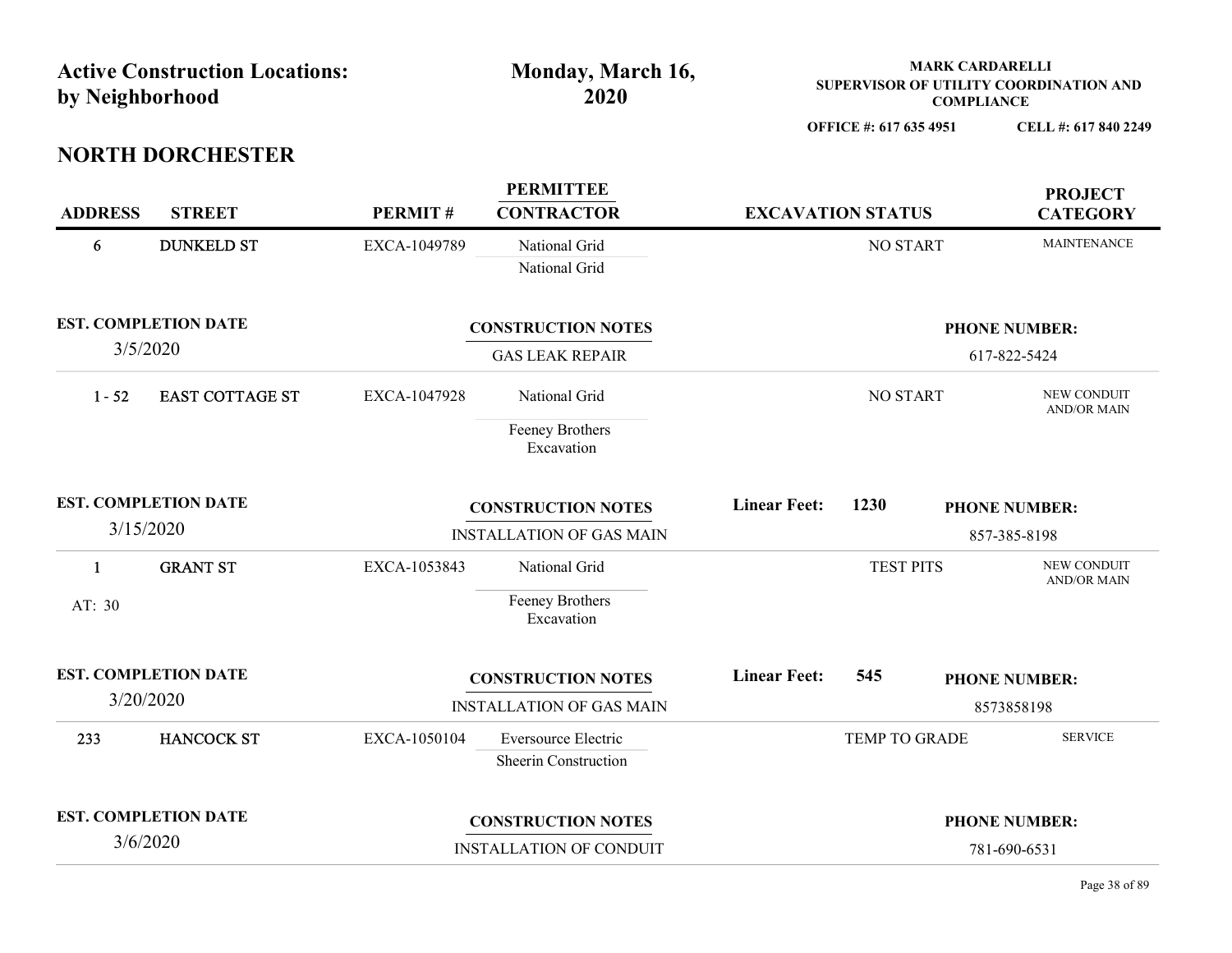|                        | <b>Active Construction Locations:</b><br>by Neighborhood |              | Monday, March 16,<br>2020                                    |                          | <b>MARK CARDARELLI</b><br>SUPERVISOR OF UTILITY COORDINATION AND<br><b>COMPLIANCE</b><br>OFFICE #: 617 635 4951 |              |                                      |
|------------------------|----------------------------------------------------------|--------------|--------------------------------------------------------------|--------------------------|-----------------------------------------------------------------------------------------------------------------|--------------|--------------------------------------|
|                        | <b>NORTH DORCHESTER</b>                                  |              |                                                              |                          |                                                                                                                 |              | CELL #: 617 840 2249                 |
| <b>ADDRESS</b>         | <b>STREET</b>                                            | PERMIT#      | <b>PERMITTEE</b><br><b>CONTRACTOR</b>                        | <b>EXCAVATION STATUS</b> |                                                                                                                 |              | <b>PROJECT</b><br><b>CATEGORY</b>    |
| 6                      | <b>DUNKELD ST</b>                                        | EXCA-1049789 | National Grid<br>National Grid                               |                          | NO START                                                                                                        |              | <b>MAINTENANCE</b>                   |
|                        | <b>EST. COMPLETION DATE</b><br>3/5/2020                  |              | <b>CONSTRUCTION NOTES</b><br><b>GAS LEAK REPAIR</b>          |                          |                                                                                                                 |              | <b>PHONE NUMBER:</b><br>617-822-5424 |
| $1 - 52$               | <b>EAST COTTAGE ST</b>                                   | EXCA-1047928 | National Grid<br>Feeney Brothers<br>Excavation               |                          | <b>NO START</b>                                                                                                 |              | NEW CONDUIT<br><b>AND/OR MAIN</b>    |
|                        | <b>EST. COMPLETION DATE</b><br>3/15/2020                 |              | <b>CONSTRUCTION NOTES</b><br><b>INSTALLATION OF GAS MAIN</b> | <b>Linear Feet:</b>      | 1230                                                                                                            |              | <b>PHONE NUMBER:</b><br>857-385-8198 |
| $\mathbf{1}$<br>AT: 30 | <b>GRANT ST</b>                                          | EXCA-1053843 | National Grid<br>Feeney Brothers<br>Excavation               |                          | <b>TEST PITS</b>                                                                                                |              | NEW CONDUIT<br><b>AND/OR MAIN</b>    |
|                        | <b>EST. COMPLETION DATE</b><br>3/20/2020                 |              | <b>CONSTRUCTION NOTES</b><br><b>INSTALLATION OF GAS MAIN</b> | <b>Linear Feet:</b>      | 545                                                                                                             |              | <b>PHONE NUMBER:</b><br>8573858198   |
| 233                    | <b>HANCOCK ST</b>                                        | EXCA-1050104 | Eversource Electric<br>Sheerin Construction                  |                          | TEMP TO GRADE                                                                                                   |              | <b>SERVICE</b>                       |
|                        | <b>EST. COMPLETION DATE</b><br>3/6/2020                  |              | <b>CONSTRUCTION NOTES</b><br><b>INSTALLATION OF CONDUIT</b>  |                          |                                                                                                                 | 781-690-6531 | <b>PHONE NUMBER:</b>                 |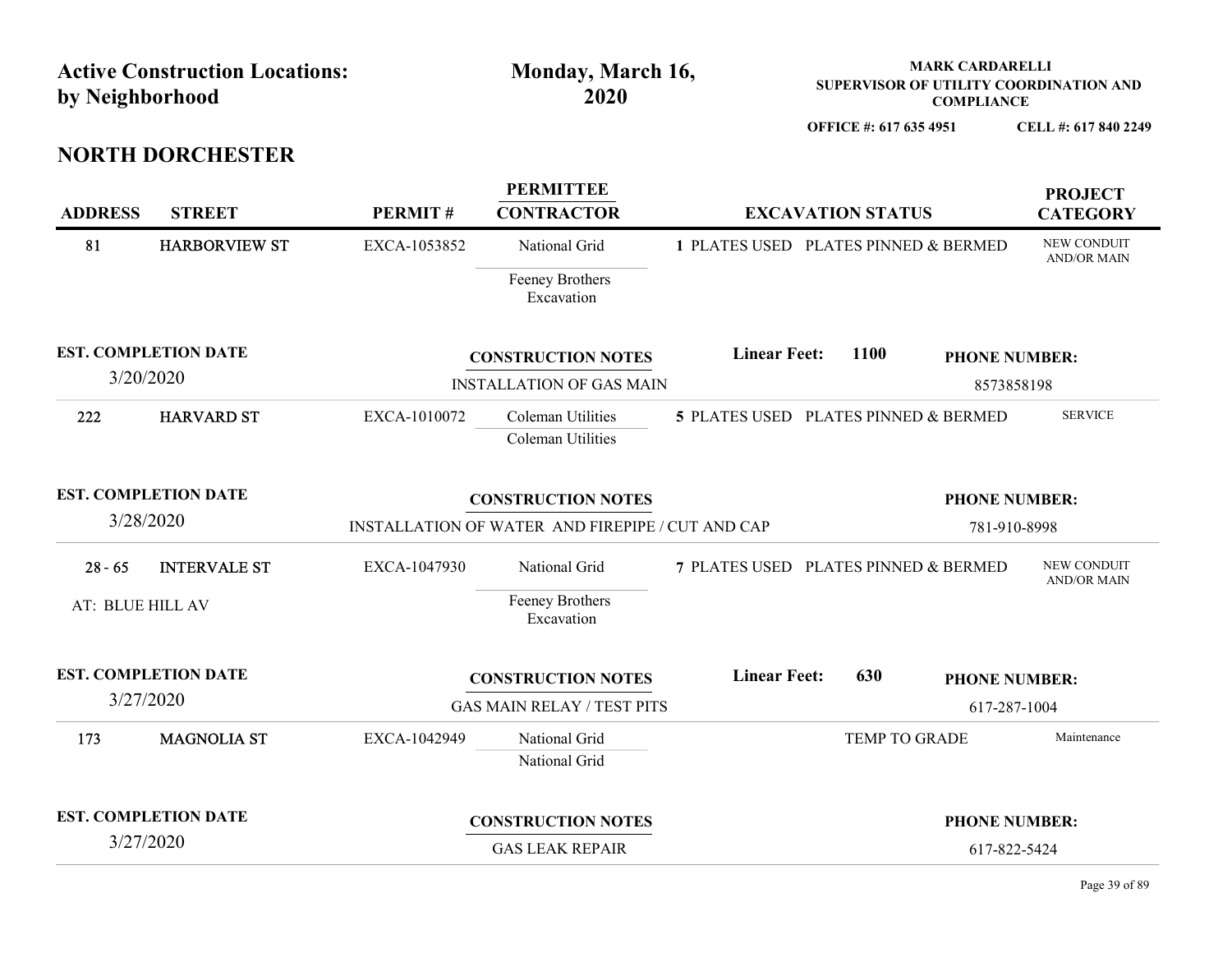| <b>Active Construction Locations:</b><br>by Neighborhood |                                          | Monday, March 16,<br>2020 |                                                                               |                     |                                      | <b>MARK CARDARELLI</b><br><b>COMPLIANCE</b> | SUPERVISOR OF UTILITY COORDINATION AND |  |
|----------------------------------------------------------|------------------------------------------|---------------------------|-------------------------------------------------------------------------------|---------------------|--------------------------------------|---------------------------------------------|----------------------------------------|--|
|                                                          | <b>NORTH DORCHESTER</b>                  |                           |                                                                               |                     | OFFICE #: 617 635 4951               |                                             | CELL #: 617 840 2249                   |  |
| <b>ADDRESS</b>                                           | <b>STREET</b>                            | PERMIT#                   | <b>PERMITTEE</b><br><b>CONTRACTOR</b>                                         |                     | <b>EXCAVATION STATUS</b>             |                                             | <b>PROJECT</b><br><b>CATEGORY</b>      |  |
| 81                                                       | <b>HARBORVIEW ST</b>                     | EXCA-1053852              | National Grid<br>Feeney Brothers<br>Excavation                                |                     | 1 PLATES USED PLATES PINNED & BERMED |                                             | NEW CONDUIT<br><b>AND/OR MAIN</b>      |  |
|                                                          | <b>EST. COMPLETION DATE</b><br>3/20/2020 |                           | <b>CONSTRUCTION NOTES</b><br><b>INSTALLATION OF GAS MAIN</b>                  | <b>Linear Feet:</b> | <b>1100</b>                          | <b>PHONE NUMBER:</b><br>8573858198          |                                        |  |
| 222                                                      | <b>HARVARD ST</b>                        | EXCA-1010072              | Coleman Utilities<br>Coleman Utilities                                        |                     | 5 PLATES USED PLATES PINNED & BERMED |                                             | <b>SERVICE</b>                         |  |
|                                                          | <b>EST. COMPLETION DATE</b><br>3/28/2020 |                           | <b>CONSTRUCTION NOTES</b><br>INSTALLATION OF WATER AND FIREPIPE / CUT AND CAP |                     |                                      | <b>PHONE NUMBER:</b><br>781-910-8998        |                                        |  |
| $28 - 65$<br>AT: BLUE HILL AV                            | <b>INTERVALE ST</b>                      | EXCA-1047930              | National Grid<br>Feeney Brothers<br>Excavation                                |                     | 7 PLATES USED PLATES PINNED & BERMED |                                             | NEW CONDUIT<br>AND/OR MAIN             |  |
|                                                          | <b>EST. COMPLETION DATE</b><br>3/27/2020 |                           | <b>CONSTRUCTION NOTES</b><br>GAS MAIN RELAY / TEST PITS                       | <b>Linear Feet:</b> | 630                                  | <b>PHONE NUMBER:</b><br>617-287-1004        |                                        |  |
| 173                                                      | <b>MAGNOLIA ST</b>                       | EXCA-1042949              | National Grid<br>National Grid                                                |                     | TEMP TO GRADE                        |                                             | Maintenance                            |  |
|                                                          | <b>EST. COMPLETION DATE</b><br>3/27/2020 |                           | <b>CONSTRUCTION NOTES</b><br><b>GAS LEAK REPAIR</b>                           |                     |                                      | <b>PHONE NUMBER:</b><br>617-822-5424        |                                        |  |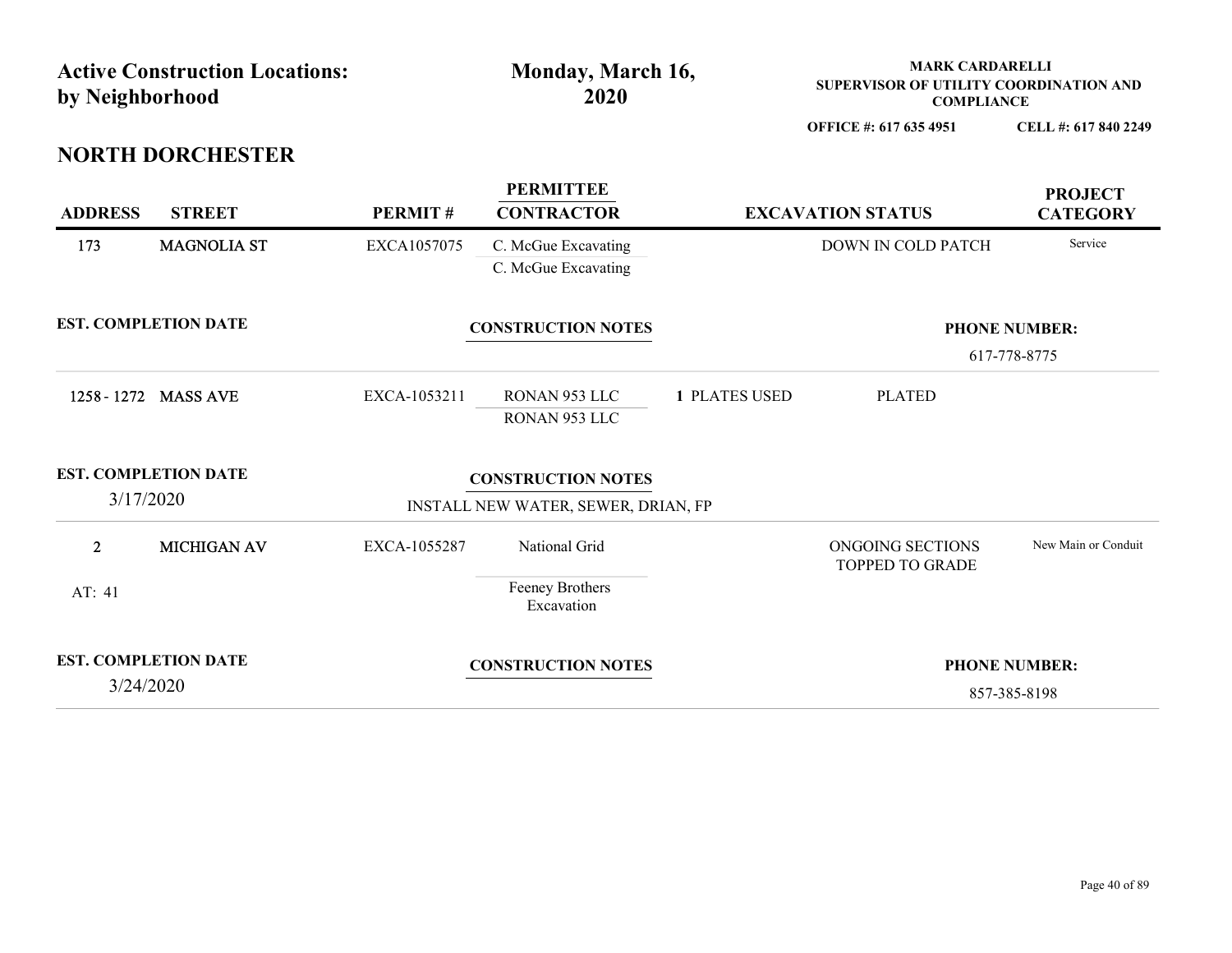| <b>Active Construction Locations:</b><br>by Neighborhood |                             |              | Monday, March 16,<br>2020                  |               | <b>MARK CARDARELLI</b><br>SUPERVISOR OF UTILITY COORDINATION AND<br><b>COMPLIANCE</b> |                                   |  |
|----------------------------------------------------------|-----------------------------|--------------|--------------------------------------------|---------------|---------------------------------------------------------------------------------------|-----------------------------------|--|
|                                                          |                             |              |                                            |               | OFFICE #: 617 635 4951                                                                | CELL #: 617 840 2249              |  |
|                                                          | <b>NORTH DORCHESTER</b>     |              |                                            |               |                                                                                       |                                   |  |
| <b>ADDRESS</b>                                           | <b>STREET</b>               | PERMIT#      | <b>PERMITTEE</b><br><b>CONTRACTOR</b>      |               | <b>EXCAVATION STATUS</b>                                                              | <b>PROJECT</b><br><b>CATEGORY</b> |  |
| 173                                                      | MAGNOLIA ST                 | EXCA1057075  | C. McGue Excavating<br>C. McGue Excavating |               | DOWN IN COLD PATCH                                                                    | Service                           |  |
|                                                          | <b>EST. COMPLETION DATE</b> |              | <b>CONSTRUCTION NOTES</b>                  |               | <b>PHONE NUMBER:</b>                                                                  |                                   |  |
|                                                          |                             |              |                                            |               | 617-778-8775                                                                          |                                   |  |
| 1258 - 1272 MASS AVE                                     |                             | EXCA-1053211 | RONAN 953 LLC<br>RONAN 953 LLC             | 1 PLATES USED | <b>PLATED</b>                                                                         |                                   |  |
| <b>EST. COMPLETION DATE</b>                              |                             |              | <b>CONSTRUCTION NOTES</b>                  |               |                                                                                       |                                   |  |
| 3/17/2020                                                |                             |              | INSTALL NEW WATER, SEWER, DRIAN, FP        |               |                                                                                       |                                   |  |
| 2 <sub>1</sub>                                           | MICHIGAN AV                 | EXCA-1055287 | National Grid                              |               | ONGOING SECTIONS<br>TOPPED TO GRADE                                                   | New Main or Conduit               |  |
| AT: 41                                                   |                             |              | Feeney Brothers<br>Excavation              |               |                                                                                       |                                   |  |
|                                                          |                             |              | <b>CONSTRUCTION NOTES</b>                  |               |                                                                                       | <b>PHONE NUMBER:</b>              |  |
| <b>EST. COMPLETION DATE</b><br>3/24/2020                 |                             |              |                                            |               |                                                                                       |                                   |  |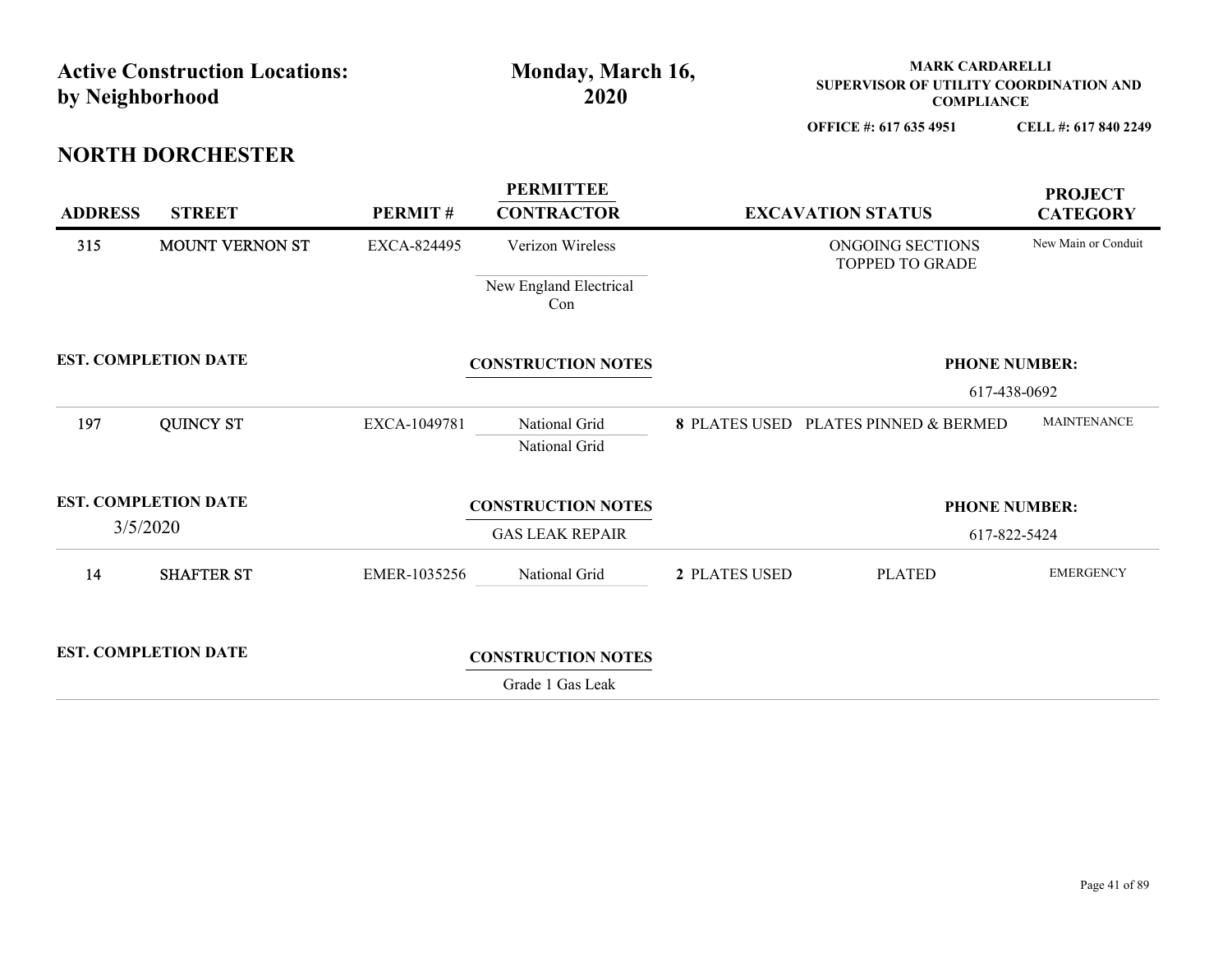| by Neighborhood | <b>Active Construction Locations:</b> |              | Monday, March 16,<br>2020             |               | <b>MARK CARDARELLI</b><br>SUPERVISOR OF UTILITY COORDINATION AND<br><b>COMPLIANCE</b> |                                   |
|-----------------|---------------------------------------|--------------|---------------------------------------|---------------|---------------------------------------------------------------------------------------|-----------------------------------|
|                 |                                       |              |                                       |               | OFFICE #: 617 635 4951                                                                | CELL #: 617 840 2249              |
|                 | <b>NORTH DORCHESTER</b>               |              |                                       |               |                                                                                       |                                   |
| <b>ADDRESS</b>  | <b>STREET</b>                         | PERMIT#      | <b>PERMITTEE</b><br><b>CONTRACTOR</b> |               | <b>EXCAVATION STATUS</b>                                                              | <b>PROJECT</b><br><b>CATEGORY</b> |
| 315             | MOUNT VERNON ST                       | EXCA-824495  | Verizon Wireless                      |               | ONGOING SECTIONS<br>TOPPED TO GRADE                                                   | New Main or Conduit               |
|                 |                                       |              | New England Electrical<br>Con         |               |                                                                                       |                                   |
|                 | <b>EST. COMPLETION DATE</b>           |              | <b>CONSTRUCTION NOTES</b>             |               |                                                                                       | <b>PHONE NUMBER:</b>              |
|                 |                                       |              |                                       |               |                                                                                       | 617-438-0692                      |
| 197             | <b>QUINCY ST</b>                      | EXCA-1049781 | National Grid<br>National Grid        |               | 8 PLATES USED PLATES PINNED & BERMED                                                  | MAINTENANCE                       |
|                 | <b>EST. COMPLETION DATE</b>           |              | <b>CONSTRUCTION NOTES</b>             |               |                                                                                       | <b>PHONE NUMBER:</b>              |
| 3/5/2020        |                                       |              | <b>GAS LEAK REPAIR</b>                |               |                                                                                       | 617-822-5424                      |
| 14              | <b>SHAFTER ST</b>                     | EMER-1035256 | National Grid                         | 2 PLATES USED | <b>PLATED</b>                                                                         | <b>EMERGENCY</b>                  |
|                 |                                       |              |                                       |               |                                                                                       |                                   |
|                 | <b>EST. COMPLETION DATE</b>           |              | <b>CONSTRUCTION NOTES</b>             |               |                                                                                       |                                   |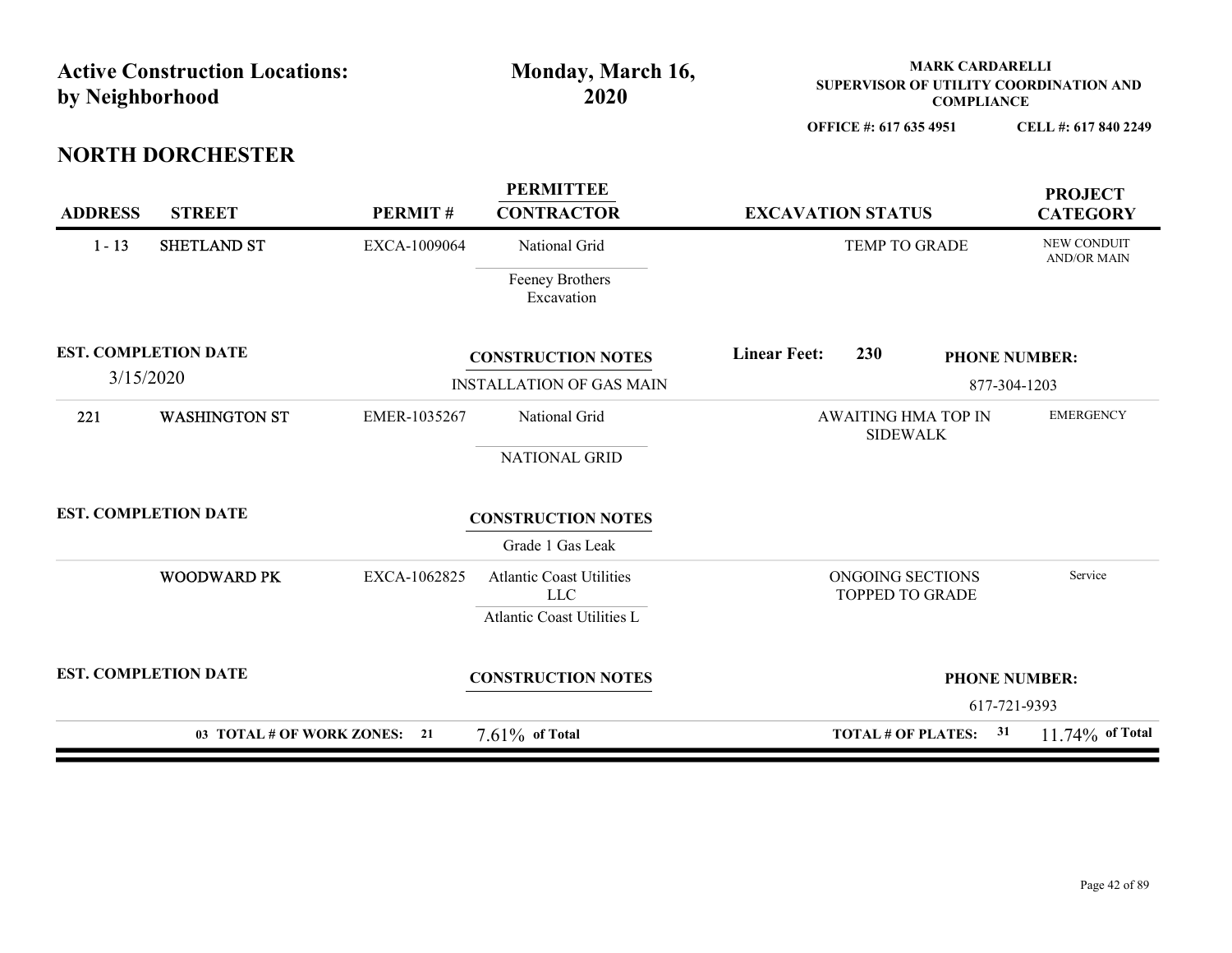|                                          | <b>Active Construction Locations:</b> |              |                                                                      |                          |                                        | <b>MARK CARDARELLI</b> |                                        |  |
|------------------------------------------|---------------------------------------|--------------|----------------------------------------------------------------------|--------------------------|----------------------------------------|------------------------|----------------------------------------|--|
| by Neighborhood                          |                                       |              | Monday, March 16,<br>2020                                            |                          |                                        | <b>COMPLIANCE</b>      | SUPERVISOR OF UTILITY COORDINATION AND |  |
|                                          |                                       |              |                                                                      |                          | OFFICE #: 617 635 4951                 |                        | CELL #: 617 840 2249                   |  |
| <b>NORTH DORCHESTER</b>                  |                                       |              |                                                                      |                          |                                        |                        |                                        |  |
| <b>ADDRESS</b>                           | <b>STREET</b>                         | PERMIT#      | <b>PERMITTEE</b><br><b>CONTRACTOR</b>                                | <b>EXCAVATION STATUS</b> |                                        |                        | <b>PROJECT</b><br><b>CATEGORY</b>      |  |
| $1 - 13$                                 | SHETLAND ST                           | EXCA-1009064 | National Grid<br>Feeney Brothers<br>Excavation                       |                          | TEMP TO GRADE                          |                        | NEW CONDUIT<br><b>AND/OR MAIN</b>      |  |
| <b>EST. COMPLETION DATE</b><br>3/15/2020 |                                       |              | <b>CONSTRUCTION NOTES</b><br><b>INSTALLATION OF GAS MAIN</b>         | <b>Linear Feet:</b>      | 230                                    |                        | <b>PHONE NUMBER:</b><br>877-304-1203   |  |
| 221                                      | <b>WASHINGTON ST</b>                  | EMER-1035267 | National Grid<br>NATIONAL GRID                                       |                          | AWAITING HMA TOP IN<br><b>SIDEWALK</b> |                        | <b>EMERGENCY</b>                       |  |
| <b>EST. COMPLETION DATE</b>              |                                       |              | <b>CONSTRUCTION NOTES</b><br>Grade 1 Gas Leak                        |                          |                                        |                        |                                        |  |
|                                          | WOODWARD PK                           | EXCA-1062825 | <b>Atlantic Coast Utilities</b><br>LLC<br>Atlantic Coast Utilities L |                          | ONGOING SECTIONS<br>TOPPED TO GRADE    |                        | Service                                |  |
| <b>EST. COMPLETION DATE</b>              |                                       |              | <b>CONSTRUCTION NOTES</b>                                            |                          |                                        |                        | <b>PHONE NUMBER:</b><br>617-721-9393   |  |
|                                          | 03 TOTAL # OF WORK ZONES: 21          |              | $7.61\%$ of Total                                                    |                          |                                        | TOTAL # OF PLATES: 31  | $11.74\%$ of Total                     |  |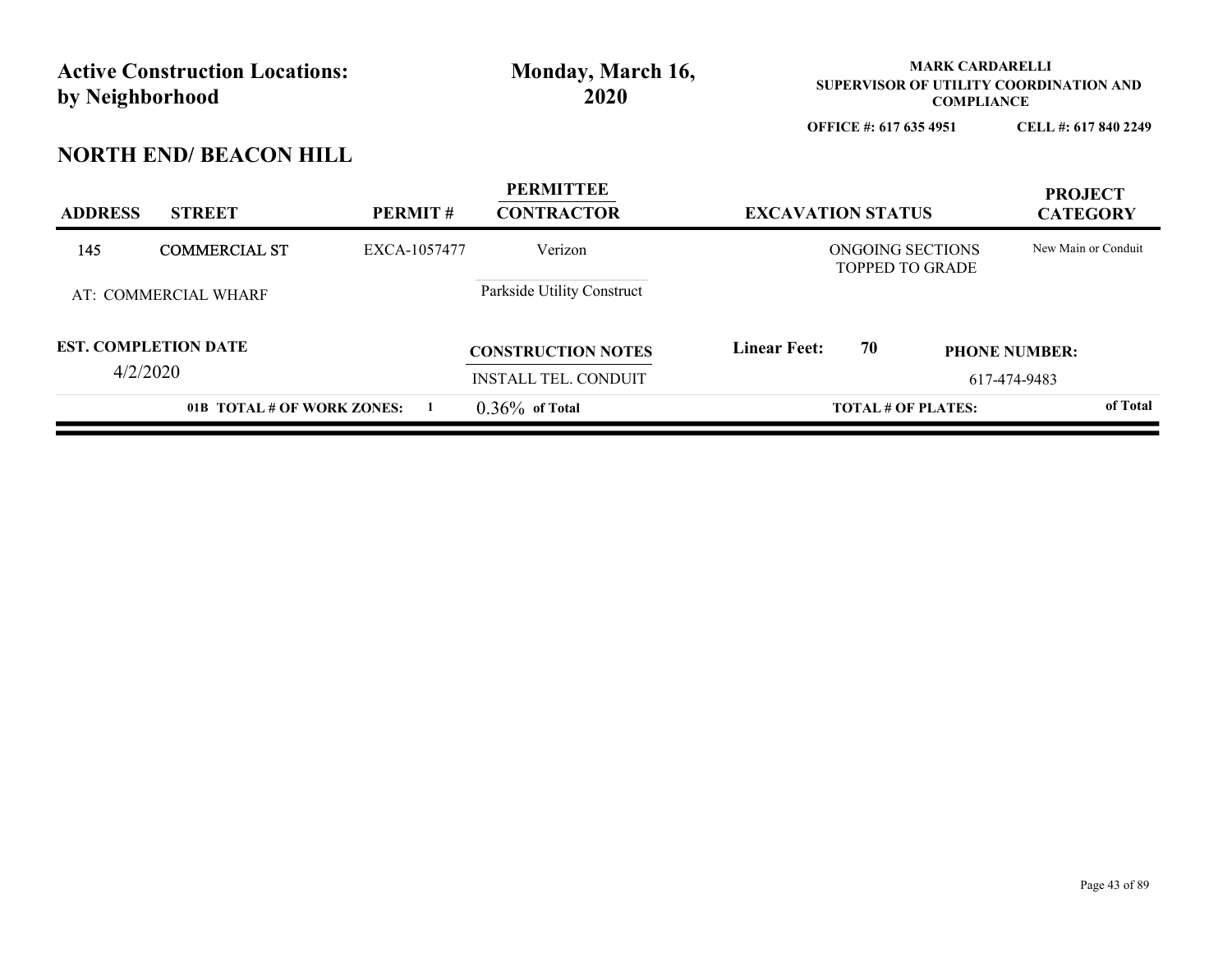| <b>Active Construction Locations:</b><br>by Neighborhood |                               | Monday, March 16,<br>2020 |                                       | <b>MARK CARDARELLI</b><br>SUPERVISOR OF UTILITY COORDINATION AND<br><b>COMPLIANCE</b> |                                            |                      |                                   |  |
|----------------------------------------------------------|-------------------------------|---------------------------|---------------------------------------|---------------------------------------------------------------------------------------|--------------------------------------------|----------------------|-----------------------------------|--|
|                                                          |                               |                           |                                       | OFFICE #: 617 635 4951                                                                |                                            | CELL #: 617 840 2249 |                                   |  |
|                                                          | <b>NORTH END/ BEACON HILL</b> |                           |                                       |                                                                                       |                                            |                      |                                   |  |
| <b>ADDRESS</b>                                           | <b>STREET</b>                 | PERMIT#                   | <b>PERMITTEE</b><br><b>CONTRACTOR</b> | <b>EXCAVATION STATUS</b>                                                              |                                            |                      | <b>PROJECT</b><br><b>CATEGORY</b> |  |
| 145                                                      | <b>COMMERCIAL ST</b>          | EXCA-1057477              | Verizon                               |                                                                                       | ONGOING SECTIONS<br><b>TOPPED TO GRADE</b> |                      | New Main or Conduit               |  |
|                                                          | AT: COMMERCIAL WHARF          |                           | Parkside Utility Construct            |                                                                                       |                                            |                      |                                   |  |
| <b>EST. COMPLETION DATE</b>                              |                               |                           | <b>CONSTRUCTION NOTES</b>             | <b>Linear Feet:</b>                                                                   | 70                                         |                      | <b>PHONE NUMBER:</b>              |  |
| 4/2/2020                                                 |                               |                           | <b>INSTALL TEL. CONDUIT</b>           |                                                                                       |                                            |                      | 617-474-9483                      |  |
|                                                          | 01B TOTAL # OF WORK ZONES:    | $\mathbf{1}$              | $0.36\%$ of Total                     | <b>TOTAL # OF PLATES:</b>                                                             |                                            | of Total             |                                   |  |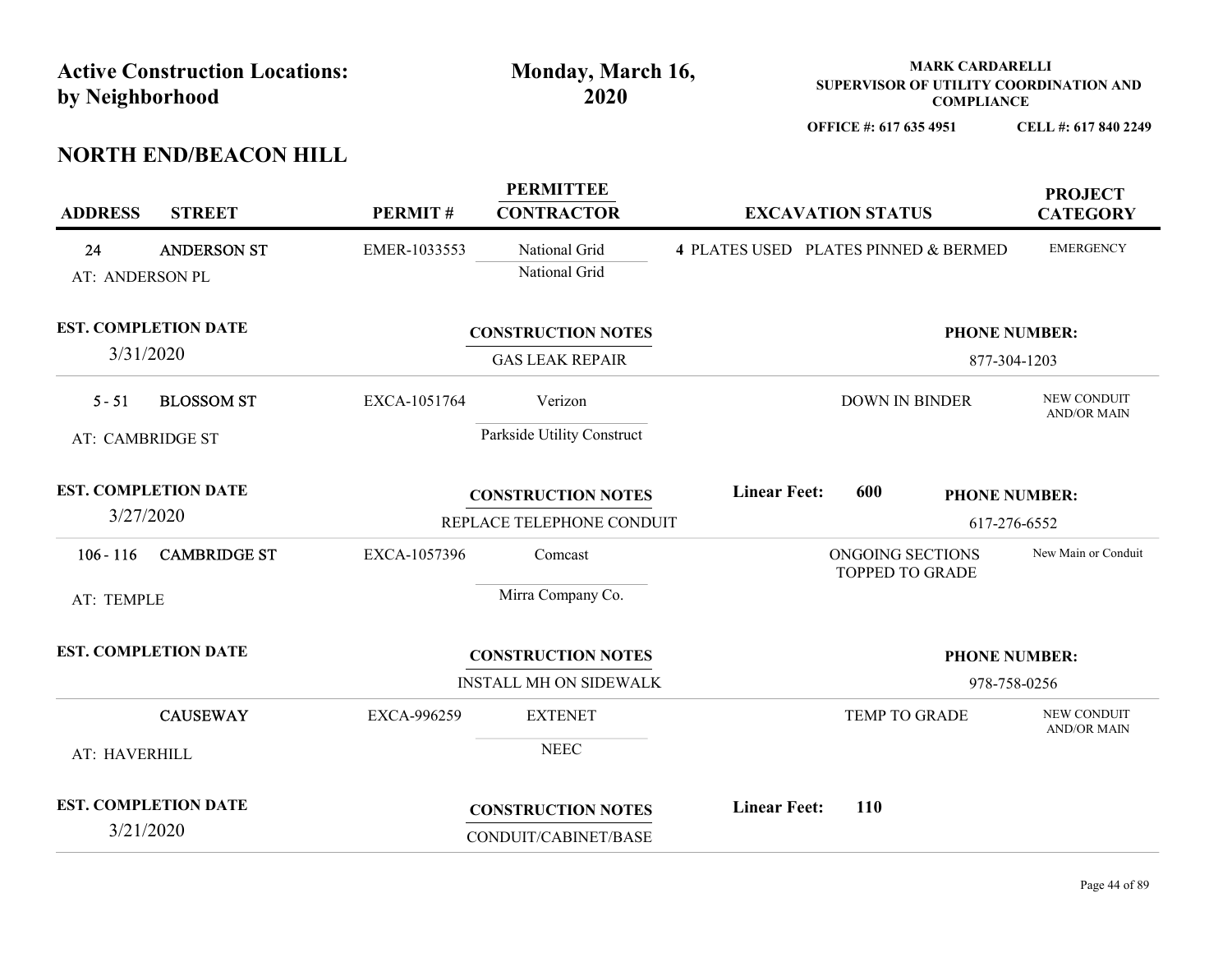| <b>Active Construction Locations:</b><br>by Neighborhood |                                          | Monday, March 16,<br>2020 |                                                            |                                      |  |                                     | <b>MARK CARDARELLI</b><br>SUPERVISOR OF UTILITY COORDINATION AND<br><b>COMPLIANCE</b><br>OFFICE #: 617 635 4951 |                                          |
|----------------------------------------------------------|------------------------------------------|---------------------------|------------------------------------------------------------|--------------------------------------|--|-------------------------------------|-----------------------------------------------------------------------------------------------------------------|------------------------------------------|
|                                                          | <b>NORTH END/BEACON HILL</b>             |                           |                                                            |                                      |  |                                     |                                                                                                                 | CELL #: 617 840 2249                     |
| <b>ADDRESS</b>                                           | <b>STREET</b>                            | PERMIT#                   | <b>PERMITTEE</b><br><b>CONTRACTOR</b>                      |                                      |  | <b>EXCAVATION STATUS</b>            |                                                                                                                 | <b>PROJECT</b><br><b>CATEGORY</b>        |
| 24<br>AT: ANDERSON PL                                    | <b>ANDERSON ST</b>                       | EMER-1033553              | National Grid<br>National Grid                             | 4 PLATES USED PLATES PINNED & BERMED |  |                                     |                                                                                                                 | <b>EMERGENCY</b>                         |
|                                                          | <b>EST. COMPLETION DATE</b><br>3/31/2020 |                           | <b>CONSTRUCTION NOTES</b><br><b>GAS LEAK REPAIR</b>        |                                      |  |                                     | <b>PHONE NUMBER:</b><br>877-304-1203                                                                            |                                          |
| $5 - 51$<br>AT: CAMBRIDGE ST                             | <b>BLOSSOM ST</b>                        | EXCA-1051764              | Verizon<br>Parkside Utility Construct                      |                                      |  | <b>DOWN IN BINDER</b>               |                                                                                                                 | <b>NEW CONDUIT</b><br><b>AND/OR MAIN</b> |
| 3/27/2020                                                | <b>EST. COMPLETION DATE</b>              |                           | <b>CONSTRUCTION NOTES</b><br>REPLACE TELEPHONE CONDUIT     | <b>Linear Feet:</b>                  |  | 600                                 | <b>PHONE NUMBER:</b><br>617-276-6552                                                                            |                                          |
| $106 - 116$<br>AT: TEMPLE                                | <b>CAMBRIDGE ST</b>                      | EXCA-1057396              | Comcast<br>Mirra Company Co.                               |                                      |  | ONGOING SECTIONS<br>TOPPED TO GRADE |                                                                                                                 | New Main or Conduit                      |
|                                                          | <b>EST. COMPLETION DATE</b>              |                           | <b>CONSTRUCTION NOTES</b><br><b>INSTALL MH ON SIDEWALK</b> |                                      |  |                                     | <b>PHONE NUMBER:</b><br>978-758-0256                                                                            |                                          |
| AT: HAVERHILL                                            | <b>CAUSEWAY</b>                          | EXCA-996259               | <b>EXTENET</b><br><b>NEEC</b>                              |                                      |  | TEMP TO GRADE                       |                                                                                                                 | NEW CONDUIT<br>AND/OR MAIN               |
|                                                          | <b>EST. COMPLETION DATE</b><br>3/21/2020 |                           | <b>CONSTRUCTION NOTES</b>                                  | <b>Linear Feet:</b>                  |  | <b>110</b>                          |                                                                                                                 |                                          |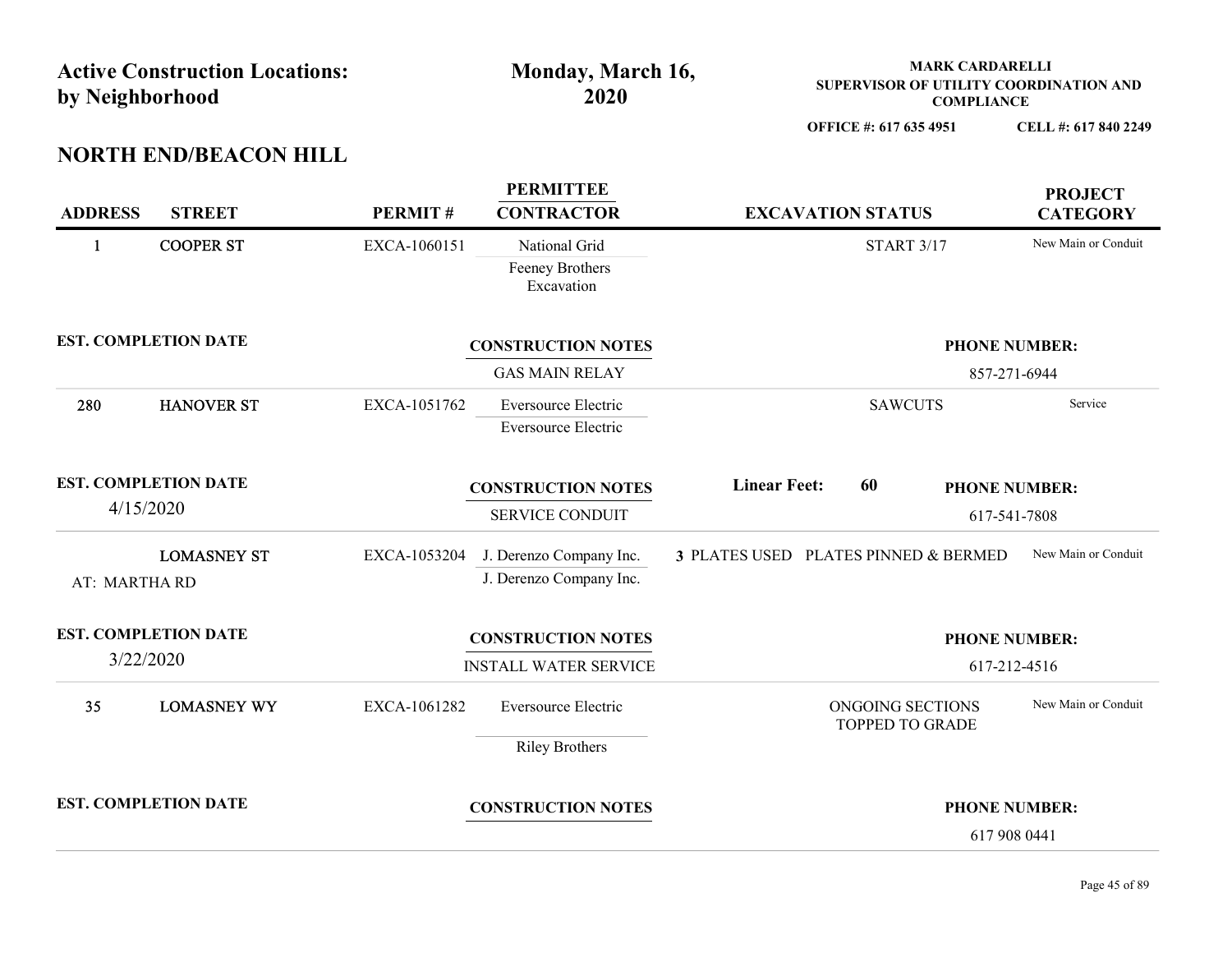| <b>Active Construction Locations:</b><br>by Neighborhood |              | Monday, March 16,<br>2020                                 |                                      | <b>MARK CARDARELLI</b><br>SUPERVISOR OF UTILITY COORDINATION AND<br><b>COMPLIANCE</b> |                                      |                                   |
|----------------------------------------------------------|--------------|-----------------------------------------------------------|--------------------------------------|---------------------------------------------------------------------------------------|--------------------------------------|-----------------------------------|
| <b>NORTH END/BEACON HILL</b>                             |              |                                                           |                                      | OFFICE #: 617 635 4951                                                                |                                      | CELL #: 617 840 2249              |
| <b>ADDRESS</b><br><b>STREET</b>                          | PERMIT#      | <b>PERMITTEE</b><br><b>CONTRACTOR</b>                     |                                      | <b>EXCAVATION STATUS</b>                                                              |                                      | <b>PROJECT</b><br><b>CATEGORY</b> |
| <b>COOPER ST</b><br>$\mathbf{1}$                         | EXCA-1060151 | National Grid<br>Feeney Brothers<br>Excavation            |                                      | <b>START 3/17</b>                                                                     |                                      | New Main or Conduit               |
| <b>EST. COMPLETION DATE</b>                              |              | <b>CONSTRUCTION NOTES</b><br><b>GAS MAIN RELAY</b>        |                                      |                                                                                       | <b>PHONE NUMBER:</b><br>857-271-6944 |                                   |
| <b>HANOVER ST</b><br>280                                 | EXCA-1051762 | Eversource Electric<br>Eversource Electric                |                                      | <b>SAWCUTS</b>                                                                        |                                      | Service                           |
| <b>EST. COMPLETION DATE</b><br>4/15/2020                 |              | <b>CONSTRUCTION NOTES</b><br>SERVICE CONDUIT              | <b>Linear Feet:</b>                  | 60                                                                                    | <b>PHONE NUMBER:</b><br>617-541-7808 |                                   |
| <b>LOMASNEY ST</b><br>AT: MARTHA RD                      | EXCA-1053204 | J. Derenzo Company Inc.<br>J. Derenzo Company Inc.        | 3 PLATES USED PLATES PINNED & BERMED |                                                                                       |                                      | New Main or Conduit               |
| <b>EST. COMPLETION DATE</b><br>3/22/2020                 |              | <b>CONSTRUCTION NOTES</b><br><b>INSTALL WATER SERVICE</b> |                                      |                                                                                       | <b>PHONE NUMBER:</b><br>617-212-4516 |                                   |
| <b>LOMASNEY WY</b><br>35                                 | EXCA-1061282 | Eversource Electric<br><b>Riley Brothers</b>              |                                      | ONGOING SECTIONS<br>TOPPED TO GRADE                                                   |                                      | New Main or Conduit               |
| <b>EST. COMPLETION DATE</b>                              |              | <b>CONSTRUCTION NOTES</b>                                 |                                      |                                                                                       | <b>PHONE NUMBER:</b><br>617 908 0441 |                                   |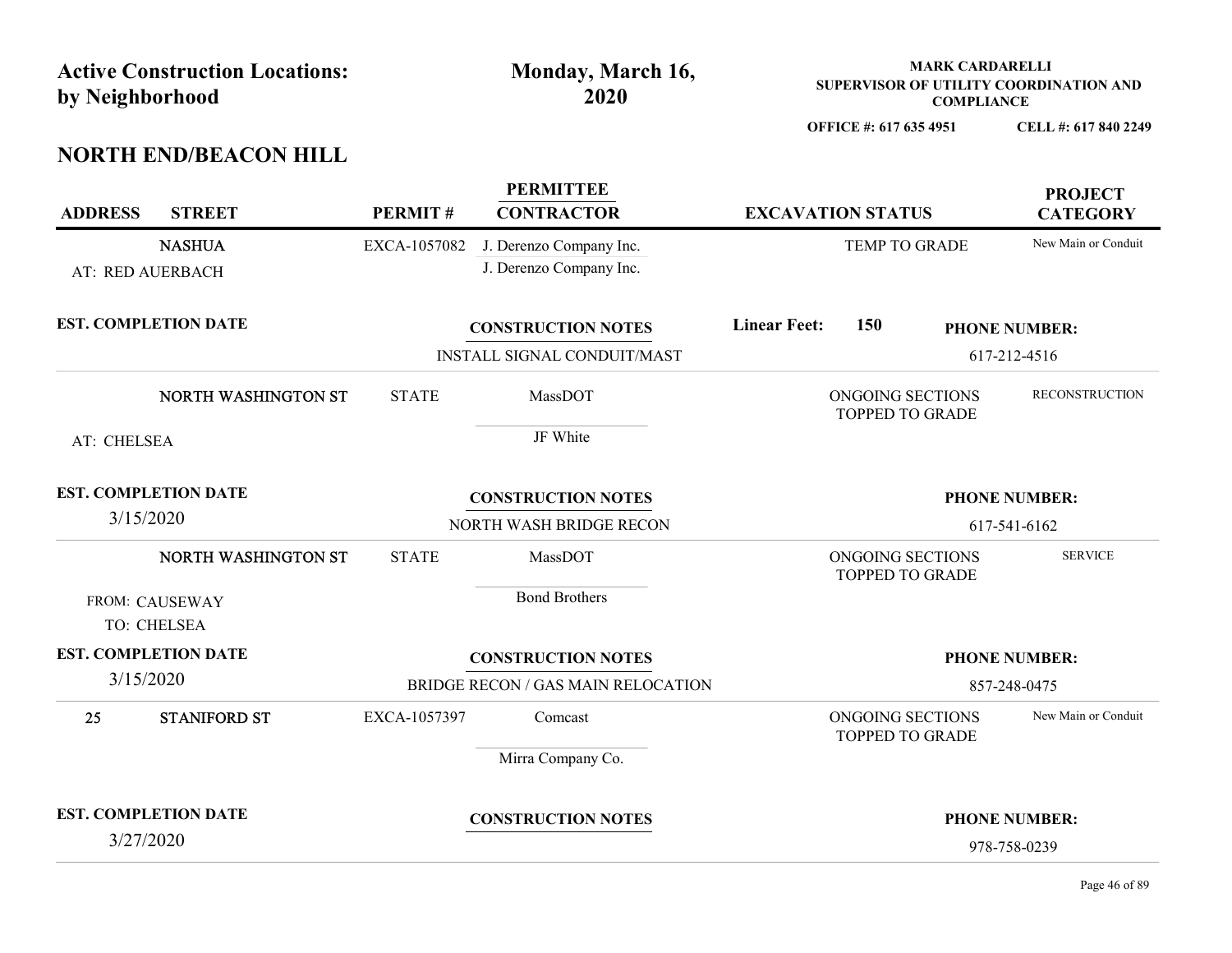| <b>Active Construction Locations:</b><br>by Neighborhood        |              | Monday, March 16,<br>2020                                |                                     | <b>MARK CARDARELLI</b><br>SUPERVISOR OF UTILITY COORDINATION AND<br><b>COMPLIANCE</b> |                                      |
|-----------------------------------------------------------------|--------------|----------------------------------------------------------|-------------------------------------|---------------------------------------------------------------------------------------|--------------------------------------|
|                                                                 |              |                                                          | OFFICE #: 617 635 4951              |                                                                                       | CELL #: 617 840 2249                 |
| <b>NORTH END/BEACON HILL</b><br><b>ADDRESS</b><br><b>STREET</b> | PERMIT#      | <b>PERMITTEE</b><br><b>CONTRACTOR</b>                    | <b>EXCAVATION STATUS</b>            |                                                                                       | <b>PROJECT</b><br><b>CATEGORY</b>    |
| <b>NASHUA</b><br>AT: RED AUERBACH                               | EXCA-1057082 | J. Derenzo Company Inc.<br>J. Derenzo Company Inc.       | TEMP TO GRADE                       |                                                                                       | New Main or Conduit                  |
| <b>EST. COMPLETION DATE</b>                                     |              | <b>CONSTRUCTION NOTES</b><br>INSTALL SIGNAL CONDUIT/MAST | <b>Linear Feet:</b><br>150          |                                                                                       | <b>PHONE NUMBER:</b><br>617-212-4516 |
| NORTH WASHINGTON ST<br>AT: CHELSEA                              | <b>STATE</b> | MassDOT<br>JF White                                      | ONGOING SECTIONS<br>TOPPED TO GRADE |                                                                                       | <b>RECONSTRUCTION</b>                |
| <b>EST. COMPLETION DATE</b><br>3/15/2020                        |              | <b>CONSTRUCTION NOTES</b><br>NORTH WASH BRIDGE RECON     |                                     |                                                                                       | <b>PHONE NUMBER:</b><br>617-541-6162 |
| NORTH WASHINGTON ST<br>FROM: CAUSEWAY<br>TO: CHELSEA            | <b>STATE</b> | MassDOT<br><b>Bond Brothers</b>                          | ONGOING SECTIONS<br>TOPPED TO GRADE |                                                                                       | <b>SERVICE</b>                       |
| <b>EST. COMPLETION DATE</b>                                     |              | <b>CONSTRUCTION NOTES</b>                                |                                     |                                                                                       | <b>PHONE NUMBER:</b>                 |
| 3/15/2020                                                       |              | BRIDGE RECON / GAS MAIN RELOCATION                       |                                     |                                                                                       | 857-248-0475                         |
| <b>STANIFORD ST</b><br>25                                       | EXCA-1057397 | Comcast<br>Mirra Company Co.                             | ONGOING SECTIONS<br>TOPPED TO GRADE |                                                                                       | New Main or Conduit                  |
| <b>EST. COMPLETION DATE</b>                                     |              | <b>CONSTRUCTION NOTES</b>                                |                                     |                                                                                       | <b>PHONE NUMBER:</b>                 |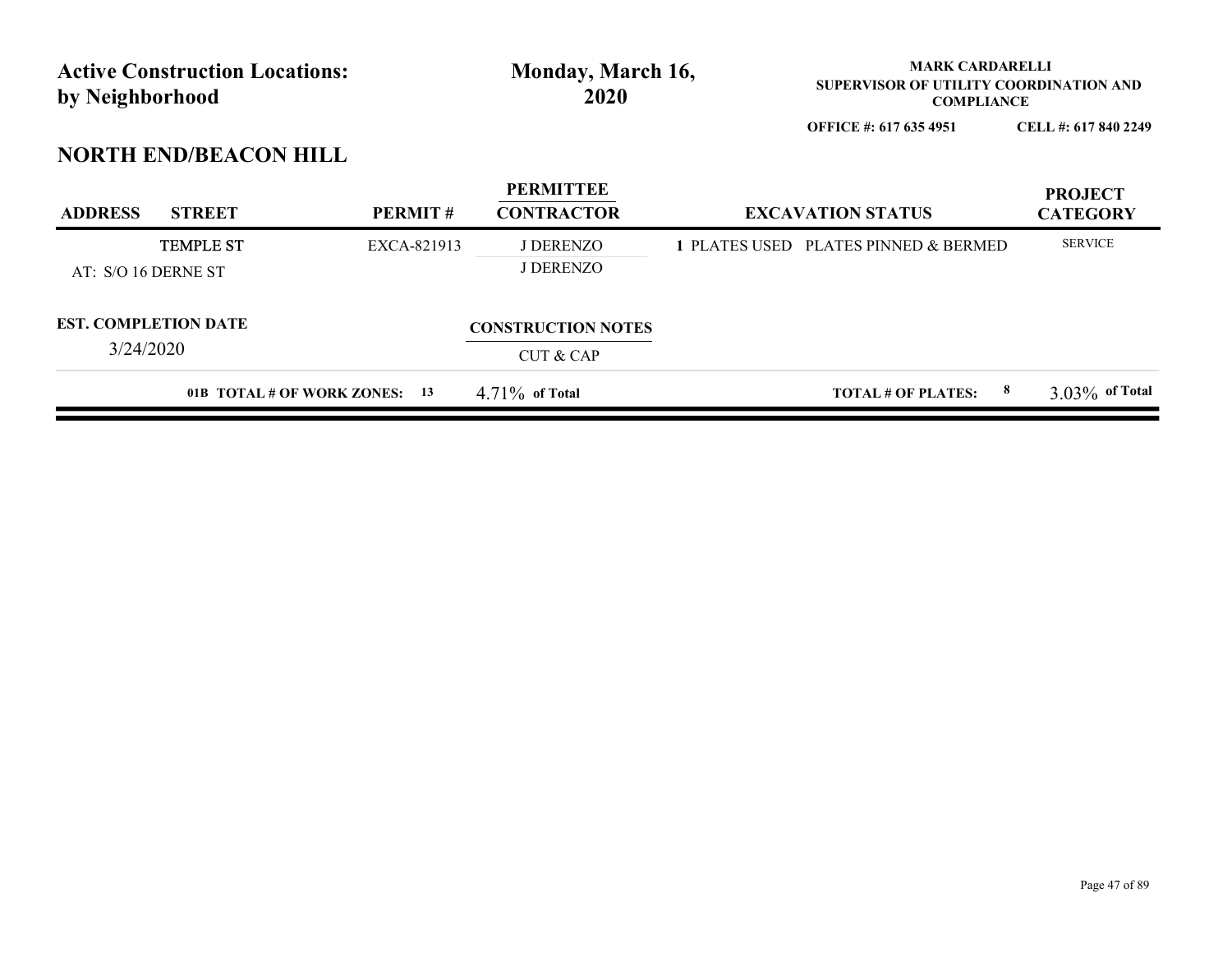| <b>Active Construction Locations:</b><br>by Neighborhood |             | Monday, March 16,<br>2020                         |  | <b>MARK CARDARELLI</b><br>SUPERVISOR OF UTILITY COORDINATION AND<br><b>COMPLIANCE</b> |                                   |  |
|----------------------------------------------------------|-------------|---------------------------------------------------|--|---------------------------------------------------------------------------------------|-----------------------------------|--|
|                                                          |             |                                                   |  | OFFICE #: 617 635 4951                                                                | CELL #: 617 840 2249              |  |
| <b>NORTH END/BEACON HILL</b>                             |             |                                                   |  |                                                                                       |                                   |  |
| <b>STREET</b><br><b>ADDRESS</b>                          | PERMIT#     | <b>PERMITTEE</b><br><b>CONTRACTOR</b>             |  | <b>EXCAVATION STATUS</b>                                                              | <b>PROJECT</b><br><b>CATEGORY</b> |  |
|                                                          |             |                                                   |  |                                                                                       |                                   |  |
| <b>TEMPLE ST</b>                                         | EXCA-821913 | <b>J DERENZO</b>                                  |  | 1 PLATES USED PLATES PINNED & BERMED                                                  | <b>SERVICE</b>                    |  |
| AT: S/O 16 DERNE ST                                      |             | <b>J DERENZO</b>                                  |  |                                                                                       |                                   |  |
| <b>EST. COMPLETION DATE</b>                              |             |                                                   |  |                                                                                       |                                   |  |
| 3/24/2020                                                |             | <b>CONSTRUCTION NOTES</b><br><b>CUT &amp; CAP</b> |  |                                                                                       |                                   |  |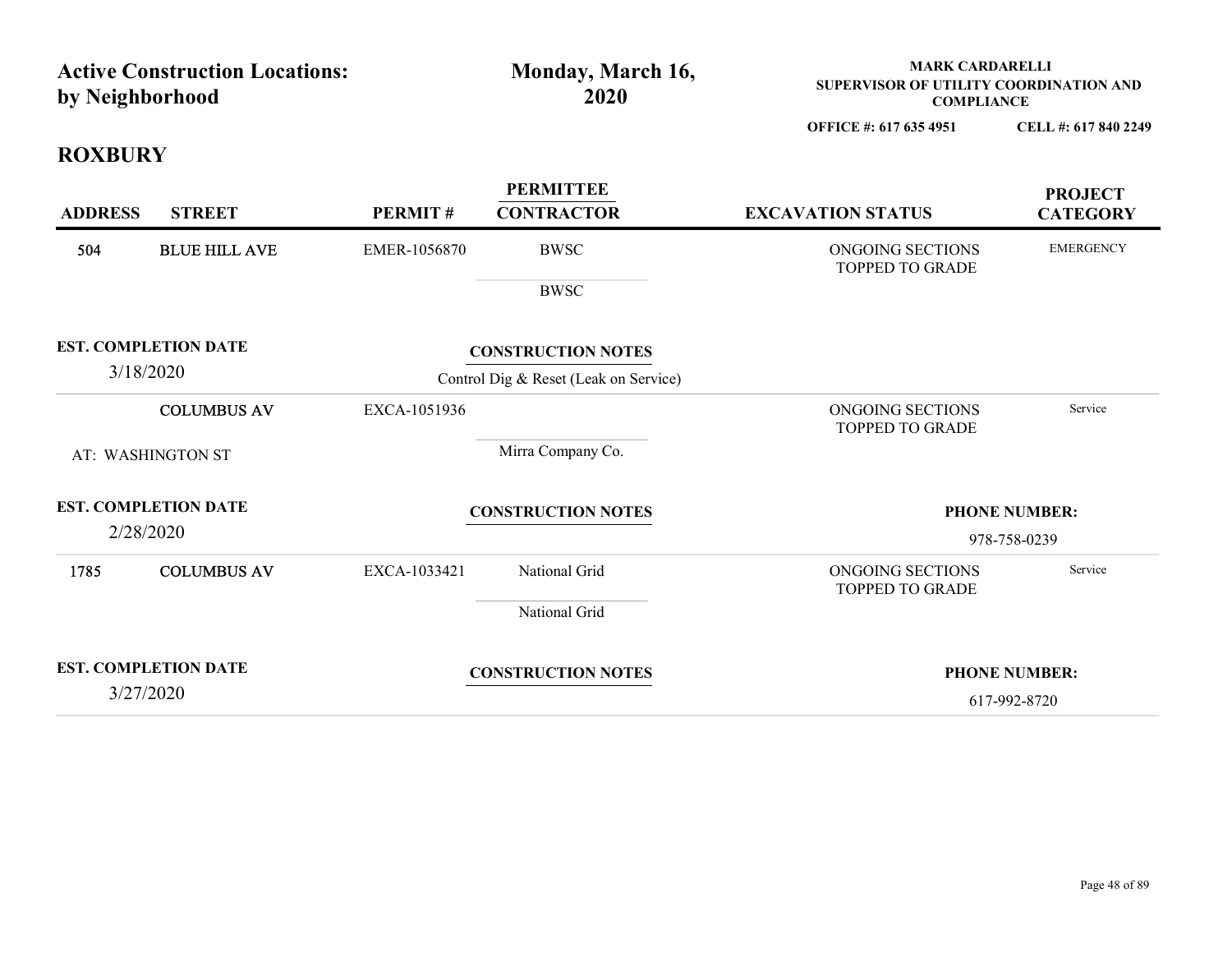| by Neighborhood                  | <b>Active Construction Locations:</b>    |              | Monday, March 16,<br>2020                                          | <b>MARK CARDARELLI</b><br>SUPERVISOR OF UTILITY COORDINATION AND<br><b>COMPLIANCE</b> |                                      |
|----------------------------------|------------------------------------------|--------------|--------------------------------------------------------------------|---------------------------------------------------------------------------------------|--------------------------------------|
|                                  |                                          |              |                                                                    | OFFICE #: 617 635 4951                                                                | CELL #: 617 840 2249                 |
| <b>ROXBURY</b><br><b>ADDRESS</b> | <b>STREET</b>                            | PERMIT#      | <b>PERMITTEE</b><br><b>CONTRACTOR</b>                              | <b>EXCAVATION STATUS</b>                                                              | <b>PROJECT</b><br><b>CATEGORY</b>    |
| 504                              | <b>BLUE HILL AVE</b>                     | EMER-1056870 | <b>BWSC</b><br><b>BWSC</b>                                         | ONGOING SECTIONS<br>TOPPED TO GRADE                                                   | <b>EMERGENCY</b>                     |
|                                  | <b>EST. COMPLETION DATE</b><br>3/18/2020 |              | <b>CONSTRUCTION NOTES</b><br>Control Dig & Reset (Leak on Service) |                                                                                       |                                      |
|                                  | <b>COLUMBUS AV</b><br>AT: WASHINGTON ST  | EXCA-1051936 | Mirra Company Co.                                                  | ONGOING SECTIONS<br>TOPPED TO GRADE                                                   | Service                              |
|                                  | <b>EST. COMPLETION DATE</b><br>2/28/2020 |              | <b>CONSTRUCTION NOTES</b>                                          |                                                                                       | <b>PHONE NUMBER:</b><br>978-758-0239 |
| 1785                             | <b>COLUMBUS AV</b>                       | EXCA-1033421 | National Grid<br>National Grid                                     | ONGOING SECTIONS<br>TOPPED TO GRADE                                                   | Service                              |
|                                  | <b>EST. COMPLETION DATE</b><br>3/27/2020 |              | <b>CONSTRUCTION NOTES</b>                                          |                                                                                       | <b>PHONE NUMBER:</b><br>617-992-8720 |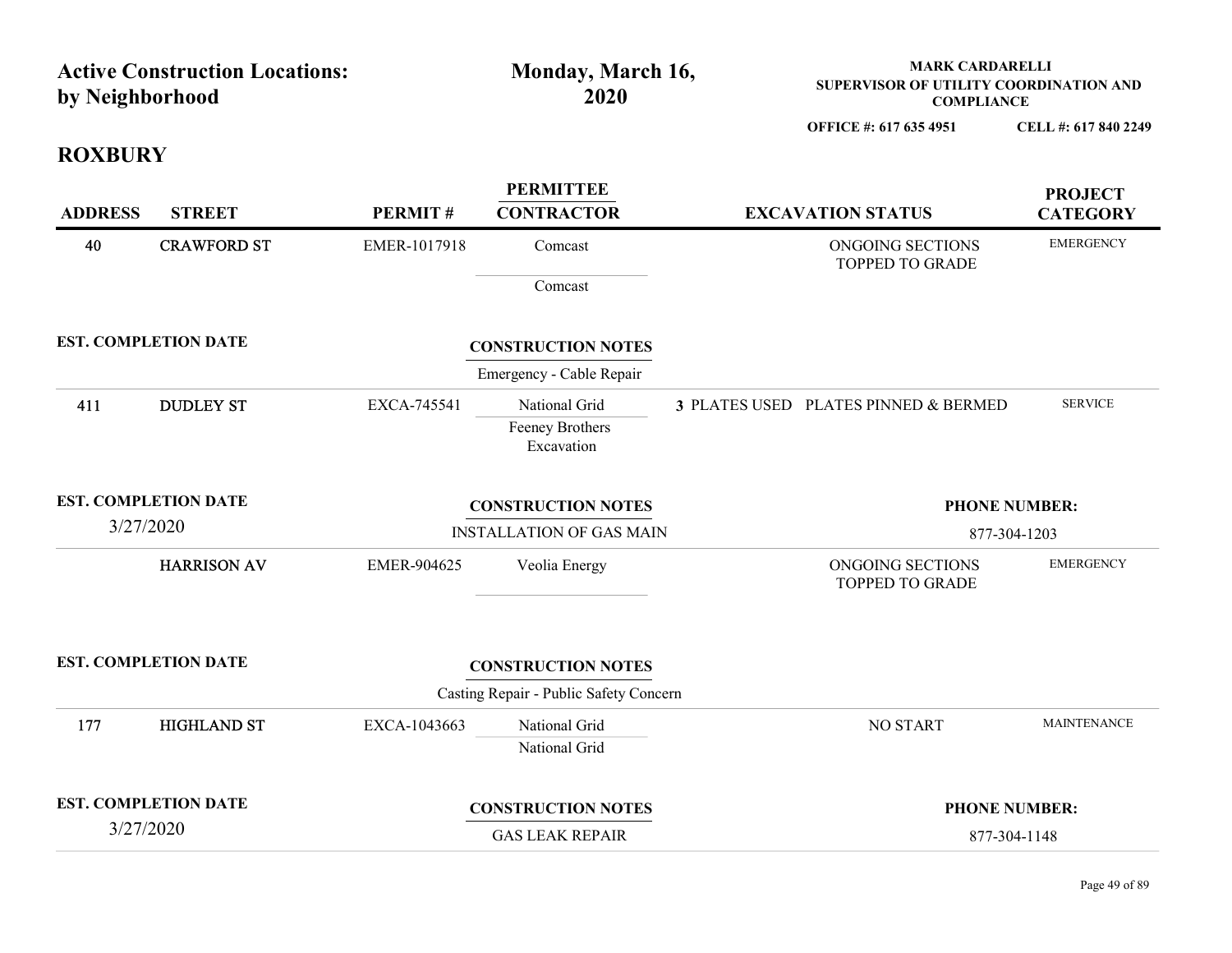| by Neighborhood | <b>Active Construction Locations:</b>    |              | Monday, March 16,<br>2020                                           | <b>MARK CARDARELLI</b><br>SUPERVISOR OF UTILITY COORDINATION AND |                                      |
|-----------------|------------------------------------------|--------------|---------------------------------------------------------------------|------------------------------------------------------------------|--------------------------------------|
|                 |                                          |              |                                                                     | <b>COMPLIANCE</b><br>OFFICE #: 617 635 4951                      | CELL #: 617 840 2249                 |
| <b>ROXBURY</b>  |                                          |              |                                                                     |                                                                  |                                      |
| <b>ADDRESS</b>  | <b>STREET</b>                            | PERMIT#      | <b>PERMITTEE</b><br><b>CONTRACTOR</b>                               | <b>EXCAVATION STATUS</b>                                         | <b>PROJECT</b><br><b>CATEGORY</b>    |
| 40              | <b>CRAWFORD ST</b>                       | EMER-1017918 | Comcast<br>Comcast                                                  | ONGOING SECTIONS<br>TOPPED TO GRADE                              | <b>EMERGENCY</b>                     |
|                 | <b>EST. COMPLETION DATE</b>              |              | <b>CONSTRUCTION NOTES</b><br>Emergency - Cable Repair               |                                                                  |                                      |
| 411             | <b>DUDLEY ST</b>                         | EXCA-745541  | National Grid<br>Feeney Brothers<br>Excavation                      | 3 PLATES USED PLATES PINNED & BERMED                             | <b>SERVICE</b>                       |
|                 | <b>EST. COMPLETION DATE</b><br>3/27/2020 |              | <b>CONSTRUCTION NOTES</b><br><b>INSTALLATION OF GAS MAIN</b>        |                                                                  | <b>PHONE NUMBER:</b><br>877-304-1203 |
|                 | <b>HARRISON AV</b>                       | EMER-904625  | Veolia Energy                                                       | ONGOING SECTIONS<br>TOPPED TO GRADE                              | <b>EMERGENCY</b>                     |
|                 | <b>EST. COMPLETION DATE</b>              |              | <b>CONSTRUCTION NOTES</b><br>Casting Repair - Public Safety Concern |                                                                  |                                      |
| 177             | <b>HIGHLAND ST</b>                       | EXCA-1043663 | National Grid<br>National Grid                                      | NO START                                                         | <b>MAINTENANCE</b>                   |
|                 | <b>EST. COMPLETION DATE</b>              |              |                                                                     |                                                                  |                                      |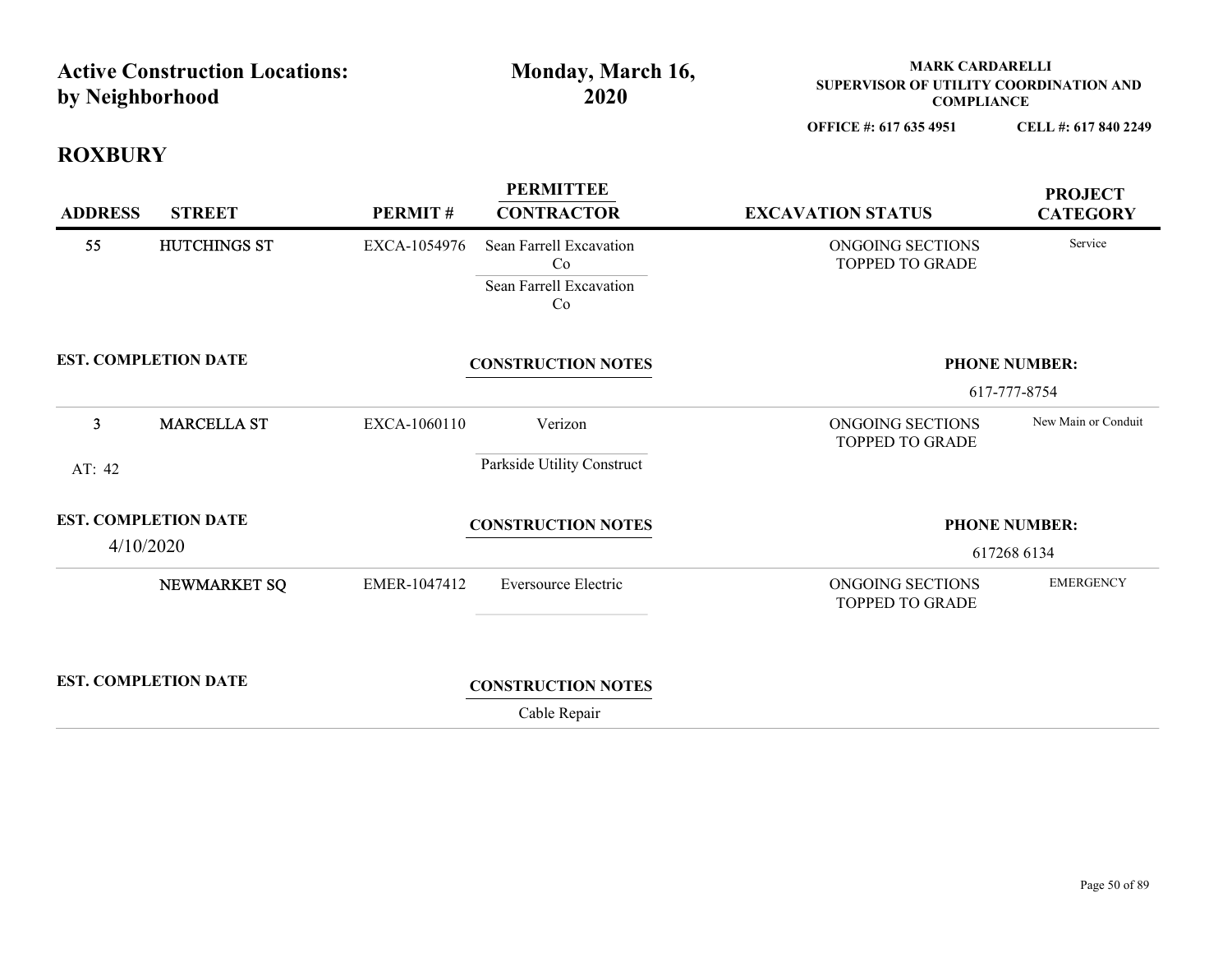| <b>MARK CARDARELLI</b><br><b>Active Construction Locations:</b><br>Monday, March 16,<br>SUPERVISOR OF UTILITY COORDINATION AND<br>by Neighborhood<br>2020<br><b>COMPLIANCE</b><br>OFFICE #: 617 635 4951<br>CELL #: 617 840 2249<br><b>ROXBURY</b><br><b>PERMITTEE</b><br><b>PROJECT</b><br><b>STREET</b><br>PERMIT#<br><b>CONTRACTOR</b><br><b>EXCAVATION STATUS</b><br><b>ADDRESS</b><br><b>CATEGORY</b><br>Sean Farrell Excavation<br>Service<br>55<br>HUTCHINGS ST<br>EXCA-1054976<br>ONGOING SECTIONS<br>Co<br>TOPPED TO GRADE<br>Sean Farrell Excavation<br>Co<br><b>EST. COMPLETION DATE</b><br><b>CONSTRUCTION NOTES</b><br><b>PHONE NUMBER:</b><br>617-777-8754<br>ONGOING SECTIONS<br><b>MARCELLA ST</b><br>EXCA-1060110<br>Verizon<br>New Main or Conduit<br>3 <sup>7</sup><br>TOPPED TO GRADE<br>Parkside Utility Construct<br>AT: 42<br><b>EST. COMPLETION DATE</b><br><b>CONSTRUCTION NOTES</b><br><b>PHONE NUMBER:</b><br>4/10/2020<br>617268 6134<br><b>EMERGENCY</b><br>NEWMARKET SQ<br>Eversource Electric<br>EMER-1047412<br>ONGOING SECTIONS<br>TOPPED TO GRADE<br><b>EST. COMPLETION DATE</b><br><b>CONSTRUCTION NOTES</b> |  |              |  |
|-------------------------------------------------------------------------------------------------------------------------------------------------------------------------------------------------------------------------------------------------------------------------------------------------------------------------------------------------------------------------------------------------------------------------------------------------------------------------------------------------------------------------------------------------------------------------------------------------------------------------------------------------------------------------------------------------------------------------------------------------------------------------------------------------------------------------------------------------------------------------------------------------------------------------------------------------------------------------------------------------------------------------------------------------------------------------------------------------------------------------------------------------|--|--------------|--|
|                                                                                                                                                                                                                                                                                                                                                                                                                                                                                                                                                                                                                                                                                                                                                                                                                                                                                                                                                                                                                                                                                                                                                 |  |              |  |
|                                                                                                                                                                                                                                                                                                                                                                                                                                                                                                                                                                                                                                                                                                                                                                                                                                                                                                                                                                                                                                                                                                                                                 |  |              |  |
|                                                                                                                                                                                                                                                                                                                                                                                                                                                                                                                                                                                                                                                                                                                                                                                                                                                                                                                                                                                                                                                                                                                                                 |  |              |  |
|                                                                                                                                                                                                                                                                                                                                                                                                                                                                                                                                                                                                                                                                                                                                                                                                                                                                                                                                                                                                                                                                                                                                                 |  |              |  |
|                                                                                                                                                                                                                                                                                                                                                                                                                                                                                                                                                                                                                                                                                                                                                                                                                                                                                                                                                                                                                                                                                                                                                 |  |              |  |
|                                                                                                                                                                                                                                                                                                                                                                                                                                                                                                                                                                                                                                                                                                                                                                                                                                                                                                                                                                                                                                                                                                                                                 |  |              |  |
|                                                                                                                                                                                                                                                                                                                                                                                                                                                                                                                                                                                                                                                                                                                                                                                                                                                                                                                                                                                                                                                                                                                                                 |  |              |  |
|                                                                                                                                                                                                                                                                                                                                                                                                                                                                                                                                                                                                                                                                                                                                                                                                                                                                                                                                                                                                                                                                                                                                                 |  |              |  |
|                                                                                                                                                                                                                                                                                                                                                                                                                                                                                                                                                                                                                                                                                                                                                                                                                                                                                                                                                                                                                                                                                                                                                 |  |              |  |
|                                                                                                                                                                                                                                                                                                                                                                                                                                                                                                                                                                                                                                                                                                                                                                                                                                                                                                                                                                                                                                                                                                                                                 |  |              |  |
|                                                                                                                                                                                                                                                                                                                                                                                                                                                                                                                                                                                                                                                                                                                                                                                                                                                                                                                                                                                                                                                                                                                                                 |  |              |  |
|                                                                                                                                                                                                                                                                                                                                                                                                                                                                                                                                                                                                                                                                                                                                                                                                                                                                                                                                                                                                                                                                                                                                                 |  |              |  |
|                                                                                                                                                                                                                                                                                                                                                                                                                                                                                                                                                                                                                                                                                                                                                                                                                                                                                                                                                                                                                                                                                                                                                 |  |              |  |
|                                                                                                                                                                                                                                                                                                                                                                                                                                                                                                                                                                                                                                                                                                                                                                                                                                                                                                                                                                                                                                                                                                                                                 |  |              |  |
|                                                                                                                                                                                                                                                                                                                                                                                                                                                                                                                                                                                                                                                                                                                                                                                                                                                                                                                                                                                                                                                                                                                                                 |  |              |  |
|                                                                                                                                                                                                                                                                                                                                                                                                                                                                                                                                                                                                                                                                                                                                                                                                                                                                                                                                                                                                                                                                                                                                                 |  |              |  |
|                                                                                                                                                                                                                                                                                                                                                                                                                                                                                                                                                                                                                                                                                                                                                                                                                                                                                                                                                                                                                                                                                                                                                 |  |              |  |
|                                                                                                                                                                                                                                                                                                                                                                                                                                                                                                                                                                                                                                                                                                                                                                                                                                                                                                                                                                                                                                                                                                                                                 |  |              |  |
|                                                                                                                                                                                                                                                                                                                                                                                                                                                                                                                                                                                                                                                                                                                                                                                                                                                                                                                                                                                                                                                                                                                                                 |  |              |  |
|                                                                                                                                                                                                                                                                                                                                                                                                                                                                                                                                                                                                                                                                                                                                                                                                                                                                                                                                                                                                                                                                                                                                                 |  |              |  |
|                                                                                                                                                                                                                                                                                                                                                                                                                                                                                                                                                                                                                                                                                                                                                                                                                                                                                                                                                                                                                                                                                                                                                 |  | Cable Repair |  |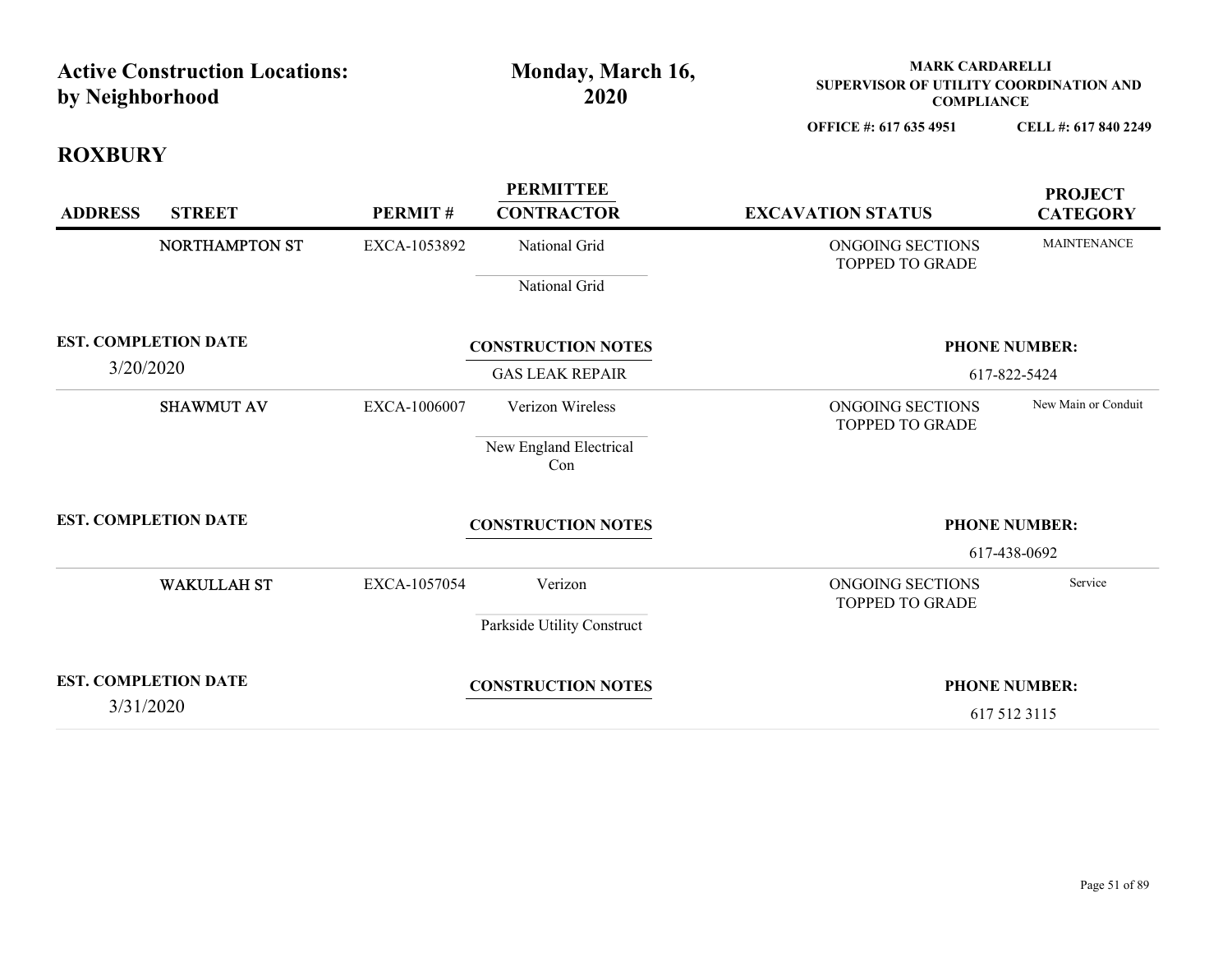| <b>Active Construction Locations:</b><br>by Neighborhood |                    |              | Monday, March 16,<br>2020             | <b>MARK CARDARELLI</b><br>SUPERVISOR OF UTILITY COORDINATION AND<br><b>COMPLIANCE</b> |                                   |
|----------------------------------------------------------|--------------------|--------------|---------------------------------------|---------------------------------------------------------------------------------------|-----------------------------------|
|                                                          |                    |              |                                       | OFFICE #: 617 635 4951                                                                | CELL #: 617 840 2249              |
| <b>ROXBURY</b>                                           |                    |              |                                       |                                                                                       |                                   |
| <b>STREET</b><br><b>ADDRESS</b>                          |                    | PERMIT#      | <b>PERMITTEE</b><br><b>CONTRACTOR</b> | <b>EXCAVATION STATUS</b>                                                              | <b>PROJECT</b><br><b>CATEGORY</b> |
|                                                          | NORTHAMPTON ST     | EXCA-1053892 | National Grid                         | ONGOING SECTIONS<br>TOPPED TO GRADE                                                   | <b>MAINTENANCE</b>                |
|                                                          |                    |              | National Grid                         |                                                                                       |                                   |
| <b>EST. COMPLETION DATE</b>                              |                    |              | <b>CONSTRUCTION NOTES</b>             |                                                                                       | <b>PHONE NUMBER:</b>              |
| 3/20/2020                                                |                    |              | <b>GAS LEAK REPAIR</b>                |                                                                                       | 617-822-5424                      |
|                                                          | <b>SHAWMUT AV</b>  | EXCA-1006007 | Verizon Wireless                      | ONGOING SECTIONS<br><b>TOPPED TO GRADE</b>                                            | New Main or Conduit               |
|                                                          |                    |              | New England Electrical<br>Con         |                                                                                       |                                   |
| <b>EST. COMPLETION DATE</b>                              |                    |              | <b>CONSTRUCTION NOTES</b>             |                                                                                       | <b>PHONE NUMBER:</b>              |
|                                                          |                    |              |                                       |                                                                                       | 617-438-0692                      |
|                                                          | <b>WAKULLAH ST</b> | EXCA-1057054 | Verizon                               | ONGOING SECTIONS<br>TOPPED TO GRADE                                                   | Service                           |
|                                                          |                    |              | Parkside Utility Construct            |                                                                                       |                                   |
| <b>EST. COMPLETION DATE</b>                              |                    |              | <b>CONSTRUCTION NOTES</b>             |                                                                                       | <b>PHONE NUMBER:</b>              |
| 3/31/2020                                                |                    |              |                                       |                                                                                       | 617 512 3115                      |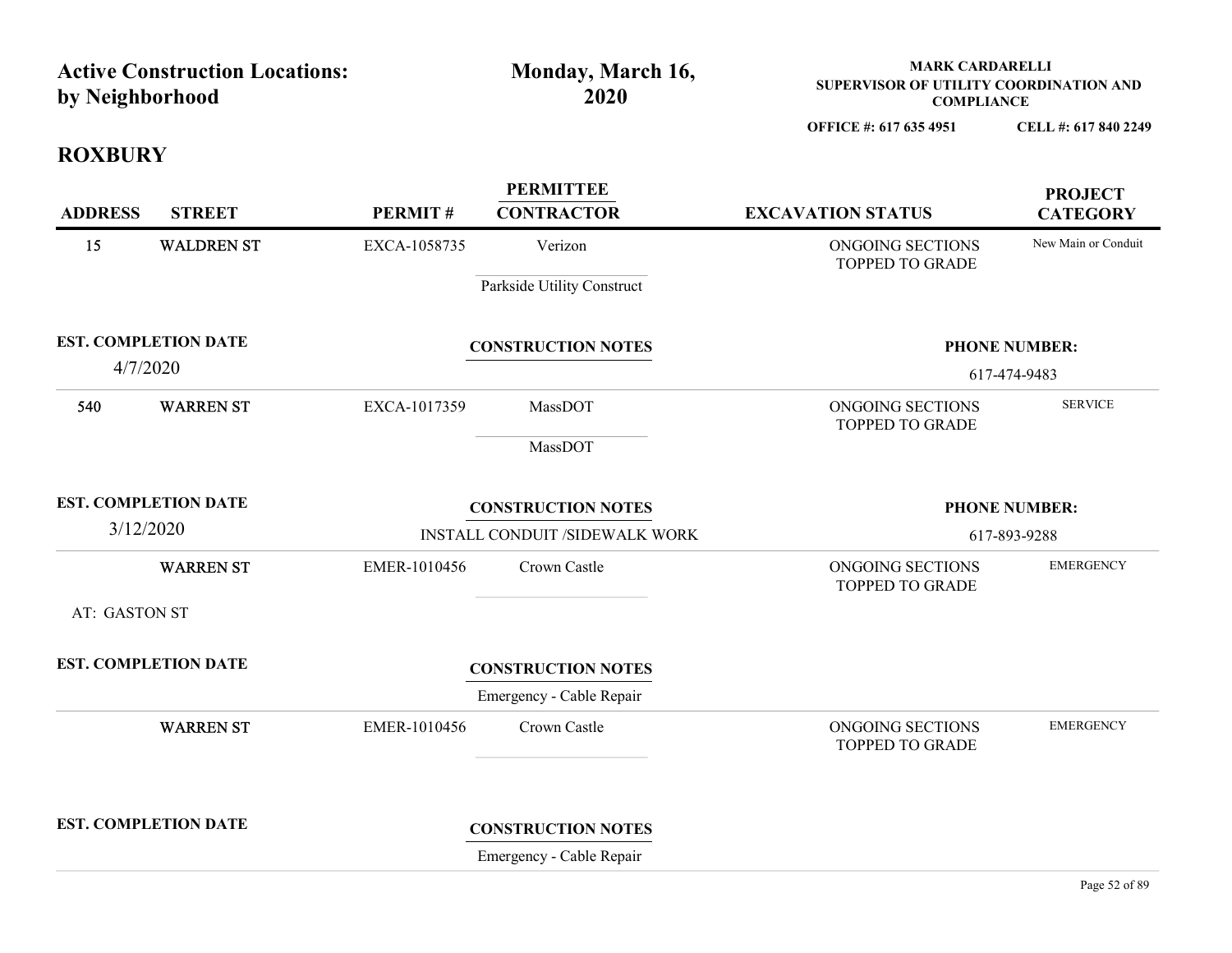| <b>Active Construction Locations:</b><br>by Neighborhood |              | Monday, March 16,<br>2020                                   | <b>MARK CARDARELLI</b><br>SUPERVISOR OF UTILITY COORDINATION AND<br><b>COMPLIANCE</b> |                                      |
|----------------------------------------------------------|--------------|-------------------------------------------------------------|---------------------------------------------------------------------------------------|--------------------------------------|
| <b>ROXBURY</b>                                           |              |                                                             | OFFICE #: 617 635 4951                                                                | CELL #: 617 840 2249                 |
| <b>STREET</b><br><b>ADDRESS</b>                          | PERMIT#      | <b>PERMITTEE</b><br><b>CONTRACTOR</b>                       | <b>EXCAVATION STATUS</b>                                                              | <b>PROJECT</b><br><b>CATEGORY</b>    |
| 15<br><b>WALDREN ST</b>                                  | EXCA-1058735 | Verizon<br>Parkside Utility Construct                       | ONGOING SECTIONS<br>TOPPED TO GRADE                                                   | New Main or Conduit                  |
| <b>EST. COMPLETION DATE</b><br>4/7/2020                  |              | <b>CONSTRUCTION NOTES</b>                                   |                                                                                       | <b>PHONE NUMBER:</b><br>617-474-9483 |
| <b>WARREN ST</b><br>540                                  | EXCA-1017359 | MassDOT<br>MassDOT                                          | ONGOING SECTIONS<br>TOPPED TO GRADE                                                   | <b>SERVICE</b>                       |
| <b>EST. COMPLETION DATE</b><br>3/12/2020                 |              | <b>CONSTRUCTION NOTES</b><br>INSTALL CONDUIT /SIDEWALK WORK |                                                                                       | <b>PHONE NUMBER:</b><br>617-893-9288 |
| <b>WARREN ST</b><br>AT: GASTON ST                        | EMER-1010456 | Crown Castle                                                | ONGOING SECTIONS<br>TOPPED TO GRADE                                                   | <b>EMERGENCY</b>                     |
|                                                          |              |                                                             |                                                                                       |                                      |
| <b>EST. COMPLETION DATE</b>                              |              | <b>CONSTRUCTION NOTES</b><br>Emergency - Cable Repair       |                                                                                       |                                      |
| <b>WARREN ST</b>                                         | EMER-1010456 | Crown Castle                                                | ONGOING SECTIONS<br><b>TOPPED TO GRADE</b>                                            | <b>EMERGENCY</b>                     |
| <b>EST. COMPLETION DATE</b>                              |              | <b>CONSTRUCTION NOTES</b>                                   |                                                                                       |                                      |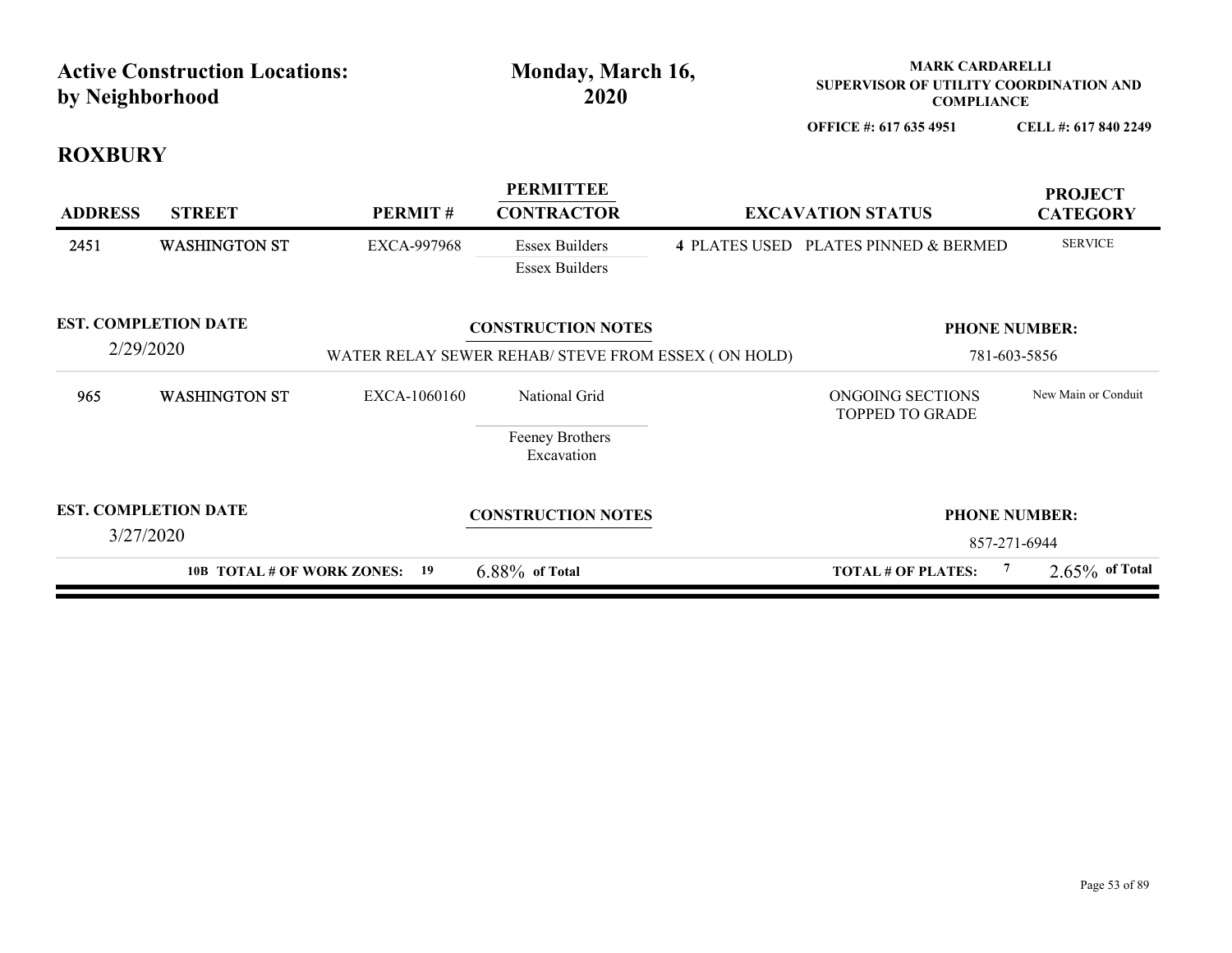| by Neighborhood | <b>Active Construction Locations:</b> |                               | Monday, March 16,<br>2020                           | <b>MARK CARDARELLI</b><br>SUPERVISOR OF UTILITY COORDINATION AND<br><b>COMPLIANCE</b> |                                   |
|-----------------|---------------------------------------|-------------------------------|-----------------------------------------------------|---------------------------------------------------------------------------------------|-----------------------------------|
|                 |                                       |                               |                                                     | OFFICE #: 617 635 4951                                                                | CELL #: 617 840 2249              |
| <b>ROXBURY</b>  |                                       |                               |                                                     |                                                                                       |                                   |
| <b>ADDRESS</b>  | <b>STREET</b>                         | PERMIT#                       | <b>PERMITTEE</b><br><b>CONTRACTOR</b>               | <b>EXCAVATION STATUS</b>                                                              | <b>PROJECT</b><br><b>CATEGORY</b> |
| 2451            | <b>WASHINGTON ST</b>                  | EXCA-997968                   | <b>Essex Builders</b><br><b>Essex Builders</b>      | 4 PLATES USED PLATES PINNED & BERMED                                                  | <b>SERVICE</b>                    |
|                 | <b>EST. COMPLETION DATE</b>           |                               | <b>CONSTRUCTION NOTES</b>                           | <b>PHONE NUMBER:</b>                                                                  |                                   |
| 2/29/2020       |                                       |                               | WATER RELAY SEWER REHAB/ STEVE FROM ESSEX (ON HOLD) |                                                                                       | 781-603-5856                      |
| 965             | <b>WASHINGTON ST</b>                  | EXCA-1060160                  | National Grid                                       | ONGOING SECTIONS<br>TOPPED TO GRADE                                                   | New Main or Conduit               |
|                 |                                       |                               | Feeney Brothers<br>Excavation                       |                                                                                       |                                   |
|                 | <b>EST. COMPLETION DATE</b>           |                               | <b>CONSTRUCTION NOTES</b>                           | <b>PHONE NUMBER:</b>                                                                  |                                   |
| 3/27/2020       |                                       |                               |                                                     |                                                                                       | 857-271-6944                      |
|                 |                                       | 10B TOTAL # OF WORK ZONES: 19 | $6.88\%$ of Total                                   | $\overline{7}$<br><b>TOTAL # OF PLATES:</b>                                           | $2.65\%$ of Total                 |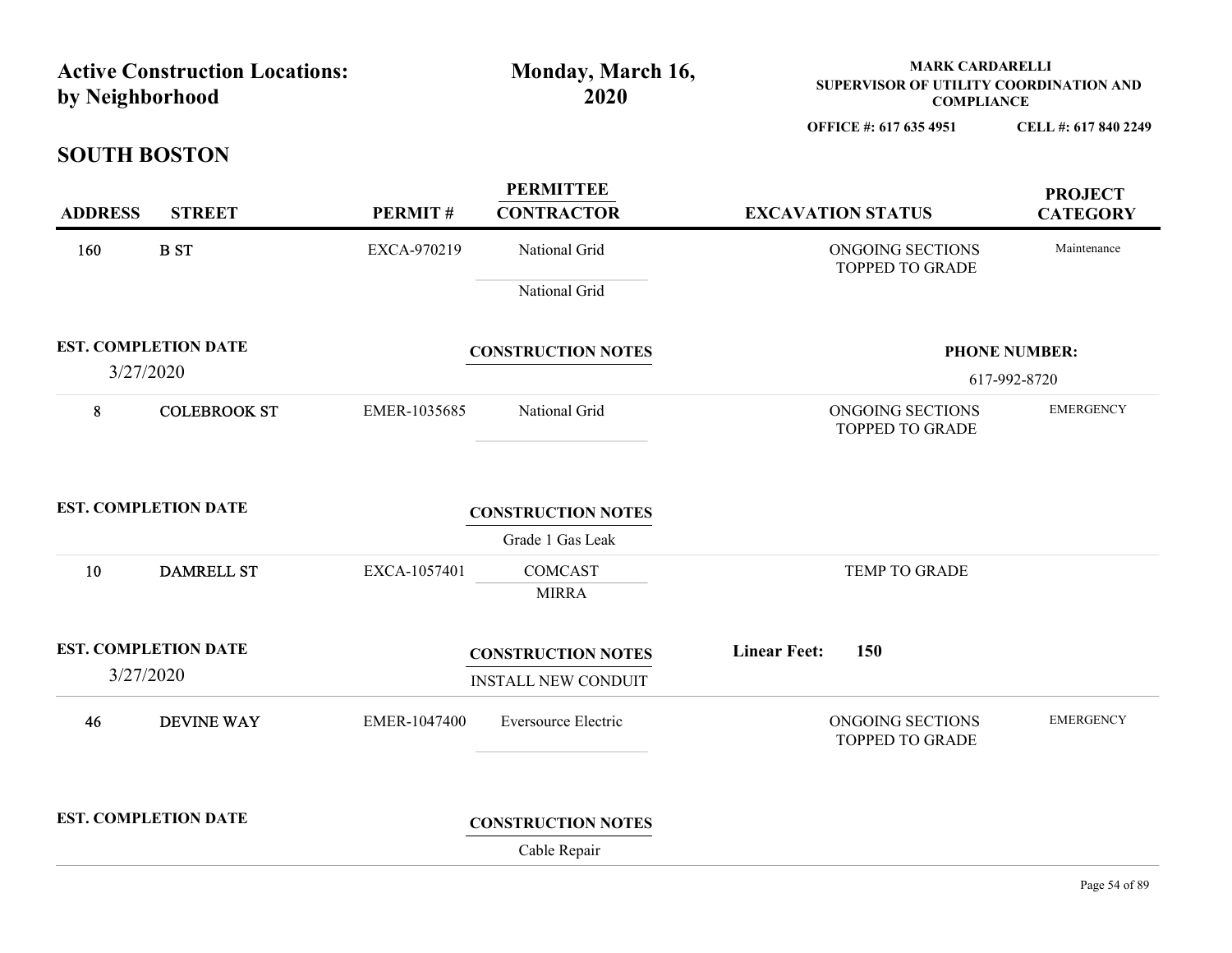|                | <b>Active Construction Locations:</b>    |              | Monday, March 16,                     |                     | <b>MARK CARDARELLI</b><br>SUPERVISOR OF UTILITY COORDINATION AND |                                      |
|----------------|------------------------------------------|--------------|---------------------------------------|---------------------|------------------------------------------------------------------|--------------------------------------|
|                | by Neighborhood                          |              | 2020                                  |                     | <b>COMPLIANCE</b><br>OFFICE #: 617 635 4951                      | CELL #: 617 840 2249                 |
|                | <b>SOUTH BOSTON</b>                      |              |                                       |                     |                                                                  |                                      |
| <b>ADDRESS</b> | <b>STREET</b>                            | PERMIT#      | <b>PERMITTEE</b><br><b>CONTRACTOR</b> |                     | <b>EXCAVATION STATUS</b>                                         | <b>PROJECT</b><br><b>CATEGORY</b>    |
| 160            | <b>B</b> ST                              | EXCA-970219  | National Grid                         |                     | ONGOING SECTIONS                                                 | Maintenance                          |
|                |                                          |              | National Grid                         |                     | TOPPED TO GRADE                                                  |                                      |
|                | <b>EST. COMPLETION DATE</b><br>3/27/2020 |              | <b>CONSTRUCTION NOTES</b>             |                     |                                                                  | <b>PHONE NUMBER:</b><br>617-992-8720 |
| 8              | <b>COLEBROOK ST</b>                      | EMER-1035685 | National Grid                         |                     | ONGOING SECTIONS<br>TOPPED TO GRADE                              | <b>EMERGENCY</b>                     |
|                | <b>EST. COMPLETION DATE</b>              |              | <b>CONSTRUCTION NOTES</b>             |                     |                                                                  |                                      |
|                |                                          |              | Grade 1 Gas Leak                      |                     |                                                                  |                                      |
| 10             | <b>DAMRELL ST</b>                        | EXCA-1057401 | COMCAST<br><b>MIRRA</b>               |                     | TEMP TO GRADE                                                    |                                      |
|                | <b>EST. COMPLETION DATE</b>              |              | <b>CONSTRUCTION NOTES</b>             | <b>Linear Feet:</b> | 150                                                              |                                      |
|                | 3/27/2020                                |              | <b>INSTALL NEW CONDUIT</b>            |                     |                                                                  |                                      |
| 46             | <b>DEVINE WAY</b>                        | EMER-1047400 | Eversource Electric                   |                     | ONGOING SECTIONS<br>TOPPED TO GRADE                              | <b>EMERGENCY</b>                     |
|                |                                          |              |                                       |                     |                                                                  |                                      |
|                | <b>EST. COMPLETION DATE</b>              |              | <b>CONSTRUCTION NOTES</b>             |                     |                                                                  |                                      |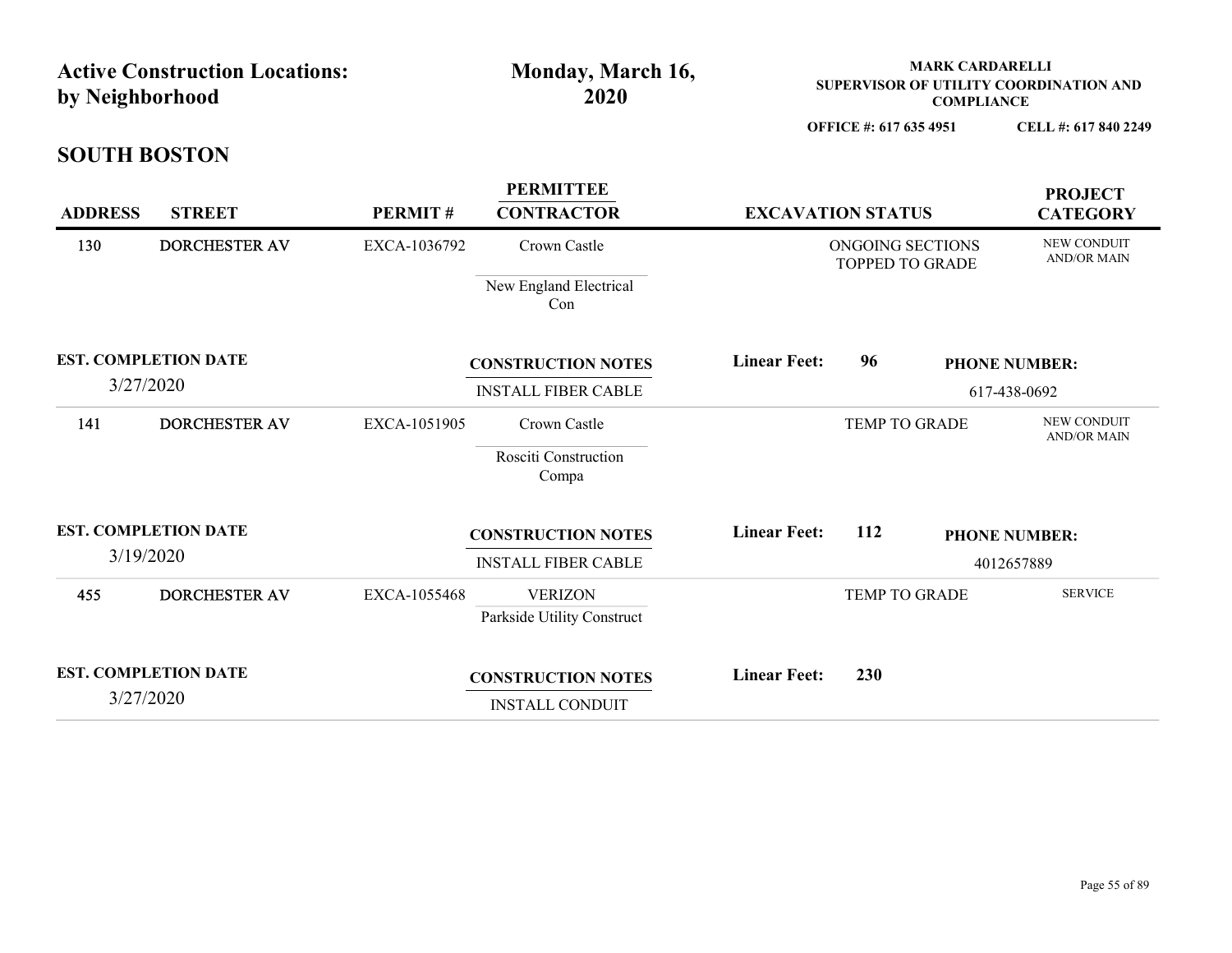| by Neighborhood     | <b>Active Construction Locations:</b>    |              | Monday, March 16,<br>2020                               |                          |                                     | <b>MARK CARDARELLI</b> | SUPERVISOR OF UTILITY COORDINATION AND |
|---------------------|------------------------------------------|--------------|---------------------------------------------------------|--------------------------|-------------------------------------|------------------------|----------------------------------------|
|                     |                                          |              |                                                         |                          | OFFICE #: 617 635 4951              | <b>COMPLIANCE</b>      | CELL #: 617 840 2249                   |
| <b>SOUTH BOSTON</b> |                                          |              |                                                         |                          |                                     |                        |                                        |
| <b>ADDRESS</b>      | <b>STREET</b>                            | PERMIT#      | <b>PERMITTEE</b><br><b>CONTRACTOR</b>                   | <b>EXCAVATION STATUS</b> |                                     |                        | <b>PROJECT</b><br><b>CATEGORY</b>      |
| 130                 | <b>DORCHESTER AV</b>                     | EXCA-1036792 | Crown Castle<br>New England Electrical<br>Con           |                          | ONGOING SECTIONS<br>TOPPED TO GRADE |                        | NEW CONDUIT<br><b>AND/OR MAIN</b>      |
|                     | <b>EST. COMPLETION DATE</b>              |              | <b>CONSTRUCTION NOTES</b>                               | <b>Linear Feet:</b>      | 96                                  |                        | <b>PHONE NUMBER:</b>                   |
| 3/27/2020           |                                          |              | <b>INSTALL FIBER CABLE</b>                              |                          |                                     |                        | 617-438-0692                           |
| 141                 | DORCHESTER AV                            | EXCA-1051905 | Crown Castle<br>Rosciti Construction<br>Compa           |                          | TEMP TO GRADE                       |                        | NEW CONDUIT<br>AND/OR MAIN             |
| 3/19/2020           | <b>EST. COMPLETION DATE</b>              |              | <b>CONSTRUCTION NOTES</b><br><b>INSTALL FIBER CABLE</b> | <b>Linear Feet:</b>      | 112                                 |                        | <b>PHONE NUMBER:</b>                   |
| 455                 | <b>DORCHESTER AV</b>                     | EXCA-1055468 | <b>VERIZON</b><br>Parkside Utility Construct            |                          | TEMP TO GRADE                       |                        | 4012657889<br><b>SERVICE</b>           |
|                     | <b>EST. COMPLETION DATE</b><br>3/27/2020 |              | <b>CONSTRUCTION NOTES</b><br><b>INSTALL CONDUIT</b>     | <b>Linear Feet:</b>      | 230                                 |                        |                                        |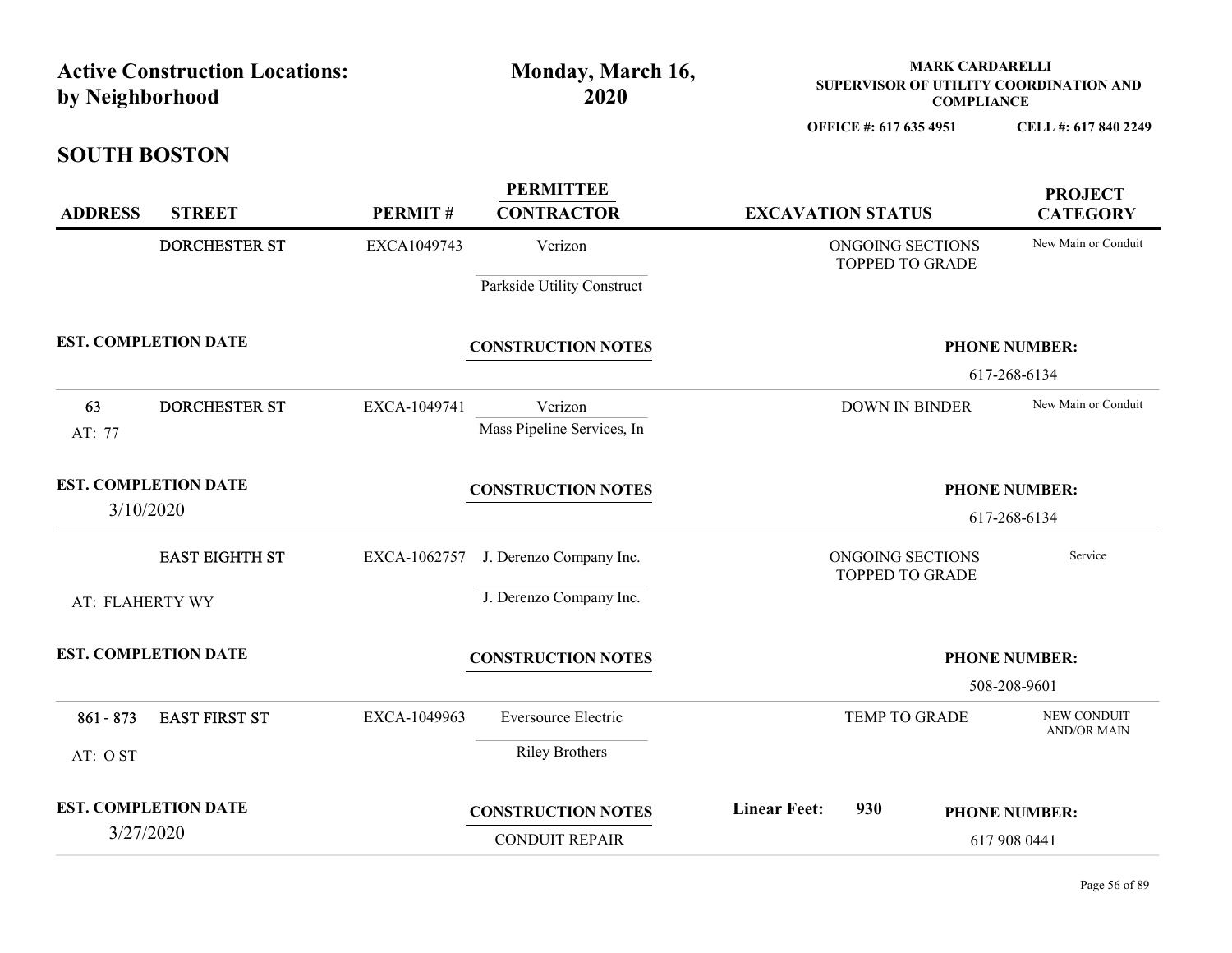| by Neighborhood     | <b>Active Construction Locations:</b> |              | Monday, March 16,<br>2020             | <b>MARK CARDARELLI</b><br>SUPERVISOR OF UTILITY COORDINATION AND<br><b>COMPLIANCE</b> |                                      |
|---------------------|---------------------------------------|--------------|---------------------------------------|---------------------------------------------------------------------------------------|--------------------------------------|
|                     |                                       |              |                                       | OFFICE #: 617 635 4951                                                                | CELL #: 617 840 2249                 |
| <b>SOUTH BOSTON</b> |                                       |              |                                       |                                                                                       |                                      |
| <b>ADDRESS</b>      | <b>STREET</b>                         | PERMIT#      | <b>PERMITTEE</b><br><b>CONTRACTOR</b> | <b>EXCAVATION STATUS</b>                                                              | <b>PROJECT</b><br><b>CATEGORY</b>    |
|                     | <b>DORCHESTER ST</b>                  | EXCA1049743  | Verizon<br>Parkside Utility Construct | ONGOING SECTIONS<br>TOPPED TO GRADE                                                   | New Main or Conduit                  |
|                     | <b>EST. COMPLETION DATE</b>           |              | <b>CONSTRUCTION NOTES</b>             |                                                                                       | <b>PHONE NUMBER:</b><br>617-268-6134 |
| 63<br>AT: 77        | <b>DORCHESTER ST</b>                  | EXCA-1049741 | Verizon<br>Mass Pipeline Services, In | <b>DOWN IN BINDER</b>                                                                 | New Main or Conduit                  |
| 3/10/2020           | <b>EST. COMPLETION DATE</b>           |              | <b>CONSTRUCTION NOTES</b>             |                                                                                       | <b>PHONE NUMBER:</b><br>617-268-6134 |
|                     | <b>EAST EIGHTH ST</b>                 |              | EXCA-1062757 J. Derenzo Company Inc.  | ONGOING SECTIONS<br>TOPPED TO GRADE                                                   | Service                              |
| AT: FLAHERTY WY     |                                       |              | J. Derenzo Company Inc.               |                                                                                       |                                      |
|                     | <b>EST. COMPLETION DATE</b>           |              | <b>CONSTRUCTION NOTES</b>             |                                                                                       | <b>PHONE NUMBER:</b><br>508-208-9601 |
| $861 - 873$         | <b>EAST FIRST ST</b>                  | EXCA-1049963 | Eversource Electric                   | TEMP TO GRADE                                                                         | NEW CONDUIT<br>AND/OR MAIN           |
| AT: OST             |                                       |              | <b>Riley Brothers</b>                 |                                                                                       |                                      |
|                     | <b>EST. COMPLETION DATE</b>           |              | <b>CONSTRUCTION NOTES</b>             | <b>Linear Feet:</b><br>930                                                            | <b>PHONE NUMBER:</b>                 |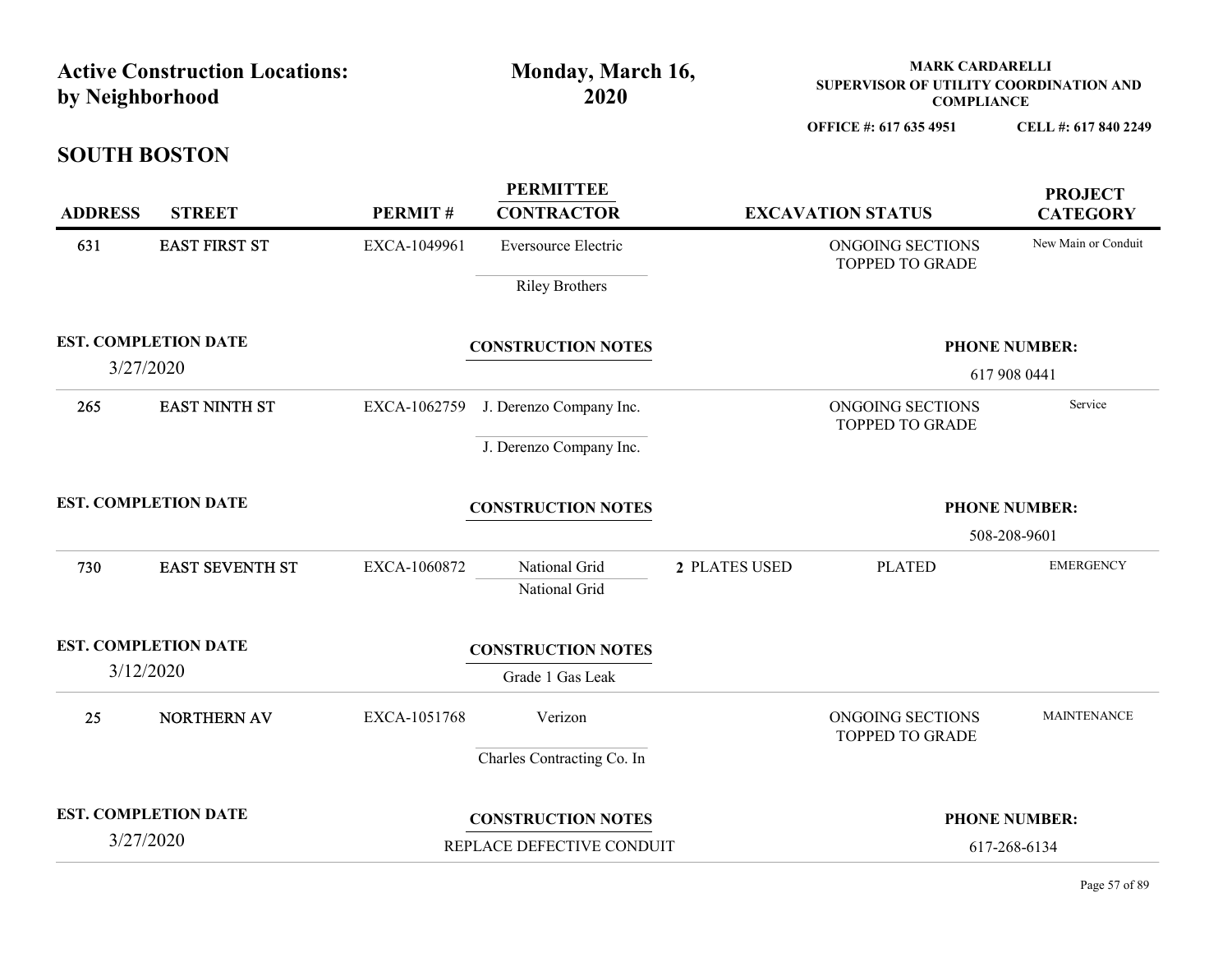|                | <b>Active Construction Locations:</b>    |              | Monday, March 16,                                      |               | <b>MARK CARDARELLI</b><br>SUPERVISOR OF UTILITY COORDINATION AND |                                      |
|----------------|------------------------------------------|--------------|--------------------------------------------------------|---------------|------------------------------------------------------------------|--------------------------------------|
|                | by Neighborhood                          |              | 2020                                                   |               | <b>COMPLIANCE</b><br>OFFICE #: 617 635 4951                      | CELL #: 617 840 2249                 |
|                | <b>SOUTH BOSTON</b>                      |              |                                                        |               |                                                                  |                                      |
| <b>ADDRESS</b> | <b>STREET</b>                            | PERMIT#      | <b>PERMITTEE</b><br><b>CONTRACTOR</b>                  |               | <b>EXCAVATION STATUS</b>                                         | <b>PROJECT</b><br><b>CATEGORY</b>    |
| 631            | <b>EAST FIRST ST</b>                     | EXCA-1049961 | Eversource Electric                                    |               | ONGOING SECTIONS<br>TOPPED TO GRADE                              | New Main or Conduit                  |
|                |                                          |              | <b>Riley Brothers</b>                                  |               |                                                                  |                                      |
|                | <b>EST. COMPLETION DATE</b><br>3/27/2020 |              | <b>CONSTRUCTION NOTES</b>                              |               |                                                                  | <b>PHONE NUMBER:</b><br>617 908 0441 |
| 265            | <b>EAST NINTH ST</b>                     | EXCA-1062759 | J. Derenzo Company Inc.<br>J. Derenzo Company Inc.     |               | ONGOING SECTIONS<br><b>TOPPED TO GRADE</b>                       | Service                              |
|                | <b>EST. COMPLETION DATE</b>              |              | <b>CONSTRUCTION NOTES</b>                              |               |                                                                  | <b>PHONE NUMBER:</b><br>508-208-9601 |
| 730            | <b>EAST SEVENTH ST</b>                   | EXCA-1060872 | National Grid<br>National Grid                         | 2 PLATES USED | <b>PLATED</b>                                                    | <b>EMERGENCY</b>                     |
|                | <b>EST. COMPLETION DATE</b><br>3/12/2020 |              | <b>CONSTRUCTION NOTES</b><br>Grade 1 Gas Leak          |               |                                                                  |                                      |
| 25             | NORTHERN AV                              | EXCA-1051768 | Verizon                                                |               | ONGOING SECTIONS<br>TOPPED TO GRADE                              | <b>MAINTENANCE</b>                   |
|                |                                          |              | Charles Contracting Co. In                             |               |                                                                  |                                      |
|                | <b>EST. COMPLETION DATE</b><br>3/27/2020 |              | <b>CONSTRUCTION NOTES</b><br>REPLACE DEFECTIVE CONDUIT |               |                                                                  | <b>PHONE NUMBER:</b>                 |
|                |                                          |              |                                                        |               |                                                                  | 617-268-6134                         |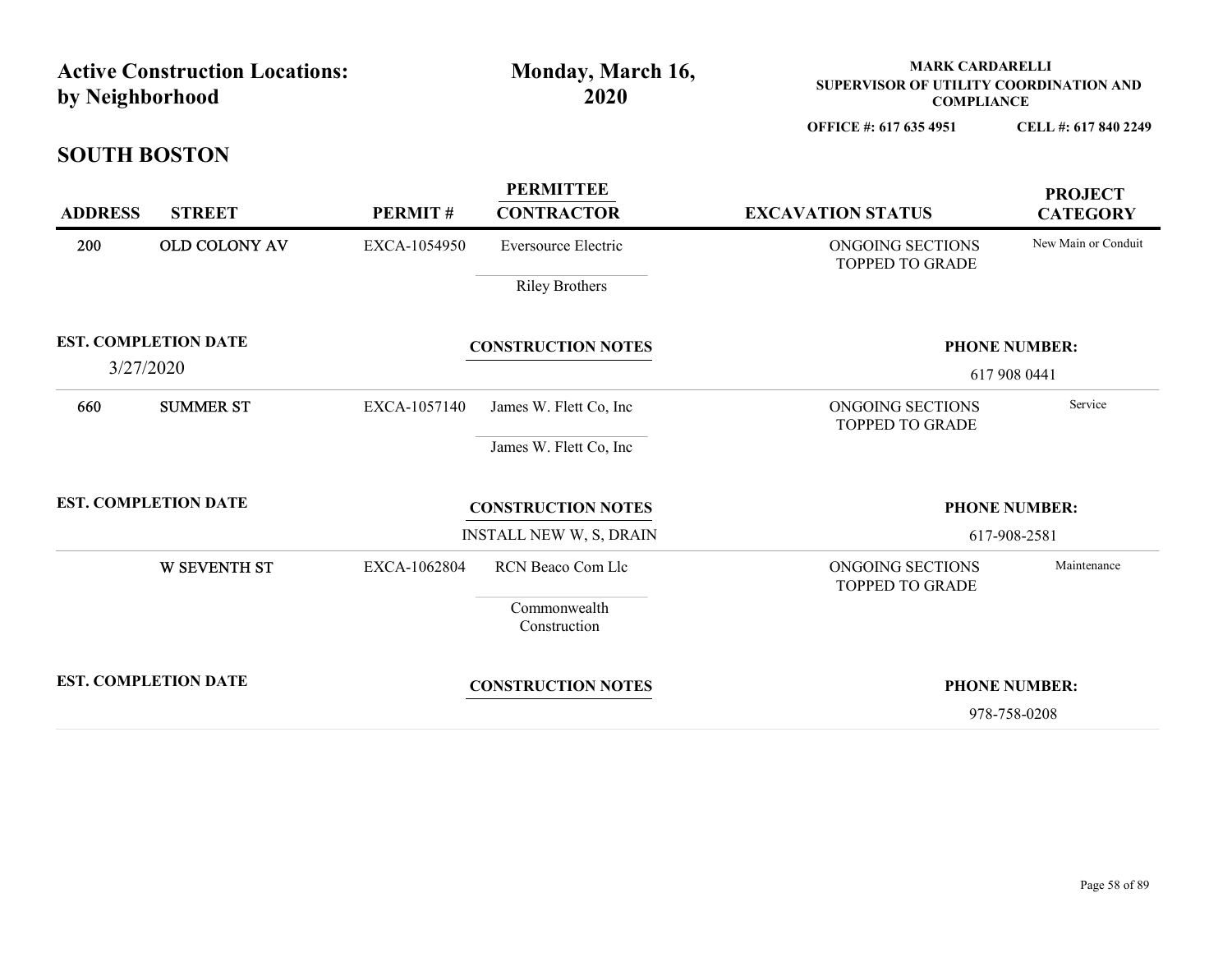| <b>Active Construction Locations:</b> |                  |              |                                       |                                                             |                                        |
|---------------------------------------|------------------|--------------|---------------------------------------|-------------------------------------------------------------|----------------------------------------|
|                                       |                  |              |                                       |                                                             |                                        |
|                                       |                  |              |                                       |                                                             |                                        |
|                                       |                  |              |                                       |                                                             |                                        |
|                                       |                  |              |                                       |                                                             |                                        |
|                                       |                  |              |                                       |                                                             |                                        |
|                                       |                  |              |                                       |                                                             |                                        |
|                                       |                  |              |                                       |                                                             |                                        |
|                                       |                  |              | Monday, March 16,                     | <b>MARK CARDARELLI</b>                                      |                                        |
| by Neighborhood                       |                  |              | 2020                                  | SUPERVISOR OF UTILITY COORDINATION AND<br><b>COMPLIANCE</b> |                                        |
|                                       |                  |              |                                       | OFFICE #: 617 635 4951                                      | CELL #: 617 840 2249                   |
| <b>SOUTH BOSTON</b>                   |                  |              |                                       |                                                             |                                        |
| <b>ADDRESS</b>                        | <b>STREET</b>    | PERMIT#      | <b>PERMITTEE</b><br><b>CONTRACTOR</b> | <b>EXCAVATION STATUS</b>                                    | <b>PROJECT</b>                         |
| 200                                   | OLD COLONY AV    | EXCA-1054950 | Eversource Electric                   | ONGOING SECTIONS                                            | <b>CATEGORY</b><br>New Main or Conduit |
|                                       |                  |              |                                       | TOPPED TO GRADE                                             |                                        |
|                                       |                  |              | <b>Riley Brothers</b>                 |                                                             |                                        |
| <b>EST. COMPLETION DATE</b>           |                  |              | <b>CONSTRUCTION NOTES</b>             |                                                             | <b>PHONE NUMBER:</b>                   |
| 3/27/2020                             |                  |              |                                       |                                                             | 617 908 0441                           |
| 660                                   | <b>SUMMER ST</b> | EXCA-1057140 | James W. Flett Co, Inc                | ONGOING SECTIONS<br><b>TOPPED TO GRADE</b>                  | Service                                |
|                                       |                  |              | James W. Flett Co, Inc                |                                                             |                                        |
|                                       |                  |              |                                       |                                                             |                                        |
| <b>EST. COMPLETION DATE</b>           |                  |              | <b>CONSTRUCTION NOTES</b>             |                                                             | <b>PHONE NUMBER:</b>                   |
|                                       |                  |              | INSTALL NEW W, S, DRAIN               |                                                             | 617-908-2581                           |
|                                       | W SEVENTH ST     | EXCA-1062804 | RCN Beaco Com Llc                     | ONGOING SECTIONS<br>TOPPED TO GRADE                         | Maintenance                            |
|                                       |                  |              | Commonwealth<br>Construction          |                                                             |                                        |
|                                       |                  |              |                                       |                                                             |                                        |
| <b>EST. COMPLETION DATE</b>           |                  |              | <b>CONSTRUCTION NOTES</b>             |                                                             | <b>PHONE NUMBER:</b>                   |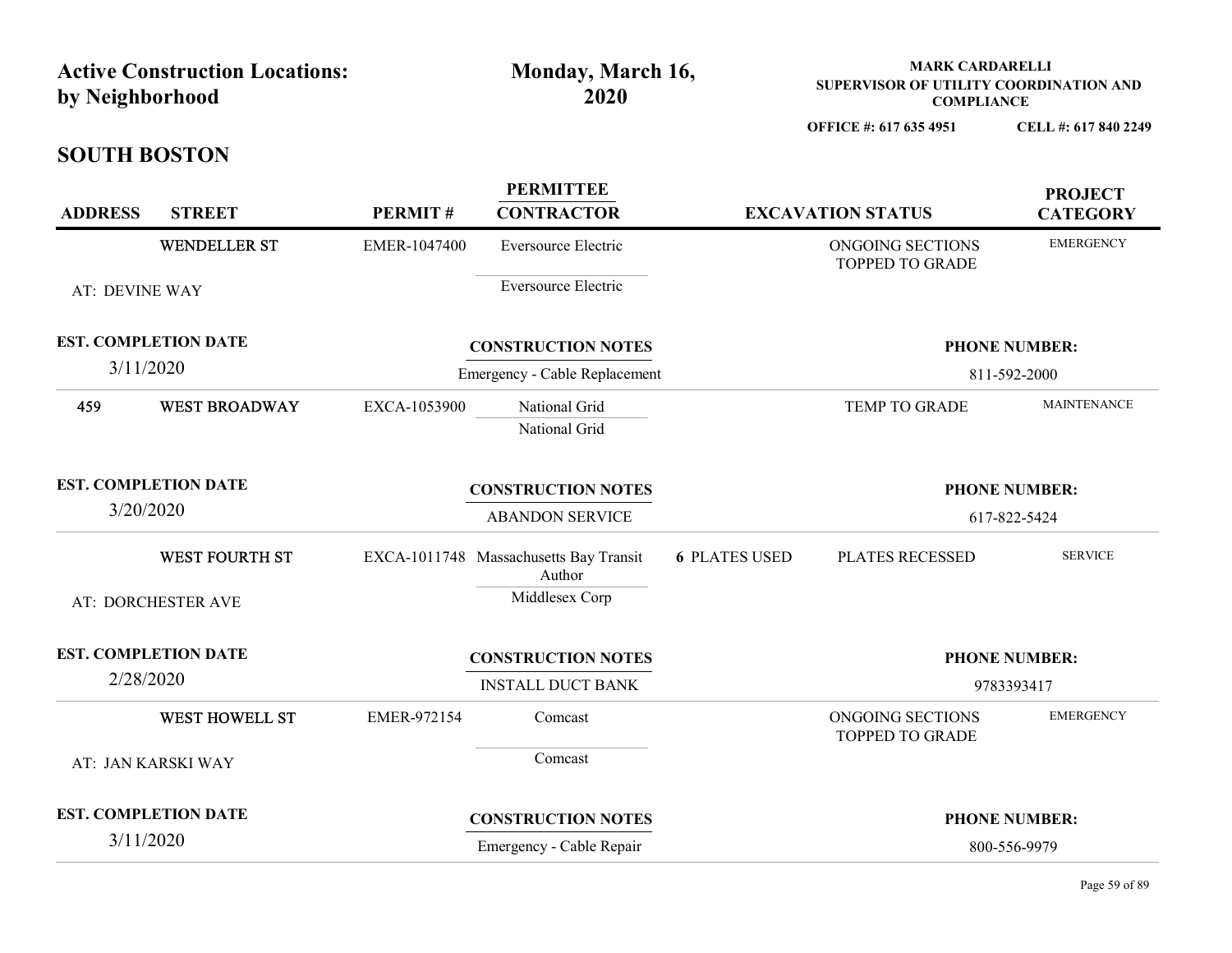|                | <b>Active Construction Locations:</b><br>by Neighborhood |              | Monday, March 16,<br>2020                                          |                      | <b>MARK CARDARELLI</b><br>SUPERVISOR OF UTILITY COORDINATION AND<br><b>COMPLIANCE</b> |                                      |
|----------------|----------------------------------------------------------|--------------|--------------------------------------------------------------------|----------------------|---------------------------------------------------------------------------------------|--------------------------------------|
|                | <b>SOUTH BOSTON</b>                                      |              |                                                                    |                      | OFFICE #: 617 635 4951                                                                | CELL #: 617 840 2249                 |
| <b>ADDRESS</b> | <b>STREET</b>                                            | PERMIT#      | <b>PERMITTEE</b><br><b>CONTRACTOR</b>                              |                      | <b>EXCAVATION STATUS</b>                                                              | <b>PROJECT</b><br><b>CATEGORY</b>    |
|                | <b>WENDELLER ST</b>                                      | EMER-1047400 | Eversource Electric                                                |                      | ONGOING SECTIONS<br>TOPPED TO GRADE                                                   | <b>EMERGENCY</b>                     |
| AT: DEVINE WAY |                                                          |              | Eversource Electric                                                |                      |                                                                                       |                                      |
|                | <b>EST. COMPLETION DATE</b><br>3/11/2020                 |              | <b>CONSTRUCTION NOTES</b><br>Emergency - Cable Replacement         |                      |                                                                                       | <b>PHONE NUMBER:</b><br>811-592-2000 |
| 459            | <b>WEST BROADWAY</b>                                     | EXCA-1053900 | National Grid<br>National Grid                                     |                      | TEMP TO GRADE                                                                         | <b>MAINTENANCE</b>                   |
|                | <b>EST. COMPLETION DATE</b><br>3/20/2020                 |              | <b>CONSTRUCTION NOTES</b><br><b>ABANDON SERVICE</b>                |                      |                                                                                       | <b>PHONE NUMBER:</b><br>617-822-5424 |
|                | WEST FOURTH ST<br>AT: DORCHESTER AVE                     |              | EXCA-1011748 Massachusetts Bay Transit<br>Author<br>Middlesex Corp | <b>6 PLATES USED</b> | PLATES RECESSED                                                                       | <b>SERVICE</b>                       |
|                | <b>EST. COMPLETION DATE</b><br>2/28/2020                 |              | <b>CONSTRUCTION NOTES</b><br><b>INSTALL DUCT BANK</b>              |                      |                                                                                       | <b>PHONE NUMBER:</b><br>9783393417   |
|                | WEST HOWELL ST                                           | EMER-972154  | Comcast                                                            |                      | ONGOING SECTIONS                                                                      | <b>EMERGENCY</b>                     |
|                | AT: JAN KARSKI WAY                                       |              | Comcast                                                            |                      | TOPPED TO GRADE                                                                       |                                      |
|                | <b>EST. COMPLETION DATE</b><br>3/11/2020                 |              | <b>CONSTRUCTION NOTES</b><br>Emergency - Cable Repair              |                      |                                                                                       | <b>PHONE NUMBER:</b>                 |
|                |                                                          |              |                                                                    |                      |                                                                                       | 800-556-9979                         |

## Page 59 of 89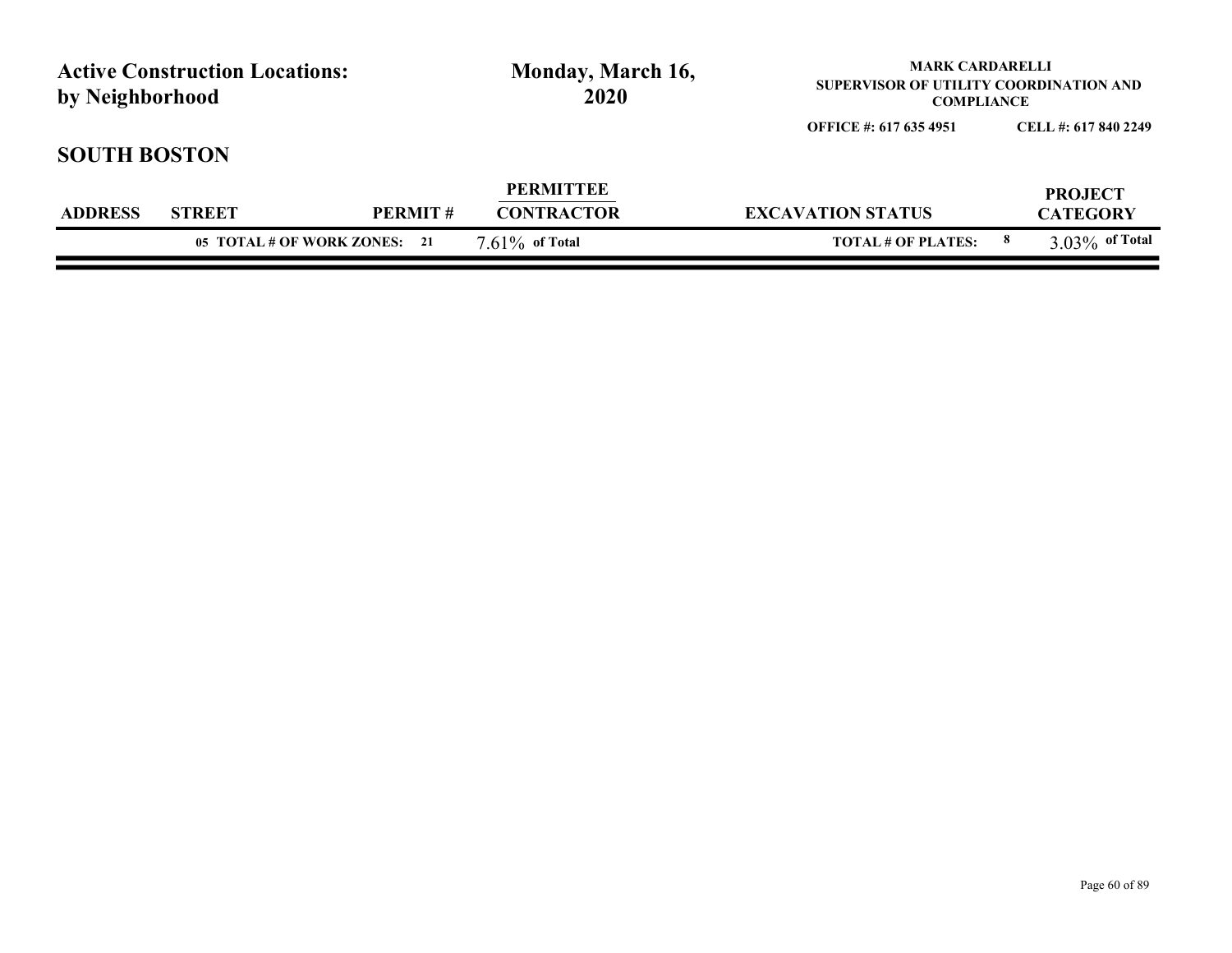|                                       | <b>Active Construction Locations:</b> |         | Monday, March 16,                     | <b>MARK CARDARELLI</b>                                      |                                   |
|---------------------------------------|---------------------------------------|---------|---------------------------------------|-------------------------------------------------------------|-----------------------------------|
| by Neighborhood                       |                                       |         | 2020                                  | SUPERVISOR OF UTILITY COORDINATION AND<br><b>COMPLIANCE</b> |                                   |
|                                       |                                       |         |                                       | OFFICE #: 617 635 4951                                      | CELL #: 617 840 2249              |
|                                       |                                       |         |                                       |                                                             |                                   |
| <b>SOUTH BOSTON</b><br><b>ADDRESS</b> | <b>STREET</b>                         | PERMIT# | <b>PERMITTEE</b><br><b>CONTRACTOR</b> | <b>EXCAVATION STATUS</b>                                    | <b>PROJECT</b><br><b>CATEGORY</b> |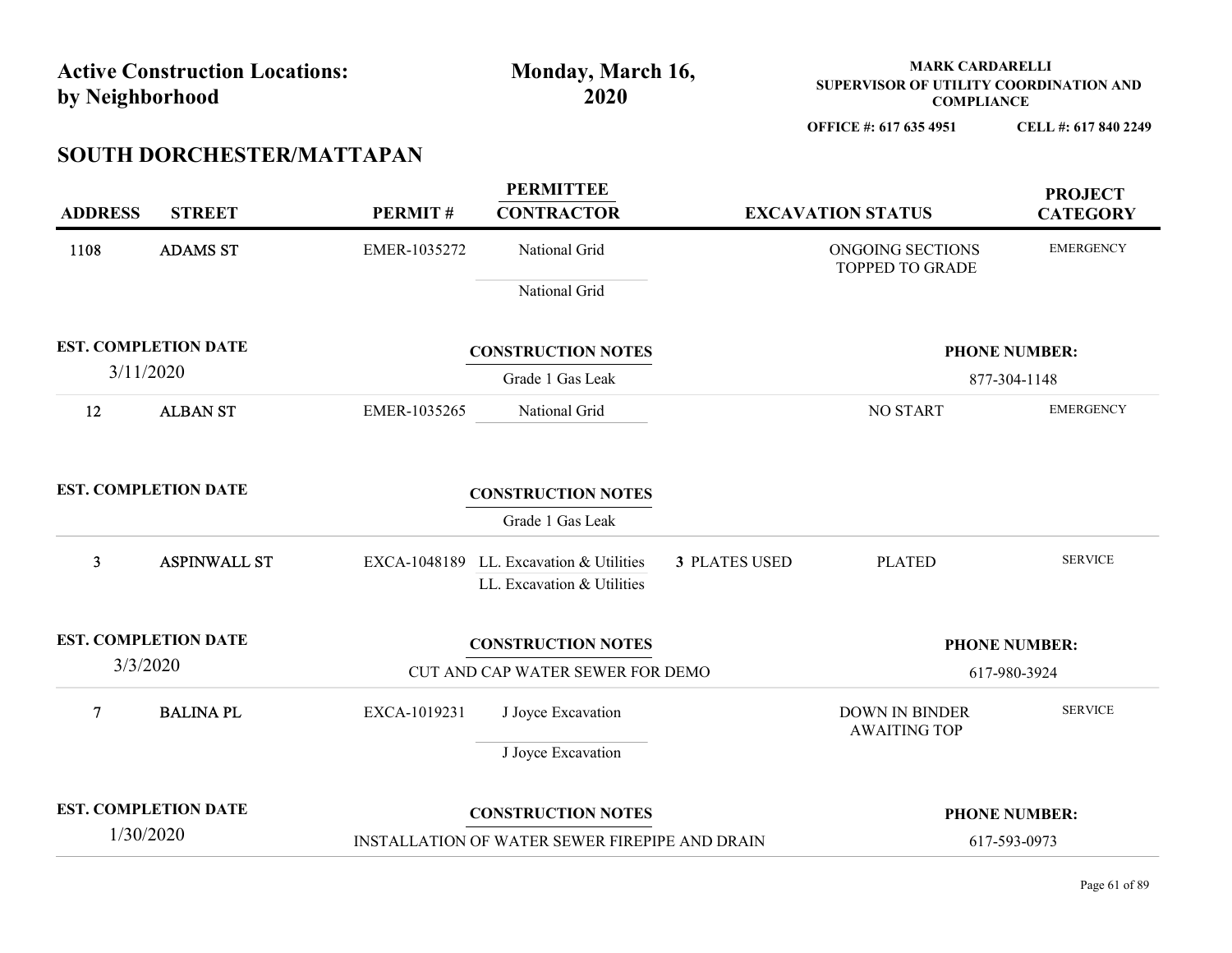|                 | <b>Active Construction Locations:</b>      |              | Monday, March 16,                                                           |                      | <b>MARK CARDARELLI</b>                                      |                                      |
|-----------------|--------------------------------------------|--------------|-----------------------------------------------------------------------------|----------------------|-------------------------------------------------------------|--------------------------------------|
| by Neighborhood |                                            |              | 2020                                                                        |                      | SUPERVISOR OF UTILITY COORDINATION AND<br><b>COMPLIANCE</b> |                                      |
|                 |                                            |              |                                                                             |                      | OFFICE #: 617 635 4951                                      | CELL #: 617 840 2249                 |
| <b>ADDRESS</b>  | SOUTH DORCHESTER/MATTAPAN<br><b>STREET</b> | PERMIT#      | <b>PERMITTEE</b><br><b>CONTRACTOR</b>                                       |                      | <b>EXCAVATION STATUS</b>                                    | <b>PROJECT</b><br><b>CATEGORY</b>    |
| 1108            | <b>ADAMS ST</b>                            | EMER-1035272 | National Grid<br>National Grid                                              |                      | ONGOING SECTIONS<br>TOPPED TO GRADE                         | <b>EMERGENCY</b>                     |
| 3/11/2020       | <b>EST. COMPLETION DATE</b>                |              | <b>CONSTRUCTION NOTES</b><br>Grade 1 Gas Leak                               |                      |                                                             | <b>PHONE NUMBER:</b><br>877-304-1148 |
| 12              | <b>ALBAN ST</b>                            | EMER-1035265 | National Grid                                                               |                      | <b>NO START</b>                                             | <b>EMERGENCY</b>                     |
|                 | <b>EST. COMPLETION DATE</b>                |              | <b>CONSTRUCTION NOTES</b><br>Grade 1 Gas Leak                               |                      |                                                             |                                      |
| 3 <sup>1</sup>  | <b>ASPINWALL ST</b>                        |              | EXCA-1048189 LL. Excavation & Utilities<br>LL. Excavation & Utilities       | <b>3 PLATES USED</b> | <b>PLATED</b>                                               | <b>SERVICE</b>                       |
| 3/3/2020        | <b>EST. COMPLETION DATE</b>                |              | <b>CONSTRUCTION NOTES</b><br>CUT AND CAP WATER SEWER FOR DEMO               |                      |                                                             | <b>PHONE NUMBER:</b><br>617-980-3924 |
| $\overline{7}$  | <b>BALINA PL</b>                           | EXCA-1019231 | J Joyce Excavation<br>J Joyce Excavation                                    |                      | <b>DOWN IN BINDER</b><br><b>AWAITING TOP</b>                | <b>SERVICE</b>                       |
| 1/30/2020       | <b>EST. COMPLETION DATE</b>                |              | <b>CONSTRUCTION NOTES</b><br>INSTALLATION OF WATER SEWER FIREPIPE AND DRAIN |                      |                                                             | <b>PHONE NUMBER:</b><br>617-593-0973 |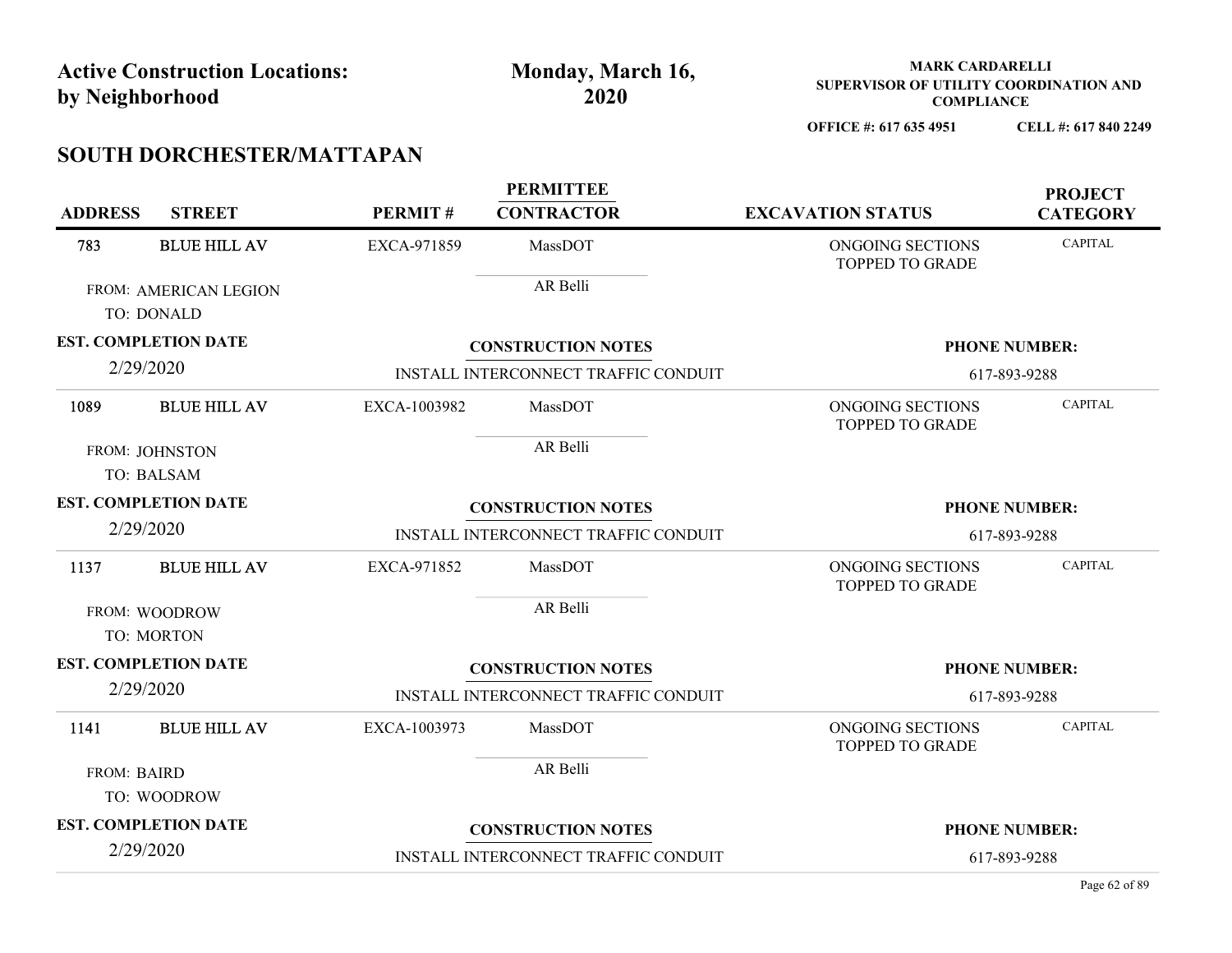|                |                                                          |              |                                       | <b>MARK CARDARELLI</b>                      |                                   |
|----------------|----------------------------------------------------------|--------------|---------------------------------------|---------------------------------------------|-----------------------------------|
|                | <b>Active Construction Locations:</b><br>by Neighborhood |              | Monday, March 16,<br>2020             | SUPERVISOR OF UTILITY COORDINATION AND      |                                   |
|                |                                                          |              |                                       | <b>COMPLIANCE</b><br>OFFICE #: 617 635 4951 | CELL #: 617 840 2249              |
|                | SOUTH DORCHESTER/MATTAPAN                                |              |                                       |                                             |                                   |
| <b>ADDRESS</b> | <b>STREET</b>                                            | PERMIT#      | <b>PERMITTEE</b><br><b>CONTRACTOR</b> | <b>EXCAVATION STATUS</b>                    | <b>PROJECT</b><br><b>CATEGORY</b> |
| 783            | <b>BLUE HILL AV</b>                                      | EXCA-971859  | MassDOT                               | ONGOING SECTIONS<br>TOPPED TO GRADE         | <b>CAPITAL</b>                    |
|                | FROM: AMERICAN LEGION<br>TO: DONALD                      |              | AR Belli                              |                                             |                                   |
|                | <b>EST. COMPLETION DATE</b>                              |              | <b>CONSTRUCTION NOTES</b>             |                                             | <b>PHONE NUMBER:</b>              |
|                | 2/29/2020                                                |              | INSTALL INTERCONNECT TRAFFIC CONDUIT  |                                             | 617-893-9288                      |
| 1089           | <b>BLUE HILL AV</b>                                      | EXCA-1003982 | MassDOT                               | ONGOING SECTIONS<br><b>TOPPED TO GRADE</b>  | <b>CAPITAL</b>                    |
|                | FROM: JOHNSTON<br>TO: BALSAM                             |              | AR Belli                              |                                             |                                   |
|                | <b>EST. COMPLETION DATE</b>                              |              | <b>CONSTRUCTION NOTES</b>             |                                             | <b>PHONE NUMBER:</b>              |
|                | 2/29/2020                                                |              | INSTALL INTERCONNECT TRAFFIC CONDUIT  |                                             | 617-893-9288                      |
| 1137           | <b>BLUE HILL AV</b>                                      | EXCA-971852  | MassDOT                               | ONGOING SECTIONS<br><b>TOPPED TO GRADE</b>  | <b>CAPITAL</b>                    |
|                | FROM: WOODROW<br>TO: MORTON                              |              | AR Belli                              |                                             |                                   |
|                | <b>EST. COMPLETION DATE</b>                              |              | <b>CONSTRUCTION NOTES</b>             |                                             | <b>PHONE NUMBER:</b>              |
|                | 2/29/2020                                                |              | INSTALL INTERCONNECT TRAFFIC CONDUIT  |                                             | 617-893-9288                      |
| 1141           | <b>BLUE HILL AV</b>                                      | EXCA-1003973 | MassDOT                               | ONGOING SECTIONS<br><b>TOPPED TO GRADE</b>  | <b>CAPITAL</b>                    |
|                | <b>FROM: BAIRD</b><br>TO: WOODROW                        |              | AR Belli                              |                                             |                                   |
|                | <b>EST. COMPLETION DATE</b>                              |              | <b>CONSTRUCTION NOTES</b>             |                                             | <b>PHONE NUMBER:</b>              |
|                | 2/29/2020                                                |              |                                       |                                             |                                   |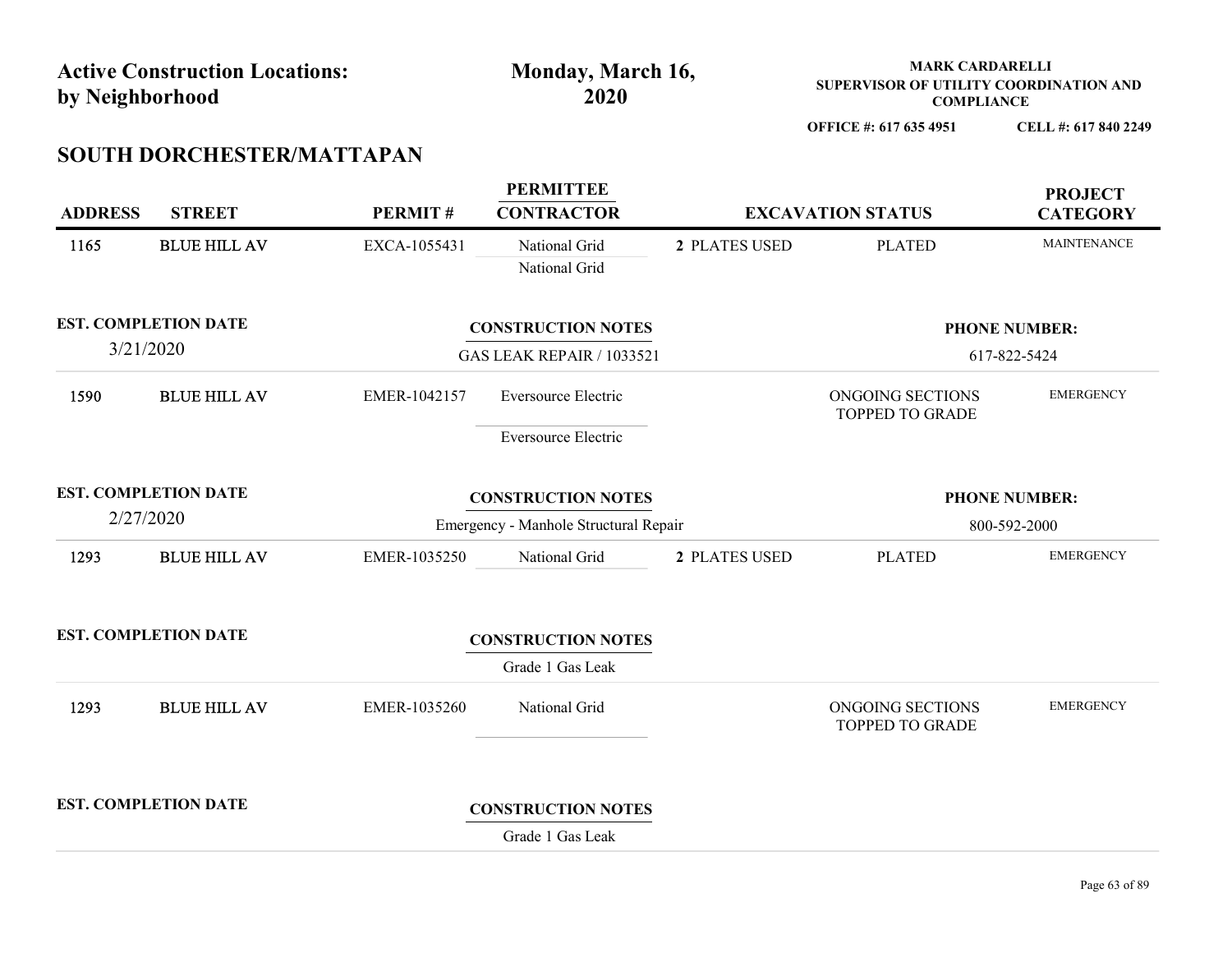| <b>Active Construction Locations:</b><br>by Neighborhood |                             |              | Monday, March 16,<br>2020                  |               | <b>MARK CARDARELLI</b><br>SUPERVISOR OF UTILITY COORDINATION AND<br><b>COMPLIANCE</b> |                                   |  |
|----------------------------------------------------------|-----------------------------|--------------|--------------------------------------------|---------------|---------------------------------------------------------------------------------------|-----------------------------------|--|
|                                                          | SOUTH DORCHESTER/MATTAPAN   |              |                                            |               | OFFICE #: 617 635 4951                                                                | CELL #: 617 840 2249              |  |
| <b>ADDRESS</b>                                           | <b>STREET</b>               | PERMIT#      | <b>PERMITTEE</b><br><b>CONTRACTOR</b>      |               | <b>EXCAVATION STATUS</b>                                                              | <b>PROJECT</b><br><b>CATEGORY</b> |  |
| 1165                                                     | <b>BLUE HILL AV</b>         | EXCA-1055431 | National Grid<br>National Grid             | 2 PLATES USED | <b>PLATED</b>                                                                         | <b>MAINTENANCE</b>                |  |
|                                                          | <b>EST. COMPLETION DATE</b> |              | <b>CONSTRUCTION NOTES</b>                  |               |                                                                                       | <b>PHONE NUMBER:</b>              |  |
|                                                          | 3/21/2020                   |              | <b>GAS LEAK REPAIR / 1033521</b>           |               |                                                                                       | 617-822-5424                      |  |
| 1590                                                     | <b>BLUE HILL AV</b>         | EMER-1042157 | Eversource Electric<br>Eversource Electric |               | ONGOING SECTIONS<br>TOPPED TO GRADE                                                   | <b>EMERGENCY</b>                  |  |
|                                                          | <b>EST. COMPLETION DATE</b> |              | <b>CONSTRUCTION NOTES</b>                  |               |                                                                                       | <b>PHONE NUMBER:</b>              |  |
|                                                          | 2/27/2020                   |              | Emergency - Manhole Structural Repair      |               | 800-592-2000                                                                          |                                   |  |
| 1293                                                     | <b>BLUE HILL AV</b>         | EMER-1035250 | National Grid                              | 2 PLATES USED | <b>PLATED</b>                                                                         | <b>EMERGENCY</b>                  |  |
|                                                          | <b>EST. COMPLETION DATE</b> |              | <b>CONSTRUCTION NOTES</b>                  |               |                                                                                       |                                   |  |
|                                                          |                             |              | Grade 1 Gas Leak                           |               |                                                                                       |                                   |  |
| 1293                                                     | <b>BLUE HILL AV</b>         | EMER-1035260 | National Grid                              |               | ONGOING SECTIONS<br>TOPPED TO GRADE                                                   | <b>EMERGENCY</b>                  |  |
|                                                          | <b>EST. COMPLETION DATE</b> |              | <b>CONSTRUCTION NOTES</b>                  |               |                                                                                       |                                   |  |
|                                                          |                             |              | Grade 1 Gas Leak                           |               |                                                                                       |                                   |  |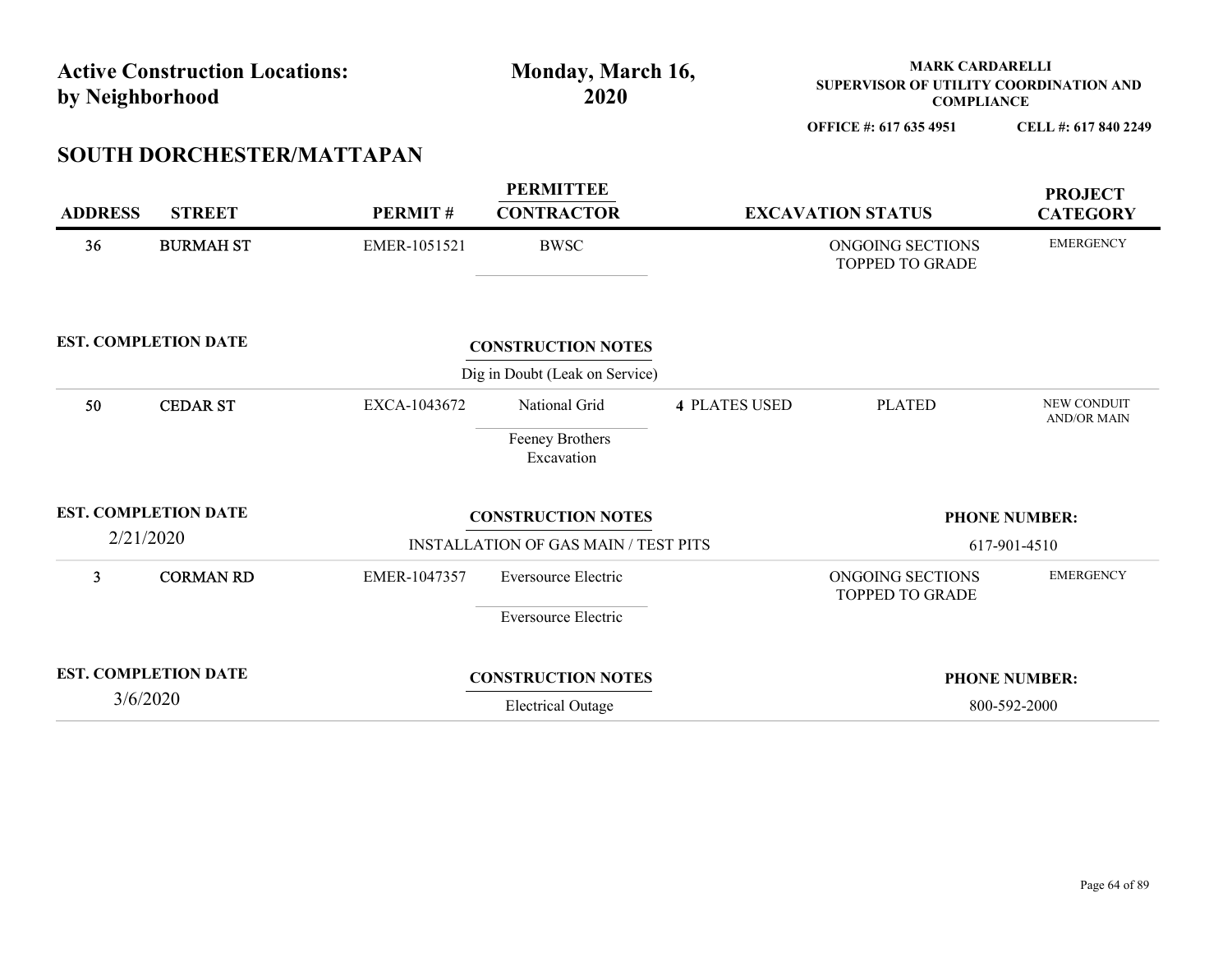| by Neighborhood             | <b>Active Construction Locations:</b> |              | Monday, March 16,<br>2020            |                      | <b>MARK CARDARELLI</b><br>SUPERVISOR OF UTILITY COORDINATION AND<br><b>COMPLIANCE</b> |                      |
|-----------------------------|---------------------------------------|--------------|--------------------------------------|----------------------|---------------------------------------------------------------------------------------|----------------------|
|                             |                                       |              |                                      |                      | OFFICE #: 617 635 4951                                                                | CELL #: 617 840 2249 |
|                             | SOUTH DORCHESTER/MATTAPAN             |              |                                      |                      |                                                                                       |                      |
|                             |                                       |              | <b>PERMITTEE</b>                     |                      |                                                                                       | <b>PROJECT</b>       |
| <b>ADDRESS</b>              | <b>STREET</b>                         | PERMIT#      | <b>CONTRACTOR</b>                    |                      | <b>EXCAVATION STATUS</b>                                                              | <b>CATEGORY</b>      |
| 36                          | <b>BURMAH ST</b>                      | EMER-1051521 | <b>BWSC</b>                          |                      | ONGOING SECTIONS<br>TOPPED TO GRADE                                                   | <b>EMERGENCY</b>     |
| <b>EST. COMPLETION DATE</b> |                                       |              | <b>CONSTRUCTION NOTES</b>            |                      |                                                                                       |                      |
|                             |                                       |              | Dig in Doubt (Leak on Service)       |                      |                                                                                       |                      |
| 50                          | <b>CEDAR ST</b>                       | EXCA-1043672 | National Grid                        | <b>4 PLATES USED</b> | <b>PLATED</b>                                                                         | NEW CONDUIT          |
|                             |                                       |              | Feeney Brothers<br>Excavation        |                      |                                                                                       | <b>AND/OR MAIN</b>   |
| <b>EST. COMPLETION DATE</b> |                                       |              | <b>CONSTRUCTION NOTES</b>            |                      |                                                                                       | <b>PHONE NUMBER:</b> |
| 2/21/2020                   |                                       |              | INSTALLATION OF GAS MAIN / TEST PITS |                      |                                                                                       | 617-901-4510         |
|                             | <b>CORMAN RD</b>                      | EMER-1047357 | Eversource Electric                  |                      | ONGOING SECTIONS<br>TOPPED TO GRADE                                                   | <b>EMERGENCY</b>     |
| 3 <sup>7</sup>              |                                       |              | Eversource Electric                  |                      |                                                                                       |                      |
|                             |                                       |              |                                      |                      |                                                                                       |                      |
| <b>EST. COMPLETION DATE</b> |                                       |              | <b>CONSTRUCTION NOTES</b>            |                      |                                                                                       | <b>PHONE NUMBER:</b> |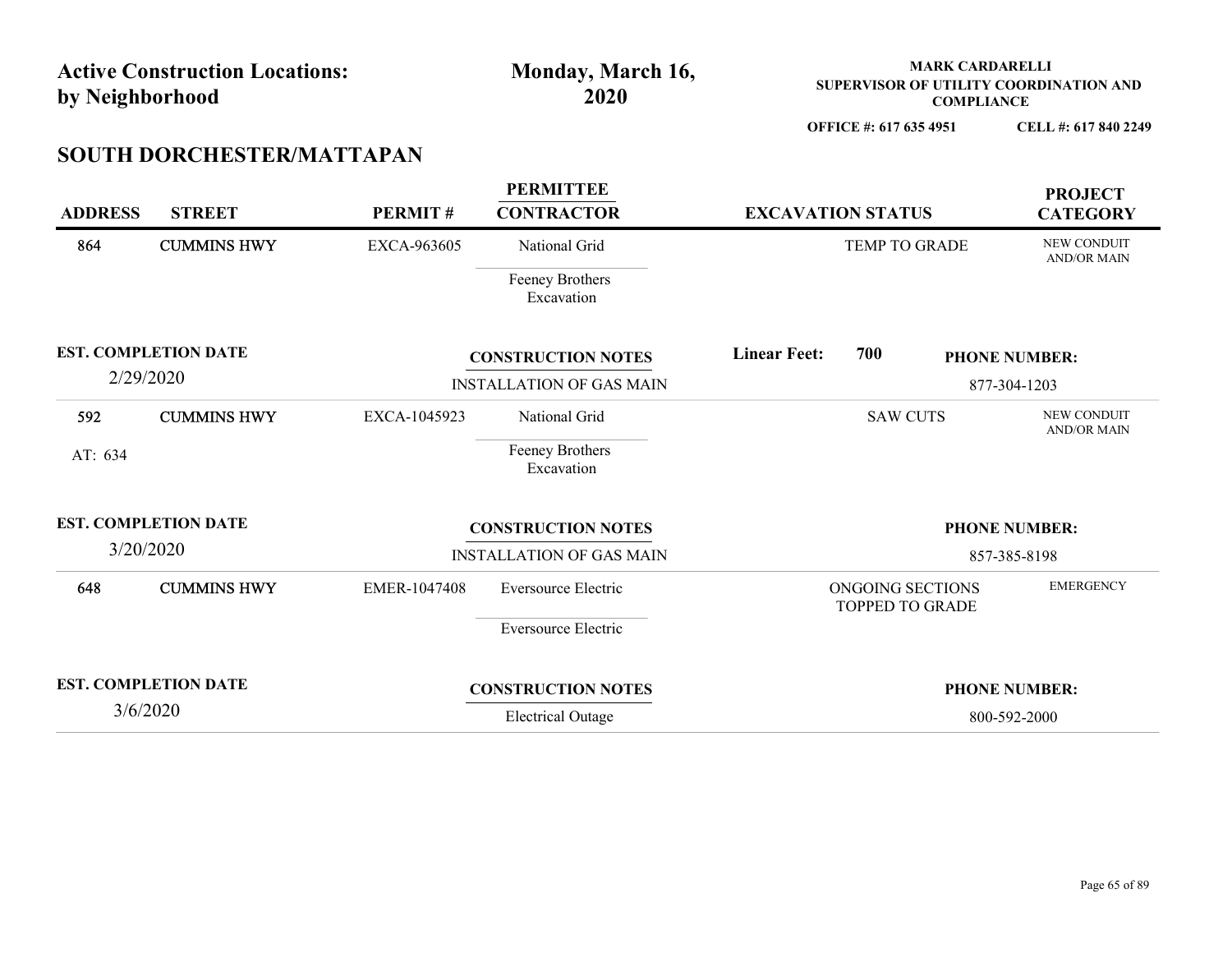| by Neighborhood | <b>Active Construction Locations:</b>   |              | Monday, March 16,<br>2020                                    |                          | <b>MARK CARDARELLI</b><br>SUPERVISOR OF UTILITY COORDINATION AND<br><b>COMPLIANCE</b> |  |                                                              |
|-----------------|-----------------------------------------|--------------|--------------------------------------------------------------|--------------------------|---------------------------------------------------------------------------------------|--|--------------------------------------------------------------|
|                 | SOUTH DORCHESTER/MATTAPAN               |              |                                                              |                          | OFFICE #: 617 635 4951                                                                |  | CELL #: 617 840 2249                                         |
| <b>ADDRESS</b>  | <b>STREET</b>                           | PERMIT#      | <b>PERMITTEE</b><br><b>CONTRACTOR</b>                        | <b>EXCAVATION STATUS</b> |                                                                                       |  | <b>PROJECT</b><br><b>CATEGORY</b>                            |
| 864             | <b>CUMMINS HWY</b>                      | EXCA-963605  | National Grid<br>Feeney Brothers<br>Excavation               |                          | TEMP TO GRADE                                                                         |  | NEW CONDUIT<br><b>AND/OR MAIN</b>                            |
| 2/29/2020       | <b>EST. COMPLETION DATE</b>             |              | <b>CONSTRUCTION NOTES</b><br><b>INSTALLATION OF GAS MAIN</b> | <b>Linear Feet:</b>      | 700                                                                                   |  | <b>PHONE NUMBER:</b><br>877-304-1203                         |
| 592<br>AT: 634  | <b>CUMMINS HWY</b>                      | EXCA-1045923 | National Grid<br>Feeney Brothers<br>Excavation               |                          | <b>SAW CUTS</b>                                                                       |  | NEW CONDUIT<br>$\operatorname{AND} / \operatorname{OR}$ MAIN |
| 3/20/2020       | <b>EST. COMPLETION DATE</b>             |              | <b>CONSTRUCTION NOTES</b><br><b>INSTALLATION OF GAS MAIN</b> |                          |                                                                                       |  | <b>PHONE NUMBER:</b><br>857-385-8198                         |
| 648             | <b>CUMMINS HWY</b>                      | EMER-1047408 | Eversource Electric<br>Eversource Electric                   |                          | ONGOING SECTIONS<br><b>TOPPED TO GRADE</b>                                            |  | <b>EMERGENCY</b>                                             |
|                 | <b>EST. COMPLETION DATE</b><br>3/6/2020 |              | <b>CONSTRUCTION NOTES</b><br><b>Electrical Outage</b>        |                          |                                                                                       |  | <b>PHONE NUMBER:</b><br>800-592-2000                         |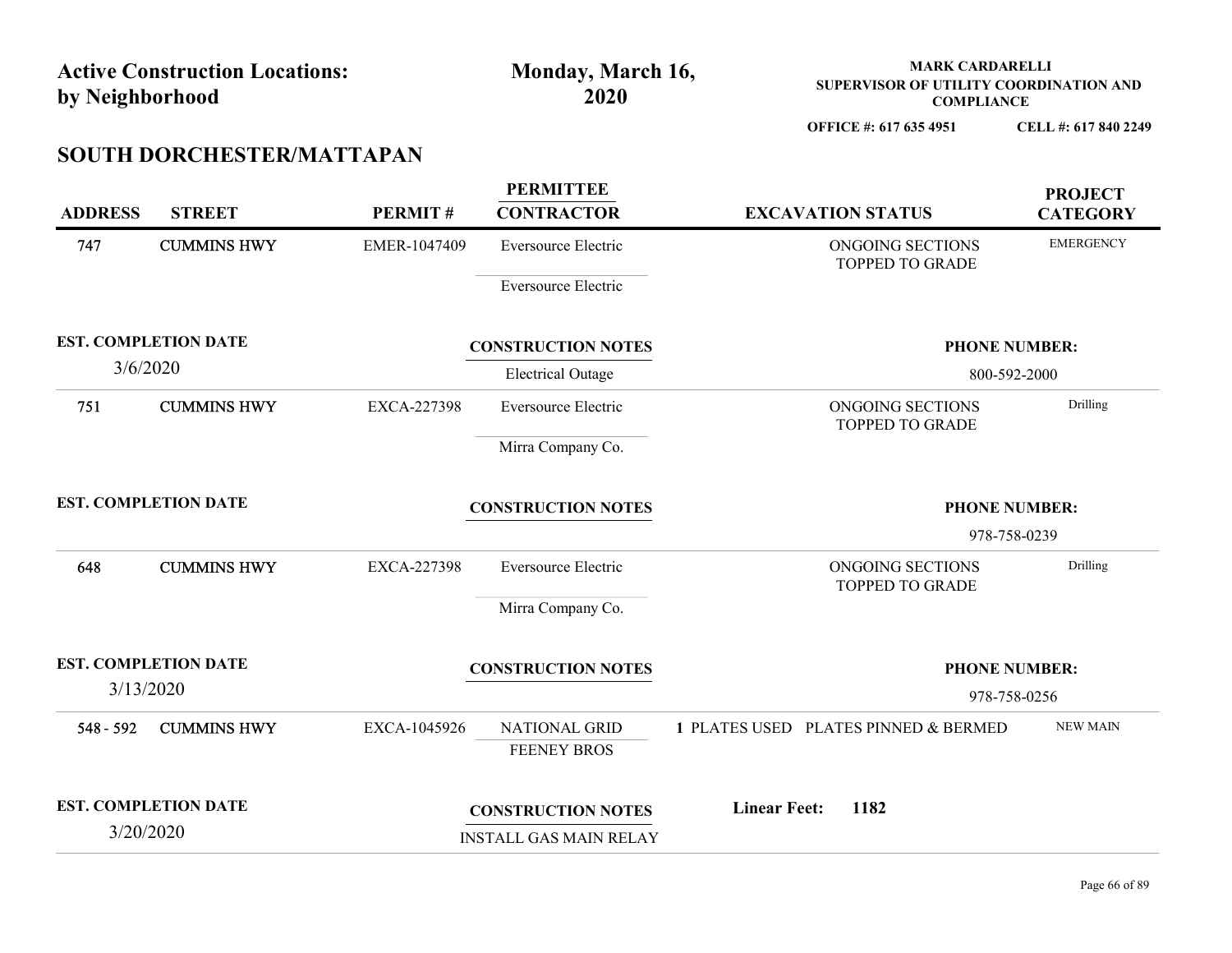| by Neighborhood | <b>Active Construction Locations:</b>    |              | Monday, March 16,<br>2020                                  |                     | <b>MARK CARDARELLI</b><br>SUPERVISOR OF UTILITY COORDINATION AND<br><b>COMPLIANCE</b> |                                      |
|-----------------|------------------------------------------|--------------|------------------------------------------------------------|---------------------|---------------------------------------------------------------------------------------|--------------------------------------|
|                 | SOUTH DORCHESTER/MATTAPAN                |              |                                                            |                     | OFFICE #: 617 635 4951                                                                | CELL #: 617 840 2249                 |
| <b>ADDRESS</b>  | <b>STREET</b>                            | PERMIT#      | <b>PERMITTEE</b><br><b>CONTRACTOR</b>                      |                     | <b>EXCAVATION STATUS</b>                                                              | <b>PROJECT</b><br><b>CATEGORY</b>    |
| 747             | <b>CUMMINS HWY</b>                       | EMER-1047409 | Eversource Electric<br>Eversource Electric                 |                     | ONGOING SECTIONS<br>TOPPED TO GRADE                                                   | <b>EMERGENCY</b>                     |
|                 | <b>EST. COMPLETION DATE</b><br>3/6/2020  |              | <b>CONSTRUCTION NOTES</b><br><b>Electrical Outage</b>      |                     |                                                                                       | <b>PHONE NUMBER:</b><br>800-592-2000 |
| 751             | <b>CUMMINS HWY</b>                       | EXCA-227398  | Eversource Electric<br>Mirra Company Co.                   |                     | ONGOING SECTIONS<br>TOPPED TO GRADE                                                   | Drilling                             |
|                 | <b>EST. COMPLETION DATE</b>              |              | <b>CONSTRUCTION NOTES</b>                                  |                     |                                                                                       | <b>PHONE NUMBER:</b><br>978-758-0239 |
| 648             | <b>CUMMINS HWY</b>                       | EXCA-227398  | Eversource Electric<br>Mirra Company Co.                   |                     | ONGOING SECTIONS<br><b>TOPPED TO GRADE</b>                                            | Drilling                             |
|                 | <b>EST. COMPLETION DATE</b><br>3/13/2020 |              | <b>CONSTRUCTION NOTES</b>                                  |                     |                                                                                       | <b>PHONE NUMBER:</b><br>978-758-0256 |
| 548 - 592       | <b>CUMMINS HWY</b>                       | EXCA-1045926 | NATIONAL GRID<br><b>FEENEY BROS</b>                        |                     | 1 PLATES USED PLATES PINNED & BERMED                                                  | <b>NEW MAIN</b>                      |
|                 | <b>EST. COMPLETION DATE</b><br>3/20/2020 |              | <b>CONSTRUCTION NOTES</b><br><b>INSTALL GAS MAIN RELAY</b> | <b>Linear Feet:</b> | 1182                                                                                  |                                      |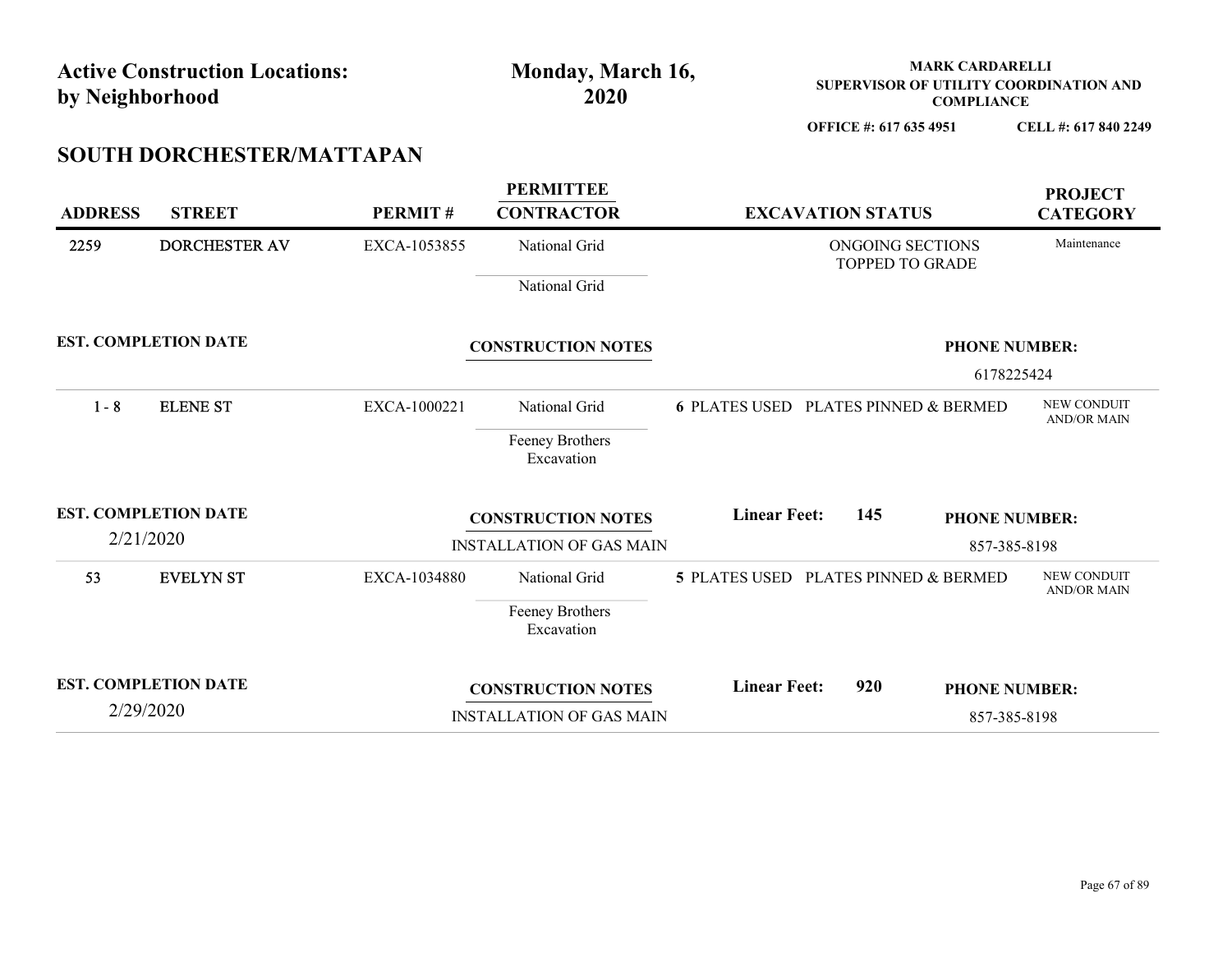| by Neighborhood                          | <b>Active Construction Locations:</b> |              | Monday, March 16,<br>2020                                    |                                                 |                                            | <b>MARK CARDARELLI</b><br><b>COMPLIANCE</b> | SUPERVISOR OF UTILITY COORDINATION AND |
|------------------------------------------|---------------------------------------|--------------|--------------------------------------------------------------|-------------------------------------------------|--------------------------------------------|---------------------------------------------|----------------------------------------|
|                                          | SOUTH DORCHESTER/MATTAPAN             |              |                                                              |                                                 | OFFICE #: 617 635 4951                     |                                             | CELL #: 617 840 2249                   |
| <b>ADDRESS</b>                           | <b>STREET</b>                         | PERMIT#      | <b>PERMITTEE</b><br><b>CONTRACTOR</b>                        |                                                 | <b>EXCAVATION STATUS</b>                   |                                             | <b>PROJECT</b><br><b>CATEGORY</b>      |
| 2259                                     | <b>DORCHESTER AV</b>                  | EXCA-1053855 | National Grid<br>National Grid                               |                                                 | ONGOING SECTIONS<br><b>TOPPED TO GRADE</b> |                                             | Maintenance                            |
| <b>EST. COMPLETION DATE</b>              |                                       |              | <b>CONSTRUCTION NOTES</b>                                    |                                                 |                                            |                                             | <b>PHONE NUMBER:</b><br>6178225424     |
| $1 - 8$                                  | <b>ELENE ST</b>                       | EXCA-1000221 | National Grid<br>Feeney Brothers<br>Excavation               | <b>6 PLATES USED PLATES PINNED &amp; BERMED</b> |                                            |                                             | NEW CONDUIT<br><b>AND/OR MAIN</b>      |
| <b>EST. COMPLETION DATE</b><br>2/21/2020 |                                       |              | <b>CONSTRUCTION NOTES</b><br><b>INSTALLATION OF GAS MAIN</b> | <b>Linear Feet:</b>                             | 145                                        |                                             | <b>PHONE NUMBER:</b><br>857-385-8198   |
| 53                                       | <b>EVELYN ST</b>                      | EXCA-1034880 | National Grid<br>Feeney Brothers<br>Excavation               | 5 PLATES USED PLATES PINNED & BERMED            |                                            |                                             | NEW CONDUIT<br>AND/OR MAIN             |
| <b>EST. COMPLETION DATE</b><br>2/29/2020 |                                       |              | <b>CONSTRUCTION NOTES</b><br>INSTALLATION OF GAS MAIN        | <b>Linear Feet:</b>                             | 920                                        |                                             | <b>PHONE NUMBER:</b><br>857-385-8198   |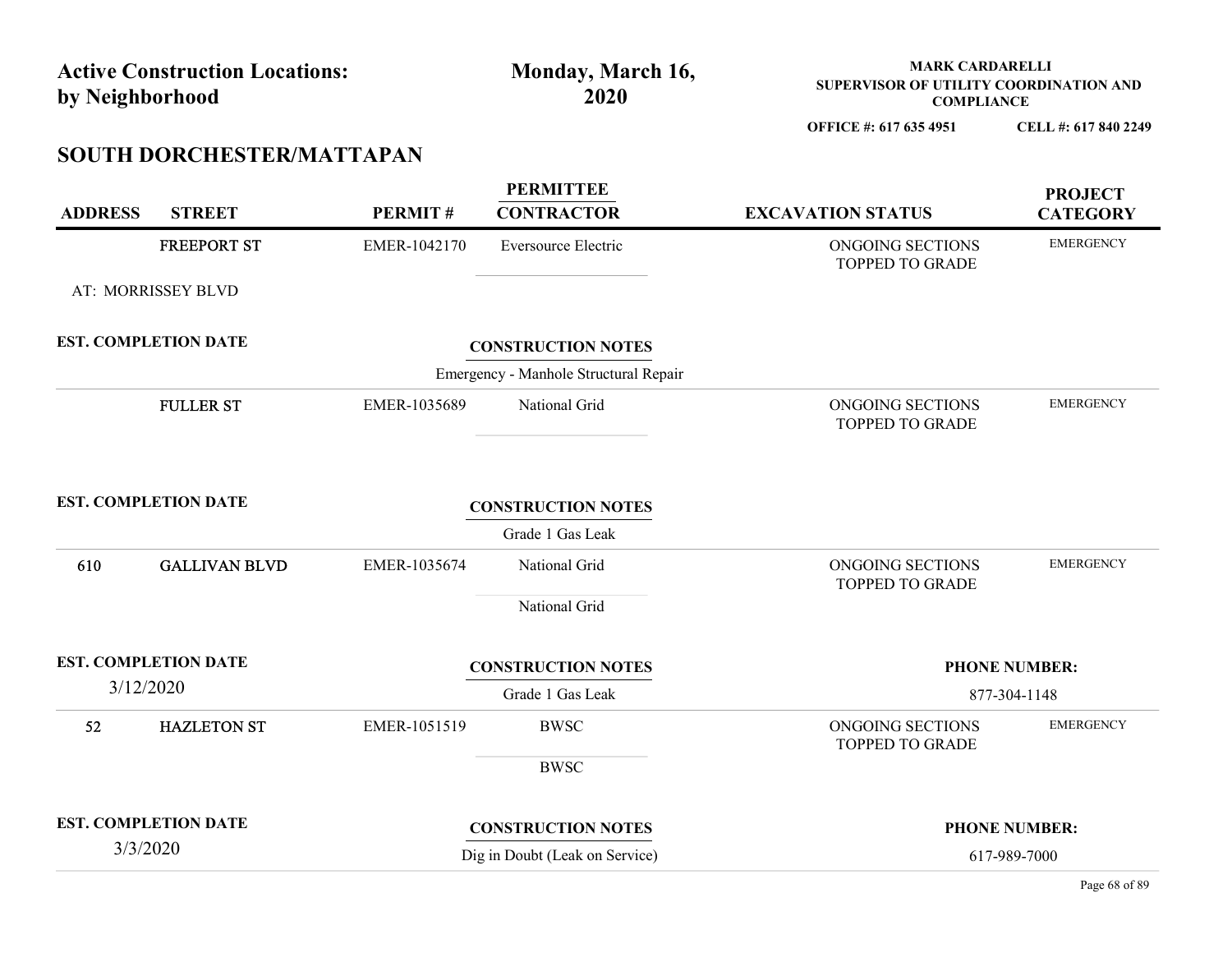| by Neighborhood | <b>Active Construction Locations:</b>      |                | Monday, March 16,<br>2020                                          | <b>MARK CARDARELLI</b><br>SUPERVISOR OF UTILITY COORDINATION AND<br><b>COMPLIANCE</b> |                                      |
|-----------------|--------------------------------------------|----------------|--------------------------------------------------------------------|---------------------------------------------------------------------------------------|--------------------------------------|
|                 |                                            |                |                                                                    | OFFICE #: 617 635 4951                                                                | CELL #: 617 840 2249                 |
| <b>ADDRESS</b>  | SOUTH DORCHESTER/MATTAPAN<br><b>STREET</b> | <b>PERMIT#</b> | <b>PERMITTEE</b><br><b>CONTRACTOR</b>                              | <b>EXCAVATION STATUS</b>                                                              | <b>PROJECT</b><br><b>CATEGORY</b>    |
|                 | <b>FREEPORT ST</b>                         | EMER-1042170   | Eversource Electric                                                | ONGOING SECTIONS<br>TOPPED TO GRADE                                                   | <b>EMERGENCY</b>                     |
|                 | AT: MORRISSEY BLVD                         |                |                                                                    |                                                                                       |                                      |
|                 | <b>EST. COMPLETION DATE</b>                |                | <b>CONSTRUCTION NOTES</b><br>Emergency - Manhole Structural Repair |                                                                                       |                                      |
|                 | <b>FULLER ST</b>                           | EMER-1035689   | National Grid                                                      | ONGOING SECTIONS<br>TOPPED TO GRADE                                                   | <b>EMERGENCY</b>                     |
|                 | <b>EST. COMPLETION DATE</b>                |                | <b>CONSTRUCTION NOTES</b><br>Grade 1 Gas Leak                      |                                                                                       |                                      |
| 610             | <b>GALLIVAN BLVD</b>                       | EMER-1035674   | National Grid<br>National Grid                                     | ONGOING SECTIONS<br>TOPPED TO GRADE                                                   | <b>EMERGENCY</b>                     |
|                 | <b>EST. COMPLETION DATE</b><br>3/12/2020   |                | <b>CONSTRUCTION NOTES</b><br>Grade 1 Gas Leak                      |                                                                                       | <b>PHONE NUMBER:</b><br>877-304-1148 |
| 52              | <b>HAZLETON ST</b>                         | EMER-1051519   | <b>BWSC</b><br><b>BWSC</b>                                         | ONGOING SECTIONS<br>TOPPED TO GRADE                                                   | <b>EMERGENCY</b>                     |
|                 | <b>EST. COMPLETION DATE</b>                |                | <b>CONSTRUCTION NOTES</b>                                          |                                                                                       | <b>PHONE NUMBER:</b>                 |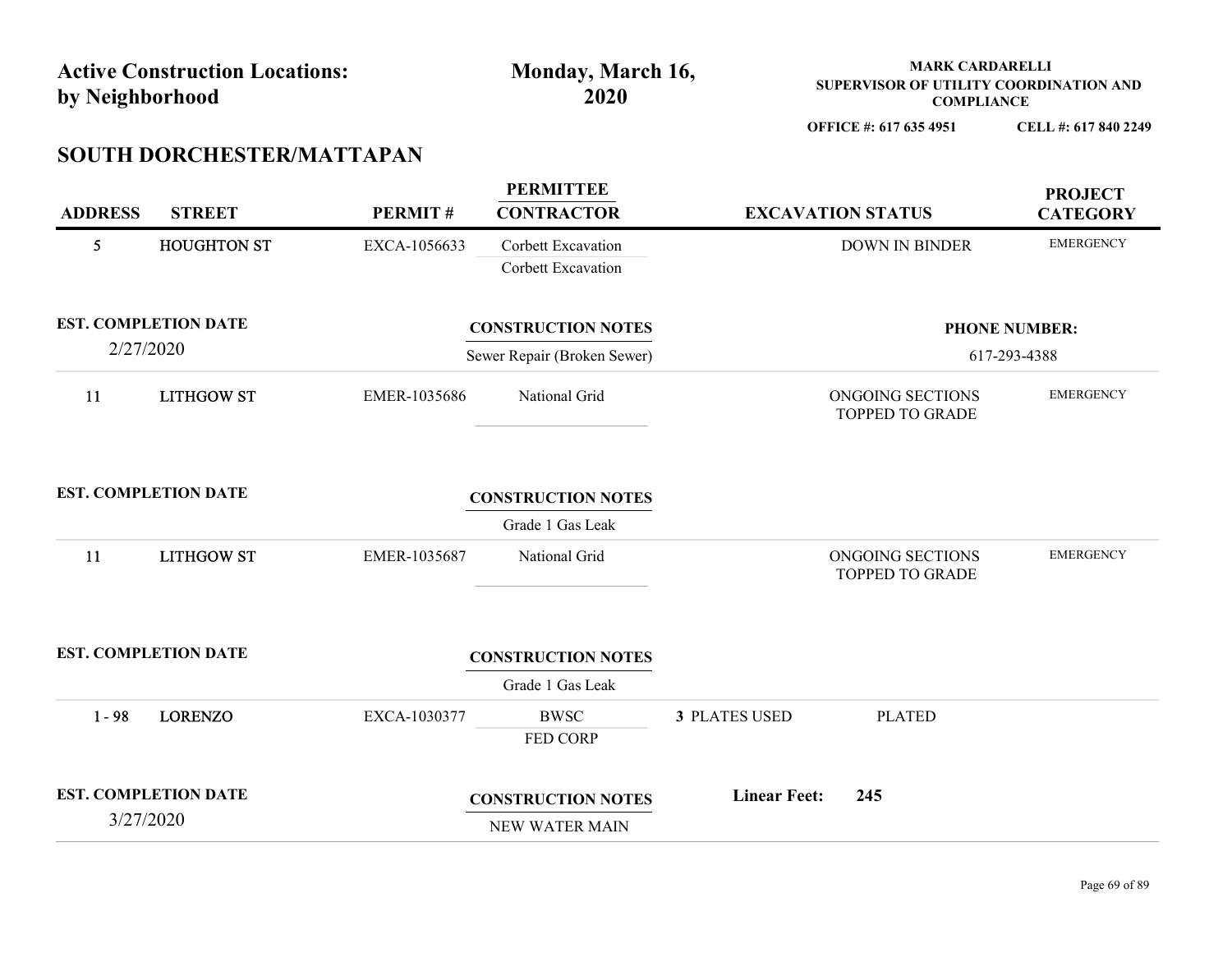| <b>Active Construction Locations:</b><br>by Neighborhood |                                          | Monday, March 16,<br>2020 |                                                          |                     | <b>MARK CARDARELLI</b><br>SUPERVISOR OF UTILITY COORDINATION AND<br><b>COMPLIANCE</b> |                                      |
|----------------------------------------------------------|------------------------------------------|---------------------------|----------------------------------------------------------|---------------------|---------------------------------------------------------------------------------------|--------------------------------------|
|                                                          | SOUTH DORCHESTER/MATTAPAN                |                           |                                                          |                     | OFFICE #: 617 635 4951                                                                | CELL #: 617 840 2249                 |
| <b>ADDRESS</b>                                           | <b>STREET</b>                            | PERMIT#                   | <b>PERMITTEE</b><br><b>CONTRACTOR</b>                    |                     | <b>EXCAVATION STATUS</b>                                                              | <b>PROJECT</b><br><b>CATEGORY</b>    |
| 5 <sub>5</sub>                                           | <b>HOUGHTON ST</b>                       | EXCA-1056633              | Corbett Excavation<br>Corbett Excavation                 |                     | DOWN IN BINDER                                                                        | <b>EMERGENCY</b>                     |
|                                                          | <b>EST. COMPLETION DATE</b><br>2/27/2020 |                           | <b>CONSTRUCTION NOTES</b><br>Sewer Repair (Broken Sewer) |                     |                                                                                       | <b>PHONE NUMBER:</b><br>617-293-4388 |
| <b>11</b>                                                | <b>LITHGOW ST</b>                        | EMER-1035686              | National Grid                                            |                     | ONGOING SECTIONS<br>TOPPED TO GRADE                                                   | <b>EMERGENCY</b>                     |
|                                                          | <b>EST. COMPLETION DATE</b>              |                           | <b>CONSTRUCTION NOTES</b><br>Grade 1 Gas Leak            |                     |                                                                                       |                                      |
| <b>11</b>                                                | <b>LITHGOW ST</b>                        | EMER-1035687              | National Grid                                            |                     | ONGOING SECTIONS<br>TOPPED TO GRADE                                                   | <b>EMERGENCY</b>                     |
|                                                          | <b>EST. COMPLETION DATE</b>              |                           | <b>CONSTRUCTION NOTES</b><br>Grade 1 Gas Leak            |                     |                                                                                       |                                      |
| $1 - 98$                                                 | <b>LORENZO</b>                           | EXCA-1030377              | <b>BWSC</b><br>FED CORP                                  | 3 PLATES USED       | <b>PLATED</b>                                                                         |                                      |
|                                                          | <b>EST. COMPLETION DATE</b><br>3/27/2020 |                           | <b>CONSTRUCTION NOTES</b>                                | <b>Linear Feet:</b> | 245                                                                                   |                                      |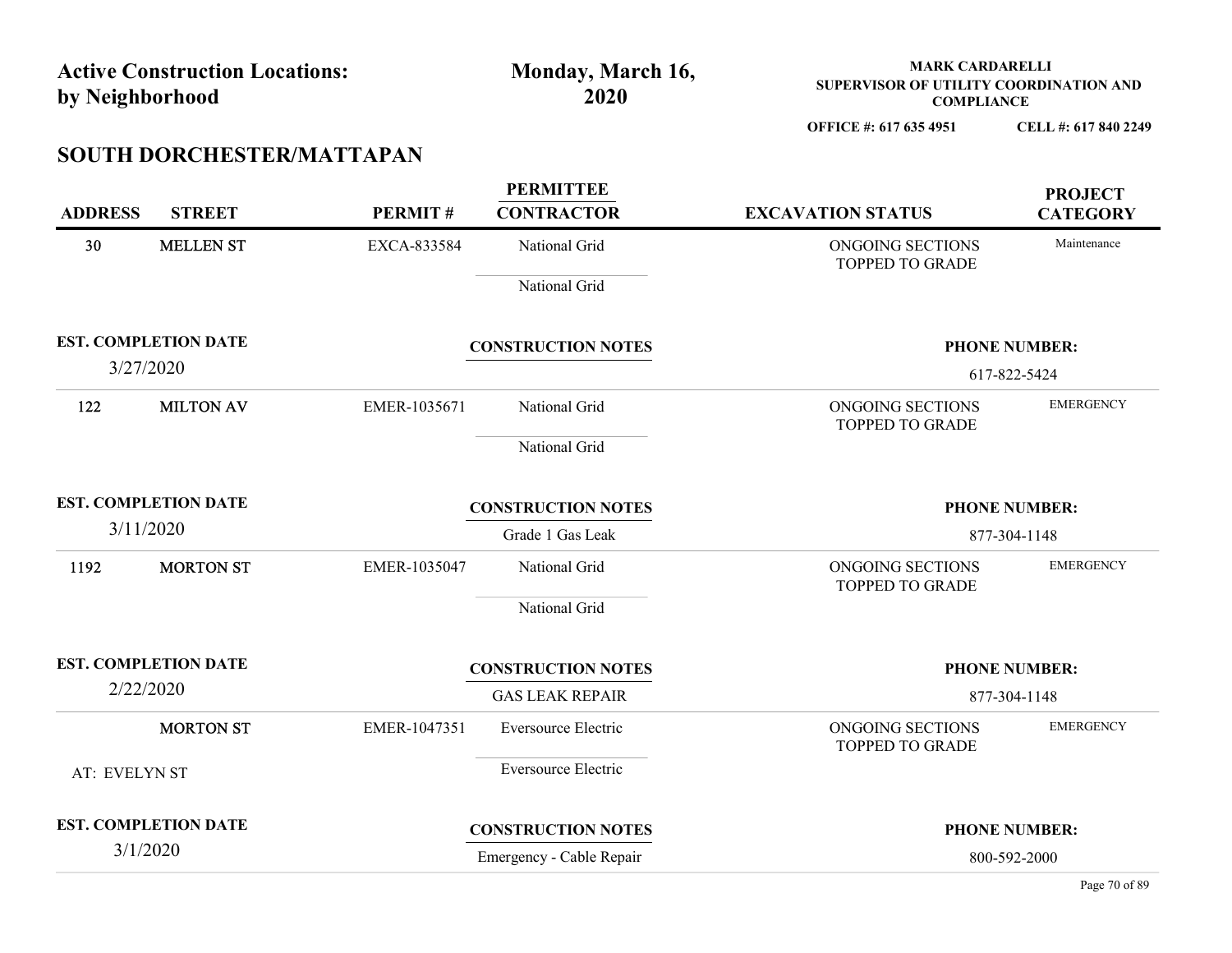| CELL #: 617 840 2249<br>SOUTH DORCHESTER/MATTAPAN<br><b>PERMITTEE</b><br><b>PROJECT</b><br><b>ADDRESS</b><br><b>STREET</b><br>PERMIT#<br><b>CONTRACTOR</b><br><b>EXCAVATION STATUS</b><br><b>CATEGORY</b><br>Maintenance<br>30<br><b>MELLEN ST</b><br>EXCA-833584<br>National Grid<br>ONGOING SECTIONS<br>TOPPED TO GRADE<br>National Grid<br><b>EST. COMPLETION DATE</b><br><b>CONSTRUCTION NOTES</b><br><b>PHONE NUMBER:</b><br>3/27/2020<br>617-822-5424<br><b>MILTON AV</b><br><b>EMERGENCY</b><br>122<br>National Grid<br>EMER-1035671<br>ONGOING SECTIONS<br><b>TOPPED TO GRADE</b><br>National Grid<br><b>EST. COMPLETION DATE</b><br><b>CONSTRUCTION NOTES</b><br><b>PHONE NUMBER:</b><br>3/11/2020<br>Grade 1 Gas Leak<br>877-304-1148<br><b>EMERGENCY</b><br><b>MORTON ST</b><br>1192<br>EMER-1035047<br>National Grid<br>ONGOING SECTIONS<br><b>TOPPED TO GRADE</b><br>National Grid<br><b>EST. COMPLETION DATE</b><br><b>CONSTRUCTION NOTES</b><br><b>PHONE NUMBER:</b><br>2/22/2020<br><b>GAS LEAK REPAIR</b><br>877-304-1148<br><b>EMERGENCY</b><br><b>MORTON ST</b><br>EMER-1047351<br>Eversource Electric<br>ONGOING SECTIONS<br><b>TOPPED TO GRADE</b><br>Eversource Electric<br>AT: EVELYN ST<br><b>EST. COMPLETION DATE</b><br><b>CONSTRUCTION NOTES</b><br><b>PHONE NUMBER:</b><br>3/1/2020 | <b>Active Construction Locations:</b><br>by Neighborhood |  | Monday, March 16,<br>2020 | <b>MARK CARDARELLI</b><br>SUPERVISOR OF UTILITY COORDINATION AND<br><b>COMPLIANCE</b> |  |
|-----------------------------------------------------------------------------------------------------------------------------------------------------------------------------------------------------------------------------------------------------------------------------------------------------------------------------------------------------------------------------------------------------------------------------------------------------------------------------------------------------------------------------------------------------------------------------------------------------------------------------------------------------------------------------------------------------------------------------------------------------------------------------------------------------------------------------------------------------------------------------------------------------------------------------------------------------------------------------------------------------------------------------------------------------------------------------------------------------------------------------------------------------------------------------------------------------------------------------------------------------------------------------------------------------------------|----------------------------------------------------------|--|---------------------------|---------------------------------------------------------------------------------------|--|
|                                                                                                                                                                                                                                                                                                                                                                                                                                                                                                                                                                                                                                                                                                                                                                                                                                                                                                                                                                                                                                                                                                                                                                                                                                                                                                                 |                                                          |  |                           | OFFICE #: 617 635 4951                                                                |  |
|                                                                                                                                                                                                                                                                                                                                                                                                                                                                                                                                                                                                                                                                                                                                                                                                                                                                                                                                                                                                                                                                                                                                                                                                                                                                                                                 |                                                          |  |                           |                                                                                       |  |
|                                                                                                                                                                                                                                                                                                                                                                                                                                                                                                                                                                                                                                                                                                                                                                                                                                                                                                                                                                                                                                                                                                                                                                                                                                                                                                                 |                                                          |  |                           |                                                                                       |  |
|                                                                                                                                                                                                                                                                                                                                                                                                                                                                                                                                                                                                                                                                                                                                                                                                                                                                                                                                                                                                                                                                                                                                                                                                                                                                                                                 |                                                          |  |                           |                                                                                       |  |
|                                                                                                                                                                                                                                                                                                                                                                                                                                                                                                                                                                                                                                                                                                                                                                                                                                                                                                                                                                                                                                                                                                                                                                                                                                                                                                                 |                                                          |  |                           |                                                                                       |  |
|                                                                                                                                                                                                                                                                                                                                                                                                                                                                                                                                                                                                                                                                                                                                                                                                                                                                                                                                                                                                                                                                                                                                                                                                                                                                                                                 |                                                          |  |                           |                                                                                       |  |
|                                                                                                                                                                                                                                                                                                                                                                                                                                                                                                                                                                                                                                                                                                                                                                                                                                                                                                                                                                                                                                                                                                                                                                                                                                                                                                                 |                                                          |  |                           |                                                                                       |  |
|                                                                                                                                                                                                                                                                                                                                                                                                                                                                                                                                                                                                                                                                                                                                                                                                                                                                                                                                                                                                                                                                                                                                                                                                                                                                                                                 |                                                          |  |                           |                                                                                       |  |
|                                                                                                                                                                                                                                                                                                                                                                                                                                                                                                                                                                                                                                                                                                                                                                                                                                                                                                                                                                                                                                                                                                                                                                                                                                                                                                                 |                                                          |  |                           |                                                                                       |  |
|                                                                                                                                                                                                                                                                                                                                                                                                                                                                                                                                                                                                                                                                                                                                                                                                                                                                                                                                                                                                                                                                                                                                                                                                                                                                                                                 |                                                          |  |                           |                                                                                       |  |
| 800-592-2000                                                                                                                                                                                                                                                                                                                                                                                                                                                                                                                                                                                                                                                                                                                                                                                                                                                                                                                                                                                                                                                                                                                                                                                                                                                                                                    |                                                          |  | Emergency - Cable Repair  |                                                                                       |  |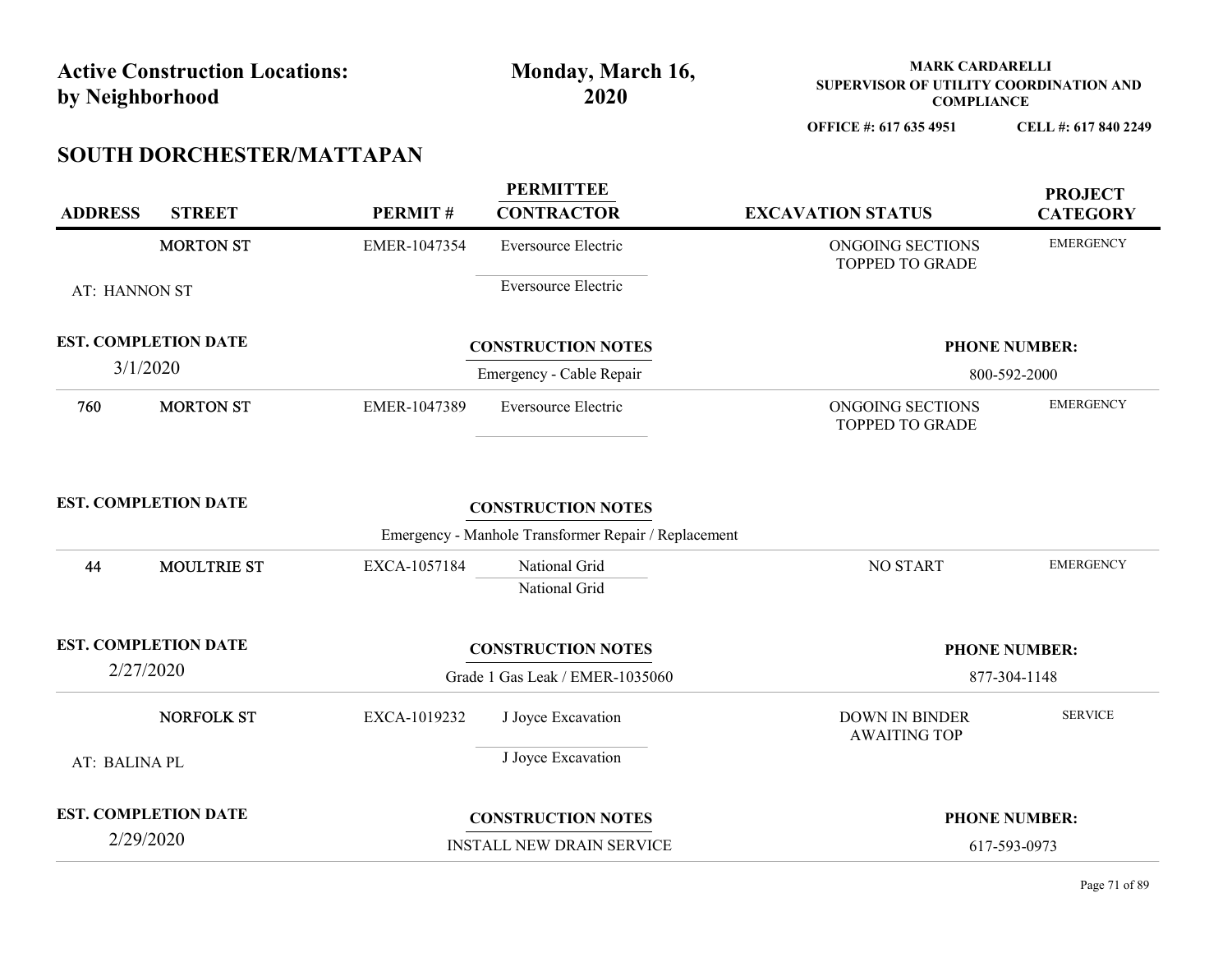| <b>Active Construction Locations:</b><br>by Neighborhood |                                          | Monday, March 16,<br>2020 |                                                                                   | <b>MARK CARDARELLI</b><br>SUPERVISOR OF UTILITY COORDINATION AND<br><b>COMPLIANCE</b> |                                      |
|----------------------------------------------------------|------------------------------------------|---------------------------|-----------------------------------------------------------------------------------|---------------------------------------------------------------------------------------|--------------------------------------|
|                                                          | SOUTH DORCHESTER/MATTAPAN                |                           |                                                                                   | OFFICE #: 617 635 4951                                                                | CELL #: 617 840 2249                 |
| <b>ADDRESS</b>                                           | <b>STREET</b>                            | PERMIT#                   | <b>PERMITTEE</b><br><b>CONTRACTOR</b>                                             | <b>EXCAVATION STATUS</b>                                                              | <b>PROJECT</b><br><b>CATEGORY</b>    |
|                                                          | <b>MORTON ST</b>                         | EMER-1047354              | Eversource Electric                                                               | ONGOING SECTIONS<br>TOPPED TO GRADE                                                   | <b>EMERGENCY</b>                     |
| AT: HANNON ST                                            |                                          |                           | Eversource Electric                                                               |                                                                                       |                                      |
| 3/1/2020                                                 | <b>EST. COMPLETION DATE</b>              |                           | <b>CONSTRUCTION NOTES</b><br>Emergency - Cable Repair                             |                                                                                       | <b>PHONE NUMBER:</b><br>800-592-2000 |
| 760                                                      | <b>MORTON ST</b>                         | EMER-1047389              | Eversource Electric                                                               | ONGOING SECTIONS<br>TOPPED TO GRADE                                                   | <b>EMERGENCY</b>                     |
|                                                          | <b>EST. COMPLETION DATE</b>              |                           | <b>CONSTRUCTION NOTES</b><br>Emergency - Manhole Transformer Repair / Replacement |                                                                                       |                                      |
| 44                                                       | MOULTRIE ST                              | EXCA-1057184              | National Grid<br>National Grid                                                    | NO START                                                                              | <b>EMERGENCY</b>                     |
| 2/27/2020                                                | <b>EST. COMPLETION DATE</b>              |                           | <b>CONSTRUCTION NOTES</b><br>Grade 1 Gas Leak / EMER-1035060                      |                                                                                       | <b>PHONE NUMBER:</b><br>877-304-1148 |
|                                                          | NORFOLK ST                               | EXCA-1019232              | J Joyce Excavation                                                                | <b>DOWN IN BINDER</b><br><b>AWAITING TOP</b>                                          | <b>SERVICE</b>                       |
| AT: BALINA PL                                            |                                          |                           | J Joyce Excavation                                                                |                                                                                       |                                      |
|                                                          | <b>EST. COMPLETION DATE</b><br>2/29/2020 |                           | <b>CONSTRUCTION NOTES</b>                                                         |                                                                                       | <b>PHONE NUMBER:</b>                 |
|                                                          |                                          |                           |                                                                                   |                                                                                       |                                      |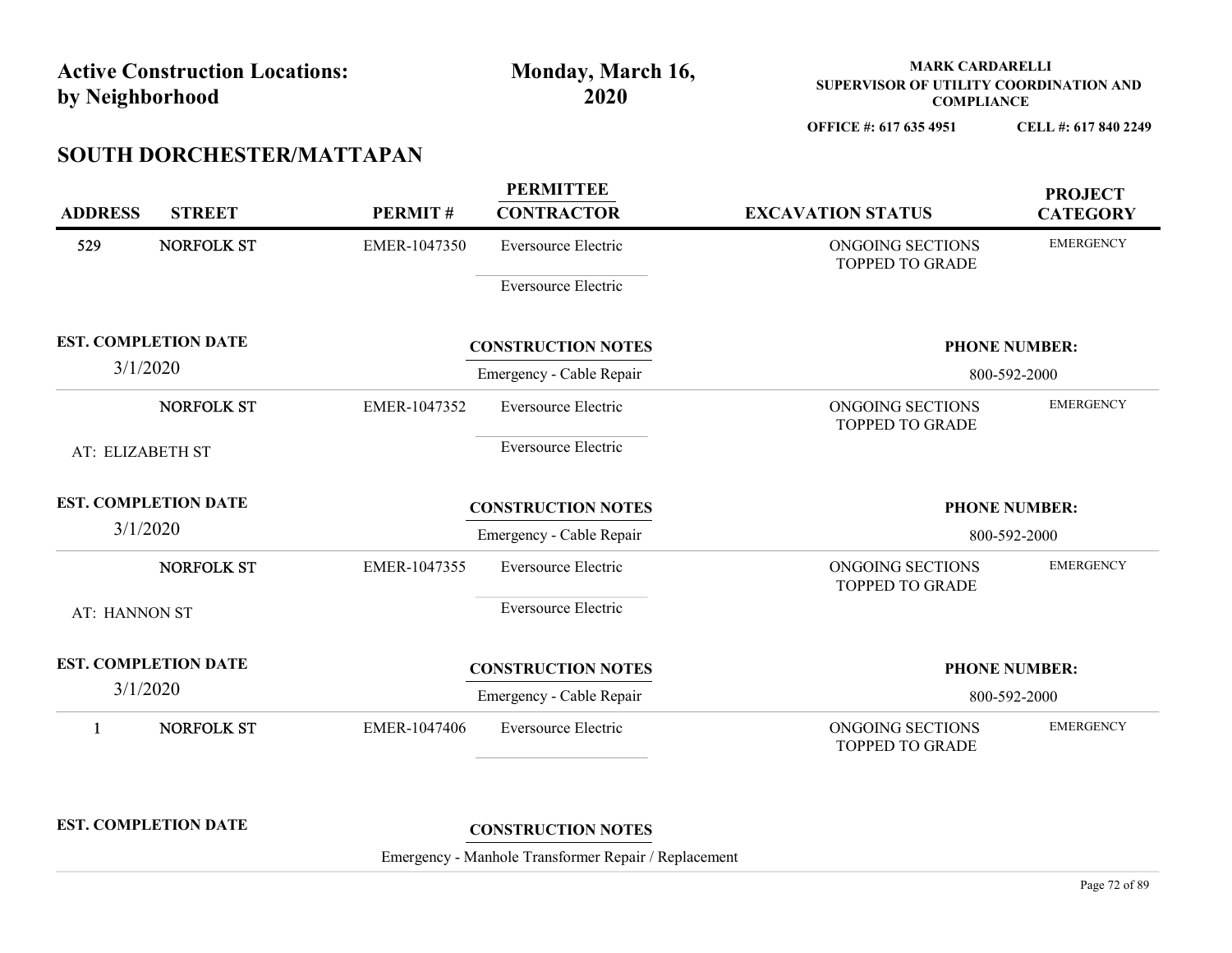|                             | <b>Active Construction Locations:</b><br>by Neighborhood |              | Monday, March 16,<br>2020             | <b>MARK CARDARELLI</b><br>SUPERVISOR OF UTILITY COORDINATION AND<br><b>COMPLIANCE</b> |                                   |
|-----------------------------|----------------------------------------------------------|--------------|---------------------------------------|---------------------------------------------------------------------------------------|-----------------------------------|
|                             |                                                          |              |                                       | OFFICE #: 617 635 4951                                                                | CELL #: 617 840 2249              |
|                             | SOUTH DORCHESTER/MATTAPAN                                |              |                                       |                                                                                       |                                   |
| <b>ADDRESS</b>              | <b>STREET</b>                                            | PERMIT#      | <b>PERMITTEE</b><br><b>CONTRACTOR</b> | <b>EXCAVATION STATUS</b>                                                              | <b>PROJECT</b><br><b>CATEGORY</b> |
| 529                         | <b>NORFOLK ST</b>                                        | EMER-1047350 | Eversource Electric                   | ONGOING SECTIONS<br>TOPPED TO GRADE                                                   | <b>EMERGENCY</b>                  |
|                             |                                                          |              | Eversource Electric                   |                                                                                       |                                   |
|                             | <b>EST. COMPLETION DATE</b>                              |              | <b>CONSTRUCTION NOTES</b>             |                                                                                       | <b>PHONE NUMBER:</b>              |
|                             | 3/1/2020                                                 |              | Emergency - Cable Repair              |                                                                                       | 800-592-2000                      |
|                             | <b>NORFOLK ST</b>                                        | EMER-1047352 | Eversource Electric                   | ONGOING SECTIONS<br><b>TOPPED TO GRADE</b>                                            | <b>EMERGENCY</b>                  |
|                             | AT: ELIZABETH ST                                         |              | <b>Eversource Electric</b>            |                                                                                       |                                   |
|                             | <b>EST. COMPLETION DATE</b>                              |              | <b>CONSTRUCTION NOTES</b>             |                                                                                       | <b>PHONE NUMBER:</b>              |
|                             | 3/1/2020                                                 |              | Emergency - Cable Repair              |                                                                                       | 800-592-2000                      |
|                             | NORFOLK ST                                               | EMER-1047355 | Eversource Electric                   | ONGOING SECTIONS<br>TOPPED TO GRADE                                                   | <b>EMERGENCY</b>                  |
| AT: HANNON ST               |                                                          |              | Eversource Electric                   |                                                                                       |                                   |
|                             | <b>EST. COMPLETION DATE</b>                              |              | <b>CONSTRUCTION NOTES</b>             |                                                                                       | <b>PHONE NUMBER:</b>              |
|                             | 3/1/2020                                                 |              | Emergency - Cable Repair              |                                                                                       | 800-592-2000                      |
| $\mathbf{1}$                | NORFOLK ST                                               | EMER-1047406 | Eversource Electric                   | ONGOING SECTIONS<br><b>TOPPED TO GRADE</b>                                            | <b>EMERGENCY</b>                  |
| <b>EST. COMPLETION DATE</b> |                                                          |              |                                       |                                                                                       |                                   |

EST. COMPLETION DATE CONSTRUCTION NOTES

Emergency - Manhole Transformer Repair / Replacement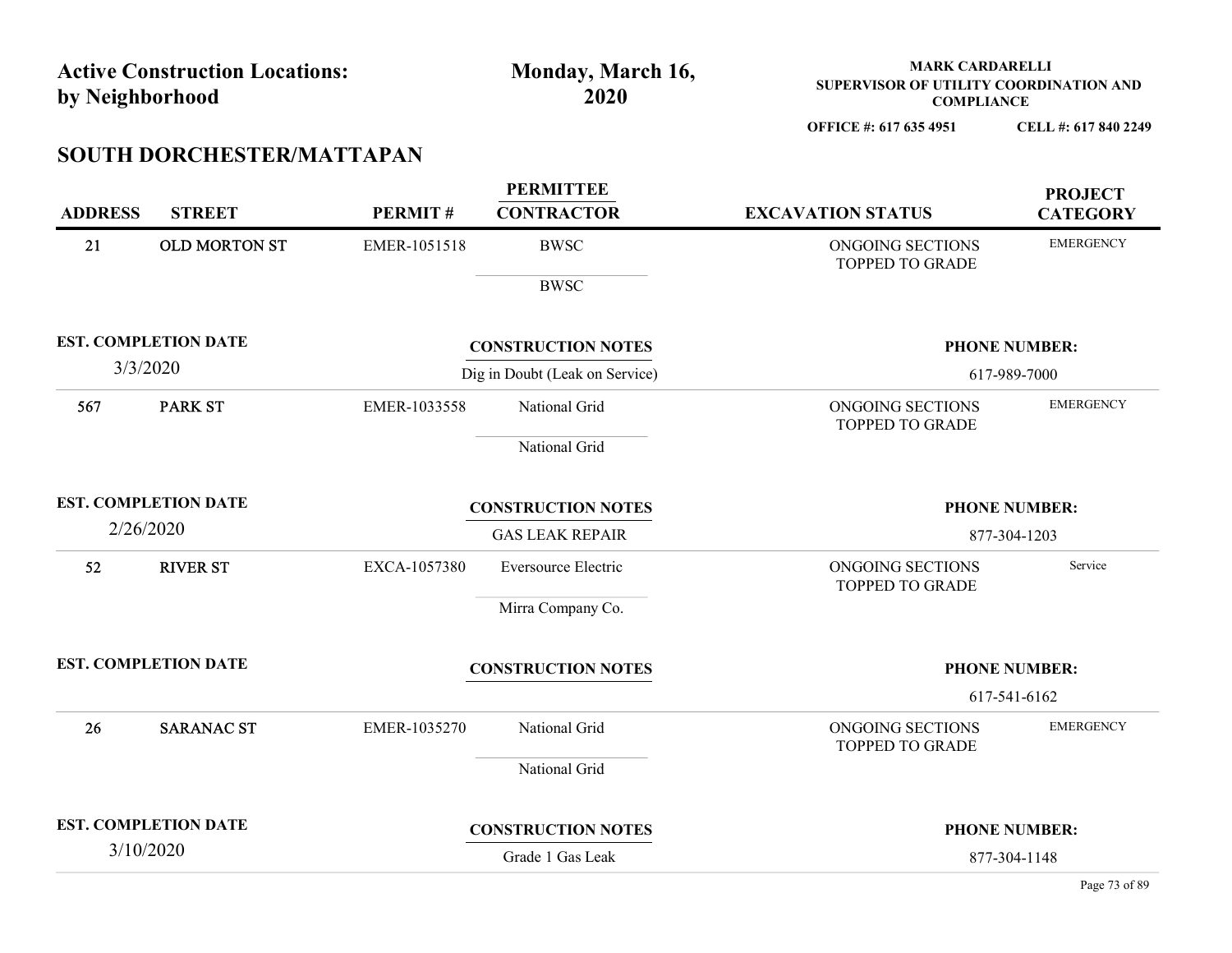|                | <b>Active Construction Locations:</b>    |              | Monday, March 16,                     | <b>MARK CARDARELLI</b>                                      |                                   |  |
|----------------|------------------------------------------|--------------|---------------------------------------|-------------------------------------------------------------|-----------------------------------|--|
|                | by Neighborhood                          |              | 2020                                  | SUPERVISOR OF UTILITY COORDINATION AND<br><b>COMPLIANCE</b> |                                   |  |
|                |                                          |              |                                       | OFFICE #: 617 635 4951                                      | CELL #: 617 840 2249              |  |
|                | SOUTH DORCHESTER/MATTAPAN                |              |                                       |                                                             |                                   |  |
| <b>ADDRESS</b> | <b>STREET</b>                            | PERMIT#      | <b>PERMITTEE</b><br><b>CONTRACTOR</b> | <b>EXCAVATION STATUS</b>                                    | <b>PROJECT</b><br><b>CATEGORY</b> |  |
| 21             | OLD MORTON ST                            | EMER-1051518 | <b>BWSC</b>                           | ONGOING SECTIONS<br>TOPPED TO GRADE                         | <b>EMERGENCY</b>                  |  |
|                |                                          |              | <b>BWSC</b>                           |                                                             |                                   |  |
|                | <b>EST. COMPLETION DATE</b>              |              | <b>CONSTRUCTION NOTES</b>             |                                                             | <b>PHONE NUMBER:</b>              |  |
|                | 3/3/2020                                 |              | Dig in Doubt (Leak on Service)        |                                                             | 617-989-7000                      |  |
| 567            | <b>PARK ST</b>                           | EMER-1033558 | National Grid                         | ONGOING SECTIONS<br>TOPPED TO GRADE                         | <b>EMERGENCY</b>                  |  |
|                |                                          |              | National Grid                         |                                                             |                                   |  |
|                | <b>EST. COMPLETION DATE</b>              |              | <b>CONSTRUCTION NOTES</b>             |                                                             | <b>PHONE NUMBER:</b>              |  |
|                | 2/26/2020                                |              | <b>GAS LEAK REPAIR</b>                |                                                             | 877-304-1203                      |  |
| 52             | <b>RIVER ST</b>                          | EXCA-1057380 | Eversource Electric                   | ONGOING SECTIONS<br><b>TOPPED TO GRADE</b>                  | Service                           |  |
|                |                                          |              | Mirra Company Co.                     |                                                             |                                   |  |
|                | <b>EST. COMPLETION DATE</b>              |              | <b>CONSTRUCTION NOTES</b>             |                                                             | <b>PHONE NUMBER:</b>              |  |
|                |                                          |              |                                       |                                                             | 617-541-6162                      |  |
| 26             | <b>SARANAC ST</b>                        | EMER-1035270 | National Grid                         | ONGOING SECTIONS<br><b>TOPPED TO GRADE</b>                  | <b>EMERGENCY</b>                  |  |
|                |                                          |              | National Grid                         |                                                             |                                   |  |
|                |                                          |              |                                       |                                                             |                                   |  |
|                | <b>EST. COMPLETION DATE</b><br>3/10/2020 |              | <b>CONSTRUCTION NOTES</b>             |                                                             | <b>PHONE NUMBER:</b>              |  |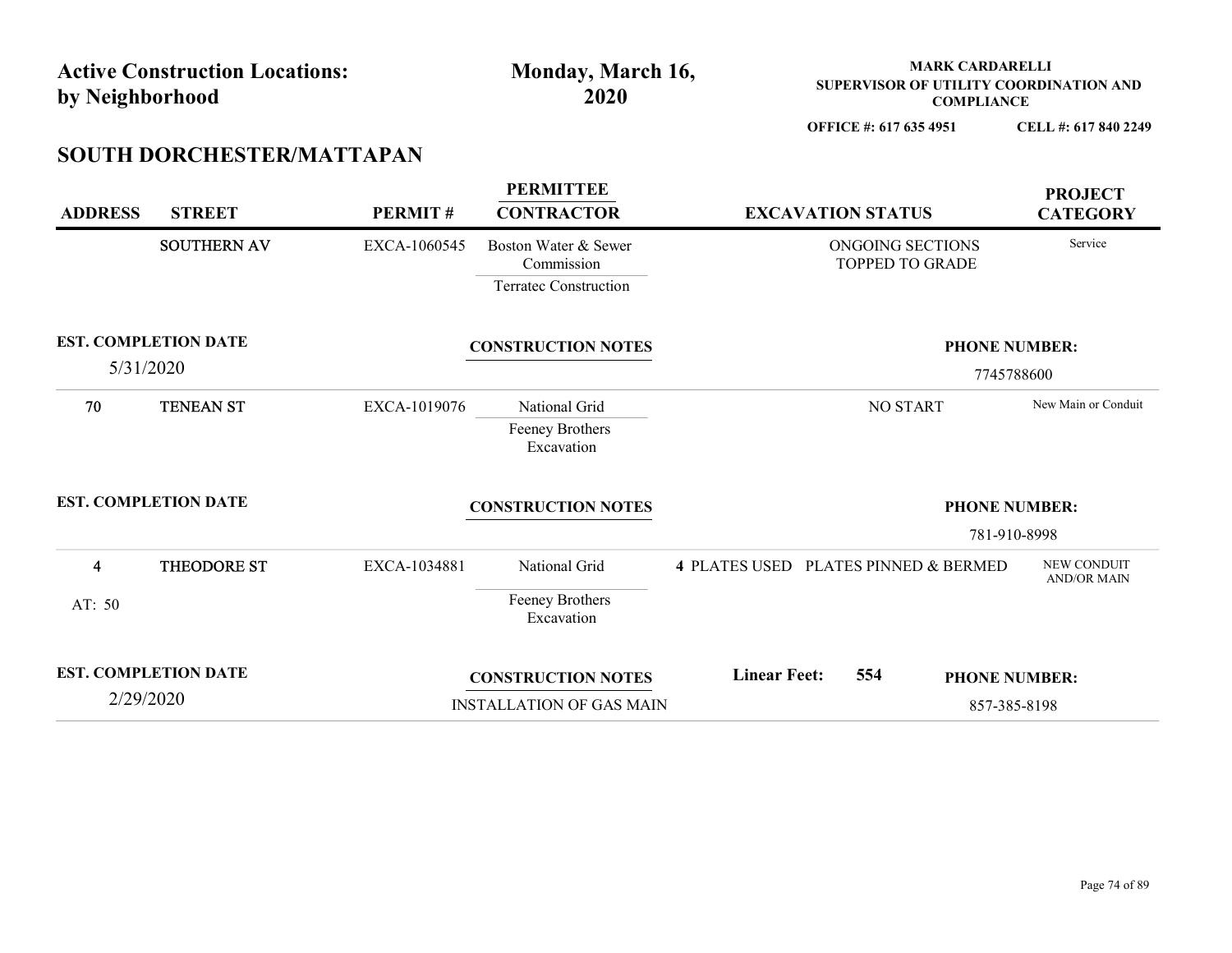|                                          | <b>Active Construction Locations:</b><br>by Neighborhood |              | Monday, March 16,<br>2020                                          |                                      | <b>MARK CARDARELLI</b><br>SUPERVISOR OF UTILITY COORDINATION AND<br><b>COMPLIANCE</b> |                                      |                                      |
|------------------------------------------|----------------------------------------------------------|--------------|--------------------------------------------------------------------|--------------------------------------|---------------------------------------------------------------------------------------|--------------------------------------|--------------------------------------|
|                                          |                                                          |              |                                                                    |                                      | OFFICE #: 617 635 4951                                                                |                                      | CELL #: 617 840 2249                 |
|                                          | SOUTH DORCHESTER/MATTAPAN                                |              |                                                                    |                                      |                                                                                       |                                      |                                      |
| <b>ADDRESS</b>                           | <b>STREET</b>                                            | PERMIT#      | <b>PERMITTEE</b><br><b>CONTRACTOR</b>                              |                                      | <b>EXCAVATION STATUS</b>                                                              |                                      | <b>PROJECT</b><br><b>CATEGORY</b>    |
|                                          | <b>SOUTHERN AV</b>                                       | EXCA-1060545 | Boston Water & Sewer<br>Commission<br><b>Terratec Construction</b> |                                      | ONGOING SECTIONS<br>TOPPED TO GRADE                                                   |                                      | Service                              |
| <b>EST. COMPLETION DATE</b><br>5/31/2020 |                                                          |              | <b>CONSTRUCTION NOTES</b>                                          |                                      |                                                                                       | <b>PHONE NUMBER:</b>                 | 7745788600                           |
| 70                                       | <b>TENEAN ST</b>                                         | EXCA-1019076 | National Grid<br>Feeney Brothers<br>Excavation                     |                                      | <b>NO START</b>                                                                       |                                      | New Main or Conduit                  |
| <b>EST. COMPLETION DATE</b>              |                                                          |              | <b>CONSTRUCTION NOTES</b>                                          |                                      |                                                                                       |                                      | <b>PHONE NUMBER:</b><br>781-910-8998 |
| $\overline{\mathbf{4}}$<br>AT: 50        | THEODORE ST                                              | EXCA-1034881 | National Grid<br>Feeney Brothers<br>Excavation                     | 4 PLATES USED PLATES PINNED & BERMED |                                                                                       |                                      | NEW CONDUIT<br>AND/OR MAIN           |
| <b>EST. COMPLETION DATE</b>              | 2/29/2020                                                |              | <b>CONSTRUCTION NOTES</b><br>INSTALLATION OF GAS MAIN              | <b>Linear Feet:</b>                  | 554                                                                                   | <b>PHONE NUMBER:</b><br>857-385-8198 |                                      |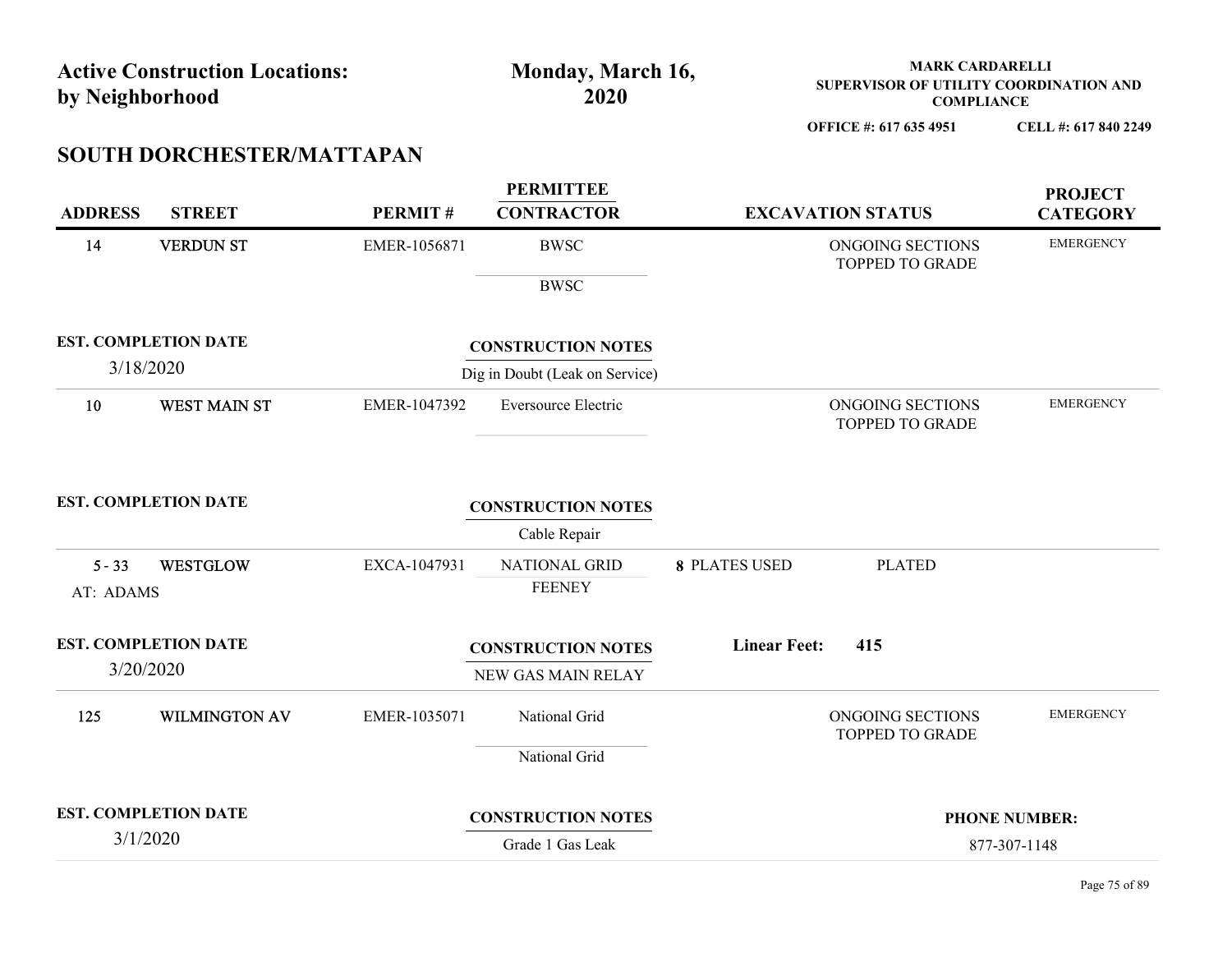| <b>Active Construction Locations:</b><br>by Neighborhood |                                          |              | Monday, March 16,<br>2020                                   |                      | <b>MARK CARDARELLI</b><br>SUPERVISOR OF UTILITY COORDINATION AND<br><b>COMPLIANCE</b> |                                   |  |
|----------------------------------------------------------|------------------------------------------|--------------|-------------------------------------------------------------|----------------------|---------------------------------------------------------------------------------------|-----------------------------------|--|
|                                                          | SOUTH DORCHESTER/MATTAPAN                |              |                                                             |                      | OFFICE #: 617 635 4951                                                                | CELL #: 617 840 2249              |  |
| <b>ADDRESS</b>                                           | <b>STREET</b>                            | PERMIT#      | <b>PERMITTEE</b><br><b>CONTRACTOR</b>                       |                      | <b>EXCAVATION STATUS</b>                                                              | <b>PROJECT</b><br><b>CATEGORY</b> |  |
| 14                                                       | <b>VERDUN ST</b>                         | EMER-1056871 | <b>BWSC</b><br><b>BWSC</b>                                  |                      | ONGOING SECTIONS<br>TOPPED TO GRADE                                                   | <b>EMERGENCY</b>                  |  |
|                                                          | <b>EST. COMPLETION DATE</b><br>3/18/2020 |              | <b>CONSTRUCTION NOTES</b><br>Dig in Doubt (Leak on Service) |                      |                                                                                       |                                   |  |
| 10                                                       | <b>WEST MAIN ST</b>                      | EMER-1047392 | Eversource Electric                                         |                      | ONGOING SECTIONS<br>TOPPED TO GRADE                                                   | <b>EMERGENCY</b>                  |  |
|                                                          | <b>EST. COMPLETION DATE</b>              |              | <b>CONSTRUCTION NOTES</b><br>Cable Repair                   |                      |                                                                                       |                                   |  |
| $5 - 33$<br>AT: ADAMS                                    | <b>WESTGLOW</b>                          | EXCA-1047931 | NATIONAL GRID<br><b>FEENEY</b>                              | <b>8 PLATES USED</b> | <b>PLATED</b>                                                                         |                                   |  |
|                                                          | <b>EST. COMPLETION DATE</b><br>3/20/2020 |              | <b>CONSTRUCTION NOTES</b><br>NEW GAS MAIN RELAY             | <b>Linear Feet:</b>  | 415                                                                                   |                                   |  |
| 125                                                      | WILMINGTON AV                            | EMER-1035071 | National Grid<br>National Grid                              |                      | ONGOING SECTIONS<br>TOPPED TO GRADE                                                   | <b>EMERGENCY</b>                  |  |
|                                                          | <b>EST. COMPLETION DATE</b><br>3/1/2020  |              | <b>CONSTRUCTION NOTES</b>                                   |                      |                                                                                       | <b>PHONE NUMBER:</b>              |  |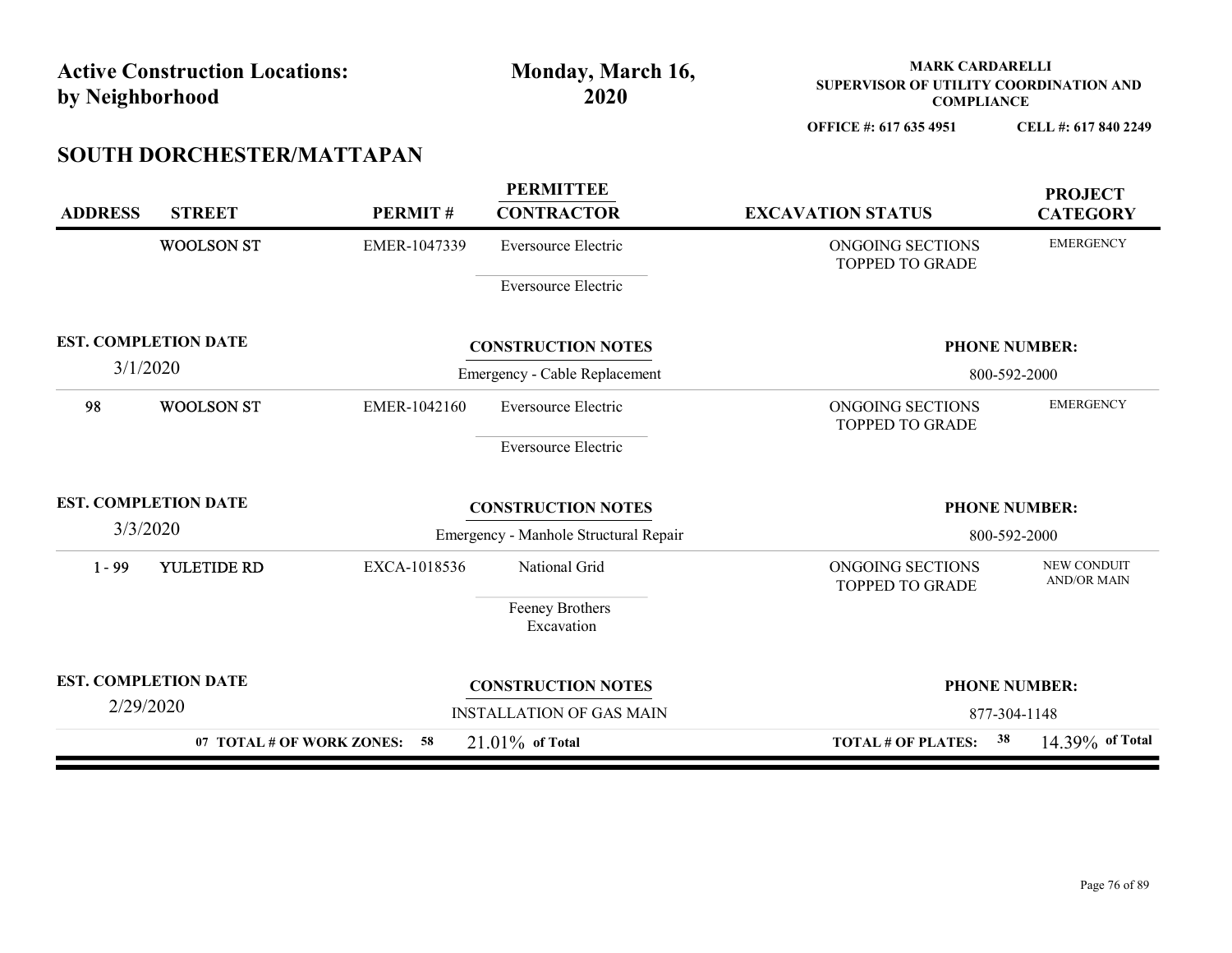| <b>Active Construction Locations:</b> |                              | Monday, March 16,  |                                                | <b>MARK CARDARELLI</b>                                      |                                   |  |  |
|---------------------------------------|------------------------------|--------------------|------------------------------------------------|-------------------------------------------------------------|-----------------------------------|--|--|
| by Neighborhood                       |                              |                    | 2020                                           | SUPERVISOR OF UTILITY COORDINATION AND<br><b>COMPLIANCE</b> |                                   |  |  |
|                                       |                              |                    |                                                | OFFICE #: 617 635 4951                                      | CELL #: 617 840 2249              |  |  |
| SOUTH DORCHESTER/MATTAPAN             |                              |                    |                                                |                                                             |                                   |  |  |
| <b>ADDRESS</b><br><b>STREET</b>       |                              | PERMIT#            | <b>PERMITTEE</b><br><b>CONTRACTOR</b>          | <b>EXCAVATION STATUS</b>                                    | <b>PROJECT</b><br><b>CATEGORY</b> |  |  |
|                                       | <b>WOOLSON ST</b>            | EMER-1047339       | Eversource Electric                            | ONGOING SECTIONS<br>TOPPED TO GRADE                         | <b>EMERGENCY</b>                  |  |  |
|                                       |                              |                    | Eversource Electric                            |                                                             |                                   |  |  |
| <b>EST. COMPLETION DATE</b>           |                              |                    | <b>CONSTRUCTION NOTES</b>                      | <b>PHONE NUMBER:</b>                                        |                                   |  |  |
| 3/1/2020                              |                              |                    | Emergency - Cable Replacement                  |                                                             | 800-592-2000                      |  |  |
| 98                                    | <b>WOOLSON ST</b>            | EMER-1042160       | Eversource Electric                            | ONGOING SECTIONS<br><b>TOPPED TO GRADE</b>                  | <b>EMERGENCY</b>                  |  |  |
|                                       |                              |                    | Eversource Electric                            |                                                             |                                   |  |  |
| <b>EST. COMPLETION DATE</b>           |                              |                    | <b>CONSTRUCTION NOTES</b>                      |                                                             | <b>PHONE NUMBER:</b>              |  |  |
| 3/3/2020                              |                              |                    | Emergency - Manhole Structural Repair          |                                                             | 800-592-2000                      |  |  |
| $1 - 99$                              | YULETIDE RD                  | EXCA-1018536       | National Grid<br>Feeney Brothers<br>Excavation | ONGOING SECTIONS<br>TOPPED TO GRADE                         | NEW CONDUIT<br>AND/OR MAIN        |  |  |
| <b>EST. COMPLETION DATE</b>           |                              |                    | <b>CONSTRUCTION NOTES</b>                      |                                                             | <b>PHONE NUMBER:</b>              |  |  |
| 2/29/2020                             |                              |                    | <b>INSTALLATION OF GAS MAIN</b>                |                                                             | 877-304-1148                      |  |  |
|                                       | 07 TOTAL # OF WORK ZONES: 58 | $21.01\%$ of Total | <b>TOTAL # OF PLATES:</b>                      | 38<br>14.39% of Total                                       |                                   |  |  |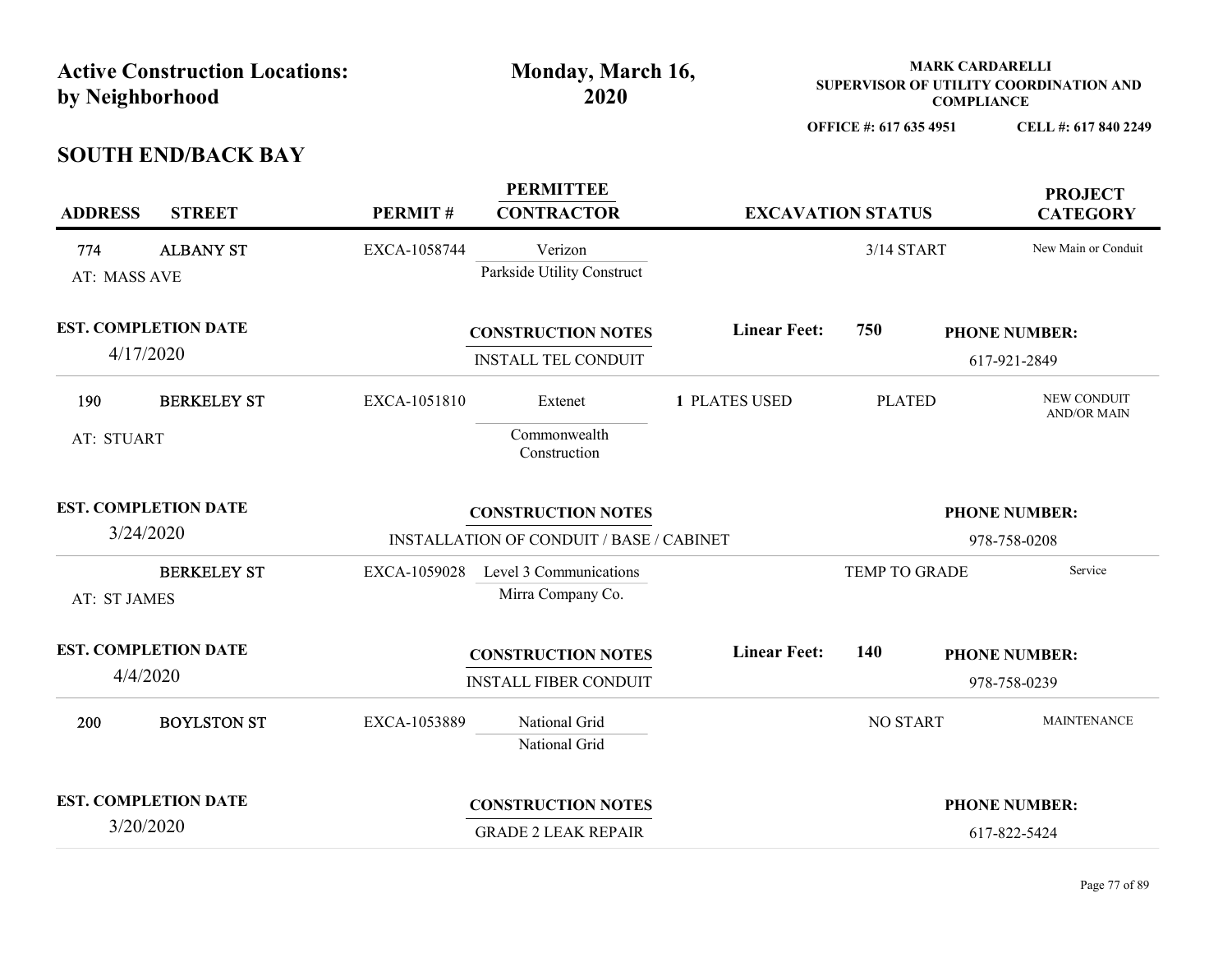|                   | <b>Active Construction Locations:</b><br>by Neighborhood |              | Monday, March 16,<br>2020                                             |                     |                          | <b>COMPLIANCE</b> | <b>MARK CARDARELLI</b><br>SUPERVISOR OF UTILITY COORDINATION AND |
|-------------------|----------------------------------------------------------|--------------|-----------------------------------------------------------------------|---------------------|--------------------------|-------------------|------------------------------------------------------------------|
|                   | <b>SOUTH END/BACK BAY</b>                                |              |                                                                       |                     | OFFICE #: 617 635 4951   |                   | CELL #: 617 840 2249                                             |
| <b>ADDRESS</b>    | <b>STREET</b>                                            | PERMIT#      | <b>PERMITTEE</b><br><b>CONTRACTOR</b>                                 |                     | <b>EXCAVATION STATUS</b> |                   | <b>PROJECT</b><br><b>CATEGORY</b>                                |
| 774               | <b>ALBANY ST</b><br>AT: MASS AVE                         | EXCA-1058744 | Verizon<br>Parkside Utility Construct                                 |                     | 3/14 START               |                   | New Main or Conduit                                              |
|                   | <b>EST. COMPLETION DATE</b><br>4/17/2020                 |              | <b>CONSTRUCTION NOTES</b><br><b>INSTALL TEL CONDUIT</b>               | <b>Linear Feet:</b> | 750                      |                   | <b>PHONE NUMBER:</b><br>617-921-2849                             |
| 190<br>AT: STUART | <b>BERKELEY ST</b>                                       | EXCA-1051810 | Extenet<br>Commonwealth<br>Construction                               | 1 PLATES USED       | <b>PLATED</b>            |                   | NEW CONDUIT<br><b>AND/OR MAIN</b>                                |
|                   | <b>EST. COMPLETION DATE</b><br>3/24/2020                 |              | <b>CONSTRUCTION NOTES</b><br>INSTALLATION OF CONDUIT / BASE / CABINET |                     |                          |                   | <b>PHONE NUMBER:</b><br>978-758-0208                             |
| AT: ST JAMES      | <b>BERKELEY ST</b>                                       | EXCA-1059028 | Level 3 Communications<br>Mirra Company Co.                           |                     | TEMP TO GRADE            |                   | Service                                                          |
|                   | <b>EST. COMPLETION DATE</b><br>4/4/2020                  |              | <b>CONSTRUCTION NOTES</b><br><b>INSTALL FIBER CONDUIT</b>             | <b>Linear Feet:</b> | 140                      |                   | <b>PHONE NUMBER:</b><br>978-758-0239                             |
| 200               | <b>BOYLSTON ST</b>                                       | EXCA-1053889 | National Grid<br>National Grid                                        |                     | NO START                 |                   | <b>MAINTENANCE</b>                                               |
|                   | <b>EST. COMPLETION DATE</b><br>3/20/2020                 |              | <b>CONSTRUCTION NOTES</b><br><b>GRADE 2 LEAK REPAIR</b>               |                     |                          | 617-822-5424      | <b>PHONE NUMBER:</b>                                             |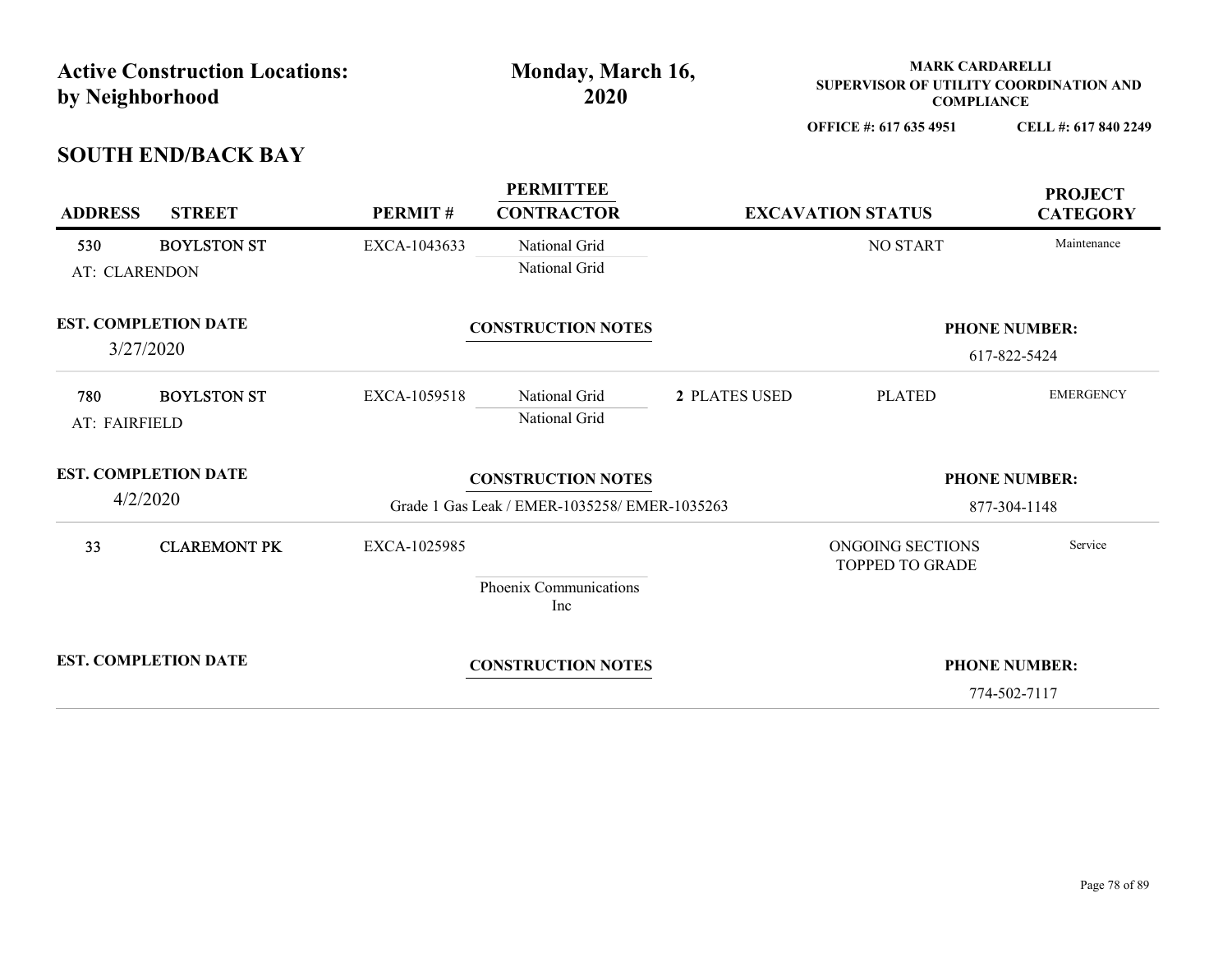| by Neighborhood             | <b>Active Construction Locations:</b> |              | Monday, March 16,<br>2020                     |               | <b>MARK CARDARELLI</b><br>SUPERVISOR OF UTILITY COORDINATION AND |                      |
|-----------------------------|---------------------------------------|--------------|-----------------------------------------------|---------------|------------------------------------------------------------------|----------------------|
|                             |                                       |              |                                               |               | <b>COMPLIANCE</b><br>OFFICE #: 617 635 4951                      | CELL #: 617 840 2249 |
|                             | <b>SOUTH END/BACK BAY</b>             |              |                                               |               |                                                                  |                      |
|                             |                                       |              | <b>PERMITTEE</b>                              |               |                                                                  | <b>PROJECT</b>       |
| <b>ADDRESS</b>              | <b>STREET</b>                         | PERMIT#      | <b>CONTRACTOR</b>                             |               | <b>EXCAVATION STATUS</b>                                         | <b>CATEGORY</b>      |
| 530                         | <b>BOYLSTON ST</b>                    | EXCA-1043633 | National Grid                                 |               | NO START                                                         | Maintenance          |
| AT: CLARENDON               |                                       |              | National Grid                                 |               |                                                                  |                      |
|                             | <b>EST. COMPLETION DATE</b>           |              | <b>CONSTRUCTION NOTES</b>                     |               |                                                                  | <b>PHONE NUMBER:</b> |
| 3/27/2020                   |                                       |              |                                               |               |                                                                  | 617-822-5424         |
|                             |                                       | EXCA-1059518 | National Grid                                 | 2 PLATES USED | <b>PLATED</b>                                                    | <b>EMERGENCY</b>     |
| 780<br>AT: FAIRFIELD        | <b>BOYLSTON ST</b>                    |              | National Grid                                 |               |                                                                  |                      |
|                             |                                       |              |                                               |               |                                                                  |                      |
| <b>EST. COMPLETION DATE</b> |                                       |              | <b>CONSTRUCTION NOTES</b>                     |               |                                                                  | <b>PHONE NUMBER:</b> |
| 4/2/2020                    |                                       |              | Grade 1 Gas Leak / EMER-1035258/ EMER-1035263 |               |                                                                  | 877-304-1148         |
| 33                          | <b>CLAREMONT PK</b>                   | EXCA-1025985 |                                               |               | ONGOING SECTIONS<br><b>TOPPED TO GRADE</b>                       | Service              |
|                             |                                       |              | Phoenix Communications                        |               |                                                                  |                      |
|                             |                                       |              | Inc                                           |               |                                                                  |                      |
| <b>EST. COMPLETION DATE</b> |                                       |              | <b>CONSTRUCTION NOTES</b>                     |               |                                                                  |                      |
|                             |                                       |              |                                               |               |                                                                  | <b>PHONE NUMBER:</b> |
|                             |                                       |              |                                               |               |                                                                  | 774-502-7117         |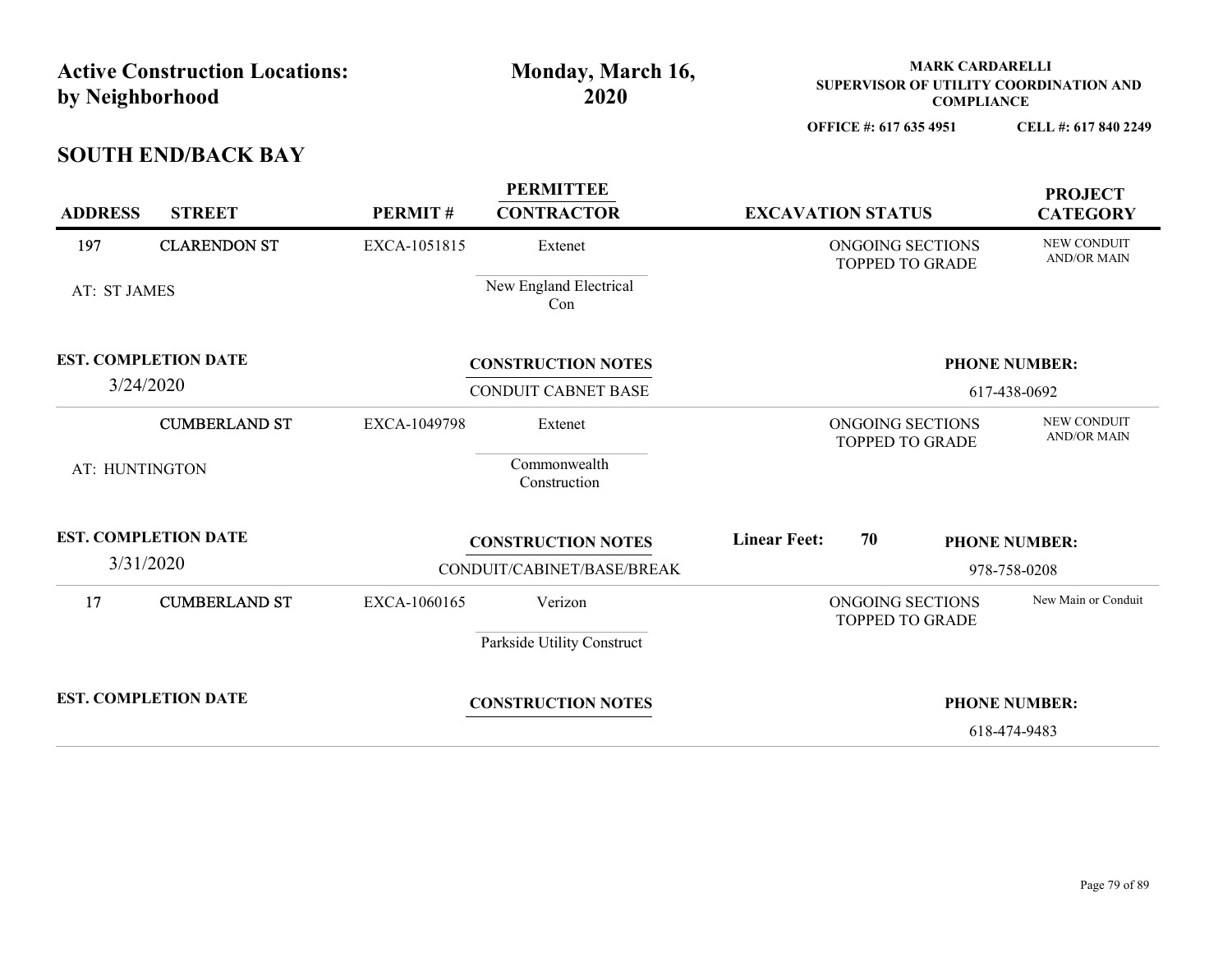| <b>Active Construction Locations:</b> |              | Monday, March 16,                     |                          |                                     | <b>MARK CARDARELLI</b> | SUPERVISOR OF UTILITY COORDINATION AND |  |
|---------------------------------------|--------------|---------------------------------------|--------------------------|-------------------------------------|------------------------|----------------------------------------|--|
| by Neighborhood                       |              | 2020                                  |                          |                                     | <b>COMPLIANCE</b>      |                                        |  |
| <b>SOUTH END/BACK BAY</b>             |              |                                       |                          | OFFICE #: 617 635 4951              |                        | CELL #: 617 840 2249                   |  |
| <b>ADDRESS</b><br><b>STREET</b>       | PERMIT#      | <b>PERMITTEE</b><br><b>CONTRACTOR</b> | <b>EXCAVATION STATUS</b> |                                     |                        | <b>PROJECT</b><br><b>CATEGORY</b>      |  |
| 197<br><b>CLARENDON ST</b>            | EXCA-1051815 | Extenet                               |                          | ONGOING SECTIONS<br>TOPPED TO GRADE |                        | NEW CONDUIT<br><b>AND/OR MAIN</b>      |  |
| AT: ST JAMES                          |              | New England Electrical<br>Con         |                          |                                     |                        |                                        |  |
| <b>EST. COMPLETION DATE</b>           |              | <b>CONSTRUCTION NOTES</b>             |                          |                                     |                        | <b>PHONE NUMBER:</b>                   |  |
| 3/24/2020                             |              | CONDUIT CABNET BASE                   |                          |                                     |                        | 617-438-0692                           |  |
| <b>CUMBERLAND ST</b>                  | EXCA-1049798 | Extenet                               |                          | ONGOING SECTIONS<br>TOPPED TO GRADE |                        | NEW CONDUIT<br>AND/OR MAIN             |  |
| AT: HUNTINGTON                        |              | Commonwealth<br>Construction          |                          |                                     |                        |                                        |  |
| <b>EST. COMPLETION DATE</b>           |              | <b>CONSTRUCTION NOTES</b>             | <b>Linear Feet:</b>      | 70                                  |                        | <b>PHONE NUMBER:</b>                   |  |
| 3/31/2020                             |              | CONDUIT/CABINET/BASE/BREAK            |                          |                                     |                        | 978-758-0208                           |  |
| 17<br><b>CUMBERLAND ST</b>            | EXCA-1060165 | Verizon                               |                          | ONGOING SECTIONS<br>TOPPED TO GRADE |                        | New Main or Conduit                    |  |
|                                       |              |                                       |                          |                                     |                        |                                        |  |

Parkside Utility Construct

EST. COMPLETION DATE CONSTRUCTION NOTES

PHONE NUMBER:

618-474-9483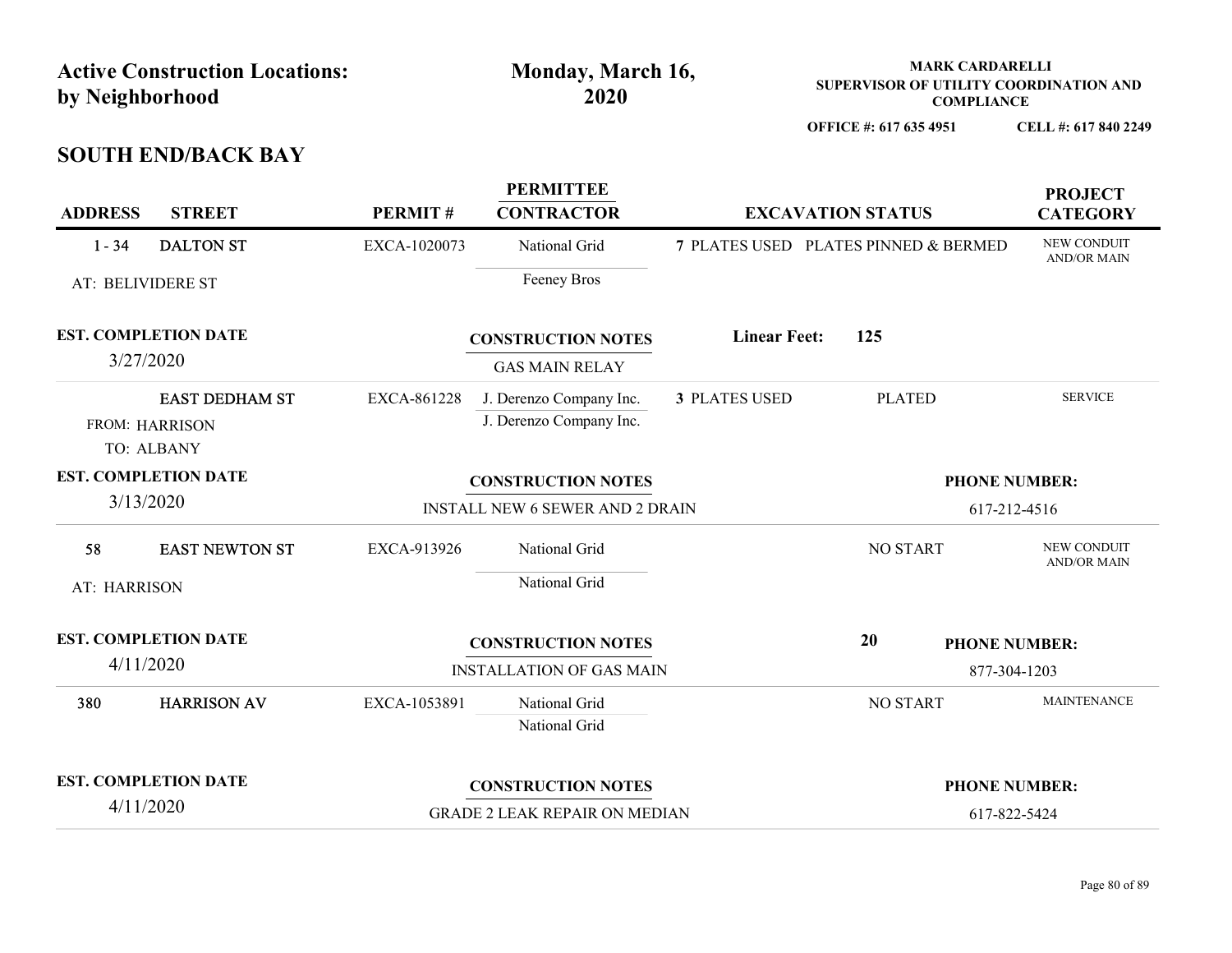| by Neighborhood | <b>Active Construction Locations:</b> |                | Monday, March 16,<br>2020 | <b>MARK CARDARELLI</b><br>SUPERVISOR OF UTILITY COORDINATION AND<br><b>COMPLIANCE</b> |                      |
|-----------------|---------------------------------------|----------------|---------------------------|---------------------------------------------------------------------------------------|----------------------|
|                 |                                       |                |                           | OFFICE #: 617 635 4951                                                                | CELL #: 617 840 2249 |
|                 | <b>SOUTH END/BACK BAY</b>             |                |                           |                                                                                       |                      |
|                 |                                       |                | <b>PERMITTEE</b>          |                                                                                       | <b>PROJECT</b>       |
| <b>ADDRESS</b>  | <b>STREET</b>                         | <b>PERMIT#</b> | <b>CONTRACTOR</b>         | <b>EXCAVATION STATUS</b>                                                              | <b>CATEGORY</b>      |

## SOUTH END/BACK BAY

|                    | <b>Active Construction Locations:</b><br>by Neighborhood |              | Monday, March 16,<br>2020                                         |                     | <b>MARK CARDARELLI</b><br>SUPERVISOR OF UTILITY COORDINATION AND<br><b>COMPLIANCE</b> |                                      |  |
|--------------------|----------------------------------------------------------|--------------|-------------------------------------------------------------------|---------------------|---------------------------------------------------------------------------------------|--------------------------------------|--|
|                    | <b>SOUTH END/BACK BAY</b>                                |              |                                                                   |                     | OFFICE #: 617 635 4951                                                                | CELL #: 617 840 2249                 |  |
| <b>ADDRESS</b>     | <b>STREET</b>                                            | PERMIT#      | <b>PERMITTEE</b><br><b>CONTRACTOR</b>                             |                     | <b>EXCAVATION STATUS</b>                                                              | <b>PROJECT</b><br><b>CATEGORY</b>    |  |
| $1 - 34$           | <b>DALTON ST</b>                                         | EXCA-1020073 | National Grid                                                     |                     | 7 PLATES USED PLATES PINNED & BERMED                                                  | NEW CONDUIT<br><b>AND/OR MAIN</b>    |  |
|                    | AT: BELIVIDERE ST                                        |              | Feeney Bros                                                       |                     |                                                                                       |                                      |  |
|                    | <b>EST. COMPLETION DATE</b><br>3/27/2020                 |              | <b>CONSTRUCTION NOTES</b><br><b>GAS MAIN RELAY</b>                | <b>Linear Feet:</b> | 125                                                                                   |                                      |  |
|                    | <b>EAST DEDHAM ST</b><br>FROM: HARRISON<br>TO: ALBANY    | EXCA-861228  | J. Derenzo Company Inc.<br>J. Derenzo Company Inc.                | 3 PLATES USED       | <b>PLATED</b>                                                                         | <b>SERVICE</b>                       |  |
|                    | <b>EST. COMPLETION DATE</b>                              |              | <b>CONSTRUCTION NOTES</b>                                         |                     |                                                                                       | <b>PHONE NUMBER:</b>                 |  |
|                    | 3/13/2020                                                |              | INSTALL NEW 6 SEWER AND 2 DRAIN                                   |                     | 617-212-4516                                                                          |                                      |  |
| 58<br>AT: HARRISON | <b>EAST NEWTON ST</b>                                    | EXCA-913926  | National Grid<br>National Grid                                    |                     | NO START                                                                              | NEW CONDUIT<br><b>AND/OR MAIN</b>    |  |
|                    | <b>EST. COMPLETION DATE</b><br>4/11/2020                 |              | <b>CONSTRUCTION NOTES</b><br><b>INSTALLATION OF GAS MAIN</b>      |                     | <b>20</b>                                                                             | <b>PHONE NUMBER:</b><br>877-304-1203 |  |
| 380                | <b>HARRISON AV</b>                                       | EXCA-1053891 | National Grid<br>National Grid                                    |                     | NO START                                                                              | <b>MAINTENANCE</b>                   |  |
|                    | <b>EST. COMPLETION DATE</b><br>4/11/2020                 |              | <b>CONSTRUCTION NOTES</b><br><b>GRADE 2 LEAK REPAIR ON MEDIAN</b> |                     |                                                                                       | <b>PHONE NUMBER:</b><br>617-822-5424 |  |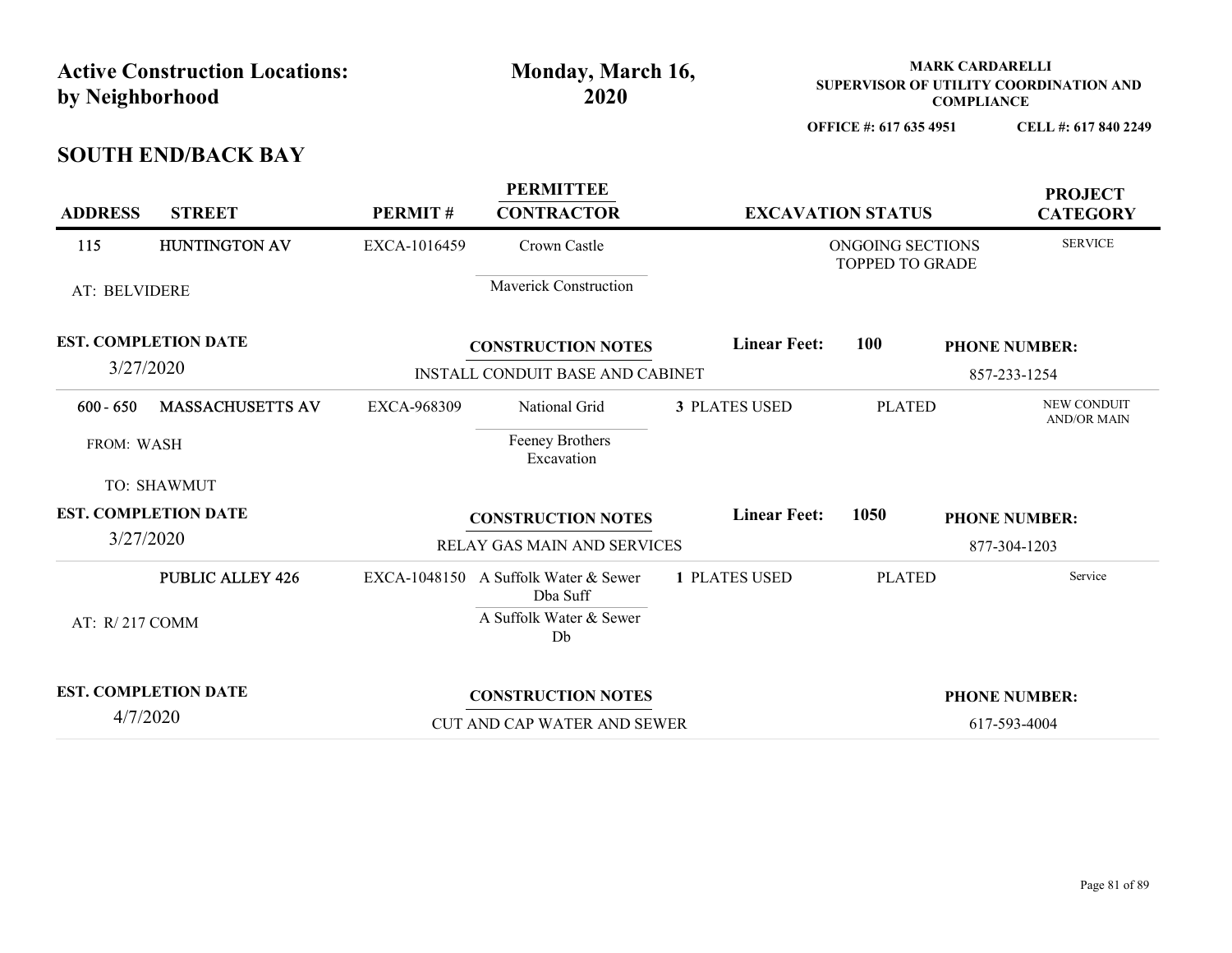|                 | <b>Active Construction Locations:</b> |                                  | Monday, March 16,                                |                      |                          | <b>MARK CARDARELLI</b> | SUPERVISOR OF UTILITY COORDINATION AND |  |
|-----------------|---------------------------------------|----------------------------------|--------------------------------------------------|----------------------|--------------------------|------------------------|----------------------------------------|--|
| by Neighborhood |                                       |                                  | 2020                                             |                      |                          | <b>COMPLIANCE</b>      |                                        |  |
|                 | <b>SOUTH END/BACK BAY</b>             |                                  |                                                  |                      | OFFICE #: 617 635 4951   |                        | CELL #: 617 840 2249                   |  |
|                 |                                       |                                  |                                                  |                      |                          |                        |                                        |  |
| <b>ADDRESS</b>  | <b>STREET</b>                         | PERMIT#                          | <b>PERMITTEE</b><br><b>CONTRACTOR</b>            |                      | <b>EXCAVATION STATUS</b> |                        | <b>PROJECT</b><br><b>CATEGORY</b>      |  |
| 115             | HUNTINGTON AV                         | EXCA-1016459                     | Crown Castle                                     |                      | ONGOING SECTIONS         |                        | <b>SERVICE</b>                         |  |
| AT: BELVIDERE   |                                       |                                  | Maverick Construction                            |                      | TOPPED TO GRADE          |                        |                                        |  |
|                 |                                       |                                  |                                                  |                      |                          |                        |                                        |  |
|                 | <b>EST. COMPLETION DATE</b>           |                                  | <b>CONSTRUCTION NOTES</b>                        | <b>Linear Feet:</b>  | <b>100</b>               |                        | <b>PHONE NUMBER:</b>                   |  |
|                 | 3/27/2020                             | INSTALL CONDUIT BASE AND CABINET |                                                  |                      |                          |                        | 857-233-1254                           |  |
| $600 - 650$     | <b>MASSACHUSETTS AV</b>               | EXCA-968309                      | National Grid                                    | <b>3 PLATES USED</b> | <b>PLATED</b>            |                        | NEW CONDUIT<br><b>AND/OR MAIN</b>      |  |
| FROM: WASH      |                                       |                                  | Feeney Brothers<br>Excavation                    |                      |                          |                        |                                        |  |
|                 | TO: SHAWMUT                           |                                  |                                                  |                      |                          |                        |                                        |  |
|                 | <b>EST. COMPLETION DATE</b>           |                                  | <b>CONSTRUCTION NOTES</b>                        | <b>Linear Feet:</b>  | 1050                     |                        | <b>PHONE NUMBER:</b>                   |  |
|                 | 3/27/2020                             |                                  | RELAY GAS MAIN AND SERVICES                      |                      |                          |                        | 877-304-1203                           |  |
|                 | <b>PUBLIC ALLEY 426</b>               |                                  | EXCA-1048150 A Suffolk Water & Sewer<br>Dba Suff | <b>1 PLATES USED</b> | <b>PLATED</b>            |                        | Service                                |  |
| AT: R/217 COMM  |                                       |                                  | A Suffolk Water & Sewer<br>Db                    |                      |                          |                        |                                        |  |
|                 |                                       |                                  |                                                  |                      |                          |                        |                                        |  |
|                 | <b>EST. COMPLETION DATE</b>           |                                  | <b>CONSTRUCTION NOTES</b>                        |                      |                          |                        | <b>PHONE NUMBER:</b>                   |  |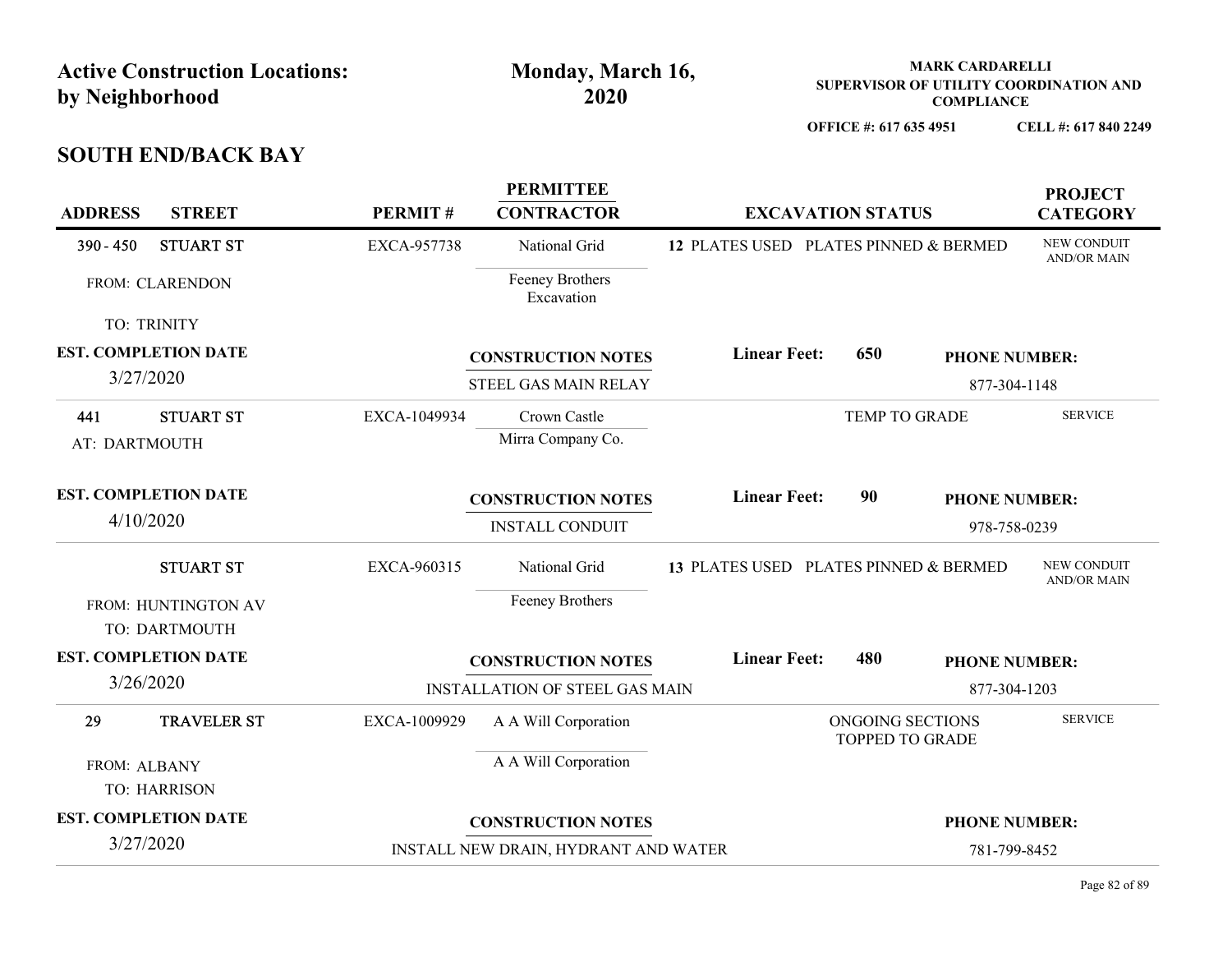| by Neighborhood | <b>Active Construction Locations:</b> |                | Monday, March 16,<br>2020 | <b>MARK CARDARELLI</b><br>SUPERVISOR OF UTILITY COORDINATION AND<br><b>COMPLIANCE</b> |                      |
|-----------------|---------------------------------------|----------------|---------------------------|---------------------------------------------------------------------------------------|----------------------|
|                 |                                       |                |                           | OFFICE #: 617 635 4951                                                                | CELL #: 617 840 2249 |
|                 | <b>SOUTH END/BACK BAY</b>             |                |                           |                                                                                       |                      |
|                 |                                       |                | <b>PERMITTEE</b>          |                                                                                       | <b>PROJECT</b>       |
| <b>ADDRESS</b>  | <b>STREET</b>                         | <b>PERMIT#</b> | <b>CONTRACTOR</b>         | <b>EXCAVATION STATUS</b>                                                              | <b>CATEGORY</b>      |

## SOUTH END/BACK BAY

| <b>Active Construction Locations:</b><br>by Neighborhood |                                                          |                | Monday, March 16,<br>2020                                   |  | <b>MARK CARDARELLI</b><br>SUPERVISOR OF UTILITY COORDINATION AND<br><b>COMPLIANCE</b> |                                            |                                       |                                      |  |
|----------------------------------------------------------|----------------------------------------------------------|----------------|-------------------------------------------------------------|--|---------------------------------------------------------------------------------------|--------------------------------------------|---------------------------------------|--------------------------------------|--|
|                                                          | <b>SOUTH END/BACK BAY</b>                                |                |                                                             |  |                                                                                       | OFFICE #: 617 635 4951                     |                                       | CELL #: 617 840 2249                 |  |
| <b>ADDRESS</b>                                           | <b>STREET</b>                                            | <b>PERMIT#</b> | <b>PERMITTEE</b><br><b>CONTRACTOR</b>                       |  | <b>EXCAVATION STATUS</b>                                                              |                                            |                                       | <b>PROJECT</b><br><b>CATEGORY</b>    |  |
| $390 - 450$                                              | <b>STUART ST</b><br>FROM: CLARENDON                      | EXCA-957738    | National Grid<br>Feeney Brothers<br>Excavation              |  |                                                                                       |                                            | 12 PLATES USED PLATES PINNED & BERMED | NEW CONDUIT<br><b>AND/OR MAIN</b>    |  |
| 3/27/2020                                                | TO: TRINITY<br><b>EST. COMPLETION DATE</b>               |                | <b>CONSTRUCTION NOTES</b><br>STEEL GAS MAIN RELAY           |  | <b>Linear Feet:</b>                                                                   | 650                                        |                                       | <b>PHONE NUMBER:</b><br>877-304-1148 |  |
| 441<br>AT: DARTMOUTH                                     | <b>STUART ST</b>                                         | EXCA-1049934   | Crown Castle<br>Mirra Company Co.                           |  |                                                                                       | TEMP TO GRADE                              |                                       | <b>SERVICE</b>                       |  |
| 4/10/2020                                                | <b>EST. COMPLETION DATE</b>                              |                | <b>CONSTRUCTION NOTES</b><br><b>INSTALL CONDUIT</b>         |  | <b>Linear Feet:</b>                                                                   | 90                                         |                                       | <b>PHONE NUMBER:</b><br>978-758-0239 |  |
|                                                          | <b>STUART ST</b><br>FROM: HUNTINGTON AV<br>TO: DARTMOUTH | EXCA-960315    | National Grid<br>Feeney Brothers                            |  |                                                                                       |                                            | 13 PLATES USED PLATES PINNED & BERMED | NEW CONDUIT<br>AND/OR MAIN           |  |
| 3/26/2020                                                | <b>EST. COMPLETION DATE</b>                              |                | <b>CONSTRUCTION NOTES</b><br>INSTALLATION OF STEEL GAS MAIN |  | <b>Linear Feet:</b>                                                                   | 480                                        |                                       | <b>PHONE NUMBER:</b><br>877-304-1203 |  |
| 29                                                       | TRAVELER ST                                              | EXCA-1009929   | A A Will Corporation                                        |  |                                                                                       | ONGOING SECTIONS<br><b>TOPPED TO GRADE</b> |                                       | <b>SERVICE</b>                       |  |
| FROM: ALBANY                                             | TO: HARRISON                                             |                | A A Will Corporation                                        |  |                                                                                       |                                            |                                       |                                      |  |
|                                                          | <b>EST. COMPLETION DATE</b>                              |                | <b>CONSTRUCTION NOTES</b>                                   |  |                                                                                       |                                            |                                       | <b>PHONE NUMBER:</b>                 |  |
|                                                          | 3/27/2020                                                |                | INSTALL NEW DRAIN, HYDRANT AND WATER                        |  |                                                                                       |                                            |                                       | 781-799-8452                         |  |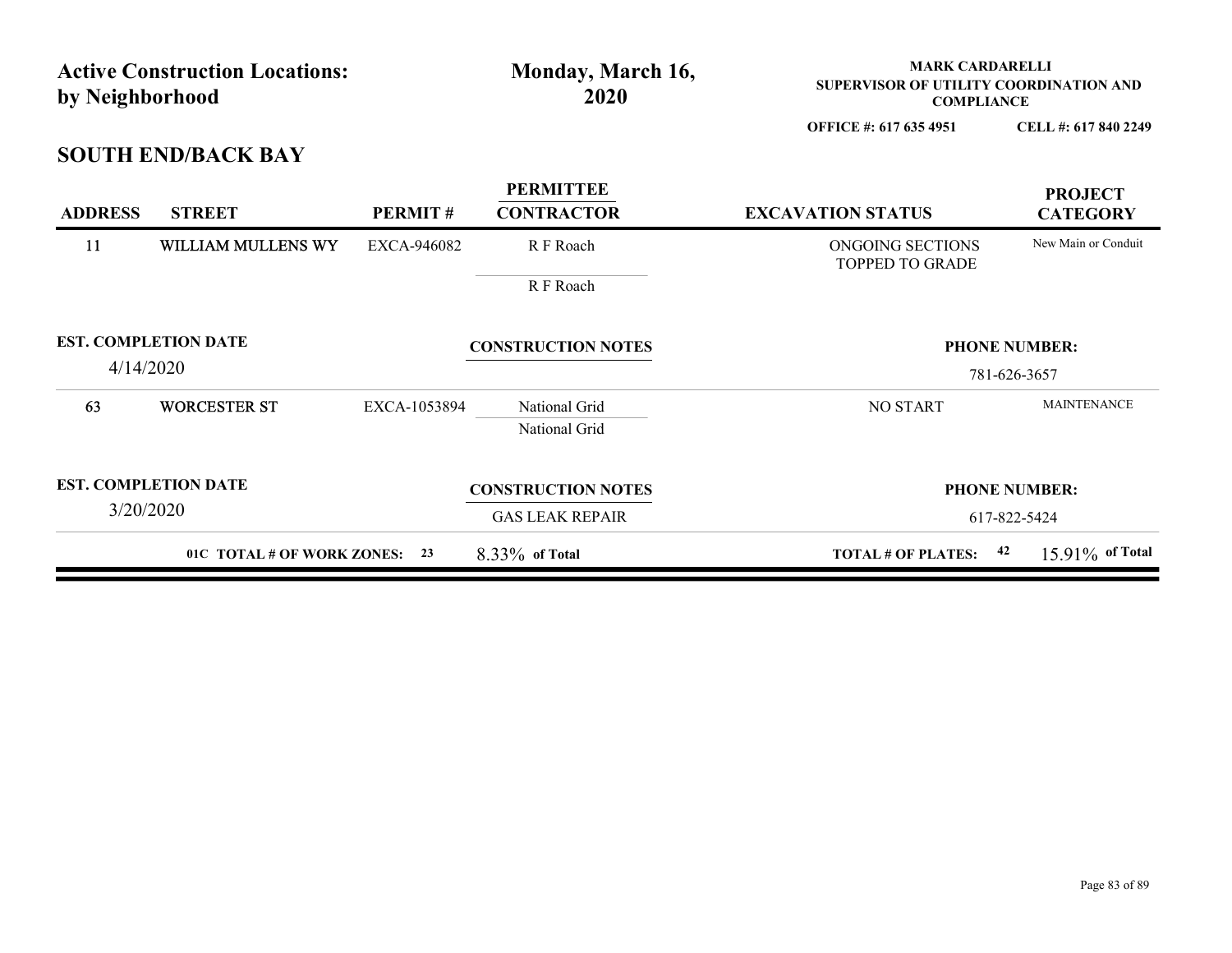| <b>Active Construction Locations:</b><br>by Neighborhood |                             |              | Monday, March 16,<br>2020 | <b>MARK CARDARELLI</b><br>SUPERVISOR OF UTILITY COORDINATION AND<br><b>COMPLIANCE</b> |                          |
|----------------------------------------------------------|-----------------------------|--------------|---------------------------|---------------------------------------------------------------------------------------|--------------------------|
|                                                          |                             |              |                           | OFFICE #: 617 635 4951                                                                | CELL #: 617 840 2249     |
|                                                          | <b>SOUTH END/BACK BAY</b>   |              |                           |                                                                                       |                          |
|                                                          |                             |              | <b>PERMITTEE</b>          |                                                                                       | <b>PROJECT</b>           |
| <b>ADDRESS</b>                                           | <b>STREET</b>               | PERMIT#      | <b>CONTRACTOR</b>         | <b>EXCAVATION STATUS</b>                                                              | <b>CATEGORY</b>          |
| <b>11</b>                                                | WILLIAM MULLENS WY          | EXCA-946082  | R F Roach                 | ONGOING SECTIONS<br>TOPPED TO GRADE                                                   | New Main or Conduit      |
|                                                          |                             |              | R F Roach                 |                                                                                       |                          |
|                                                          | <b>EST. COMPLETION DATE</b> |              | <b>CONSTRUCTION NOTES</b> |                                                                                       | <b>PHONE NUMBER:</b>     |
| 4/14/2020                                                |                             |              |                           | 781-626-3657                                                                          |                          |
| 63                                                       | <b>WORCESTER ST</b>         | EXCA-1053894 | National Grid             | <b>NO START</b>                                                                       | <b>MAINTENANCE</b>       |
|                                                          |                             |              | National Grid             |                                                                                       |                          |
|                                                          | <b>EST. COMPLETION DATE</b> |              | <b>CONSTRUCTION NOTES</b> |                                                                                       | <b>PHONE NUMBER:</b>     |
|                                                          | 3/20/2020                   |              | <b>GAS LEAK REPAIR</b>    |                                                                                       | 617-822-5424             |
|                                                          |                             |              | $8.33\%$ of Total         | <b>TOTAL # OF PLATES:</b>                                                             | 42<br>$15.91\%$ of Total |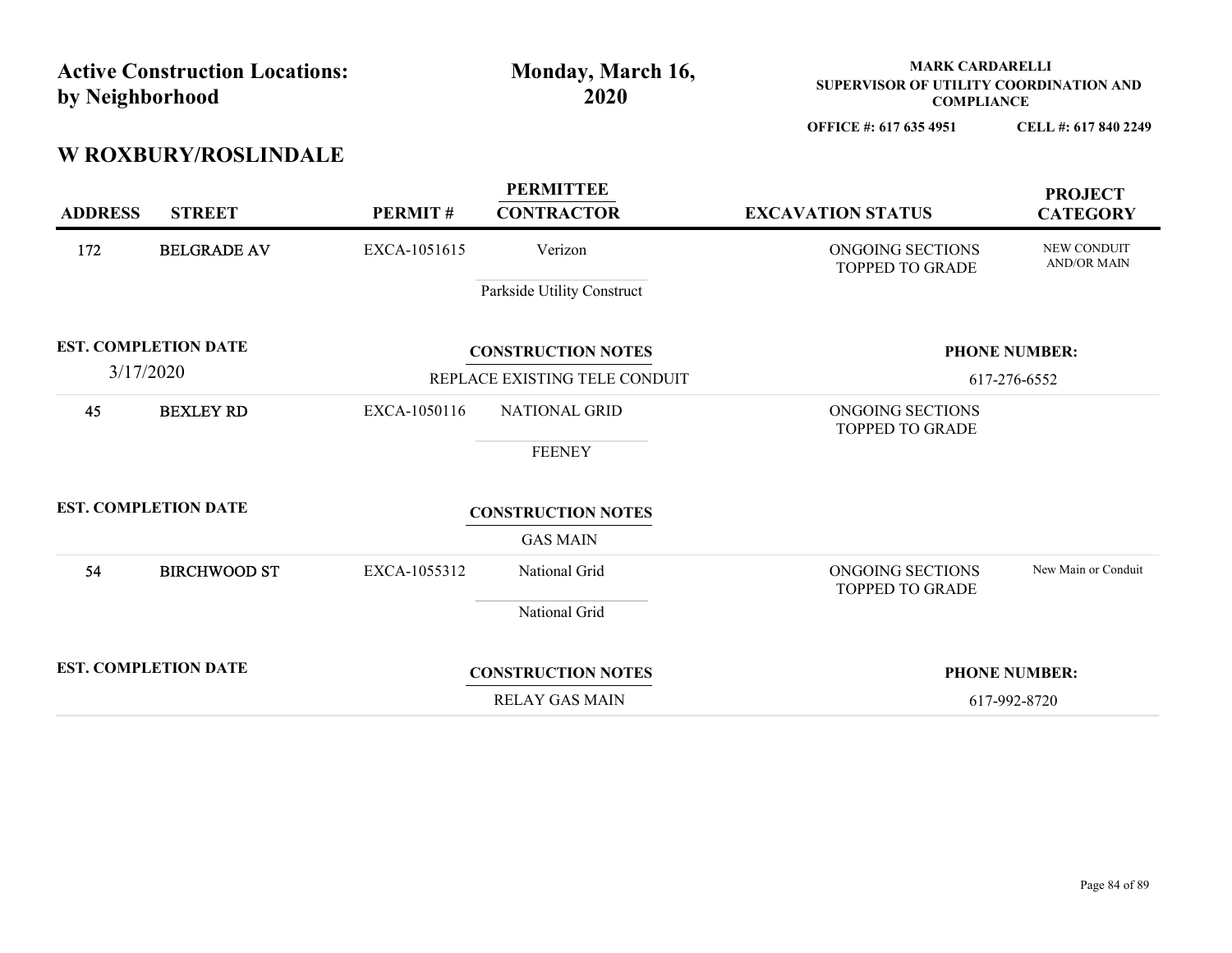|                 | <b>Active Construction Locations:</b> |              | Monday, March 16,                     | <b>MARK CARDARELLI</b>                                      |                                   |  |
|-----------------|---------------------------------------|--------------|---------------------------------------|-------------------------------------------------------------|-----------------------------------|--|
| by Neighborhood |                                       |              | 2020                                  | SUPERVISOR OF UTILITY COORDINATION AND<br><b>COMPLIANCE</b> |                                   |  |
|                 |                                       |              |                                       | OFFICE #: 617 635 4951                                      | CELL #: 617 840 2249              |  |
|                 | <b>W ROXBURY/ROSLINDALE</b>           |              |                                       |                                                             |                                   |  |
| <b>ADDRESS</b>  | <b>STREET</b>                         | PERMIT#      | <b>PERMITTEE</b><br><b>CONTRACTOR</b> | <b>EXCAVATION STATUS</b>                                    | <b>PROJECT</b><br><b>CATEGORY</b> |  |
| 172             | <b>BELGRADE AV</b>                    | EXCA-1051615 | Verizon                               | ONGOING SECTIONS<br>TOPPED TO GRADE                         | NEW CONDUIT<br><b>AND/OR MAIN</b> |  |
|                 |                                       |              | Parkside Utility Construct            |                                                             |                                   |  |
|                 | <b>EST. COMPLETION DATE</b>           |              | <b>CONSTRUCTION NOTES</b>             |                                                             | <b>PHONE NUMBER:</b>              |  |
| 3/17/2020       |                                       |              | REPLACE EXISTING TELE CONDUIT         |                                                             | 617-276-6552                      |  |
| 45              | <b>BEXLEY RD</b>                      | EXCA-1050116 | NATIONAL GRID                         | ONGOING SECTIONS                                            |                                   |  |
|                 |                                       |              | <b>FEENEY</b>                         | TOPPED TO GRADE                                             |                                   |  |
|                 |                                       |              |                                       |                                                             |                                   |  |
|                 | <b>EST. COMPLETION DATE</b>           |              | <b>CONSTRUCTION NOTES</b>             |                                                             |                                   |  |
|                 |                                       |              | <b>GAS MAIN</b>                       |                                                             |                                   |  |
| 54              | <b>BIRCHWOOD ST</b>                   | EXCA-1055312 | National Grid                         | ONGOING SECTIONS<br>TOPPED TO GRADE                         | New Main or Conduit               |  |
|                 |                                       |              | National Grid                         |                                                             |                                   |  |
|                 |                                       |              |                                       |                                                             |                                   |  |
|                 | <b>EST. COMPLETION DATE</b>           |              | <b>CONSTRUCTION NOTES</b>             |                                                             | <b>PHONE NUMBER:</b>              |  |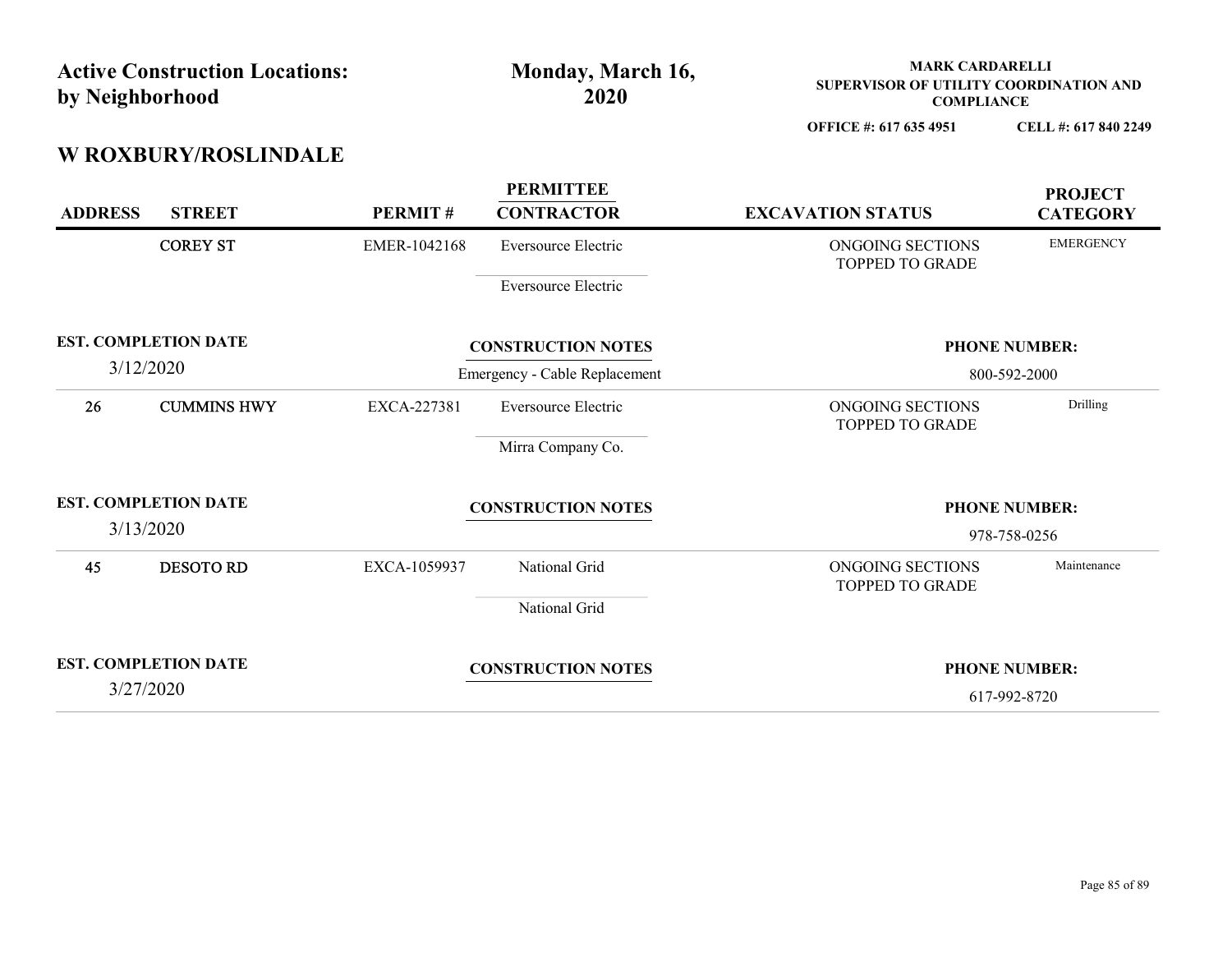| by Neighborhood                          | <b>Active Construction Locations:</b>    |              | Monday, March 16,<br>2020                                  | <b>MARK CARDARELLI</b><br>SUPERVISOR OF UTILITY COORDINATION AND<br><b>COMPLIANCE</b> |                                      |
|------------------------------------------|------------------------------------------|--------------|------------------------------------------------------------|---------------------------------------------------------------------------------------|--------------------------------------|
|                                          |                                          |              |                                                            | OFFICE #: 617 635 4951                                                                | CELL #: 617 840 2249                 |
| <b>ADDRESS</b>                           | W ROXBURY/ROSLINDALE<br><b>STREET</b>    | PERMIT#      | <b>PERMITTEE</b><br><b>CONTRACTOR</b>                      | <b>EXCAVATION STATUS</b>                                                              | <b>PROJECT</b><br><b>CATEGORY</b>    |
|                                          | <b>COREY ST</b>                          | EMER-1042168 | Eversource Electric<br>Eversource Electric                 | ONGOING SECTIONS<br>TOPPED TO GRADE                                                   | <b>EMERGENCY</b>                     |
| <b>EST. COMPLETION DATE</b><br>3/12/2020 |                                          |              | <b>CONSTRUCTION NOTES</b><br>Emergency - Cable Replacement |                                                                                       | <b>PHONE NUMBER:</b><br>800-592-2000 |
| 26                                       | <b>CUMMINS HWY</b>                       | EXCA-227381  | Eversource Electric<br>Mirra Company Co.                   | ONGOING SECTIONS<br>TOPPED TO GRADE                                                   | Drilling                             |
| <b>EST. COMPLETION DATE</b><br>3/13/2020 |                                          |              | <b>CONSTRUCTION NOTES</b>                                  |                                                                                       | <b>PHONE NUMBER:</b><br>978-758-0256 |
| 45                                       | <b>DESOTORD</b>                          | EXCA-1059937 | National Grid<br>National Grid                             | ONGOING SECTIONS<br>TOPPED TO GRADE                                                   | Maintenance                          |
|                                          | <b>EST. COMPLETION DATE</b><br>3/27/2020 |              | <b>CONSTRUCTION NOTES</b>                                  |                                                                                       | <b>PHONE NUMBER:</b>                 |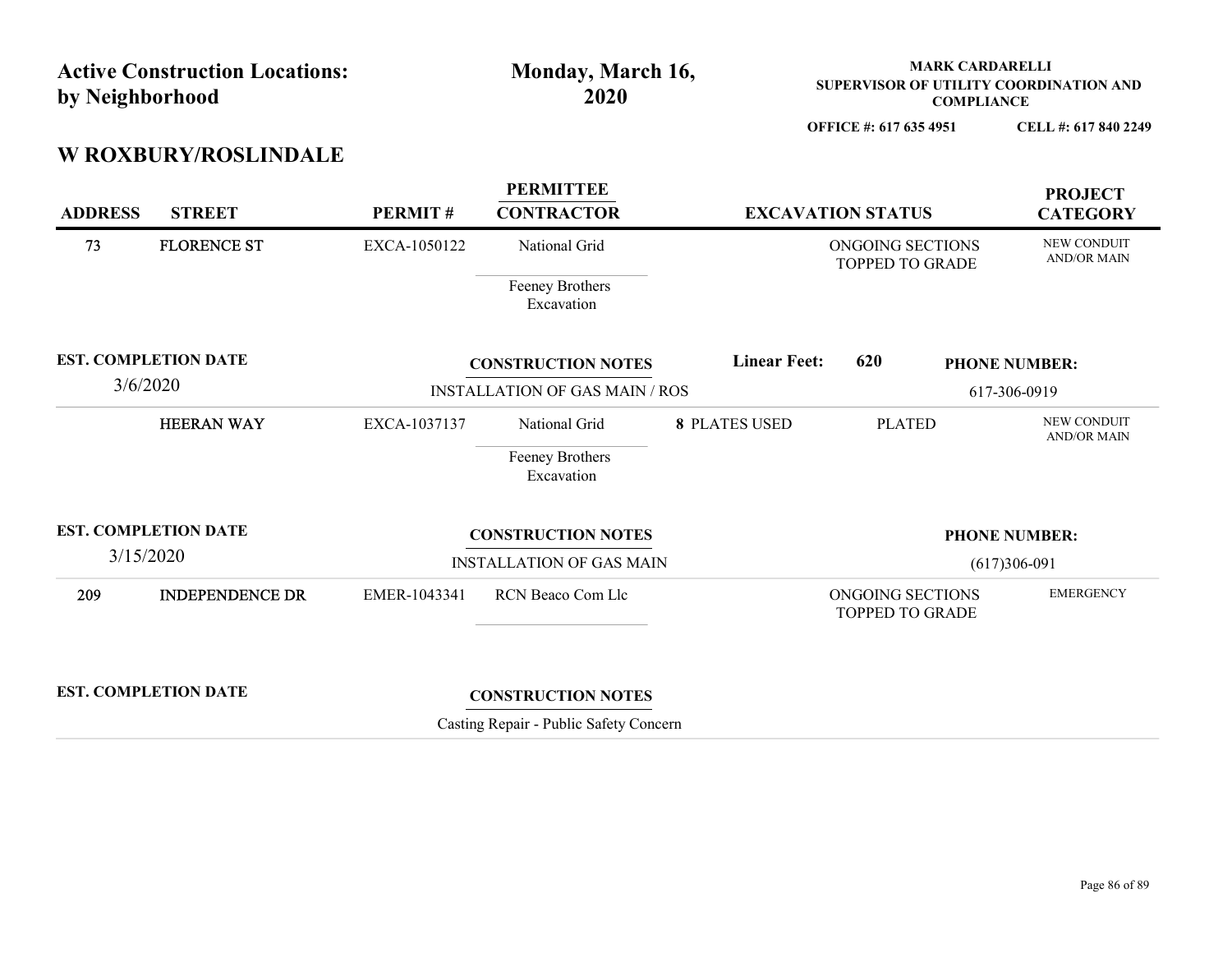| by Neighborhood             | <b>Active Construction Locations:</b> |              | Monday, March 16,<br>2020             |                     |                                     | <b>MARK CARDARELLI</b><br>SUPERVISOR OF UTILITY COORDINATION AND<br><b>COMPLIANCE</b> |
|-----------------------------|---------------------------------------|--------------|---------------------------------------|---------------------|-------------------------------------|---------------------------------------------------------------------------------------|
|                             |                                       |              |                                       |                     | OFFICE #: 617 635 4951              | CELL #: 617 840 2249                                                                  |
|                             | <b>W ROXBURY/ROSLINDALE</b>           |              |                                       |                     |                                     |                                                                                       |
| <b>ADDRESS</b>              | <b>STREET</b>                         | PERMIT#      | <b>PERMITTEE</b><br><b>CONTRACTOR</b> |                     | <b>EXCAVATION STATUS</b>            | <b>PROJECT</b><br><b>CATEGORY</b>                                                     |
| 73                          | <b>FLORENCE ST</b>                    | EXCA-1050122 | National Grid                         |                     | ONGOING SECTIONS<br>TOPPED TO GRADE | NEW CONDUIT<br><b>AND/OR MAIN</b>                                                     |
|                             |                                       |              | Feeney Brothers<br>Excavation         |                     |                                     |                                                                                       |
| <b>EST. COMPLETION DATE</b> |                                       |              | <b>CONSTRUCTION NOTES</b>             | <b>Linear Feet:</b> | 620                                 | <b>PHONE NUMBER:</b>                                                                  |
| 3/6/2020                    |                                       |              | <b>INSTALLATION OF GAS MAIN / ROS</b> |                     |                                     | 617-306-0919                                                                          |
|                             | <b>HEERAN WAY</b>                     | EXCA-1037137 | National Grid                         | 8 PLATES USED       | <b>PLATED</b>                       | NEW CONDUIT<br>AND/OR MAIN                                                            |
|                             |                                       |              | Feeney Brothers<br>Excavation         |                     |                                     |                                                                                       |
|                             | <b>EST. COMPLETION DATE</b>           |              | <b>CONSTRUCTION NOTES</b>             |                     |                                     | <b>PHONE NUMBER:</b>                                                                  |
|                             |                                       |              | <b>INSTALLATION OF GAS MAIN</b>       |                     |                                     | $(617)306-091$                                                                        |
| 3/15/2020                   |                                       |              |                                       |                     |                                     | <b>EMERGENCY</b>                                                                      |
| 209                         | <b>INDEPENDENCE DR</b>                | EMER-1043341 | RCN Beaco Com Llc                     |                     | ONGOING SECTIONS<br>TOPPED TO GRADE |                                                                                       |
|                             |                                       |              |                                       |                     |                                     |                                                                                       |

Casting Repair - Public Safety Concern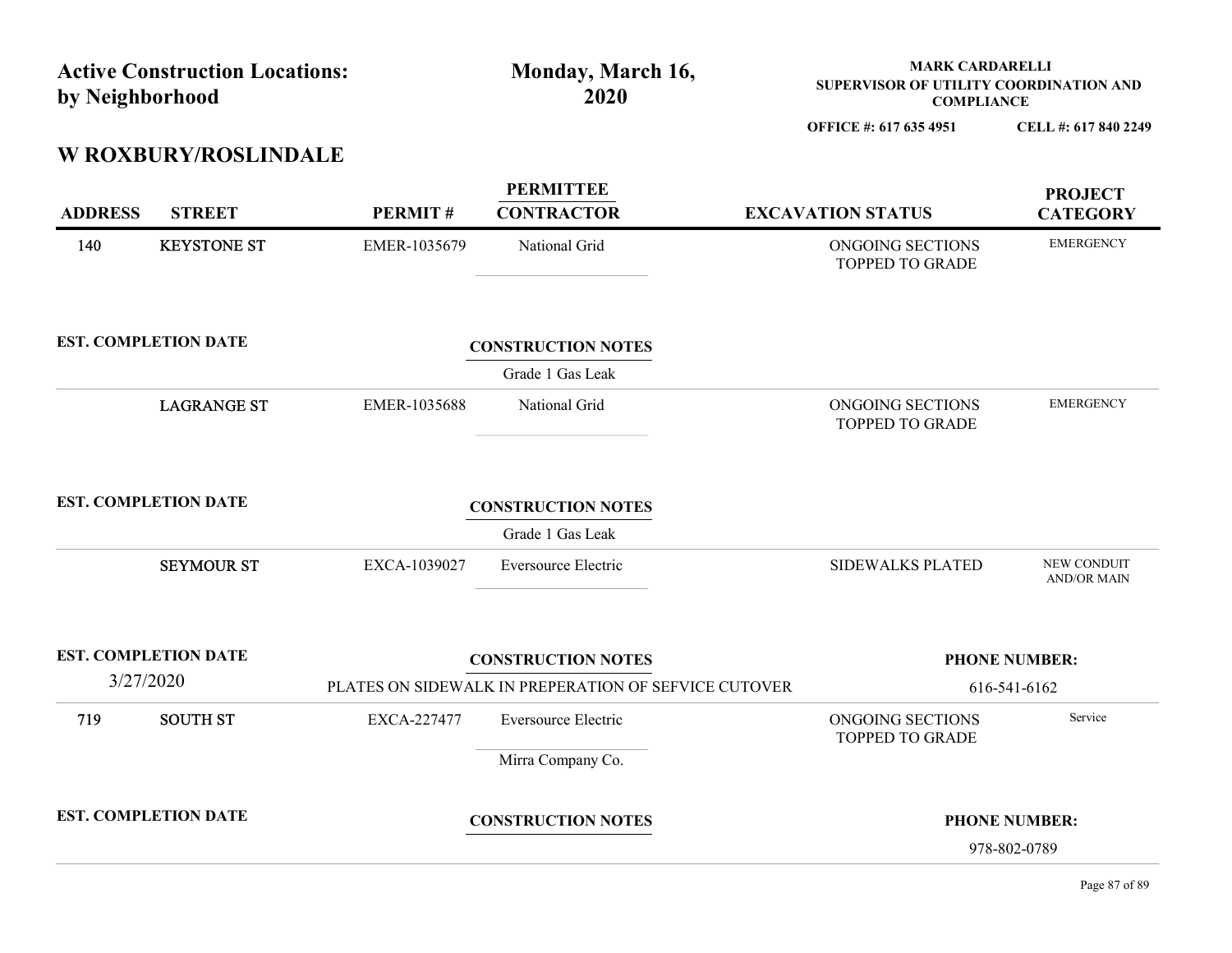| by Neighborhood | <b>Active Construction Locations:</b> |              | Monday, March 16,<br>2020                                                         | <b>MARK CARDARELLI</b><br>SUPERVISOR OF UTILITY COORDINATION AND<br><b>COMPLIANCE</b> |                                      |
|-----------------|---------------------------------------|--------------|-----------------------------------------------------------------------------------|---------------------------------------------------------------------------------------|--------------------------------------|
|                 | W ROXBURY/ROSLINDALE                  |              |                                                                                   | OFFICE #: 617 635 4951                                                                | CELL #: 617 840 2249                 |
| <b>ADDRESS</b>  | <b>STREET</b>                         | PERMIT#      | <b>PERMITTEE</b><br><b>CONTRACTOR</b>                                             | <b>EXCAVATION STATUS</b>                                                              | <b>PROJECT</b><br><b>CATEGORY</b>    |
| 140             | <b>KEYSTONE ST</b>                    | EMER-1035679 | National Grid                                                                     | ONGOING SECTIONS<br>TOPPED TO GRADE                                                   | <b>EMERGENCY</b>                     |
|                 | <b>EST. COMPLETION DATE</b>           |              | <b>CONSTRUCTION NOTES</b><br>Grade 1 Gas Leak                                     |                                                                                       |                                      |
|                 | <b>LAGRANGE ST</b>                    | EMER-1035688 | National Grid                                                                     | ONGOING SECTIONS<br>TOPPED TO GRADE                                                   | <b>EMERGENCY</b>                     |
|                 | <b>EST. COMPLETION DATE</b>           |              | <b>CONSTRUCTION NOTES</b><br>Grade 1 Gas Leak                                     |                                                                                       |                                      |
|                 | <b>SEYMOUR ST</b>                     | EXCA-1039027 | Eversource Electric                                                               | SIDEWALKS PLATED                                                                      | NEW CONDUIT<br><b>AND/OR MAIN</b>    |
| 3/27/2020       | <b>EST. COMPLETION DATE</b>           |              | <b>CONSTRUCTION NOTES</b><br>PLATES ON SIDEWALK IN PREPERATION OF SEFVICE CUTOVER |                                                                                       | <b>PHONE NUMBER:</b><br>616-541-6162 |
| 719             | <b>SOUTH ST</b>                       | EXCA-227477  | Eversource Electric<br>Mirra Company Co.                                          | ONGOING SECTIONS<br><b>TOPPED TO GRADE</b>                                            | Service                              |
|                 | <b>EST. COMPLETION DATE</b>           |              | <b>CONSTRUCTION NOTES</b>                                                         |                                                                                       | <b>PHONE NUMBER:</b><br>978-802-0789 |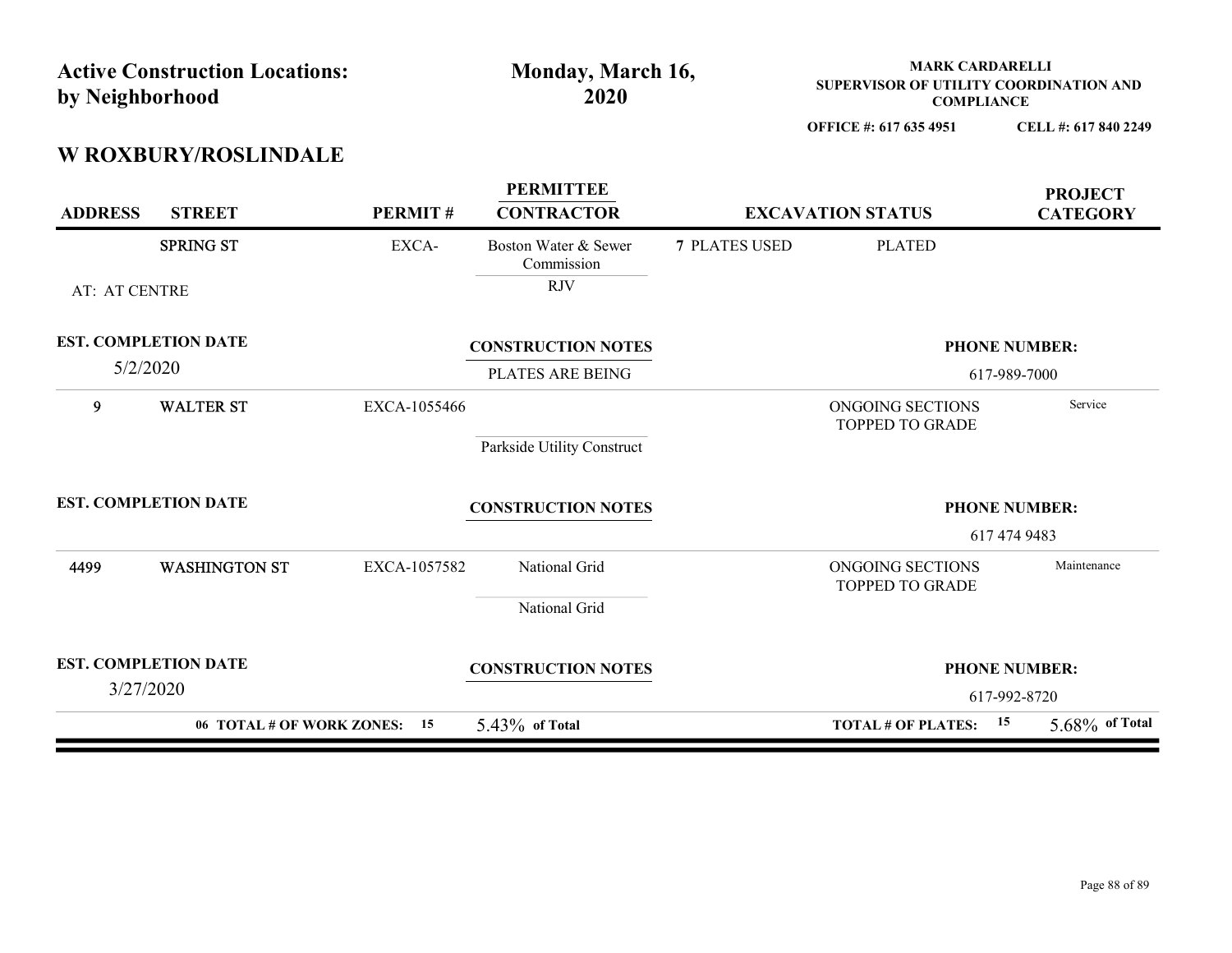| by Neighborhood                         | <b>Active Construction Locations:</b> |              | Monday, March 16,<br>2020                        |                      | <b>MARK CARDARELLI</b><br>SUPERVISOR OF UTILITY COORDINATION AND<br><b>COMPLIANCE</b> |                                      |
|-----------------------------------------|---------------------------------------|--------------|--------------------------------------------------|----------------------|---------------------------------------------------------------------------------------|--------------------------------------|
|                                         | <b>W ROXBURY/ROSLINDALE</b>           |              |                                                  |                      | OFFICE #: 617 635 4951                                                                | CELL #: 617 840 2249                 |
| <b>ADDRESS</b>                          | <b>STREET</b>                         | PERMIT#      | <b>PERMITTEE</b><br><b>CONTRACTOR</b>            |                      | <b>EXCAVATION STATUS</b>                                                              | <b>PROJECT</b><br><b>CATEGORY</b>    |
| AT: AT CENTRE                           | <b>SPRING ST</b>                      | EXCA-        | Boston Water & Sewer<br>Commission<br><b>RJV</b> | <b>7 PLATES USED</b> | <b>PLATED</b>                                                                         |                                      |
| <b>EST. COMPLETION DATE</b><br>5/2/2020 |                                       |              | <b>CONSTRUCTION NOTES</b><br>PLATES ARE BEING    |                      |                                                                                       | <b>PHONE NUMBER:</b><br>617-989-7000 |
| 9                                       | <b>WALTER ST</b>                      | EXCA-1055466 | Parkside Utility Construct                       |                      | ONGOING SECTIONS<br>TOPPED TO GRADE                                                   | Service                              |
| <b>EST. COMPLETION DATE</b>             |                                       |              | <b>CONSTRUCTION NOTES</b>                        |                      |                                                                                       | <b>PHONE NUMBER:</b><br>617 474 9483 |
| 4499                                    | <b>WASHINGTON ST</b>                  | EXCA-1057582 | National Grid<br>National Grid                   |                      | ONGOING SECTIONS<br><b>TOPPED TO GRADE</b>                                            | Maintenance                          |
| <b>EST. COMPLETION DATE</b>             | 3/27/2020                             |              | <b>CONSTRUCTION NOTES</b>                        |                      |                                                                                       | <b>PHONE NUMBER:</b><br>617-992-8720 |
|                                         |                                       |              |                                                  |                      |                                                                                       |                                      |